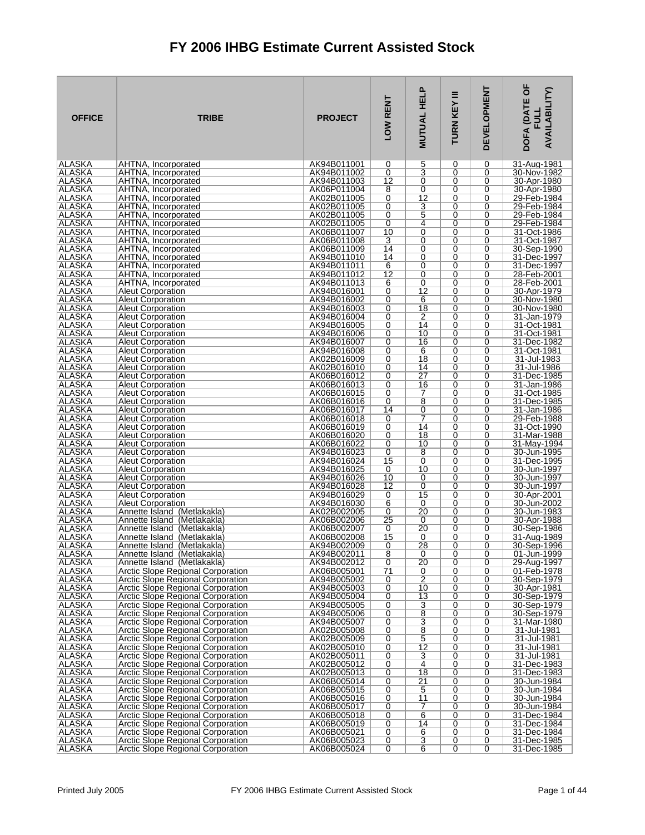| <b>OFFICE</b>                  | <b>TRIBE</b>                                                                  | <b>PROJECT</b>             | LOW RENT        | <b>HELP</b><br>MUTUAL            | Ξ<br>KEY<br><b>TURN</b> | <b>DEVELOPMENT</b> | p<br><b>AVAILABILITY)</b><br>DOFA (DATE<br><b>FULL</b> |
|--------------------------------|-------------------------------------------------------------------------------|----------------------------|-----------------|----------------------------------|-------------------------|--------------------|--------------------------------------------------------|
| ALASKA<br>ALASKA               | AHTNA, Incorporated<br>AHTNA, Incorporated                                    | AK94B011001<br>AK94B011002 | 0<br>0          | 5<br>$\overline{\mathbf{3}}$     | 0<br>0                  | 0<br>0             | 31-Aug-1981<br>30-Nov-1982                             |
| <b>ALASKA</b>                  | AHTNA, Incorporated                                                           | AK94B011003                | 12              | 0                                | 0                       | 0                  | 30-Apr-1980                                            |
| ALASKA                         | AHTNA, Incorporated                                                           | AK06P011004                | 8               | $\mathbf 0$                      | 0                       | 0                  | 30-Apr-1980                                            |
| ALASKA<br>ALASKA               | AHTNA, Incorporated<br>AHTNA, Incorporated                                    | AK02B011005<br>AK02B011005 | 0<br>0          | $\overline{12}$<br>3             | 0<br>0                  | 0<br>0             | 29-Feb-1984<br>29-Feb-1984                             |
| ALASKA                         | AHTNA, Incorporated                                                           | AK02B011005                | 0               | 5                                | 0                       | 0                  | 29-Feb-1984                                            |
| ALASKA                         | AHTNA, Incorporated                                                           | AK02B011005                | 0               | 4                                | 0<br>0                  | 0                  | 29-Feb-1984                                            |
| <b>ALASKA</b><br>ALASKA        | AHTNA, Incorporated<br>AHTNA, Incorporated                                    | AK06B011007<br>AK06B011008 | 10<br>3         | 0<br>0                           | 0                       | 0<br>0             | 31-Oct-1986<br>31-Oct-1987                             |
| ALASKA                         | AHTNA, Incorporated                                                           | AK06B011009                | 14              | 0                                | 0                       | 0                  | 30-Sep-1990                                            |
| <b>ALASKA</b><br>ALASKA        | AHTNA, Incorporated<br>AHTNA, Incorporated                                    | AK94B011010<br>AK94B011011 | 14<br>6         | 0<br>0                           | 0<br>0                  | 0<br>0             | 31-Dec-1997<br>31-Dec-1997                             |
| ALASKA                         | AHTNA, Incorporated                                                           | AK94B011012                | 12              | 0                                | 0                       | 0                  | 28-Feb-2001                                            |
| <b>ALASKA</b>                  | AHTNA, Incorporated                                                           | AK94B011013                | 6               | 0                                | 0                       | 0                  | 28-Feb-2001                                            |
| ALASKA<br>ALASKA               | <b>Aleut Corporation</b><br><b>Aleut Corporation</b>                          | AK94B016001<br>AK94B016002 | 0<br>0          | 12<br>6                          | 0<br>0                  | 0<br>0             | 30-Apr-1979<br>30-Nov-1980                             |
| <b>ALASKA</b>                  | <b>Aleut Corporation</b>                                                      | AK94B016003                | 0               | 18                               | 0                       | 0                  | 30-Nov-1980                                            |
| <b>ALASKA</b>                  | <b>Aleut Corporation</b>                                                      | AK94B016004                | 0               | $\overline{2}$                   | 0                       | 0                  | 31-Jan-1979                                            |
| <b>ALASKA</b><br><b>ALASKA</b> | <b>Aleut Corporation</b><br><b>Aleut Corporation</b>                          | AK94B016005<br>AK94B016006 | 0<br>0          | 14<br>10                         | 0<br>0                  | 0<br>0             | 31-Oct-1981<br>31-Oct-1981                             |
| ALASKA                         | <b>Aleut Corporation</b>                                                      | AK94B016007                | 0               | 16                               | 0                       | 0                  | 31-Dec-1982                                            |
| <b>ALASKA</b>                  | <b>Aleut Corporation</b>                                                      | AK94B016008                | 0               | 6                                | 0                       | 0                  | 31-Oct-1981                                            |
| <b>ALASKA</b><br>ALASKA        | <b>Aleut Corporation</b><br><b>Aleut Corporation</b>                          | AK02B016009<br>AK02B016010 | 0<br>0          | 18<br>14                         | 0<br>0                  | 0<br>0             | 31-Jul-1983<br>31-Jul-1986                             |
| ALASKA                         | <b>Aleut Corporation</b>                                                      | AK06B016012                | 0               | $\overline{27}$                  | 0                       | 0                  | 31-Dec-1985                                            |
| ALASKA                         | <b>Aleut Corporation</b>                                                      | AK06B016013                | 0               | 16                               | 0                       | 0                  | 31-Jan-1986                                            |
| <b>ALASKA</b><br>ALASKA        | <b>Aleut Corporation</b><br><b>Aleut Corporation</b>                          | AK06B016015<br>AK06B016016 | 0<br>0          | 7<br>8                           | 0<br>0                  | 0<br>0             | 31-Oct-1985<br>31-Dec-1985                             |
| ALASKA                         | <b>Aleut Corporation</b>                                                      | AK06B016017                | 14              | 0                                | 0                       | 0                  | 31-Jan-1986                                            |
| <b>ALASKA</b>                  | <b>Aleut Corporation</b>                                                      | AK06B016018                | 0               | 7                                | 0                       | 0                  | 29-Feb-1988                                            |
| <b>ALASKA</b><br><b>ALASKA</b> | <b>Aleut Corporation</b><br><b>Aleut Corporation</b>                          | AK06B016019<br>AK06B016020 | 0<br>0          | 14<br>18                         | $\overline{0}$<br>0     | 0<br>0             | 31-Oct-1990<br>31-Mar-1988                             |
| <b>ALASKA</b>                  | <b>Aleut Corporation</b>                                                      | AK06B016022                | 0               | 10                               | 0                       | 0                  | 31-May-1994                                            |
| ALASKA                         | <b>Aleut Corporation</b>                                                      | AK94B016023                | 0               | 8<br>0                           | 0                       | 0                  | 30-Jun-1995                                            |
| ALASKA<br><b>ALASKA</b>        | <b>Aleut Corporation</b><br><b>Aleut Corporation</b>                          | AK94B016024<br>AK94B016025 | 15<br>0         | 10                               | 0<br>0                  | 0<br>0             | 31-Dec-1995<br>30-Jun-1997                             |
| ALASKA                         | <b>Aleut Corporation</b>                                                      | AK94B016026                | 10              | 0                                | 0                       | 0                  | 30-Jun-1997                                            |
| ALASKA<br><b>ALASKA</b>        | <b>Aleut Corporation</b><br><b>Aleut Corporation</b>                          | AK94B016028<br>AK94B016029 | 12<br>0         | 0<br>15                          | 0<br>0                  | 0<br>0             | 30-Jun-1997<br>30-Apr-2001                             |
| ALASKA                         | <b>Aleut Corporation</b>                                                      | AK94B016030                | 6               | 0                                | 0                       | 0                  | 30-Jun-2002                                            |
| <b>ALASKA</b>                  | Annette Island (Metlakakla)                                                   | AK02B002005                | 0               | 20                               | 0                       | 0                  | 30-Jun-1983                                            |
| <b>ALASKA</b><br>ALASKA        | Annette Island (Metlakakla)<br>Annette Island (Metlakakla)                    | AK06B002006<br>AK06B002007 | 25<br>0         | 0<br>20                          | 0<br>0                  | 0<br>0             | 30-Apr-1988<br>30-Sep-1986                             |
| ALASKA                         | Annette Island (Metlakakla)                                                   | AK06B002008                | 15              | 0                                | 0                       | 0                  | 31-Aug-1989                                            |
| ALASKA                         | Annette Island (Metlakakla)                                                   | AK94B002009                | 0               | 28                               | 0                       | 0                  | 30-Sep-1996                                            |
| <b>ALASKA</b><br><b>ALASKA</b> | Annette Island (Metlakakla)<br>Annette Island (Metlakakla)                    | AK94B002011<br>AK94B002012 | 8<br>0          | 0<br>20                          | 0<br>0                  | 0<br>0             | 01-Jun-1999<br>29-Aug-1997                             |
| ALASKA                         | Arctic Slope Regional Corporation                                             | AK06B005001                | $\overline{71}$ | 0                                | $\overline{0}$          | $\overline{0}$     | 01-Feb-1978                                            |
| <b>ALASKA</b>                  | <b>Arctic Slope Regional Corporation</b>                                      | AK94B005002                | 0               | 2                                | 0                       | 0                  | 30-Sep-1979                                            |
| ALASKA<br>ALASKA               | Arctic Slope Regional Corporation<br>Arctic Slope Regional Corporation        | AK94B005003<br>AK94B005004 | 0<br>0          | 10<br>13                         | 0<br>$\overline{0}$     | 0<br>0             | 30-Apr-1981<br>30-Sep-1979                             |
| <b>ALASKA</b>                  | Arctic Slope Regional Corporation                                             | AK94B005005                | 0               | 3                                | 0                       | 0                  | 30-Sep-1979                                            |
| ALASKA<br>ALASKA               | Arctic Slope Regional Corporation                                             | AK94B005006                | 0<br>0          | $\overline{8}$<br>$\overline{3}$ | 0<br>$\overline{0}$     | 0<br>0             | 30-Sep-1979<br>31-Mar-1980                             |
| <b>ALASKA</b>                  | Arctic Slope Regional Corporation<br><b>Arctic Slope Regional Corporation</b> | AK94B005007<br>AK02B005008 | 0               | $\overline{8}$                   | 0                       | 0                  | 31-Jul-1981                                            |
| <b>ALASKA</b>                  | Arctic Slope Regional Corporation                                             | AK02B005009                | 0               | 5                                | 0                       | 0                  | 31-Jul-1981                                            |
| ALASKA<br><b>ALASKA</b>        | Arctic Slope Regional Corporation<br><b>Arctic Slope Regional Corporation</b> | AK02B005010<br>AK02B005011 | 0<br>0          | $\overline{12}$<br>3             | 0<br>0                  | 0<br>0             | 31-Jul-1981<br>31-Jul-1981                             |
| ALASKA                         | Arctic Slope Regional Corporation                                             | AK02B005012                | 0               | 4                                | 0                       | 0                  | 31-Dec-1983                                            |
| <b>ALASKA</b>                  | Arctic Slope Regional Corporation                                             | AK02B005013                | 0               | 18                               | 0                       | 0                  | 31-Dec-1983                                            |
| <b>ALASKA</b><br>ALASKA        | Arctic Slope Regional Corporation<br>Arctic Slope Regional Corporation        | AK06B005014<br>AK06B005015 | 0<br>0          | $\overline{21}$<br>5             | 0<br>0                  | 0<br>0             | 30-Jun-1984<br>30-Jun-1984                             |
| ALASKA                         | Arctic Slope Regional Corporation                                             | AK06B005016                | 0               | 11                               | 0                       | 0                  | 30-Jun-1984                                            |
| <b>ALASKA</b>                  | Arctic Slope Regional Corporation                                             | AK06B005017                | 0               | 7                                | 0                       | 0                  | 30-Jun-1984                                            |
| ALASKA<br>ALASKA               | Arctic Slope Regional Corporation<br>Arctic Slope Regional Corporation        | AK06B005018<br>AK06B005019 | 0<br>0          | 6<br>14                          | 0<br>0                  | 0<br>0             | 31-Dec-1984<br>31-Dec-1984                             |
| ALASKA                         | Arctic Slope Regional Corporation                                             | AK06B005021                | 0               | 6                                | 0                       | 0                  | 31-Dec-1984                                            |
| ALASKA<br><b>ALASKA</b>        | Arctic Slope Regional Corporation<br>Arctic Slope Regional Corporation        | AK06B005023<br>AK06B005024 | 0<br>0          | 3<br>6                           | 0<br>0                  | 0<br>0             | 31-Dec-1985<br>31-Dec-1985                             |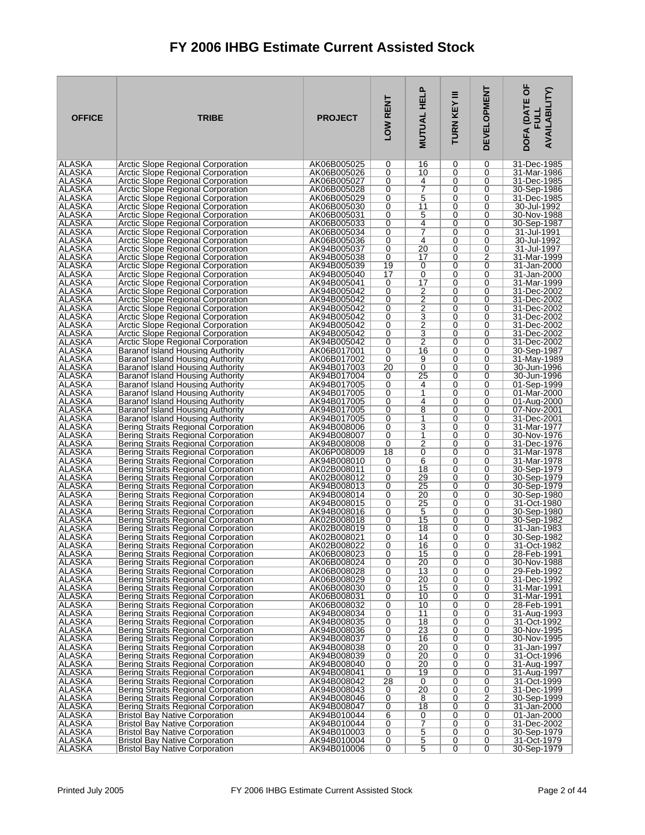| <b>OFFICE</b>                  | <b>TRIBE</b>                                                                   | <b>PROJECT</b>             | LOW RENT            | <b>MUTUAL HELP</b>  | Ξ<br>TURN KEY | <b>DEVELOPMENT</b> | DOFA (DATE OF<br><b>AVAILABILITY)</b>    |
|--------------------------------|--------------------------------------------------------------------------------|----------------------------|---------------------|---------------------|---------------|--------------------|------------------------------------------|
| ALASKA                         | Arctic Slope Regional Corporation                                              | AK06B005025                | 0                   | 16                  | 0             | 0                  | 31-Dec-1985                              |
| ALASKA                         | Arctic Slope Regional Corporation                                              | AK06B005026                | 0                   | 10                  | 0             | 0                  | 31-Mar-1986                              |
| <b>ALASKA</b><br>ALASKA        | Arctic Slope Regional Corporation<br><b>Arctic Slope Regional Corporation</b>  | AK06B005027<br>AK06B005028 | 0<br>0              | 4<br>7              | 0<br>0        | 0<br>0             | 31-Dec-1985<br>30-Sep-1986               |
| <b>ALASKA</b>                  | Arctic Slope Regional Corporation                                              | AK06B005029                | 0                   | $\overline{5}$      | 0             | 0                  | 31-Dec-1985                              |
| ALASKA                         | Arctic Slope Regional Corporation                                              | AK06B005030                | 0                   | 11                  | 0             | 0                  | 30-Jul-1992                              |
| <b>ALASKA</b>                  | Arctic Slope Regional Corporation                                              | AK06B005031                | 0                   | 5                   | 0             | 0                  | 30-Nov-1988                              |
| ALASKA                         | Arctic Slope Regional Corporation                                              | AK06B005033                | 0                   | 4                   | 0             | 0                  | 30-Sep-1987                              |
| ALASKA                         | Arctic Slope Regional Corporation                                              | AK06B005034                | 0                   | 7                   | 0             | 0                  | 31-Jul-1991                              |
| ALASKA<br>ALASKA               | Arctic Slope Regional Corporation<br>Arctic Slope Regional Corporation         | AK06B005036<br>AK94B005037 | 0<br>0              | 4<br>20             | 0<br>0        | 0<br>0             | 30-Jul-1992<br>31-Jul-1997               |
| ALASKA                         | Arctic Slope Regional Corporation                                              | AK94B005038                | 0                   | 17                  | 0             | 2                  | 31-Mar-1999                              |
| ALASKA                         | Arctic Slope Regional Corporation                                              | AK94B005039                | 19                  | 0                   | 0             | 0                  | 31-Jan-2000                              |
| ALASKA                         | Arctic Slope Regional Corporation                                              | AK94B005040                | 17                  | 0                   | 0             | 0                  | 31-Jan-2000                              |
| ALASKA                         | Arctic Slope Regional Corporation                                              | AK94B005041                | 0                   | 17                  | 0             | 0                  | 31-Mar-1999                              |
| ALASKA<br>ALASKA               | Arctic Slope Regional Corporation                                              | AK94B005042<br>AK94B005042 | 0<br>0              | 2<br>$\overline{2}$ | 0<br>0        | 0<br>0             | 31-Dec-2002                              |
| ALASKA                         | Arctic Slope Regional Corporation<br>Arctic Slope Regional Corporation         | AK94B005042                | 0                   | $\overline{2}$      | 0             | 0                  | 31-Dec-2002<br>31-Dec-2002               |
| ALASKA                         | Arctic Slope Regional Corporation                                              | AK94B005042                | 0                   | <u>3</u>            | 0             | 0                  | 31-Dec-2002                              |
| <b>ALASKA</b>                  | Arctic Slope Regional Corporation                                              | AK94B005042                | 0                   | $\overline{2}$      | 0             | 0                  | 31-Dec-2002                              |
| ALASKA                         | Arctic Slope Regional Corporation                                              | AK94B005042                | 0                   | 3                   | 0             | 0                  | 31-Dec-2002                              |
| ALASKA                         | Arctic Slope Regional Corporation                                              | AK94B005042                | 0                   | $\overline{2}$      | 0             | 0                  | 31-Dec-2002                              |
| <b>ALASKA</b><br>ALASKA        | Baranof Island Housing Authority<br>Baranof Island Housing Authority           | AK06B017001<br>AK06B017002 | 0<br>0              | 16<br>9             | 0<br>0        | 0<br>0             | 30-Sep-1987<br>31-May-1989               |
| ALASKA                         | Baranof Island Housing Authority                                               | AK94B017003                | 20                  | 0                   | 0             | 0                  | 30-Jun-1996                              |
| ALASKA                         | Baranof Island Housing Authority                                               | AK94B017004                | 0                   | $\overline{25}$     | 0             | 0                  | 30-Jun-1996                              |
| ALASKA                         | Baranof Island Housing Authority                                               | AK94B017005                | 0                   | 4                   | 0             | 0                  | 01-Sep-1999                              |
| <b>ALASKA</b>                  | Baranof Island Housing Authority                                               | AK94B017005                | 0                   | 1                   | 0             | 0                  | 01-Mar-2000                              |
| ALASKA<br>ALASKA               | Baranof Island Housing Authority<br>Baranof Island Housing Authority           | AK94B017005<br>AK94B017005 | 0<br>0              | 4<br>8              | 0<br>0        | 0<br>0             | $\overline{01}$ -Aug-2000<br>07-Nov-2001 |
| <b>ALASKA</b>                  | <b>Baranof Island Housing Authority</b>                                        | AK94B017005                | 0                   | 1                   | 0             | 0                  | 31-Dec-2001                              |
| ALASKA                         | Bering Straits Regional Corporation                                            | AK94B008006                | 0                   | 3                   | 0             | 0                  | 31-Mar-1977                              |
| ALASKA                         | Bering Straits Regional Corporation                                            | AK94B008007                | 0                   | 1                   | 0             | 0                  | 30-Nov-1976                              |
| <b>ALASKA</b>                  | Bering Straits Regional Corporation                                            | AK94B008008                | 0                   | $\overline{2}$      | 0             | 0                  | 31-Dec-1976                              |
| ALASKA<br>ALASKA               | Bering Straits Regional Corporation                                            | AK06P008009                | 18                  | 0<br>6              | 0             | 0<br>0             | 31-Mar-1978                              |
| <b>ALASKA</b>                  | Bering Straits Regional Corporation<br>Bering Straits Regional Corporation     | AK94B008010<br>AK02B008011 | 0<br>0              | 18                  | 0<br>0        | 0                  | 31-Mar-1978<br>30-Sep-1979               |
| ALASKA                         | Bering Straits Regional Corporation                                            | AK02B008012                | 0                   | 29                  | 0             | 0                  | 30-Sep-1979                              |
| ALASKA                         | Bering Straits Regional Corporation                                            | AK94B008013                | 0                   | 25                  | 0             | 0                  | 30-Sep-1979                              |
| <b>ALASKA</b>                  | Bering Straits Regional Corporation                                            | AK94B008014                | 0                   | $\overline{20}$     | 0             | 0                  | 30-Sep-1980                              |
| ALASKA<br><b>ALASKA</b>        | Bering Straits Regional Corporation<br>Bering Straits Regional Corporation     | AK94B008015                | 0                   | 25                  | 0             | 0                  | 31-Oct-1980                              |
| <b>ALASKA</b>                  | Bering Straits Regional Corporation                                            | AK94B008016<br>AK02B008018 | 0<br>0              | 5<br>15             | 0<br>0        | 0<br>0             | 30-Sep-1980<br>30-Sep-1982               |
| ALASKA                         | Bering Straits Regional Corporation                                            | AK02B008019                | 0                   | 18                  | 0             | 0                  | 31-Jan-1983                              |
| ALASKA                         | Bering Straits Regional Corporation                                            | AK02B008021                | 0                   | 14                  | 0             | 0                  | 30-Sep-1982                              |
| IALASKA                        | Bering Straits Regional Corporation                                            | AK02B008022                | 0                   | 16                  | 0             | 0                  | 31-Oct-1982                              |
| <b>ALASKA</b><br><b>ALASKA</b> | Bering Straits Regional Corporation                                            | AK06B008023                | 0<br>0              | 15<br>20            | 0<br>0        | 0<br>0             | 28-Feb-1991                              |
| <b>ALASKA</b>                  | Bering Straits Regional Corporation<br>Bering Straits Regional Corporation     | AK06B008024<br>AK06B008028 | $\overline{0}$      | $\overline{13}$     | 0             | 0                  | 30-Nov-1988<br>29-Feb-1992               |
| <b>ALASKA</b>                  | Bering Straits Regional Corporation                                            | AK06B008029                | 0                   | 20                  | 0             | 0                  | 31-Dec-1992                              |
| ALASKA                         | Bering Straits Regional Corporation                                            | AK06B008030                | 0                   | 15                  | 0             | 0                  | 31-Mar-1991                              |
| <b>ALASKA</b>                  | Bering Straits Regional Corporation                                            | AK06B008031                | $\overline{0}$      | 10                  | 0             | 0                  | 31-Mar-1991                              |
| <b>ALASKA</b>                  | Bering Straits Regional Corporation                                            | AK06B008032                | 0                   | 10                  | 0             | 0                  | 28-Feb-1991                              |
| ALASKA<br><b>ALASKA</b>        | Bering Straits Regional Corporation<br>Bering Straits Regional Corporation     | AK94B008034<br>AK94B008035 | 0<br>$\overline{0}$ | 11<br>18            | 0<br>0        | 0<br>0             | 31-Aug-1993<br>31-Oct-1992               |
| <b>ALASKA</b>                  | Bering Straits Regional Corporation                                            | AK94B008036                | 0                   | 23                  | 0             | 0                  | 30-Nov-1995                              |
| ALASKA                         | Bering Straits Regional Corporation                                            | AK94B008037                | 0                   | 16                  | 0             | 0                  | 30-Nov-1995                              |
| ALASKA                         | Bering Straits Regional Corporation                                            | AK94B008038                | 0                   | 20                  | 0             | 0                  | 31-Jan-1997                              |
| <b>ALASKA</b>                  | Bering Straits Regional Corporation                                            | AK94B008039                | 0                   | 20                  | 0             | 0                  | 31-Oct-1996                              |
| ALASKA<br><b>ALASKA</b>        | Bering Straits Regional Corporation<br>Bering Straits Regional Corporation     | AK94B008040<br>AK94B008041 | 0<br>0              | 20<br>19            | 0<br>0        | 0<br>0             | 31-Aug-1997<br>31-Aug-1997               |
| <b>ALASKA</b>                  | Bering Straits Regional Corporation                                            | AK94B008042                | 28                  | 0                   | 0             | 0                  | 31-Oct-1999                              |
| ALASKA                         | Bering Straits Regional Corporation                                            | AK94B008043                | 0                   | 20                  | 0             | 0                  | 31-Dec-1999                              |
| <b>ALASKA</b>                  | Bering Straits Regional Corporation                                            | AK94B008046                | 0                   | 8                   | 0             | $\overline{2}$     | 30-Sep-1999                              |
| <b>ALASKA</b>                  | Bering Straits Regional Corporation                                            | AK94B008047                | 0<br>$\overline{6}$ | 18                  | 0<br>0        | 0                  | 31-Jan-2000                              |
| ALASKA<br><b>ALASKA</b>        | <b>Bristol Bay Native Corporation</b><br><b>Bristol Bay Native Corporation</b> | AK94B010044<br>AK94B010044 | 0                   | 0<br>7              | 0             | 0<br>0             | 01-Jan-2000<br>31-Dec-2002               |
| <b>ALASKA</b>                  | <b>Bristol Bay Native Corporation</b>                                          | AK94B010003                | 0                   | $\overline{5}$      | 0             | 0                  | 30-Sep-1979                              |
| ALASKA                         | <b>Bristol Bay Native Corporation</b>                                          | AK94B010004                | 0                   | $\overline{5}$      | 0             | 0                  | 31-Oct-1979                              |
| ∣ALASKA                        | <b>Bristol Bay Native Corporation</b>                                          | AK94B010006                | 0                   | 5                   | 0             | 0                  | 30-Sep-1979                              |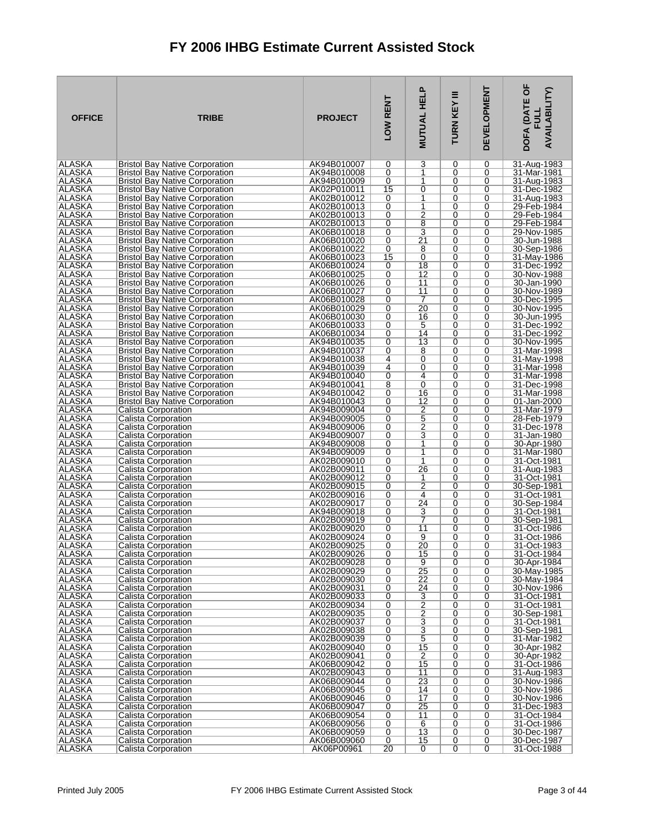| <b>OFFICE</b>                  | <b>TRIBE</b>                                                                   | <b>PROJECT</b>             | LOW RENT       | <b>.</b><br><b>MUTUAL HEL</b>    | Ξ<br>TURN KEY  | <b>DEVELOPMENT</b> | DOFA (DATE OF<br><b>AVAILABILITY)</b><br>글 |
|--------------------------------|--------------------------------------------------------------------------------|----------------------------|----------------|----------------------------------|----------------|--------------------|--------------------------------------------|
| ALASKA                         | <b>Bristol Bay Native Corporation</b>                                          | AK94B010007                | 0              | 3                                | 0              | 0                  | 31-Aug-1983                                |
| ALASKA                         | <b>Bristol Bay Native Corporation</b>                                          | AK94B010008                | 0              | 1                                | 0              | 0                  | 31-Mar-1981                                |
| <b>ALASKA</b><br>ALASKA        | <b>Bristol Bay Native Corporation</b><br><b>Bristol Bay Native Corporation</b> | AK94B010009                | 0<br>15        | 1<br>0                           | 0<br>0         | 0<br>0             | 31-Aug-1983                                |
| ALASKA                         | <b>Bristol Bay Native Corporation</b>                                          | AK02P010011<br>AK02B010012 | 0              | 1                                | 0              | 0                  | 31-Dec-1982<br>31-Aug-1983                 |
| ALASKA                         | <b>Bristol Bay Native Corporation</b>                                          | AK02B010013                | 0              | 1                                | 0              | 0                  | 29-Feb-1984                                |
| ALASKA                         | <b>Bristol Bay Native Corporation</b>                                          | AK02B010013                | 0              | $\overline{2}$                   | 0              | 0                  | 29-Feb-1984                                |
| ALASKA                         | <b>Bristol Bay Native Corporation</b>                                          | AK02B010013                | 0              | $\overline{8}$                   | 0              | 0                  | 29-Feb-1984                                |
| ALASKA                         | <b>Bristol Bay Native Corporation</b>                                          | AK06B010018                | 0              | 3                                | 0              | 0                  | 29-Nov-1985                                |
| ALASKA                         | <b>Bristol Bay Native Corporation</b>                                          | AK06B010020                | 0              | 21                               | 0              | 0                  | 30-Jun-1988                                |
| ALASKA<br>ALASKA               | <b>Bristol Bay Native Corporation</b><br><b>Bristol Bay Native Corporation</b> | AK06B010022<br>AK06B010023 | 0<br>15        | 8<br>0                           | 0<br>0         | 0<br>0             | 30-Sep-1986<br>31-May-1986                 |
| ALASKA                         | <b>Bristol Bay Native Corporation</b>                                          | AK06B010024                | 0              | 18                               | 0              | 0                  | 31-Dec-1992                                |
| ALASKA                         | <b>Bristol Bay Native Corporation</b>                                          | AK06B010025                | 0              | 12                               | 0              | 0                  | 30-Nov-1988                                |
| <b>ALASKA</b>                  | <b>Bristol Bay Native Corporation</b>                                          | AK06B010026                | 0              | 11                               | 0              | 0                  | 30-Jan-1990                                |
| ALASKA                         | <b>Bristol Bay Native Corporation</b>                                          | AK06B010027                | 0              | 11                               | 0              | 0                  | 30-Nov-1989                                |
| ALASKA                         | <b>Bristol Bay Native Corporation</b>                                          | AK06B010028                | 0              | 7                                | 0              | 0                  | 30-Dec-1995                                |
| ALASKA<br>ALASKA               | <b>Bristol Bay Native Corporation</b><br><b>Bristol Bay Native Corporation</b> | AK06B010029<br>AK06B010030 | 0<br>0         | 20<br>16                         | 0<br>0         | 0<br>0             | 30-Nov-1995<br>30-Jun-1995                 |
| <b>ALASKA</b>                  | <b>Bristol Bay Native Corporation</b>                                          | AK06B010033                | 0              | 5                                | 0              | 0                  | 31-Dec-1992                                |
| ALASKA                         | <b>Bristol Bay Native Corporation</b>                                          | AK06B010034                | 0              | 14                               | 0              | 0                  | 31-Dec-1992                                |
| ALASKA                         | <b>Bristol Bay Native Corporation</b>                                          | AK94B010035                | 0              | 13                               | 0              | 0                  | 30-Nov-1995                                |
| ALASKA                         | <b>Bristol Bay Native Corporation</b>                                          | AK94B010037                | 0              | 8                                | 0              | 0                  | 31-Mar-1998                                |
| <b>ALASKA</b><br>ALASKA        | <b>Bristol Bay Native Corporation</b><br><b>Bristol Bay Native Corporation</b> | AK94B010038<br>AK94B010039 | 4<br>4         | 0<br>0                           | 0<br>0         | 0<br>0             | 31-May-1998<br>31-Mar-1998                 |
| ALASKA                         | <b>Bristol Bay Native Corporation</b>                                          | AK94B010040                | 0              | 4                                | 0              | 0                  | 31-Mar-1998                                |
| ALASKA                         | <b>Bristol Bay Native Corporation</b>                                          | AK94B010041                | 8              | 0                                | 0              | 0                  | 31-Dec-1998                                |
| <b>ALASKA</b>                  | <b>Bristol Bay Native Corporation</b>                                          | AK94B010042                | 0              | 16                               | 0              | 0                  | 31-Mar-1998                                |
| ALASKA                         | <b>Bristol Bay Native Corporation</b>                                          | AK94B010043                | 0              | 12                               | 0              | 0                  | 01-Jan-2000                                |
| ALASKA<br><b>ALASKA</b>        | Calista Corporation<br>Calista Corporation                                     | AK94B009004<br>AK94B009005 | 0<br>0         | 2                                | 0<br>0         | 0<br>0             | 31-Mar-1979<br>28-Feb-1979                 |
| ALASKA                         | Calista Corporation                                                            | AK94B009006                | 0              | $\overline{5}$<br>$\overline{2}$ | 0              | 0                  | 31-Dec-1978                                |
| ALASKA                         | Calista Corporation                                                            | AK94B009007                | 0              | 3                                | 0              | 0                  | 31-Jan-1980                                |
| ALASKA                         | Calista Corporation                                                            | AK94B009008                | 0              | 1                                | 0              | 0                  | 30-Apr-1980                                |
| ALASKA                         | Calista Corporation                                                            | AK94B009009                | 0              | $\mathbf{1}$                     | 0              | 0                  | 31-Mar-1980                                |
| ALASKA<br><b>ALASKA</b>        | Calista Corporation<br>Calista Corporation                                     | AK02B009010<br>AK02B009011 | 0<br>0         | 1<br>26                          | 0<br>0         | 0<br>0             | 31-Oct-1981<br>31-Aug-1983                 |
| ALASKA                         | Calista Corporation                                                            | AK02B009012                | 0              | 1                                | 0              | 0                  | 31-Oct-1981                                |
| ALASKA                         | Calista Corporation                                                            | AK02B009015                | 0              | $\overline{2}$                   | 0              | 0                  | 30-Sep-1981                                |
| <b>ALASKA</b>                  | Calista Corporation                                                            | AK02B009016                | 0              | 4                                | 0              | 0                  | 31-Oct-1981                                |
| ALASKA                         | Calista Corporation                                                            | AK02B009017                | 0              | 24                               | 0              | 0                  | 30-Sep-1984                                |
| <b>ALASKA</b><br><b>ALASKA</b> | Calista Corporation<br>Calista Corporation                                     | AK94B009018<br>AK02B009019 | 0<br>0         | 3<br>7                           | 0<br>0         | 0<br>0             | 31-Oct-1981<br>30-Sep-1981                 |
| ALASKA                         | Calista Corporation                                                            | AK02B009020                | 0              | 11                               | 0              | 0                  | 31-Oct-1986                                |
| <b>ALASKA</b>                  | Calista Corporation                                                            | AK02B009024                | 0              | 9                                | 0              | 0                  | 31-Oct-1986                                |
| IALASKA                        | Calista Corporation                                                            | AK02B009025                | 0              | 20                               | 0              | 0                  | 31-Oct-1983                                |
| <b>ALASKA</b><br><b>ALASKA</b> | Calista Corporation                                                            | AK02B009026<br>AK02B009028 | 0<br>0         | 15<br>9                          | 0<br>0         | 0<br>0             | 31-Oct-1984                                |
| <b>ALASKA</b>                  | Calista Corporation<br>Calista Corporation                                     | AK02B009029                | $\overline{0}$ | $\overline{25}$                  | $\overline{0}$ | 0                  | 30-Apr-1984<br>30-May-1985                 |
| <b>ALASKA</b>                  | Calista Corporation                                                            | AK02B009030                | 0              | 22                               | 0              | 0                  | 30-May-1984                                |
| ALASKA                         | Calista Corporation                                                            | AK02B009031                | 0              | 24                               | 0              | 0                  | 30-Nov-1986                                |
| <b>ALASKA</b>                  | Calista Corporation                                                            | AK02B009033                | $\overline{0}$ | $\overline{3}$                   | 0              | 0                  | 31-Oct-1981                                |
| ALASKA<br>ALASKA               | Calista Corporation<br>Calista Corporation                                     | AK02B009034<br>AK02B009035 | 0<br>0         | 2<br>$\overline{2}$              | 0<br>0         | 0<br>0             | 31-Oct-1981<br>30-Sep-1981                 |
| <b>ALASKA</b>                  | Calista Corporation                                                            | AK02B009037                | $\overline{0}$ | $\overline{3}$                   | 0              | 0                  | 31-Oct-1981                                |
| ALASKA                         | Calista Corporation                                                            | AK02B009038                | 0              | $\overline{3}$                   | 0              | 0                  | 30-Sep-1981                                |
| ALASKA                         | Calista Corporation                                                            | AK02B009039                | 0              | 5                                | 0              | 0                  | 31-Mar-1982                                |
| ALASKA                         | Calista Corporation                                                            | AK02B009040                | $\overline{0}$ | 15                               | 0              | 0                  | 30-Apr-1982                                |
| <b>ALASKA</b><br>ALASKA        | Calista Corporation<br>Calista Corporation                                     | AK02B009041<br>AK06B009042 | 0<br>0         | $\overline{2}$<br>15             | 0<br>0         | 0<br>0             | 30-Apr-1982<br>31-Oct-1986                 |
| <b>ALASKA</b>                  | Calista Corporation                                                            | AK02B009043                | 0              | 11                               | 0              | 0                  | 31-Aug-1983                                |
| <b>ALASKA</b>                  | Calista Corporation                                                            | AK06B009044                | 0              | 23                               | 0              | 0                  | 30-Nov-1986                                |
| ALASKA                         | Calista Corporation                                                            | AK06B009045                | 0              | 14                               | 0              | 0                  | 30-Nov-1986                                |
| ALASKA<br>ALASKA               | Calista Corporation<br>Calista Corporation                                     | AK06B009046<br>AK06B009047 | 0<br>0         | $\overline{17}$<br>25            | 0<br>0         | 0<br>0             | 30-Nov-1986<br>31-Dec-1983                 |
| ALASKA                         | Calista Corporation                                                            | AK06B009054                | 0              | 11                               | 0              | 0                  | 31-Oct-1984                                |
| ALASKA                         | Calista Corporation                                                            | AK06B009056                | 0              | $\overline{6}$                   | 0              | 0                  | 31-Oct-1986                                |
| <b>ALASKA</b>                  | Calista Corporation                                                            | AK06B009059                | 0              | $\overline{13}$                  | 0              | 0                  | 30-Dec-1987                                |
| ALASKA<br><b>ALASKA</b>        | Calista Corporation<br>Calista Corporation                                     | AK06B009060<br>AK06P00961  | 0<br>20        | 15<br>0                          | 0<br>0         | 0<br>0             | 30-Dec-1987<br>31-Oct-1988                 |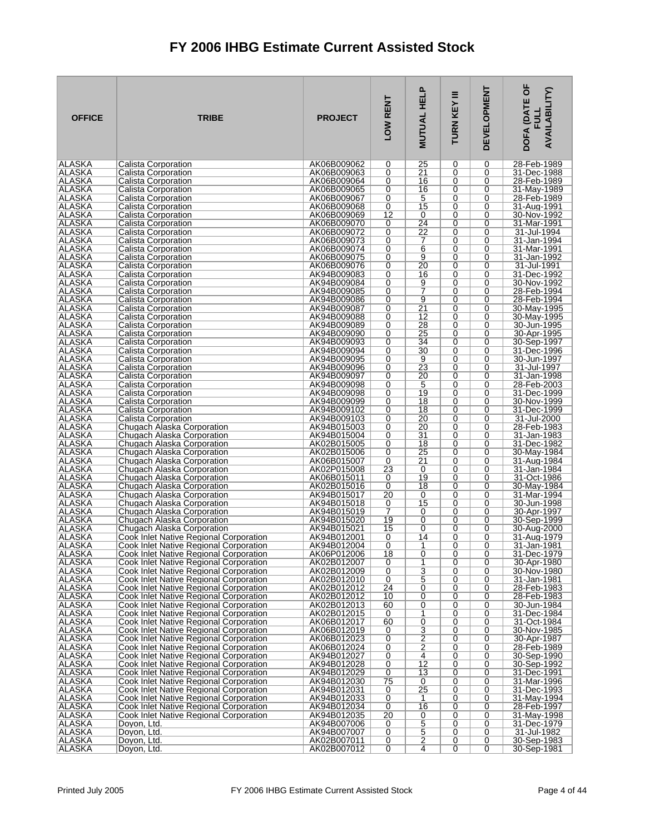| <b>OFFICE</b>                  | <b>TRIBE</b>                                                                     | <b>PROJECT</b>             | LOW RENT            | <b>.</b><br><b>MUTUAL HEL</b>             | Ξ<br>TURN KEY | <b>DEVELOPMENT</b> | DOFA (DATE OF<br><b>AVAILABILITY)</b><br>コロ |
|--------------------------------|----------------------------------------------------------------------------------|----------------------------|---------------------|-------------------------------------------|---------------|--------------------|---------------------------------------------|
| ALASKA                         | Calista Corporation                                                              | AK06B009062                | 0                   | 25                                        | 0             | 0                  | 28-Feb-1989                                 |
| ALASKA                         | Calista Corporation                                                              | AK06B009063                | 0                   | $\overline{21}$                           | 0             | 0                  | 31-Dec-1988                                 |
| <b>ALASKA</b><br>ALASKA        | Calista Corporation                                                              | AK06B009064                | 0<br>0              | 16                                        | 0             | 0<br>0             | 28-Feb-1989                                 |
| ALASKA                         | Calista Corporation<br>Calista Corporation                                       | AK06B009065<br>AK06B009067 | 0                   | 16<br>5                                   | 0<br>0        | 0                  | 31-May-1989<br>28-Feb-1989                  |
| ALASKA                         | Calista Corporation                                                              | AK06B009068                | 0                   | 15                                        | 0             | 0                  | 31-Aug-1991                                 |
| ALASKA                         | Calista Corporation                                                              | AK06B009069                | $\overline{12}$     | 0                                         | 0             | 0                  | 30-Nov-1992                                 |
| ALASKA                         | Calista Corporation                                                              | AK06B009070                | 0                   | $\overline{24}$                           | 0             | 0                  | 31-Mar-1991                                 |
| ALASKA                         | Calista Corporation                                                              | AK06B009072                | 0                   | 22                                        | 0             | 0                  | 31-Jul-1994                                 |
| ALASKA                         | Calista Corporation                                                              | AK06B009073                | 0                   | 7                                         | 0             | 0                  | 31-Jan-1994                                 |
| ALASKA<br>ALASKA               | Calista Corporation<br>Calista Corporation                                       | AK06B009074<br>AK06B009075 | 0<br>0              | $\overline{6}$<br>9                       | 0<br>0        | 0<br>0             | 31-Mar-1991<br>31-Jan-1992                  |
| ALASKA                         | Calista Corporation                                                              | AK06B009076                | 0                   | 20                                        | 0             | 0                  | 31-Jul-1991                                 |
| ALASKA                         | Calista Corporation                                                              | AK94B009083                | 0                   | 16                                        | 0             | 0                  | 31-Dec-1992                                 |
| <b>ALASKA</b>                  | Calista Corporation                                                              | AK94B009084                | 0                   | 9                                         | 0             | 0                  | 30-Nov-1992                                 |
| ALASKA                         | Calista Corporation                                                              | AK94B009085                | 0                   | 7                                         | 0             | 0                  | 28-Feb-1994                                 |
| ALASKA                         | Calista Corporation                                                              | AK94B009086                | 0                   | 9                                         | 0             | 0                  | 28-Feb-1994                                 |
| <b>ALASKA</b><br><b>ALASKA</b> | Calista Corporation                                                              | AK94B009087<br>AK94B009088 | 0                   | $\overline{21}$<br>12                     | 0<br>0        | 0<br>0             | 30-May-1995<br>30-May-1995                  |
| <b>ALASKA</b>                  | Calista Corporation<br>Calista Corporation                                       | AK94B009089                | 0<br>0              | 28                                        | 0             | 0                  | 30-Jun-1995                                 |
| <b>ALASKA</b>                  | Calista Corporation                                                              | AK94B009090                | 0                   | $\overline{25}$                           | 0             | 0                  | 30-Apr-1995                                 |
| ALASKA                         | Calista Corporation                                                              | AK94B009093                | 0                   | 34                                        | 0             | 0                  | 30-Sep-1997                                 |
| <b>ALASKA</b>                  | Calista Corporation                                                              | AK94B009094                | 0                   | 30                                        | 0             | 0                  | 31-Dec-1996                                 |
| <b>ALASKA</b>                  | Calista Corporation                                                              | AK94B009095                | 0                   | 9                                         | 0             | 0                  | 30-Jun-1997                                 |
| ALASKA                         | Calista Corporation                                                              | AK94B009096                | 0                   | $\overline{23}$                           | 0             | 0                  | 31-Jul-1997                                 |
| ALASKA<br>ALASKA               | Calista Corporation<br>Calista Corporation                                       | AK94B009097<br>AK94B009098 | 0<br>0              | 20<br>5                                   | 0<br>0        | 0<br>0             | 31-Jan-1998<br>28-Feb-2003                  |
| <b>ALASKA</b>                  | Calista Corporation                                                              | AK94B009098                | 0                   | 19                                        | $\Omega$      | 0                  | 31-Dec-1999                                 |
| ALASKA                         | Calista Corporation                                                              | AK94B009099                | 0                   | 18                                        | 0             | 0                  | 30-Nov-1999                                 |
| ALASKA                         | Calista Corporation                                                              | AK94B009102                | 0                   | 18                                        | 0             | 0                  | 31-Dec-1999                                 |
| <b>ALASKA</b>                  | Calista Corporation                                                              | AK94B009103                | 0                   | $\overline{20}$                           | $\Omega$      | 0                  | 31-Jul-2000                                 |
| ALASKA<br>ALASKA               | Chugach Alaska Corporation<br>Chugach Alaska Corporation                         | AK94B015003<br>AK94B015004 | 0<br>0              | 20<br>31                                  | 0<br>0        | 0<br>0             | 28-Feb-1983<br>$31$ -Jan-1983               |
| ALASKA                         | Chugach Alaska Corporation                                                       | AK02B015005                | 0                   | 18                                        | 0             | 0                  | 31-Dec-1982                                 |
| ALASKA                         | Chugach Alaska Corporation                                                       | AK02B015006                | 0                   | $\overline{25}$                           | 0             | 0                  | 30-May-1984                                 |
| ALASKA                         | Chugach Alaska Corporation                                                       | AK06B015007                | 0                   | 21                                        | 0             | 0                  | 31-Aug-1984                                 |
| <b>ALASKA</b>                  | Chugach Alaska Corporation                                                       | AK02P015008                | $\overline{23}$     | 0                                         | 0             | 0                  | 31-Jan-1984                                 |
| ALASKA<br>ALASKA               | Chugach Alaska Corporation<br>Chugach Alaska Corporation                         | AK06B015011<br>AK02B015016 | 0<br>0              | 19<br>18                                  | 0<br>0        | 0<br>0             | 31-Oct-1986<br>30-May-1984                  |
| <b>ALASKA</b>                  | Chugach Alaska Corporation                                                       | AK94B015017                | $\overline{20}$     | 0                                         | 0             | 0                  | 31-Mar-1994                                 |
| ALASKA                         | Chugach Alaska Corporation                                                       | AK94B015018                | 0                   | 15                                        | 0             | 0                  | 30-Jun-1998                                 |
| ALASKA                         | Chugach Alaska Corporation                                                       | AK94B015019                | 7                   | 0                                         | 0             | 0                  | 30-Apr-1997                                 |
| <b>ALASKA</b>                  | Chugach Alaska Corporation                                                       | AK94B015020                | 19                  | 0                                         | 0             | 0                  | 30-Sep-1999                                 |
| ALASKA<br><b>ALASKA</b>        | Chugach Alaska Corporation<br>Cook Inlet Native Regional Corporation             | AK94B015021<br>AK94B012001 | 15<br>0             | 0<br>14                                   | 0<br>0        | 0<br>0             | 30-Aug-2000<br>31-Aug-1979                  |
| IALASKA                        | Cook Inlet Native Regional Corporation                                           | AK94B012004                | 0                   | 1                                         | 0             | 0                  | 31-Jan-1981                                 |
| <b>ALASKA</b>                  | Cook Inlet Native Regional Corporation                                           | AK06P012006                | 18                  | 0                                         | 0             | 0                  | 31-Dec-1979                                 |
| <b>ALASKA</b>                  | Cook Inlet Native Regional Corporation                                           | AK02B012007                | 0                   | 1                                         | 0             | 0                  | 30-Apr-1980                                 |
| <b>ALASKA</b><br><b>ALASKA</b> | Cook Inlet Native Regional Corporation                                           | AK02B012009                | $\overline{0}$<br>0 | $\overline{3}$<br>5                       | 0<br>0        | 0<br>0             | 30-Nov-1980<br>31-Jan-1981                  |
| <b>ALASKA</b>                  | Cook Inlet Native Regional Corporation<br>Cook Inlet Native Regional Corporation | AK02B012010<br>AK02B012012 | 24                  | 0                                         | 0             | 0                  | 28-Feb-1983                                 |
| <b>ALASKA</b>                  | Cook Inlet Native Regional Corporation                                           | AK02B012012                | 10                  | $\overline{0}$                            | 0             | 0                  | 28-Feb-1983                                 |
| ALASKA                         | Cook Inlet Native Regional Corporation                                           | AK02B012013                | 60                  | 0                                         | 0             | 0                  | 30-Jun-1984                                 |
| ALASKA                         | Cook Inlet Native Regional Corporation                                           | AK02B012015                | 0                   | 1                                         | 0             | 0                  | 31-Dec-1984                                 |
| <b>ALASKA</b><br><b>ALASKA</b> | Cook Inlet Native Regional Corporation<br>Cook Inlet Native Regional Corporation | AK06B012017<br>AK06B012019 | 60<br>0             | $\overline{0}$                            | 0<br>0        | 0<br>0             | 31-Oct-1984<br>30-Nov-1985                  |
| <b>ALASKA</b>                  | Cook Inlet Native Regional Corporation                                           | AK06B012023                | 0                   | $\overline{\mathbf{3}}$<br>$\overline{2}$ | 0             | 0                  | 30-Apr-1987                                 |
| ALASKA                         | Cook Inlet Native Regional Corporation                                           | AK06B012024                | 0                   | $\overline{2}$                            | 0             | 0                  | 28-Feb-1989                                 |
| <b>ALASKA</b>                  | Cook Inlet Native Regional Corporation                                           | AK94B012027                | 0                   | 4                                         | 0             | 0                  | 30-Sep-1990                                 |
| ALASKA                         | Cook Inlet Native Regional Corporation                                           | AK94B012028                | 0                   | 12                                        | 0             | 0                  | 30-Sep-1992                                 |
| <b>ALASKA</b><br><b>ALASKA</b> | Cook Inlet Native Regional Corporation<br>Cook Inlet Native Regional Corporation | AK94B012029<br>AK94B012030 | 0<br>75             | 13<br>0                                   | 0<br>0        | 0<br>0             | 31-Dec-1991<br>31-Mar-1996                  |
| ALASKA                         | Cook Inlet Native Regional Corporation                                           | AK94B012031                | 0                   | 25                                        | 0             | 0                  | 31-Dec-1993                                 |
| ALASKA                         | Cook Inlet Native Regional Corporation                                           | AK94B012033                | 0                   | 1                                         | 0             | 0                  | 31-May-1994                                 |
| <b>ALASKA</b>                  | Cook Inlet Native Regional Corporation                                           | AK94B012034                | 0                   | 16                                        | 0             | 0                  | 28-Feb-1997                                 |
| ALASKA                         | Cook Inlet Native Regional Corporation                                           | AK94B012035                | 20                  | 0                                         | 0             | 0                  | 31-May-1998                                 |
| ALASKA<br><b>ALASKA</b>        | Doyon, Ltd.<br>Doyon, Ltd.                                                       | AK94B007006<br>AK94B007007 | 0<br>0              | 5<br>5                                    | 0<br>0        | 0<br>0             | 31-Dec-1979<br>31-Jul-1982                  |
| ALASKA                         | Doyon, Ltd.                                                                      | AK02B007011                | 0                   | $\overline{2}$                            | 0             | 0                  | 30-Sep-1983                                 |
| <b>ALASKA</b>                  | Doyon, Ltd.                                                                      | AK02B007012                | 0                   | $\overline{4}$                            | 0             | 0                  | 30-Sep-1981                                 |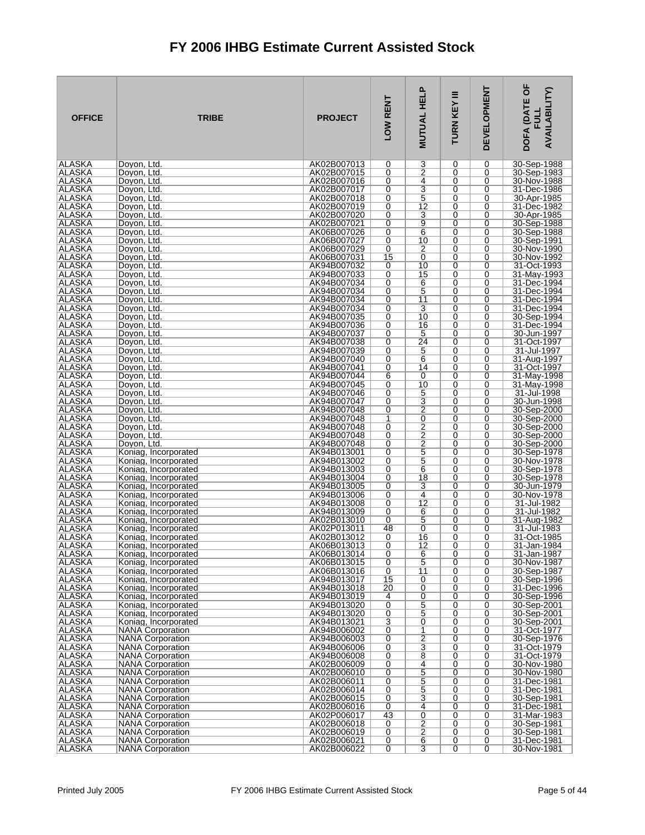| <b>OFFICE</b>                  | <b>TRIBE</b>                                       | <b>PROJECT</b>             | LOW RENT            | <b>MUTUAL HELP</b>               | Ξ<br>TURN KEY | <b>DEVELOPMENT</b>  | DOFA (DATE OF<br><b>AVAILABILITY)</b><br>ヨラ |
|--------------------------------|----------------------------------------------------|----------------------------|---------------------|----------------------------------|---------------|---------------------|---------------------------------------------|
| ALASKA                         | Dovon, Ltd.                                        | AK02B007013                | 0                   | 3                                | 0             | 0                   | 30-Sep-1988                                 |
| ALASKA<br><b>ALASKA</b>        | Doyon, Ltd.                                        | AK02B007015                | $\overline{0}$      | $\overline{2}$                   | 0             | 0                   | 30-Sep-1983<br>30-Nov-1988                  |
| ALASKA                         | Dovon, Ltd.<br>Dovon, Ltd.                         | AK02B007016<br>AK02B007017 | 0<br>0              | 4<br>3                           | 0<br>0        | 0<br>0              | 31-Dec-1986                                 |
| <b>ALASKA</b>                  | Doyon, Ltd.                                        | AK02B007018                | $\overline{0}$      | $\overline{5}$                   | 0             | 0                   | 30-Apr-1985                                 |
| <b>ALASKA</b>                  | Doyon, Ltd.                                        | AK02B007019                | 0                   | 12                               | 0             | 0                   | 31-Dec-1982                                 |
| <b>ALASKA</b>                  | Dovon, Ltd.                                        | AK02B007020                | 0                   | 3                                | 0             | 0                   | 30-Apr-1985                                 |
| ALASKA<br><b>ALASKA</b>        | Doyon, Ltd.<br>Doyon, Ltd.                         | AK02B007021<br>AK06B007026 | 0<br>0              | $\overline{9}$<br>6              | 0<br>0        | 0<br>0              | 30-Sep-1988<br>30-Sep-1988                  |
| ALASKA                         | Dovon, Ltd.                                        | AK06B007027                | 0                   | 10                               | 0             | 0                   | 30-Sep-1991                                 |
| ALASKA                         | Doyon, Ltd.                                        | AK06B007029                | 0                   | 2                                | 0             | 0                   | 30-Nov-1990                                 |
| <b>ALASKA</b>                  | Dovon, Ltd.                                        | AK06B007031                | 15                  | 0                                | 0             | 0                   | 30-Nov-1992                                 |
| ALASKA<br>ALASKA               | Doyon, Ltd.                                        | AK94B007032                | 0<br>0              | 10<br>15                         | 0<br>0        | 0<br>0              | 31-Oct-1993                                 |
| <b>ALASKA</b>                  | Doyon, Ltd.<br>Dovon, Ltd.                         | AK94B007033<br>AK94B007034 | 0                   | 6                                | 0             | 0                   | 31-May-1993<br>31-Dec-1994                  |
| ALASKA                         | Doyon, Ltd.                                        | AK94B007034                | 0                   | 5                                | 0             | 0                   | 31-Dec-1994                                 |
| <b>ALASKA</b>                  | Doyon, Ltd.                                        | AK94B007034                | 0                   | 11                               | 0             | 0                   | 31-Dec-1994                                 |
| <b>ALASKA</b>                  | Doyon, Ltd.                                        | AK94B007034                | 0                   | 3                                | 0             | 0                   | 31-Dec-1994                                 |
| ALASKA<br><b>ALASKA</b>        | Dovon. Ltd.<br>Doyon, Ltd.                         | AK94B007035<br>AK94B007036 | 0<br>0              | 10<br>16                         | 0<br>0        | 0<br>0              | 30-Sep-1994<br>31-Dec-1994                  |
| <b>ALASKA</b>                  | Dovon, Ltd.                                        | AK94B007037                | 0                   | 5                                | 0             | 0                   | 30-Jun-1997                                 |
| ALASKA                         | Doyon, Ltd.                                        | AK94B007038                | 0                   | 24                               | 0             | 0                   | 31-Oct-1997                                 |
| <b>ALASKA</b>                  | Doyon, Ltd.                                        | AK94B007039                | 0                   | 5                                | 0             | 0                   | 31-Jul-1997                                 |
| <b>ALASKA</b><br>ALASKA        | Dovon, Ltd.<br>Doyon, Ltd.                         | AK94B007040<br>AK94B007041 | 0<br>0              | 6<br>14                          | 0<br>0        | 0<br>0              | 31-Aug-1997<br>31-Oct-1997                  |
| ALASKA                         | Doyon, Ltd.                                        | AK94B007044                | 6                   | 0                                | 0             | 0                   | 31-May-1998                                 |
| ALASKA                         | Doyon, Ltd.                                        | AK94B007045                | 0                   | 10                               | 0             | 0                   | 31-May-1998                                 |
| <b>ALASKA</b>                  | Doyon, Ltd.                                        | AK94B007046                | 0                   | 5                                | 0             | 0                   | 31-Jul-1998                                 |
| <b>ALASKA</b><br>ALASKA        | Doyon, Ltd.                                        | AK94B007047<br>AK94B007048 | 0<br>0              | $\overline{3}$<br>$\overline{2}$ | 0<br>0        | 0<br>0              | 30-Jun-1998                                 |
| <b>ALASKA</b>                  | Doyon, Ltd.<br>Doyon, Ltd.                         | AK94B007048                | $\overline{1}$      | 0                                | 0             | 0                   | 30-Sep-2000<br>30-Sep-2000                  |
| <b>ALASKA</b>                  | Doyon, Ltd.                                        | AK94B007048                | 0                   | $\overline{2}$                   | 0             | 0                   | 30-Sep-2000                                 |
| <b>ALASKA</b>                  | Dovon, Ltd.                                        | AK94B007048                | 0                   | $\overline{2}$                   | 0             | 0                   | 30-Sep-2000                                 |
| <b>ALASKA</b>                  | Doyon, Ltd.                                        | AK94B007048                | 0                   | $\overline{2}$                   | 0             | 0                   | 30-Sep-2000                                 |
| <b>ALASKA</b><br>ALASKA        | Koniag, Incorporated<br>Koniag, Incorporated       | AK94B013001<br>AK94B013002 | 0<br>0              | $\overline{5}$<br>5              | 0<br>0        | 0<br>0              | 30-Sep-1978<br>30-Nov-1978                  |
| <b>ALASKA</b>                  | Koniag, Incorporated                               | AK94B013003                | 0                   | 6                                | 0             | 0                   | 30-Sep-1978                                 |
| ALASKA                         | Koniag, Incorporated                               | AK94B013004                | 0                   | 18                               | 0             | 0                   | 30-Sep-1978                                 |
| <b>ALASKA</b>                  | Koniag, Incorporated                               | AK94B013005                | 0                   | 3                                | 0             | 0                   | 30-Jun-1979<br>30-Nov-1978                  |
| <b>ALASKA</b><br>ALASKA        | Koniag, Incorporated<br>Koniag, Incorporated       | AK94B013006<br>AK94B013008 | 0<br>0              | 4<br>12                          | 0<br>0        | $\overline{0}$<br>0 | 31-Jul-1982                                 |
| <b>ALASKA</b>                  | Koniag, Incorporated                               | AK94B013009                | 0                   | 6                                | 0             | 0                   | 31-Jul-1982                                 |
| <b>ALASKA</b>                  | Koniag, Incorporated                               | AK02B013010                | 0                   | 5                                | 0             | 0                   | 31-Aug-1982                                 |
| ALASKA                         | Koniag, Incorporated                               | AK02P013011                | 48                  | 0                                | 0             | 0                   | 31-Jul-1983                                 |
| ALASKA<br> ALASKA              | Koniag, Incorporated<br>Koniag, Incorporated       | AK02B013012<br>AK06B013013 | 0<br>0              | 16<br>12                         | 0<br>0        | 0<br>0              | 31-Oct-1985<br>31-Jan-1984                  |
| <b>ALASKA</b>                  | Koniag, Incorporated                               | AK06B013014                | 0                   | 6                                | 0             | 0                   | 31-Jan-1987                                 |
| <b>ALASKA</b>                  | Koniag, Incorporated                               | AK06B013015                | 0                   | 5                                | 0             | 0                   | 30-Nov-1987                                 |
| <b>ALASKA</b>                  | Koniag, Incorporated                               | AK06B013016                | $\overline{0}$      | $\overline{11}$                  | 0             | 0                   | 30-Sep-1987                                 |
| ALASKA<br><b>ALASKA</b>        | Koniag, Incorporated<br>Koniag, Incorporated       | AK94B013017<br>AK94B013018 | 15<br>20            | 0<br>0                           | 0<br>0        | 0<br>0              | 30-Sep-1996<br>31-Dec-1996                  |
| <b>ALASKA</b>                  | Koniag, Incorporated                               | AK94B013019                | 4                   | $\overline{0}$                   | 0             | 0                   | 30-Sep-1996                                 |
| <b>ALASKA</b>                  | Koniag, Incorporated                               | AK94B013020                | 0                   | 5                                | 0             | 0                   | 30-Sep-2001                                 |
| ALASKA                         | Koniag, Incorporated                               | AK94B013020                | $\overline{0}$      | $\overline{5}$<br>$\overline{0}$ | 0             | 0                   | 30-Sep-2001                                 |
| <b>ALASKA</b><br><b>ALASKA</b> | Koniag, Incorporated<br><b>NANA Corporation</b>    | AK94B013021<br>AK94B006002 | $\overline{3}$<br>0 | 1                                | 0<br>0        | 0<br>0              | 30-Sep-2001<br>31-Oct-1977                  |
| ALASKA                         | <b>NANA Corporation</b>                            | AK94B006003                | $\overline{0}$      | $\overline{2}$                   | 0             | 0                   | 30-Sep-1976                                 |
| ALASKA                         | <b>NANA Corporation</b>                            | AK94B006006                | $\overline{0}$      | $\overline{3}$                   | 0             | 0                   | 31-Oct-1979                                 |
| <b>ALASKA</b>                  | <b>NANA Corporation</b>                            | AK94B006008                | 0                   | $\overline{8}$                   | 0             | 0                   | 31-Oct-1979                                 |
| ALASKA<br><b>ALASKA</b>        | <b>NANA Corporation</b><br><b>NANA Corporation</b> | AK02B006009<br>AK02B006010 | 0<br>0              | 4<br>$\overline{5}$              | 0<br>0        | 0<br>0              | 30-Nov-1980<br>30-Nov-1980                  |
| <b>ALASKA</b>                  | <b>NANA Corporation</b>                            | AK02B006011                | 0                   | 5                                | 0             | 0                   | 31-Dec-1981                                 |
| ALASKA                         | <b>NANA Corporation</b>                            | AK02B006014                | 0                   | $rac{5}{3}$                      | 0             | 0                   | 31-Dec-1981                                 |
| <b>ALASKA</b>                  | <b>NANA Corporation</b>                            | AK02B006015                | 0                   |                                  | 0             | 0                   | 30-Sep-1981                                 |
| <b>ALASKA</b><br>ALASKA        | <b>NANA Corporation</b><br><b>NANA Corporation</b> | AK02B006016<br>AK02P006017 | 0<br>43             | 4<br>$\overline{0}$              | 0<br>0        | 0<br>0              | 31-Dec-1981<br>31-Mar-1983                  |
| ALASKA                         | <b>NANA Corporation</b>                            | AK02B006018                | 0                   | $\overline{2}$                   | 0             | 0                   | 30-Sep-1981                                 |
| <b>ALASKA</b>                  | <b>NANA Corporation</b>                            | AK02B006019                | 0                   | $\overline{2}$                   | 0             | 0                   | 30-Sep-1981                                 |
| ALASKA                         | <b>NANA Corporation</b>                            | AK02B006021                | 0                   | 6                                | 0             | 0                   | 31-Dec-1981                                 |
| ∣ALASKA                        | <b>NANA Corporation</b>                            | AK02B006022                | 0                   | 3                                | 0             | 0                   | 30-Nov-1981                                 |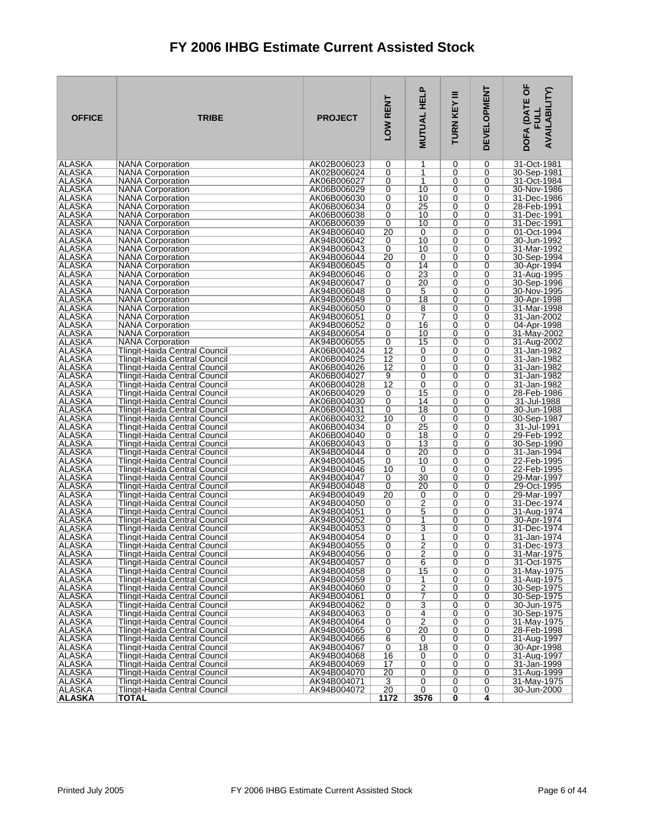| <b>OFFICE</b>                  | <b>TRIBE</b>                                                                 | <b>PROJECT</b>             | LOW RENT             | <b>MUTUAL HELP</b>               | Ξ<br>TURN KEY | <b>DEVELOPMENT</b> | DOFA (DATE OF<br><b>AVAILABILITY)</b><br>FUL |
|--------------------------------|------------------------------------------------------------------------------|----------------------------|----------------------|----------------------------------|---------------|--------------------|----------------------------------------------|
| ALASKA                         | <b>NANA Corporation</b>                                                      | AK02B006023                | 0                    | 1                                | 0             | 0                  | 31-Oct-1981                                  |
| ALASKA<br><b>ALASKA</b>        | <b>NANA Corporation</b>                                                      | AK02B006024                | 0                    | 1<br>1                           | 0<br>0        | 0                  | 30-Sep-1981                                  |
| ALASKA                         | <b>NANA Corporation</b><br><b>NANA Corporation</b>                           | AK06B006027<br>AK06B006029 | 0<br>0               | 10                               | 0             | 0<br>0             | 31-Oct-1984<br>30-Nov-1986                   |
| ALASKA                         | <b>NANA Corporation</b>                                                      | AK06B006030                | 0                    | 10                               | 0             | 0                  | 31-Dec-1986                                  |
| <b>ALASKA</b>                  | <b>NANA Corporation</b>                                                      | AK06B006034                | 0                    | 25                               | 0             | 0                  | 28-Feb-1991                                  |
| ALASKA                         | <b>NANA Corporation</b>                                                      | AK06B006038                | 0                    | 10                               | 0             | 0                  | 31-Dec-1991                                  |
| <b>ALASKA</b>                  | <b>NANA Corporation</b>                                                      | AK06B006039                | 0                    | 10                               | 0             | 0                  | 31-Dec-1991                                  |
| <b>ALASKA</b><br>ALASKA        | <b>NANA Corporation</b><br><b>NANA Corporation</b>                           | AK94B006040<br>AK94B006042 | 20<br>0              | 0<br>10                          | 0<br>0        | 0<br>0             | 01-Oct-1994<br>30-Jun-1992                   |
| <b>ALASKA</b>                  | <b>NANA Corporation</b>                                                      | AK94B006043                | 0                    | 10                               | 0             | 0                  | 31-Mar-1992                                  |
| <b>ALASKA</b>                  | <b>NANA Corporation</b>                                                      | AK94B006044                | 20                   | 0                                | 0             | 0                  | 30-Sep-1994                                  |
| ALASKA                         | <b>NANA Corporation</b>                                                      | AK94B006045                | 0                    | 14                               | 0             | 0                  | 30-Apr-1994                                  |
| <b>ALASKA</b>                  | <b>NANA Corporation</b>                                                      | AK94B006046                | 0                    | 23                               | 0             | 0                  | 31-Aug-1995                                  |
| <b>ALASKA</b><br>ALASKA        | <b>NANA Corporation</b><br><b>NANA Corporation</b>                           | AK94B006047<br>AK94B006048 | 0<br>0               | 20<br>5                          | 0<br>0        | 0<br>0             | 30-Sep-1996<br>30-Nov-1995                   |
| ALASKA                         | <b>NANA Corporation</b>                                                      | AK94B006049                | 0                    | $\overline{18}$                  | 0             | 0                  | 30-Apr-1998                                  |
| ALASKA                         | <b>NANA Corporation</b>                                                      | AK94B006050                | 0                    | 8                                | 0             | 0                  | 31-Mar-1998                                  |
| <b>ALASKA</b>                  | <b>NANA Corporation</b>                                                      | AK94B006051                | 0                    | $\overline{7}$                   | $\Omega$      | 0                  | 31-Jan-2002                                  |
| <b>ALASKA</b>                  | <b>NANA Corporation</b>                                                      | AK94B006052                | 0                    | 16                               | 0             | 0                  | 04-Apr-1998                                  |
| ALASKA<br><b>ALASKA</b>        | <b>NANA Corporation</b><br><b>NANA Corporation</b>                           | AK94B006054<br>AK94B006055 | 0                    | 10<br>15                         | 0<br>$\Omega$ | 0<br>0             | 31-May-2002<br>31-Aug-2002                   |
| <b>ALASKA</b>                  | Tlingit-Haida Central Council                                                | AK06B004024                | 0<br>$\overline{12}$ | 0                                | 0             | 0                  | 31-Jan-1982                                  |
| <b>ALASKA</b>                  | Tlingit-Haida Central Council                                                | AK06B004025                | 12                   | 0                                | 0             | 0                  | 31-Jan-1982                                  |
| <b>ALASKA</b>                  | Tlingit-Haida Central Council                                                | AK06B004026                | 12                   | 0                                | $\Omega$      | 0                  | 31-Jan-1982                                  |
| ALASKA                         | Tlingit-Haida Central Council                                                | AK06B004027                | 9                    | 0                                | 0             | 0                  | 31-Jan-1982                                  |
| ALASKA                         | Tlingit-Haida Central Council                                                | AK06B004028                | 12                   | 0                                | 0             | 0                  | 31-Jan-1982                                  |
| <b>ALASKA</b><br>ALASKA        | Tlingit-Haida Central Council<br>Tlingit-Haida Central Council               | AK06B004029<br>AK06B004030 | 0<br>0               | 15<br>14                         | 0<br>0        | 0<br>0             | 28-Feb-1986<br>31-Jul-1988                   |
| ALASKA                         | Tlingit-Haida Central Council                                                | AK06B004031                | 0                    | 18                               | 0             | 0                  | 30-Jun-1988                                  |
| <b>ALASKA</b>                  | Tlingit-Haida Central Council                                                | AK06B004032                | 10                   | 0                                | 0             | 0                  | 30-Sep-1987                                  |
| ALASKA                         | Tlingit-Haida Central Council                                                | AK06B004034                | 0                    | 25                               | 0             | 0                  | 31-Jul-1991                                  |
| ALASKA                         | Tlingit-Haida Central Council                                                | AK06B004040                | 0                    | 18                               | 0             | 0                  | 29-Feb-1992                                  |
| <b>ALASKA</b><br>ALASKA        | Tlingit-Haida Central Council<br>Tlingit-Haida Central Council               | AK06B004043<br>AK94B004044 | 0<br>0               | $\overline{13}$<br>20            | 0<br>0        | 0<br>0             | 30-Sep-1990<br>31-Jan-1994                   |
| <b>ALASKA</b>                  | Tlingit-Haida Central Council                                                | AK94B004045                | 0                    | 10                               | 0             | 0                  | 22-Feb-1995                                  |
| <b>ALASKA</b>                  | Tlingit-Haida Central Council                                                | AK94B004046                | 10                   | 0                                | 0             | 0                  | 22-Feb-1995                                  |
| ALASKA                         | Tlingit-Haida Central Council                                                | AK94B004047                | 0                    | 30                               | 0             | 0                  | 29-Mar-1997                                  |
| <b>ALASKA</b>                  | Tlingit-Haida Central Council                                                | AK94B004048                | 0                    | 20                               | 0             | 0                  | 29-Oct-1995                                  |
| <b>ALASKA</b><br>ALASKA        | Tlingit-Haida Central Council<br>Tlingit-Haida Central Council               | AK94B004049<br>AK94B004050 | 20<br>0              | 0<br>$\overline{2}$              | 0<br>0        | 0<br>0             | 29-Mar-1997<br>31-Dec-1974                   |
| ALASKA                         | Tlingit-Haida Central Council                                                | AK94B004051                | 0                    | 5                                | 0             | 0                  | 31-Aug-1974                                  |
| ALASKA                         | Tlingit-Haida Central Council                                                | AK94B004052                | 0                    | 1                                | 0             | 0                  | 30-Apr-1974                                  |
| ALASKA                         | Tlingit-Haida Central Council                                                | AK94B004053                | 0                    | 3                                | 0             | 0                  | 31-Dec-1974                                  |
| ALASKA                         | Tlingit-Haida Central Council                                                | AK94B004054                | 0                    | 1                                | 0             | 0                  | 31-Jan-1974                                  |
| ALASKA<br>ALASKA               | <b>Tlingit-Haida Central Council</b><br><b>Tlingit-Haida Central Council</b> | AK94B004055<br>AK94B004056 | $\Omega$<br>0        | $\overline{2}$<br>$\overline{2}$ | 0<br>0        | $\Omega$<br>0      | 31-Dec-1973<br>31-Mar-1975                   |
| <b>ALASKA</b>                  | Tlingit-Haida Central Council                                                | AK94B004057                | 0                    | $6\overline{6}$                  | 0             | 0                  | 31-Oct-1975                                  |
| <b>ALASKA</b>                  | Tlingit-Haida Central Council                                                | AK94B004058                | 0                    | 15                               | 0             | 0                  | 31-May-1975                                  |
| <b>ALASKA</b>                  | <b>Tlingit-Haida Central Council</b>                                         | AK94B004059                | 0                    | 1                                | 0             | 0                  | 31-Aug-1975                                  |
| ALASKA                         | Tlingit-Haida Central Council                                                | AK94B004060                | 0                    | $\frac{2}{7}$                    | 0             | 0                  | 30-Sep-1975                                  |
| <b>ALASKA</b><br><b>ALASKA</b> | Tlingit-Haida Central Council<br>Tlingit-Haida Central Council               | AK94B004061<br>AK94B004062 | 0<br>0               | 3                                | 0<br>0        | 0<br>0             | 30-Sep-1975<br>30-Jun-1975                   |
| <b>ALASKA</b>                  | Tlingit-Haida Central Council                                                | AK94B004063                | 0                    | 4                                | 0             | 0                  | 30-Sep-1975                                  |
| ALASKA                         | Tlingit-Haida Central Council                                                | AK94B004064                | 0                    | $\overline{2}$                   | 0             | 0                  | 31-May-1975                                  |
| <b>ALASKA</b>                  | Tlingit-Haida Central Council                                                | AK94B004065                | 0                    | 20                               | 0             | 0                  | 28-Feb-1998                                  |
| ALASKA                         | Tlingit-Haida Central Council                                                | AK94B004066                | 6                    | 0                                | 0             | 0                  | 31-Aug-1997                                  |
| ALASKA<br><b>ALASKA</b>        | Tlingit-Haida Central Council                                                | AK94B004067                | 0<br>16              | 18<br>0                          | 0<br>0        | 0<br>0             | 30-Apr-1998<br>31-Aug-1997                   |
| ALASKA                         | Tlingit-Haida Central Council<br>Tlingit-Haida Central Council               | AK94B004068<br>AK94B004069 | 17                   | 0                                | 0             | 0                  | 31-Jan-1999                                  |
| <b>ALASKA</b>                  | Tlingit-Haida Central Council                                                | AK94B004070                | 20                   | 0                                | 0             | 0                  | 31-Aug-1999                                  |
| ALASKA                         | Tlingit-Haida Central Council                                                | AK94B004071                | 3                    | 0                                | 0             | 0                  | 31-May-1975                                  |
| ALASKA                         | Tlingit-Haida Central Council                                                | AK94B004072                | 20                   | $\overline{0}$                   | 0             | 0                  | 30-Jun-2000                                  |
| <b>ALASKA</b>                  | <b>TOTAL</b>                                                                 |                            | 1172                 | 3576                             | 0             | 4                  |                                              |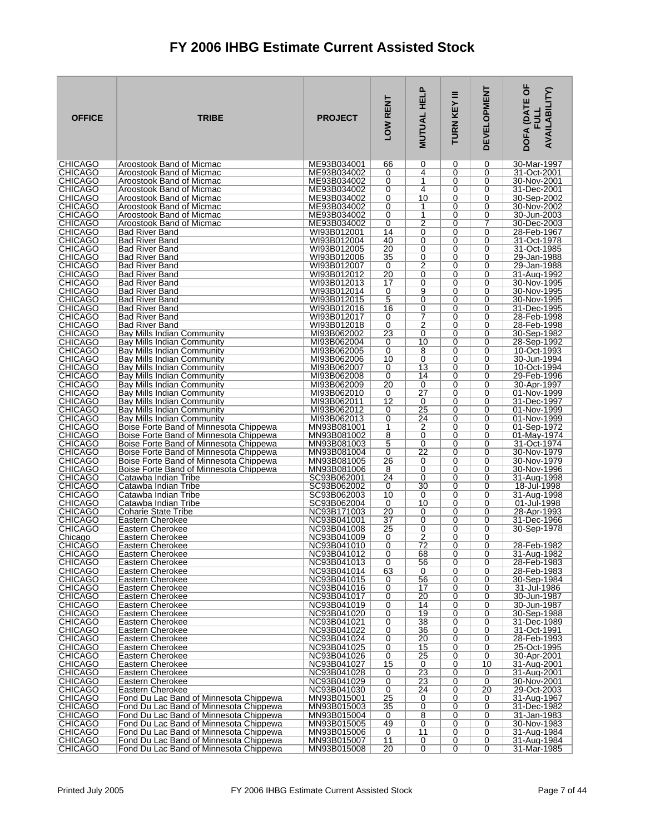| <b>OFFICE</b>                    | <b>TRIBE</b>                                                                     | <b>PROJECT</b>             | LOW RENT | <b>MUTUAL HELP</b>   | Ξ<br>TURN KEY | <b>DEVELOPMENT</b>  | DOFA (DATE OF<br>AVAILABILITY)<br>글 |
|----------------------------------|----------------------------------------------------------------------------------|----------------------------|----------|----------------------|---------------|---------------------|-------------------------------------|
| <b>CHICAGO</b><br><b>CHICAGO</b> | Aroostook Band of Micmac                                                         | ME93B034001                | 66       | 0<br>4               | 0             | 0                   | 30-Mar-1997                         |
| <b>CHICAGO</b>                   | Aroostook Band of Micmac<br>Aroostook Band of Micmac                             | ME93B034002<br>ME93B034002 | 0<br>0   | 1                    | 0<br>0        | 0<br>0              | 31-Oct-2001<br>30-Nov-2001          |
| <b>CHICAGO</b>                   | Aroostook Band of Micmac                                                         | ME93B034002                | 0        | 4                    | 0             | 0                   | 31-Dec-2001                         |
| <b>CHICAGO</b>                   | Aroostook Band of Micmac                                                         | ME93B034002                | 0        | 10                   | 0             | 0                   | 30-Sep-2002                         |
| <b>CHICAGO</b>                   | Aroostook Band of Micmac                                                         | ME93B034002                | 0        | 1                    | 0             | 0                   | 30-Nov-2002                         |
| <b>CHICAGO</b><br><b>CHICAGO</b> | Aroostook Band of Micmac<br>Aroostook Band of Micmac                             | ME93B034002<br>ME93B034002 | 0<br>0   | 1<br>$\overline{2}$  | 0<br>0        | 0<br>7              | 30-Jun-2003<br>30-Dec-2003          |
| <b>CHICAGO</b>                   | <b>Bad River Band</b>                                                            | WI93B012001                | 14       | 0                    | 0             | 0                   | 28-Feb-1967                         |
| <b>CHICAGO</b>                   | <b>Bad River Band</b>                                                            | WI93B012004                | 40       | 0                    | 0             | 0                   | 31-Oct-1978                         |
| <b>CHICAGO</b>                   | <b>Bad River Band</b>                                                            | WI93B012005                | 20       | 0                    | 0             | 0                   | 31-Oct-1985                         |
| <b>CHICAGO</b><br><b>CHICAGO</b> | <b>Bad River Band</b><br><b>Bad River Band</b>                                   | WI93B012006<br>WI93B012007 | 35<br>0  | 0<br>$\overline{2}$  | 0<br>0        | 0<br>0              | 29-Jan-1988<br>29-Jan-1988          |
| <b>CHICAGO</b>                   | <b>Bad River Band</b>                                                            | WI93B012012                | 20       | $\overline{0}$       | 0             | 0                   | 31-Aug-1992                         |
| <b>CHICAGO</b>                   | <b>Bad River Band</b>                                                            | WI93B012013                | 17       | 0                    | 0             | 0                   | 30-Nov-1995                         |
| <b>CHICAGO</b>                   | <b>Bad River Band</b>                                                            | WI93B012014                | 0        | 9                    | 0             | 0                   | 30-Nov-1995                         |
| <b>CHICAGO</b><br><b>CHICAGO</b> | <b>Bad River Band</b><br><b>Bad River Band</b>                                   | WI93B012015<br>WI93B012016 | 5<br>16  | $\overline{0}$<br>0  | 0<br>0        | 0<br>0              | 30-Nov-1995<br>31-Dec-1995          |
| <b>CHICAGO</b>                   | <b>Bad River Band</b>                                                            | WI93B012017                | 0        | 7                    | 0             | 0                   | 28-Feb-1998                         |
| <b>CHICAGO</b>                   | <b>Bad River Band</b>                                                            | WI93B012018                | 0        | $\overline{2}$       | 0             | 0                   | 28-Feb-1998                         |
| <b>CHICAGO</b>                   | Bay Mills Indian Community                                                       | MI93B062002                | 23       | 0                    | 0<br>0        | 0                   | 30-Sep-1982                         |
| <b>CHICAGO</b><br>CHICAGO        | Bay Mills Indian Community<br>Bay Mills Indian Community                         | MI93B062004<br>MI93B062005 | 0<br>0   | 10<br>8              | 0             | 0<br>0              | 28-Sep-1992<br>10-Oct-1993          |
| <b>CHICAGO</b>                   | Bay Mills Indian Community                                                       | MI93B062006                | 10       | 0                    | 0             | 0                   | 30-Jun-1994                         |
| <b>CHICAGO</b>                   | Bay Mills Indian Community                                                       | MI93B062007                | 0        | $\overline{13}$      | 0             | 0                   | 10-Oct-1994                         |
| <b>CHICAGO</b>                   | Bay Mills Indian Community                                                       | MI93B062008                | 0        | 14                   | 0             | 0                   | 29-Feb-1996                         |
| <b>CHICAGO</b><br><b>CHICAGO</b> | Bay Mills Indian Community<br>Bay Mills Indian Community                         | MI93B062009<br>MI93B062010 | 20<br>0  | 0<br>$\overline{27}$ | 0<br>0        | 0<br>0              | 30-Apr-1997<br>01-Nov-1999          |
| <b>CHICAGO</b>                   | Bay Mills Indian Community                                                       | MI93B062011                | 12       | 0                    | 0             | 0                   | 31-Dec-1997                         |
| <b>CHICAGO</b>                   | Bay Mills Indian Community                                                       | MI93B062012                | 0        | 25                   | 0             | 0                   | 01-Nov-1999                         |
| <b>CHICAGO</b>                   | Bay Mills Indian Community                                                       | MI93B062013                | 0        | 24                   | 0<br>0        | 0                   | 01-Nov-1999                         |
| <b>CHICAGO</b><br><b>CHICAGO</b> | Boise Forte Band of Minnesota Chippewa<br>Boise Forte Band of Minnesota Chippewa | MN93B081001<br>MN93B081002 | 1<br>8   | 2<br>0               | 0             | 0<br>0              | 01-Sep-1972<br>01-May-1974          |
| <b>CHICAGO</b>                   | Boise Forte Band of Minnesota Chippewa                                           | MN93B081003                | 5        | 0                    | 0             | 0                   | 31-Oct-1974                         |
| <b>CHICAGO</b>                   | Boise Forte Band of Minnesota Chippewa                                           | MN93B081004                | 0        | 22                   | 0             | 0                   | 30-Nov-1979                         |
| <b>CHICAGO</b><br><b>CHICAGO</b> | Boise Forte Band of Minnesota Chippewa<br>Boise Forte Band of Minnesota Chippewa | MN93B081005<br>MN93B081006 | 26<br>8  | 0<br>0               | 0<br>0        | 0<br>0              | 30-Nov-1979<br>30-Nov-1996          |
| <b>CHICAGO</b>                   | Catawba Indian Tribe                                                             | SC93B062001                | 24       | 0                    | 0             | 0                   | 31-Aug-1998                         |
| <b>CHICAGO</b>                   | Catawba Indian Tribe                                                             | SC93B062002                | 0        | 30                   | 0             | 0                   | 18-Jul-1998                         |
| <b>CHICAGO</b>                   | Catawba Indian Tribe                                                             | SC93B062003                | 10       | 0                    | 0             | 0                   | 31-Aug-1998                         |
| <b>CHICAGO</b><br><b>CHICAGO</b> | Catawba Indian Tribe<br>Coharie State Tribe                                      | SC93B062004<br>NC93B171003 | 0<br>20  | 10<br>0              | 0<br>0        | 0<br>0              | 01-Jul-1998<br>28-Apr-1993          |
| <b>CHICAGO</b>                   | Eastern Cherokee                                                                 | NC93B041001                | 37       | 0                    | 0             | 0                   | 31-Dec-1966                         |
| <b>CHICAGO</b>                   | Eastern Cherokee                                                                 | NC93B041008                | 25       | 0                    | 0             | 0                   | 30-Sep-1978                         |
| Chicago<br><b>CHICAGO</b>        | Eastern Cherokee                                                                 | NC93B041009<br>NC93B041010 | 0<br>0   | $\overline{2}$<br>72 | 0             | 0                   | 28-Feb-1982                         |
| <b>CHICAGO</b>                   | Eastern Cherokee<br>Eastern Cherokee                                             | NC93B041012                | 0        | 68                   | 0<br>0        | 0<br>0              | 31-Aug-1982                         |
| CHICAGO                          | Eastern Cherokee                                                                 | NC93B041013                | 0        | 56                   | 0             | 0                   | 28-Feb-1983                         |
| <b>CHICAGO</b>                   | Eastern Cherokee                                                                 | NC93B041014                | 63       | 0                    | 0             | 0                   | 28-Feb-1983                         |
| <b>CHICAGO</b><br><b>CHICAGO</b> | Eastern Cherokee<br>Eastern Cherokee                                             | NC93B041015<br>NC93B041016 | 0<br>0   | 56<br>17             | 0<br>0        | 0<br>0              | 30-Sep-1984<br>31-Jul-1986          |
| <b>CHICAGO</b>                   | Eastern Cherokee                                                                 | NC93B041017                | 0        | 20                   | 0             | 0                   | 30-Jun-1987                         |
| <b>CHICAGO</b>                   | Eastern Cherokee                                                                 | NC93B041019                | 0        | 14                   | 0             | 0                   | 30-Jun-1987                         |
| <b>CHICAGO</b>                   | Eastern Cherokee                                                                 | NC93B041020                | 0        | 19                   | 0             | 0                   | 30-Sep-1988                         |
| <b>CHICAGO</b><br><b>CHICAGO</b> | Eastern Cherokee<br>Eastern Cherokee                                             | NC93B041021<br>NC93B041022 | 0<br>0   | 38<br>36             | 0<br>0        | 0<br>0              | 31-Dec-1989<br>31-Oct-1991          |
| <b>CHICAGO</b>                   | Eastern Cherokee                                                                 | NC93B041024                | 0        | 20                   | 0             | 0                   | 28-Feb-1993                         |
| <b>CHICAGO</b>                   | Eastern Cherokee                                                                 | NC93B041025                | 0        | 15                   | 0             | 0                   | 25-Oct-1995                         |
| <b>CHICAGO</b>                   | Eastern Cherokee                                                                 | NC93B041026                | 0        | 25                   | 0             | 0                   | 30-Apr-2001                         |
| <b>CHICAGO</b><br><b>CHICAGO</b> | Eastern Cherokee<br>Eastern Cherokee                                             | NC93B041027<br>NC93B041028 | 15<br>0  | 0<br>23              | 0<br>0        | 10<br>0             | 31-Aug-2001<br>31-Aug-2001          |
| <b>CHICAGO</b>                   | Eastern Cherokee                                                                 | NC93B041029                | 0        | 23                   | 0             | 0                   | 30-Nov-2001                         |
| <b>CHICAGO</b>                   | Eastern Cherokee                                                                 | NC93B041030                | 0        | 24                   | 0             | 20                  | 29-Oct-2003                         |
| <b>CHICAGO</b><br><b>CHICAGO</b> | Fond Du Lac Band of Minnesota Chippewa<br>Fond Du Lac Band of Minnesota Chippewa | MN93B015001<br>MN93B015003 | 25<br>35 | 0<br>0               | 0<br>0        | 0<br>0              | 31-Aug-1967<br>31-Dec-1982          |
| <b>CHICAGO</b>                   | Fond Du Lac Band of Minnesota Chippewa                                           | MN93B015004                | 0        | $\overline{8}$       | 0             | 0                   | 31-Jan-1983                         |
| <b>CHICAGO</b>                   | Fond Du Lac Band of Minnesota Chippewa                                           | MN93B015005                | 49       | $\overline{0}$       | 0             | 0                   | 30-Nov-1983                         |
| <b>CHICAGO</b>                   | Fond Du Lac Band of Minnesota Chippewa                                           | MN93B015006                | 0        | $\overline{11}$      | 0             | 0                   | 31-Aug-1984                         |
| <b>CHICAGO</b><br> CHICAGO       | Fond Du Lac Band of Minnesota Chippewa<br>Fond Du Lac Band of Minnesota Chippewa | MN93B015007<br>MN93B015008 | 11<br>20 | 0<br>$\overline{0}$  | 0<br>0        | 0<br>$\overline{0}$ | 31-Aug-1984<br>31-Mar-1985          |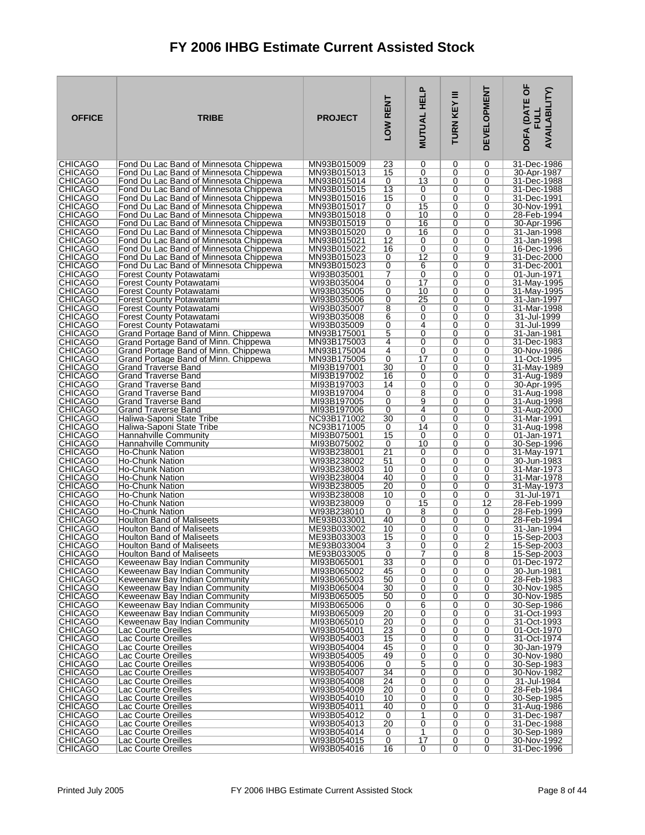| <b>OFFICE</b>                    | <b>TRIBE</b>                                                                     | <b>PROJECT</b>             | LOW RENT            | <b>MUTUAL HELP</b>  | Ξ<br>TURN KEY | <b>DEVELOPMENT</b> | DOFA (DATE OF<br><b>AVAILABILITY)</b><br><b>FULL</b> |
|----------------------------------|----------------------------------------------------------------------------------|----------------------------|---------------------|---------------------|---------------|--------------------|------------------------------------------------------|
| <b>CHICAGO</b>                   | Fond Du Lac Band of Minnesota Chippewa                                           | MN93B015009                | 23                  | 0                   | 0             | 0                  | 31-Dec-1986                                          |
| <b>CHICAGO</b><br><b>CHICAGO</b> | Fond Du Lac Band of Minnesota Chippewa<br>Fond Du Lac Band of Minnesota Chippewa | MN93B015013<br>MN93B015014 | 15<br>0             | 0<br>13             | 0<br>0        | 0<br>0             | 30-Apr-1987<br>31-Dec-1988                           |
| CHICAGO                          | Fond Du Lac Band of Minnesota Chippewa                                           | MN93B015015                | 13                  | 0                   | 0             | 0                  | 31-Dec-1988                                          |
| <b>CHICAGO</b>                   | Fond Du Lac Band of Minnesota Chippewa                                           | MN93B015016                | 15                  | 0                   | 0             | 0                  | 31-Dec-1991                                          |
| <b>CHICAGO</b>                   | Fond Du Lac Band of Minnesota Chippewa                                           | MN93B015017                | 0                   | 15                  | 0             | 0                  | 30-Nov-1991                                          |
| <b>CHICAGO</b><br><b>CHICAGO</b> | Fond Du Lac Band of Minnesota Chippewa<br>Fond Du Lac Band of Minnesota Chippewa | MN93B015018<br>MN93B015019 | 0<br>0              | 10<br>16            | 0<br>0        | 0<br>0             | 28-Feb-1994<br>30-Apr-1996                           |
| <b>CHICAGO</b>                   | Fond Du Lac Band of Minnesota Chippewa                                           | MN93B015020                | 0                   | 16                  | 0             | 0                  | 31-Jan-1998                                          |
| <b>CHICAGO</b>                   | Fond Du Lac Band of Minnesota Chippewa                                           | MN93B015021                | 12                  | 0                   | 0             | 0                  | 31-Jan-1998                                          |
| <b>CHICAGO</b>                   | Fond Du Lac Band of Minnesota Chippewa                                           | MN93B015022                | 16                  | 0                   | 0             | 0                  | 16-Dec-1996                                          |
| <b>CHICAGO</b><br><b>CHICAGO</b> | Fond Du Lac Band of Minnesota Chippewa                                           | MN93B015023                | 0                   | 12                  | 0<br>0        | 9<br>0             | 31-Dec-2000                                          |
| <b>CHICAGO</b>                   | Fond Du Lac Band of Minnesota Chippewa<br>Forest County Potawatami               | MN93B015023<br>WI93B035001 | 0<br>7              | 6<br>0              | 0             | 0                  | 31-Dec-2001<br>01-Jun-1971                           |
| <b>CHICAGO</b>                   | Forest County Potawatami                                                         | WI93B035004                | 0                   | 17                  | 0             | 0                  | 31-May-1995                                          |
| <b>CHICAGO</b>                   | <b>Forest County Potawatami</b>                                                  | WI93B035005                | 0                   | 10                  | 0             | 0                  | 31-May-1995                                          |
| <b>CHICAGO</b>                   | Forest County Potawatami                                                         | WI93B035006                | 0                   | 25                  | 0             | 0                  | 31-Jan-1997                                          |
| <b>CHICAGO</b><br><b>CHICAGO</b> | Forest County Potawatami<br><b>Forest County Potawatami</b>                      | WI93B035007<br>WI93B035008 | 8<br>6              | 0<br>0              | 0<br>0        | 0<br>0             | 31-Mar-1998<br>31-Jul-1999                           |
| <b>CHICAGO</b>                   | Forest County Potawatami                                                         | WI93B035009                | 0                   | 4                   | 0             | 0                  | 31-Jul-1999                                          |
| <b>CHICAGO</b>                   | Grand Portage Band of Minn. Chippewa                                             | MN93B175001                | $\overline{5}$      | 0                   | 0             | 0                  | 31-Jan-1981                                          |
| <b>CHICAGO</b>                   | Grand Portage Band of Minn. Chippewa                                             | MN93B175003                | 4<br>4              | 0<br>0              | $\Omega$<br>0 | 0<br>0             | 31-Dec-1983                                          |
| CHICAGO<br><b>CHICAGO</b>        | Grand Portage Band of Minn. Chippewa<br>Grand Portage Band of Minn. Chippewa     | MN93B175004<br>MN93B175005 | 0                   | 17                  | 0             | 0                  | 30-Nov-1986<br>11-Oct-1995                           |
| <b>CHICAGO</b>                   | Grand Traverse Band                                                              | MI93B197001                | 30                  | 0                   | 0             | 0                  | 31-May-1989                                          |
| <b>CHICAGO</b>                   | <b>Grand Traverse Band</b>                                                       | MI93B197002                | 16                  | 0                   | 0             | 0                  | 31-Aug-1989                                          |
| <b>CHICAGO</b><br><b>CHICAGO</b> | <b>Grand Traverse Band</b><br><b>Grand Traverse Band</b>                         | MI93B197003<br>MI93B197004 | 14<br>0             | 0<br>8              | 0<br>0        | 0<br>0             | 30-Apr-1995<br>31-Aug-1998                           |
| <b>CHICAGO</b>                   | <b>Grand Traverse Band</b>                                                       | MI93B197005                | 0                   | 9                   | 0             | 0                  | 31-Aug-1998                                          |
| <b>CHICAGO</b>                   | <b>Grand Traverse Band</b>                                                       | MI93B197006                | 0                   | 4                   | 0             | 0                  | 31-Aug-2000                                          |
| <b>CHICAGO</b>                   | Haliwa-Saponi State Tribe                                                        | NC93B171002                | 30                  | $\overline{0}$      | 0             | 0                  | 31-Mar-1991                                          |
| <b>CHICAGO</b><br><b>CHICAGO</b> | Haliwa-Saponi State Tribe<br>Hannahville Community                               | NC93B171005<br>MI93B075001 | 0<br>15             | 14<br>0             | 0<br>0        | 0<br>0             | 31-Aug-1998<br>01-Jan-1971                           |
| <b>CHICAGO</b>                   | <b>Hannahville Community</b>                                                     | MI93B075002                | 0                   | 10                  | 0             | 0                  | 30-Sep-1996                                          |
| <b>CHICAGO</b>                   | Ho-Chunk Nation                                                                  | WI93B238001                | 21                  | 0                   | 0             | 0                  | 31-May-1971                                          |
| <b>CHICAGO</b>                   | Ho-Chunk Nation                                                                  | WI93B238002                | 51                  | 0                   | 0             | 0                  | 30-Jun-1983                                          |
| <b>CHICAGO</b><br><b>CHICAGO</b> | Ho-Chunk Nation<br>Ho-Chunk Nation                                               | WI93B238003<br>WI93B238004 | 10<br>40            | 0<br>0              | 0<br>0        | 0<br>0             | 31-Mar-1973<br>31-Mar-1978                           |
| CHICAGO                          | Ho-Chunk Nation                                                                  | WI93B238005                | 20                  | 0                   | 0             | 0                  | 31-May-1973                                          |
| <b>CHICAGO</b>                   | Ho-Chunk Nation                                                                  | WI93B238008                | 10                  | 0                   | 0             | 0                  | 31-Jul-1971                                          |
| <b>CHICAGO</b><br><b>CHICAGO</b> | <b>Ho-Chunk Nation</b><br>Ho-Chunk Nation                                        | WI93B238009<br>WI93B238010 | 0<br>0              | 15<br>8             | 0<br>0        | 12<br>0            | 28-Feb-1999<br>28-Feb-1999                           |
| <b>CHICAGO</b>                   | Houlton Band of Maliseets                                                        | ME93B033001                | 40                  | 0                   | 0             | 0                  | 28-Feb-1994                                          |
| <b>CHICAGO</b>                   | <b>Houlton Band of Maliseets</b>                                                 | ME93B033002                | 10                  | 0                   | 0             | 0                  | 31-Jan-1994                                          |
| <b>CHICAGO</b><br><b>CHICAGO</b> | <b>Houlton Band of Maliseets</b>                                                 | ME93B033003                | 15                  | 0                   | 0             | 0                  | 15-Sep-2003                                          |
| <b>CHICAGO</b>                   | Houlton Band of Maliseets<br><b>Houlton Band of Maliseets</b>                    | ME93B033004<br>ME93B033005 | 3<br>0              | 0<br>7              | 0<br>0        | 2<br>8             | 15-Sep-2003<br>15-Sep-2003                           |
| CHICAGO                          | Keweenaw Bay Indian Community                                                    | MI93B065001                | 33                  | 0                   | 0             | 0                  | 01-Dec-1972                                          |
| <b>CHICAGO</b>                   | Keweenaw Bay Indian Community                                                    | MI93B065002                | 45                  | $\overline{0}$      | 0             | 0                  | 30-Jun-1981                                          |
| <b>CHICAGO</b><br><b>CHICAGO</b> | Keweenaw Bay Indian Community<br>Keweenaw Bay Indian Community                   | MI93B065003<br>MI93B065004 | 50<br>30            | 0<br>0              | 0<br>0        | 0<br>0             | 28-Feb-1983<br>30-Nov-1985                           |
| <b>CHICAGO</b>                   | Keweenaw Bay Indian Community                                                    | MI93B065005                | 50                  | $\overline{0}$      | 0             | 0                  | 30-Nov-1985                                          |
| <b>CHICAGO</b>                   | Keweenaw Bay Indian Community                                                    | MI93B065006                | 0                   | 6                   | 0             | 0                  | 30-Sep-1986                                          |
| <b>CHICAGO</b>                   | Keweenaw Bay Indian Community                                                    | MI93B065009                | 20                  | 0                   | 0             | 0                  | 31-Oct-1993                                          |
| <b>CHICAGO</b><br><b>CHICAGO</b> | Keweenaw Bay Indian Community<br>Lac Courte Oreilles                             | MI93B065010<br>WI93B054001 | 20<br>23            | $\overline{0}$<br>0 | 0<br>0        | 0<br>0             | 31-Oct-1993<br>01-Oct-1970                           |
| <b>CHICAGO</b>                   | Lac Courte Oreilles                                                              | WI93B054003                | 15                  | 0                   | 0             | 0                  | 31-Oct-1974                                          |
| <b>CHICAGO</b>                   | Lac Courte Oreilles                                                              | WI93B054004                | 45                  | 0                   | 0             | 0                  | 30-Jan-1979                                          |
| <b>CHICAGO</b><br><b>CHICAGO</b> | Lac Courte Oreilles<br>Lac Courte Oreilles                                       | WI93B054005<br>WI93B054006 | 49<br>0             | 0<br>$\overline{5}$ | 0<br>0        | 0<br>0             | 30-Nov-1980<br>30-Sep-1983                           |
| <b>CHICAGO</b>                   | Lac Courte Oreilles                                                              | WI93B054007                | 34                  | $\overline{0}$      | 0             | 0                  | 30-Nov-1982                                          |
| <b>CHICAGO</b>                   | Lac Courte Oreilles                                                              | WI93B054008                | 24                  | 0                   | 0             | 0                  | 31-Jul-1984                                          |
| <b>CHICAGO</b>                   | Lac Courte Oreilles                                                              | WI93B054009                | 20                  | 0                   | 0             | 0                  | 28-Feb-1984                                          |
| <b>CHICAGO</b><br><b>CHICAGO</b> | Lac Courte Oreilles<br>Lac Courte Oreilles                                       | WI93B054010<br>WI93B054011 | 10<br>40            | 0<br>0              | 0<br>0        | 0<br>0             | 30-Sep-1985<br>31-Aug-1986                           |
| <b>CHICAGO</b>                   | Lac Courte Oreilles                                                              | WI93B054012                | 0                   | 1                   | 0             | 0                  | 31-Dec-1987                                          |
| <b>CHICAGO</b>                   | Lac Courte Oreilles                                                              | WI93B054013                | 20                  | $\overline{0}$      | 0             | 0                  | 31-Dec-1988                                          |
| <b>CHICAGO</b><br><b>CHICAGO</b> | Lac Courte Oreilles<br>Lac Courte Oreilles                                       | WI93B054014<br>WI93B054015 | 0<br>$\overline{0}$ | 1<br>17             | 0<br>0        | 0<br>0             | 30-Sep-1989<br>30-Nov-1992                           |
| CHICAGO                          | Lac Courte Oreilles                                                              | WI93B054016                | 16                  | $\overline{0}$      | 0             | $\overline{0}$     | 31-Dec-1996                                          |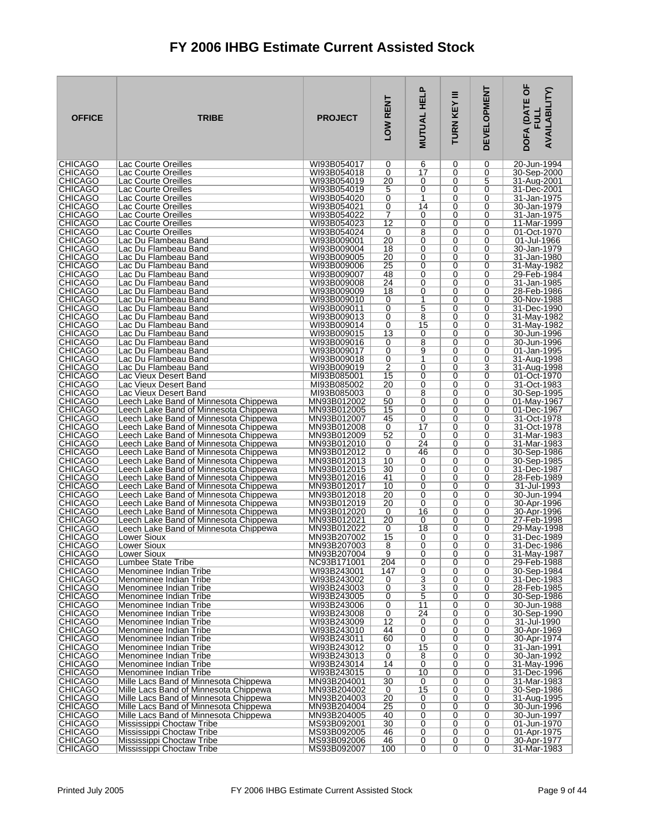| <b>OFFICE</b>                    | <b>TRIBE</b>                                                                   | <b>PROJECT</b>             | LOW RENT        | <b>MUTUAL HELP</b>  | Ξ<br>TURN KEY    | <b>DEVELOPMENT</b> | DOFA (DATE OF<br><b>AVAILABILITY)</b><br><b>EDIT</b> |
|----------------------------------|--------------------------------------------------------------------------------|----------------------------|-----------------|---------------------|------------------|--------------------|------------------------------------------------------|
| <b>CHICAGO</b>                   | Lac Courte Oreilles                                                            | WI93B054017                | 0               | 6                   | 0                | 0                  | 20-Jun-1994                                          |
| <b>CHICAGO</b>                   | Lac Courte Oreilles                                                            | WI93B054018                | 0               | $\overline{17}$     | $\mathbf 0$      | 0                  | 30-Sep-2000                                          |
| <b>CHICAGO</b><br><b>CHICAGO</b> | Lac Courte Oreilles<br>Lac Courte Oreilles                                     | WI93B054019<br>WI93B054019 | 20<br>5         | 0<br>0              | 0<br>0           | 5<br>0             | 31-Aug-2001<br>31-Dec-2001                           |
| <b>CHICAGO</b>                   | Lac Courte Oreilles                                                            | WI93B054020                | 0               | 1                   | $\mathbf 0$      | 0                  | 31-Jan-1975                                          |
| <b>CHICAGO</b>                   | Lac Courte Oreilles                                                            | WI93B054021                | 0               | 14                  | 0                | 0                  | 30-Jan-1979                                          |
| <b>CHICAGO</b>                   | Lac Courte Oreilles                                                            | WI93B054022                | 7               | 0                   | 0                | 0                  | 31-Jan-1975                                          |
| <b>CHICAGO</b>                   | Lac Courte Oreilles                                                            | WI93B054023                | $\overline{12}$ | $\overline{0}$      | $\mathbf 0$      | 0                  | 11-Mar-1999                                          |
| <b>CHICAGO</b><br><b>CHICAGO</b> | Lac Courte Oreilles<br>Lac Du Flambeau Band                                    | WI93B054024<br>WI93B009001 | 0<br>20         | 8<br>0              | 0<br>0           | 0<br>0             | 01-Oct-1970<br>01-Jul-1966                           |
| <b>CHICAGO</b>                   | Lac Du Flambeau Band                                                           | WI93B009004                | 18              | 0                   | 0                | 0                  | 30-Jan-1979                                          |
| <b>CHICAGO</b>                   | Lac Du Flambeau Band                                                           | WI93B009005                | 20              | 0                   | 0                | 0                  | 31-Jan-1980                                          |
| <b>CHICAGO</b>                   | Lac Du Flambeau Band                                                           | WI93B009006                | 25              | 0                   | 0                | 0                  | 31-May-1982                                          |
| <b>CHICAGO</b>                   | Lac Du Flambeau Band                                                           | WI93B009007                | 48              | 0                   | 0                | 0                  | 29-Feb-1984                                          |
| <b>CHICAGO</b><br><b>CHICAGO</b> | Lac Du Flambeau Band<br>Lac Du Flambeau Band                                   | WI93B009008<br>WI93B009009 | 24<br>18        | 0<br>0              | 0<br>0           | 0<br>0             | 31-Jan-1985<br>28-Feb-1986                           |
| <b>CHICAGO</b>                   | Lac Du Flambeau Band                                                           | WI93B009010                | 0               | 1                   | 0                | 0                  | 30-Nov-1988                                          |
| <b>CHICAGO</b>                   | Lac Du Flambeau Band                                                           | WI93B009011                | 0               | 5                   | 0                | 0                  | 31-Dec-1990                                          |
| <b>CHICAGO</b>                   | Lac Du Flambeau Band                                                           | WI93B009013                | 0               | 8                   | 0                | 0                  | 31-May-1982                                          |
| <b>CHICAGO</b>                   | Lac Du Flambeau Band                                                           | WI93B009014                | 0               | 15                  | 0                | 0                  | 31-May-1982                                          |
| <b>CHICAGO</b><br><b>CHICAGO</b> | Lac Du Flambeau Band<br>Lac Du Flambeau Band                                   | WI93B009015<br>WI93B009016 | 13<br>0         | 0<br>$\overline{8}$ | 0<br>$\mathbf 0$ | 0<br>0             | 30-Jun-1996<br>30-Jun-1996                           |
| <b>CHICAGO</b>                   | Lac Du Flambeau Band                                                           | WI93B009017                | 0               | 9                   | 0                | 0                  | 01-Jan-1995                                          |
| <b>CHICAGO</b>                   | Lac Du Flambeau Band                                                           | WI93B009018                | 0               | 1                   | 0                | 0                  | 31-Aug-1998                                          |
| <b>CHICAGO</b>                   | Lac Du Flambeau Band                                                           | WI93B009019                | 2               | 0                   | 0                | 3                  | 31-Aug-1998                                          |
| <b>CHICAGO</b>                   | Lac Vieux Desert Band                                                          | MI93B085001                | 15              | 0                   | 0                | 0                  | 01-Oct-1970                                          |
| <b>CHICAGO</b><br><b>CHICAGO</b> | Lac Vieux Desert Band<br>Lac Vieux Desert Band                                 | MI93B085002<br>MI93B085003 | 20<br>0         | 0<br>8              | 0<br>$\mathbf 0$ | 0<br>0             | 31-Oct-1983<br>30-Sep-1995                           |
| <b>CHICAGO</b>                   | Leech Lake Band of Minnesota Chippewa                                          | MN93B012002                | 50              | $\overline{0}$      | 0                | 0                  | 01-May-1967                                          |
| <b>CHICAGO</b>                   | Leech Lake Band of Minnesota Chippewa                                          | MN93B012005                | 15              | 0                   | 0                | 0                  | 01-Dec-1967                                          |
| <b>CHICAGO</b>                   | Leech Lake Band of Minnesota Chippewa                                          | MN93B012007                | 45              | 0                   | $\mathbf 0$      | 0                  | 31-Oct-1978                                          |
| <b>CHICAGO</b>                   | Leech Lake Band of Minnesota Chippewa                                          | MN93B012008                | 0               | $\overline{17}$     | 0                | 0                  | 31-Oct-1978                                          |
| <b>CHICAGO</b><br><b>CHICAGO</b> | Leech Lake Band of Minnesota Chippewa<br>Leech Lake Band of Minnesota Chippewa | MN93B012009<br>MN93B012010 | 52<br>0         | 0<br>24             | 0<br>$\mathbf 0$ | 0<br>0             | 31-Mar-1983<br>31-Mar-1983                           |
| <b>CHICAGO</b>                   | Leech Lake Band of Minnesota Chippewa                                          | MN93B012012                | 0               | 46                  | 0                | 0                  | 30-Sep-1986                                          |
| <b>CHICAGO</b>                   | Leech Lake Band of Minnesota Chippewa                                          | MN93B012013                | 10              | 0                   | 0                | 0                  | 30-Sep-1985                                          |
| <b>CHICAGO</b>                   | Leech Lake Band of Minnesota Chippewa                                          | MN93B012015                | 30              | 0                   | $\mathbf 0$      | 0                  | 31-Dec-1987                                          |
| <b>CHICAGO</b>                   | Leech Lake Band of Minnesota Chippewa                                          | MN93B012016                | 41              | 0                   | 0                | 0                  | 28-Feb-1989                                          |
| <b>CHICAGO</b><br><b>CHICAGO</b> | Leech Lake Band of Minnesota Chippewa<br>Leech Lake Band of Minnesota Chippewa | MN93B012017<br>MN93B012018 | 10<br>20        | 0<br>0              | 0<br>0           | 0<br>0             | 31-Jul-1993<br>30-Jun-1994                           |
| <b>CHICAGO</b>                   | Leech Lake Band of Minnesota Chippewa                                          | MN93B012019                | 20              | 0                   | 0                | 0                  | 30-Apr-1996                                          |
| <b>CHICAGO</b>                   | Leech Lake Band of Minnesota Chippewa                                          | MN93B012020                | 0               | 16                  | 0                | 0                  | 30-Apr-1996                                          |
| <b>CHICAGO</b>                   | Leech Lake Band of Minnesota Chippewa                                          | MN93B012021                | 20              | 0                   | 0                | 0                  | 27-Feb-1998                                          |
| <b>CHICAGO</b><br><b>CHICAGO</b> | Leech Lake Band of Minnesota Chippewa                                          | MN93B012022                | 0               | 18<br>0             | 0                | 0                  | 29-May-1998                                          |
| <b>CHICAGO</b>                   | Lower Sioux<br>Lower Sioux                                                     | MN93B207002<br>MN93B207003 | 15<br>8         | 0                   | 0<br>0           | 0<br>0             | 31-Dec-1989<br>31-Dec-1986                           |
| <b>CHICAGO</b>                   | Lower Sioux                                                                    | MN93B207004                | 9               | 0                   | 0                | 0                  | 31-May-1987                                          |
| <b>CHICAGO</b>                   | Lumbee State Tribe                                                             | NC93B171001                | 204             | 0                   | 0                | 0                  | 29-Feb-1988                                          |
| <b>CHICAGO</b>                   | Menominee Indian Tribe                                                         | WI93B243001                | 147             | $\overline{0}$      | 0                | 0                  | 30-Sep-1984                                          |
| <b>CHICAGO</b><br><b>CHICAGO</b> | Menominee Indian Tribe<br>Menominee Indian Tribe                               | WI93B243002<br>WI93B243003 | 0<br>0          | 3<br>3              | 0<br>0           | 0<br>0             | 31-Dec-1983<br>28-Feb-1985                           |
| <b>CHICAGO</b>                   | Menominee Indian Tribe                                                         | WI93B243005                | 0               | $\overline{5}$      | 0                | 0                  | 30-Sep-1986                                          |
| <b>CHICAGO</b>                   | Menominee Indian Tribe                                                         | WI93B243006                | 0               | 11                  | 0                | 0                  | 30-Jun-1988                                          |
| <b>CHICAGO</b>                   | Menominee Indian Tribe                                                         | WI93B243008                | 0               | 24                  | 0                | 0                  | 30-Sep-1990                                          |
| <b>CHICAGO</b>                   | Menominee Indian Tribe                                                         | WI93B243009                | $\overline{12}$ | 0                   | 0                | 0                  | 31-Jul-1990                                          |
| <b>CHICAGO</b><br><b>CHICAGO</b> | Menominee Indian Tribe<br>Menominee Indian Tribe                               | WI93B243010<br>WI93B243011 | 44<br>60        | 0<br>0              | 0<br>0           | 0<br>0             | 30-Apr-1969<br>30-Apr-1974                           |
| <b>CHICAGO</b>                   | Menominee Indian Tribe                                                         | WI93B243012                | 0               | 15                  | $\mathbf 0$      | 0                  | 31-Jan-1991                                          |
| <b>CHICAGO</b>                   | Menominee Indian Tribe                                                         | WI93B243013                | 0               | 8                   | 0                | 0                  | 30-Jan-1992                                          |
| <b>CHICAGO</b>                   | Menominee Indian Tribe                                                         | WI93B243014                | 14              | 0                   | 0                | 0                  | 31-May-1996                                          |
| <b>CHICAGO</b><br><b>CHICAGO</b> | Menominee Indian Tribe<br>Mille Lacs Band of Minnesota Chippewa                | WI93B243015<br>MN93B204001 | 0<br>30         | 10<br>0             | 0<br>0           | 0<br>0             | 31-Dec-1996<br>31-Mar-1983                           |
| <b>CHICAGO</b>                   | Mille Lacs Band of Minnesota Chippewa                                          | MN93B204002                | 0               | 15                  | 0                | 0                  | 30-Sep-1986                                          |
| <b>CHICAGO</b>                   | Mille Lacs Band of Minnesota Chippewa                                          | MN93B204003                | $\overline{20}$ | 0                   | 0                | 0                  | 31-Aug-1995                                          |
| <b>CHICAGO</b>                   | Mille Lacs Band of Minnesota Chippewa                                          | MN93B204004                | 25              | 0                   | 0                | 0                  | 30-Jun-1996                                          |
| <b>CHICAGO</b>                   | Mille Lacs Band of Minnesota Chippewa                                          | MN93B204005                | 40              | 0                   | 0                | 0                  | 30-Jun-1997                                          |
| <b>CHICAGO</b><br><b>CHICAGO</b> | Mississippi Choctaw Tribe<br>Mississippi Choctaw Tribe                         | MS93B092001<br>MS93B092005 | 30<br>46        | 0<br>0              | 0<br>0           | 0<br>0             | 01-Jun-1970<br>01-Apr-1975                           |
| <b>CHICAGO</b>                   | Mississippi Choctaw Tribe                                                      | MS93B092006                | 46              | 0                   | 0                | 0                  | 30-Apr-1977                                          |
| <b>CHICAGO</b>                   | Mississippi Choctaw Tribe                                                      | MS93B092007                | 100             | 0                   | 0                | 0                  | 31-Mar-1983                                          |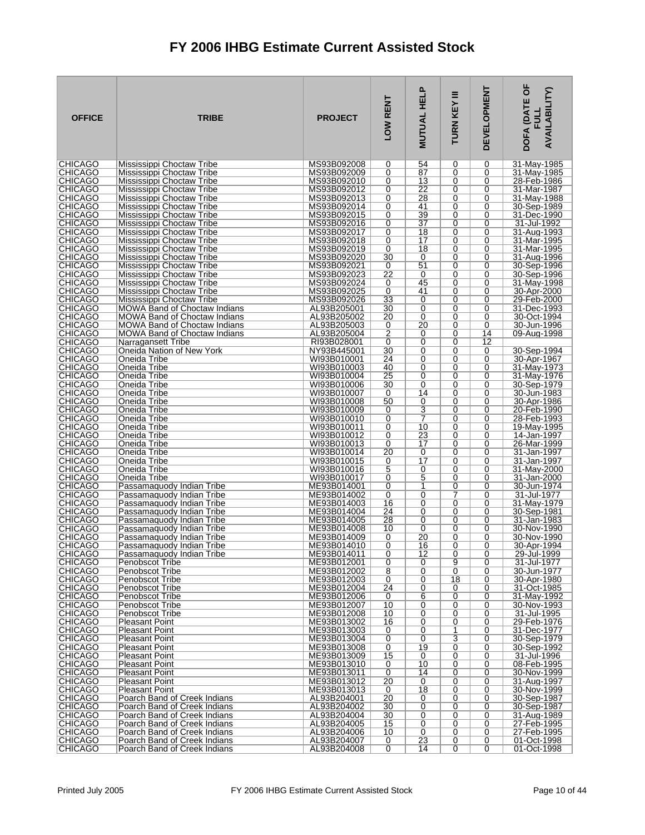| <b>OFFICE</b>                    | <b>TRIBE</b>                                                               | <b>PROJECT</b>             | LOW RENT             | <b>MUTUAL HELP</b>    | Ξ<br>TURN KEY | <b>DEVELOPMENT</b>  | DOFA (DATE OF<br><b>AVAILABILITY)</b><br>팀 |
|----------------------------------|----------------------------------------------------------------------------|----------------------------|----------------------|-----------------------|---------------|---------------------|--------------------------------------------|
| <b>CHICAGO</b>                   | Mississippi Choctaw Tribe                                                  | MS93B092008                | 0                    | 54                    | 0             | 0                   | 31-May-1985                                |
| <b>CHICAGO</b><br><b>CHICAGO</b> | Mississippi Choctaw Tribe<br>Mississippi Choctaw Tribe                     | MS93B092009<br>MS93B092010 | 0<br>0               | 87<br>13              | 0<br>0        | 0<br>0              | 31-May-1985<br>28-Feb-1986                 |
| <b>CHICAGO</b>                   | Mississippi Choctaw Tribe                                                  | MS93B092012                | 0                    | 22                    | 0             | 0                   | 31-Mar-1987                                |
| <b>CHICAGO</b>                   | Mississippi Choctaw Tribe                                                  | MS93B092013                | 0                    | 28                    | 0             | 0                   | 31-May-1988                                |
| <b>CHICAGO</b><br><b>CHICAGO</b> | Mississippi Choctaw Tribe<br>Mississippi Choctaw Tribe                     | MS93B092014<br>MS93B092015 | 0<br>0               | 41<br>39              | 0<br>0        | 0<br>0              | 30-Sep-1989<br>31-Dec-1990                 |
| <b>CHICAGO</b>                   | Mississippi Choctaw Tribe                                                  | MS93B092016                | 0                    | $\overline{37}$       | 0             | 0                   | 31-Jul-1992                                |
| <b>CHICAGO</b>                   | Mississippi Choctaw Tribe                                                  | MS93B092017                | 0                    | 18                    | 0             | 0                   | 31-Aug-1993                                |
| <b>CHICAGO</b><br><b>CHICAGO</b> | Mississippi Choctaw Tribe                                                  | MS93B092018                | 0<br>0               | 17<br>18              | 0<br>0        | 0                   | 31-Mar-1995                                |
| <b>CHICAGO</b>                   | Mississippi Choctaw Tribe<br>Mississippi Choctaw Tribe                     | MS93B092019<br>MS93B092020 | 30                   | 0                     | 0             | 0<br>0              | 31-Mar-1995<br>31-Aug-1996                 |
| <b>CHICAGO</b>                   | Mississippi Choctaw Tribe                                                  | MS93B092021                | 0                    | 51                    | 0             | 0                   | 30-Sep-1996                                |
| <b>CHICAGO</b>                   | Mississippi Choctaw Tribe                                                  | MS93B092023                | 22                   | 0                     | 0             | 0                   | 30-Sep-1996                                |
| <b>CHICAGO</b><br><b>CHICAGO</b> | Mississippi Choctaw Tribe<br>Mississippi Choctaw Tribe                     | MS93B092024<br>MS93B092025 | 0<br>0               | 45<br>41              | 0<br>$\Omega$ | 0<br>0              | 31-May-1998<br>30-Apr-2000                 |
| <b>CHICAGO</b>                   | Mississippi Choctaw Tribe                                                  | MS93B092026                | 33                   | 0                     | 0             | 0                   | 29-Feb-2000                                |
| <b>CHICAGO</b>                   | <b>MOWA Band of Choctaw Indians</b>                                        | AL93B205001                | 30                   | 0                     | 0             | 0                   | 31-Dec-1993                                |
| <b>CHICAGO</b><br><b>CHICAGO</b> | <b>MOWA Band of Choctaw Indians</b><br><b>MOWA Band of Choctaw Indians</b> | AL93B205002<br>AL93B205003 | 20<br>0              | 0<br>20               | $\Omega$<br>0 | $\Omega$<br>0       | 30-Oct-1994<br>30-Jun-1996                 |
| <b>CHICAGO</b>                   | <b>MOWA Band of Choctaw Indians</b>                                        | AL93B205004                | 2                    | 0                     | 0             | 14                  | 09-Aug-1998                                |
| <b>CHICAGO</b>                   | Narragansett Tribe                                                         | RI93B028001                | 0                    | 0                     | $\Omega$      | 12                  |                                            |
| CHICAGO<br><b>CHICAGO</b>        | Oneida Nation of New York                                                  | NY93B445001                | 30                   | 0<br>0                | 0<br>0        | 0<br>0              | 30-Sep-1994                                |
| <b>CHICAGO</b>                   | Oneida Tribe<br>Oneida Tribe                                               | WI93B010001<br>WI93B010003 | 24<br>40             | 0                     | $\Omega$      | 0                   | 30-Apr-1967<br>31-May-1973                 |
| <b>CHICAGO</b>                   | Oneida Tribe                                                               | WI93B010004                | 25                   | 0                     | 0             | 0                   | 31-May-1976                                |
| <b>CHICAGO</b>                   | Oneida Tribe                                                               | WI93B010006                | 30                   | 0                     | 0             | 0                   | 30-Sep-1979                                |
| <b>CHICAGO</b><br><b>CHICAGO</b> | Oneida Tribe<br>Oneida Tribe                                               | WI93B010007<br>WI93B010008 | 0<br>50              | 14<br>0               | $\Omega$<br>0 | 0<br>0              | 30-Jun-1983<br>30-Apr-1986                 |
| <b>CHICAGO</b>                   | Oneida Tribe                                                               | WI93B010009                | 0                    | 3                     | 0             | 0                   | 20-Feb-1990                                |
| <b>CHICAGO</b>                   | Oneida Tribe                                                               | WI93B010010                | 0                    | 7                     | 0             | 0                   | 28-Feb-1993                                |
| <b>CHICAGO</b><br><b>CHICAGO</b> | Oneida Tribe<br>Oneida Tribe                                               | WI93B010011<br>WI93B010012 | 0<br>0               | 10<br>$\overline{23}$ | 0<br>0        | 0<br>0              | 19-May-1995<br>14-Jan-1997                 |
| <b>CHICAGO</b>                   | Oneida Tribe                                                               | WI93B010013                | 0                    | 17                    | 0             | 0                   | 26-Mar-1999                                |
| <b>CHICAGO</b>                   | Oneida Tribe                                                               | WI93B010014                | 20                   | 0                     | 0             | 0                   | 31-Jan-1997                                |
| <b>CHICAGO</b><br><b>CHICAGO</b> | Oneida Tribe                                                               | WI93B010015                | 0                    | 17                    | 0<br>0        | 0<br>0              | 31-Jan-1997                                |
| <b>CHICAGO</b>                   | Oneida Tribe<br>Oneida Tribe                                               | WI93B010016<br>WI93B010017 | 5<br>0               | 0<br>5                | 0             | 0                   | 31-May-2000<br>31-Jan-2000                 |
| <b>CHICAGO</b>                   | Passamaquody Indian Tribe                                                  | ME93B014001                | 0                    | 1                     | 0             | 0                   | 30-Jun-1974                                |
| <b>CHICAGO</b>                   | Passamaguody Indian Tribe                                                  | ME93B014002                | 0                    | $\overline{0}$        | 7             | 0                   | 31-Jul-1977                                |
| <b>CHICAGO</b><br><b>CHICAGO</b> | Passamaquody Indian Tribe<br>Passamaquody Indian Tribe                     | ME93B014003<br>ME93B014004 | 16<br>24             | 0<br>0                | 0<br>0        | 0<br>0              | 31-May-1979<br>30-Sep-1981                 |
| <b>CHICAGO</b>                   | Passamaquody Indian Tribe                                                  | ME93B014005                | 28                   | 0                     | 0             | 0                   | 31-Jan-1983                                |
| <b>CHICAGO</b>                   | Passamaquody Indian Tribe                                                  | ME93B014008                | 10                   | $\Omega$              | 0             | 0                   | 30-Nov-1990                                |
| <b>CHICAGO</b><br><b>CHICAGO</b> | Passamaquody Indian Tribe<br>Passamaquody Indian Tribe                     | ME93B014009<br>ME93B014010 | 0<br>$\Omega$        | 20<br>16              | 0<br>0        | 0<br>0              | 30-Nov-1990<br>30-Apr-1994                 |
| <b>CHICAGO</b>                   | Passamaquody Indian Tribe                                                  | ME93B014011                | 0                    | 12                    | 0             | 0                   | 29-Jul-1999                                |
| <b>CHICAGO</b>                   | Penobscot Tribe                                                            | ME93B012001                | 0                    | 0                     | 9             | 0                   | 31-Jul-1977                                |
| <b>CHICAGO</b><br><b>CHICAGO</b> | Penobscot Tribe<br><b>Penobscot Tribe</b>                                  | ME93B012002<br>ME93B012003 | $\overline{8}$<br>0  | $\overline{0}$<br>0   | 0<br>18       | 0<br>0              | 30-Jun-1977<br>30-Apr-1980                 |
| <b>CHICAGO</b>                   | Penobscot Tribe                                                            | ME93B012004                | $\overline{24}$      | 0                     | 0             | 0                   | 31-Oct-1985                                |
| <b>CHICAGO</b>                   | Penobscot Tribe                                                            | ME93B012006                | 0                    | $6\overline{}$        | 0             | 0                   | 31-May-1992                                |
| <b>CHICAGO</b><br><b>CHICAGO</b> | Penobscot Tribe<br><b>Penobscot Tribe</b>                                  | ME93B012007<br>ME93B012008 | 10<br>10             | 0<br>0                | 0<br>0        | 0<br>0              | 30-Nov-1993<br>31-Jul-1995                 |
| <b>CHICAGO</b>                   | <b>Pleasant Point</b>                                                      | ME93B013002                | 16                   | $\overline{0}$        | 0             | 0                   | 29-Feb-1976                                |
| <b>CHICAGO</b>                   | <b>Pleasant Point</b>                                                      | ME93B013003                | 0                    | 0                     | 1             | 0                   | 31-Dec-1977                                |
| <b>CHICAGO</b><br><b>CHICAGO</b> | <b>Pleasant Point</b><br><b>Pleasant Point</b>                             | ME93B013004<br>ME93B013008 | 0<br>0               | 0<br>19               | 3<br>0        | 0<br>0              | 30-Sep-1979<br>30-Sep-1992                 |
| <b>CHICAGO</b>                   | <b>Pleasant Point</b>                                                      | ME93B013009                | 15                   | 0                     | 0             | 0                   | 31-Jul-1996                                |
| <b>CHICAGO</b>                   | <b>Pleasant Point</b>                                                      | ME93B013010                | 0                    | 10                    | 0             | 0                   | 08-Feb-1995                                |
| <b>CHICAGO</b><br><b>CHICAGO</b> | Pleasant Point<br><b>Pleasant Point</b>                                    | ME93B013011<br>ME93B013012 | 0<br>$\overline{20}$ | 14<br>0               | 0<br>0        | 0<br>0              | 30-Nov-1999<br>31-Aug-1997                 |
| <b>CHICAGO</b>                   | <b>Pleasant Point</b>                                                      | ME93B013013                | 0                    | 18                    | 0             | 0                   | 30-Nov-1999                                |
| <b>CHICAGO</b>                   | Poarch Band of Creek Indians                                               | AL93B204001                | 20                   | 0                     | 0             | 0                   | 30-Sep-1987                                |
| <b>CHICAGO</b><br><b>CHICAGO</b> | Poarch Band of Creek Indians<br>Poarch Band of Creek Indians               | AL93B204002<br>AL93B204004 | 30<br>30             | $\overline{0}$<br>0   | 0<br>0        | 0<br>0              | 30-Sep-1987<br>31-Aug-1989                 |
| <b>CHICAGO</b>                   | Poarch Band of Creek Indians                                               | AL93B204005                | 15                   | $\overline{0}$        | 0             | 0                   | 27-Feb-1995                                |
| <b>CHICAGO</b>                   | Poarch Band of Creek Indians                                               | AL93B204006                | 10                   | 0                     | 0             | 0                   | 27-Feb-1995                                |
| <b>CHICAGO</b><br> CHICAGO       | Poarch Band of Creek Indians<br>Poarch Band of Creek Indians               | AL93B204007<br>AL93B204008 | 0<br>0               | 23<br>14              | 0<br>0        | 0<br>$\overline{0}$ | 01-Oct-1998<br>01-Oct-1998                 |
|                                  |                                                                            |                            |                      |                       |               |                     |                                            |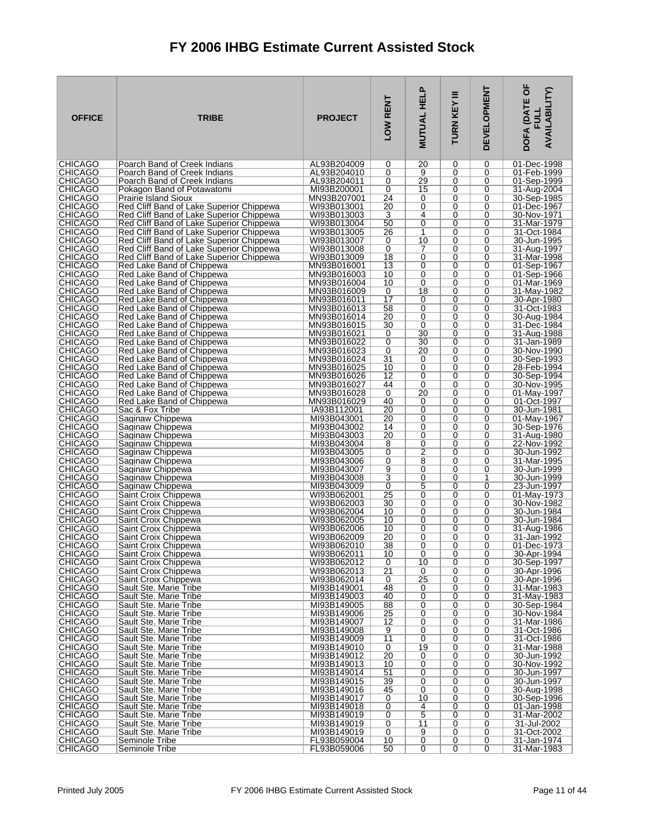| <b>OFFICE</b>                    | <b>TRIBE</b>                                                                         | <b>PROJECT</b>             | LOW RENT        | <b>MUTUAL HELP</b> | Ξ<br>TURN KEY | <b>DEVELOPMENT</b> | DOFA (DATE OF<br><b>AVAILABILITY)</b><br><b>FULL</b> |
|----------------------------------|--------------------------------------------------------------------------------------|----------------------------|-----------------|--------------------|---------------|--------------------|------------------------------------------------------|
| <b>CHICAGO</b><br><b>CHICAGO</b> | Poarch Band of Creek Indians                                                         | AL93B204009<br>AL93B204010 | 0<br>0          | 20<br>9            | 0<br>0        | 0<br>0             | 01-Dec-1998                                          |
| <b>CHICAGO</b>                   | Poarch Band of Creek Indians<br>Poarch Band of Creek Indians                         | AL93B204011                | 0               | 29                 | 0             | 0                  | 01-Feb-1999<br>01-Sep-1999                           |
| CHICAGO                          | Pokagon Band of Potawatomi                                                           | MI93B200001                | 0               | 15                 | 0             | 0                  | 31-Aug-2004                                          |
| <b>CHICAGO</b>                   | <b>Prairie Island Sioux</b>                                                          | MN93B207001                | 24              | 0                  | 0             | 0                  | 30-Sep-1985                                          |
| <b>CHICAGO</b>                   | Red Cliff Band of Lake Superior Chippewa                                             | WI93B013001                | 20              | 0                  | 0             | 0                  | 01-Dec-1967                                          |
| CHICAGO<br><b>CHICAGO</b>        | Red Cliff Band of Lake Superior Chippewa<br>Red Cliff Band of Lake Superior Chippewa | WI93B013003<br>WI93B013004 | 3<br>50         | 4<br>0             | 0<br>0        | 0<br>0             | 30-Nov-1971<br>31-Mar-1979                           |
| <b>CHICAGO</b>                   | Red Cliff Band of Lake Superior Chippewa                                             | WI93B013005                | 26              | 1                  | 0             | 0                  | 31-Oct-1984                                          |
| <b>CHICAGO</b>                   | Red Cliff Band of Lake Superior Chippewa                                             | WI93B013007                | 0               | 10                 | 0             | 0                  | 30-Jun-1995                                          |
| <b>CHICAGO</b>                   | Red Cliff Band of Lake Superior Chippewa                                             | WI93B013008                | 0               | 7                  | 0             | 0                  | 31-Aug-1997                                          |
| <b>CHICAGO</b><br><b>CHICAGO</b> | Red Cliff Band of Lake Superior Chippewa<br>Red Lake Band of Chippewa                | WI93B013009<br>MN93B016001 | 18<br>13        | 0<br>0             | 0<br>0        | 0<br>0             | 31-Mar-1998<br>01-Sep-1967                           |
| <b>CHICAGO</b>                   | Red Lake Band of Chippewa                                                            | MN93B016003                | 10              | 0                  | 0             | 0                  | 01-Sep-1966                                          |
| <b>CHICAGO</b>                   | Red Lake Band of Chippewa                                                            | MN93B016004                | 10              | 0                  | 0             | 0                  | 01-Mar-1969                                          |
| <b>CHICAGO</b>                   | Red Lake Band of Chippewa                                                            | MN93B016009                | 0               | 18                 | 0             | 0                  | 31-May-1982                                          |
| <b>CHICAGO</b><br><b>CHICAGO</b> | Red Lake Band of Chippewa<br>Red Lake Band of Chippewa                               | MN93B016011<br>MN93B016013 | 17<br>58        | 0<br>0             | 0<br>0        | 0<br>0             | 30-Apr-1980<br>31-Oct-1983                           |
| <b>CHICAGO</b>                   | Red Lake Band of Chippewa                                                            | MN93B016014                | 20              | 0                  | 0             | 0                  | 30-Aug-1984                                          |
| <b>CHICAGO</b>                   | Red Lake Band of Chippewa                                                            | MN93B016015                | 30              | $\mathbf 0$        | 0             | 0                  | 31-Dec-1984                                          |
| <b>CHICAGO</b>                   | Red Lake Band of Chippewa                                                            | MN93B016021                | 0               | 30                 | 0             | 0                  | 31-Aug-1988                                          |
| <b>CHICAGO</b><br><b>CHICAGO</b> | Red Lake Band of Chippewa<br>Red Lake Band of Chippewa                               | MN93B016022<br>MN93B016023 | 0<br>0          | 30<br>20           | $\Omega$<br>0 | 0<br>0             | 31-Jan-1989<br>30-Nov-1990                           |
| <b>CHICAGO</b>                   | Red Lake Band of Chippewa                                                            | MN93B016024                | 31              | 0                  | 0             | 0                  | 30-Sep-1993                                          |
| <b>CHICAGO</b>                   | Red Lake Band of Chippewa                                                            | MN93B016025                | 10              | 0                  | 0             | 0                  | 28-Feb-1994                                          |
| <b>CHICAGO</b>                   | Red Lake Band of Chippewa                                                            | MN93B016026                | 12              | 0                  | 0             | 0                  | 30-Sep-1994                                          |
| <b>CHICAGO</b><br><b>CHICAGO</b> | Red Lake Band of Chippewa<br>Red Lake Band of Chippewa                               | MN93B016027<br>MN93B016028 | 44<br>0         | 0<br>20            | 0<br>0        | 0<br>0             | 30-Nov-1995<br>01-May-1997                           |
| <b>CHICAGO</b>                   | Red Lake Band of Chippewa                                                            | MN93B016029                | 40              | 0                  | 0             | 0                  | 01-Oct-1997                                          |
| <b>CHICAGO</b>                   | Sac & Fox Tribe                                                                      | IA93B112001                | 20              | 0                  | 0             | 0                  | 30-Jun-1981                                          |
| <b>CHICAGO</b>                   | Saginaw Chippewa                                                                     | MI93B043001                | 20              | 0<br>0             | 0<br>0        | 0                  | 01-May-1967                                          |
| <b>CHICAGO</b><br><b>CHICAGO</b> | Saginaw Chippewa<br>Saginaw Chippewa                                                 | MI93B043002<br>MI93B043003 | 14<br>20        | 0                  | 0             | 0<br>0             | 30-Sep-1976<br>31-Aug-1980                           |
| <b>CHICAGO</b>                   | Saginaw Chippewa                                                                     | MI93B043004                | 8               | 0                  | 0             | 0                  | 22-Nov-1992                                          |
| <b>CHICAGO</b>                   | Saginaw Chippewa                                                                     | MI93B043005                | 0               | 2                  | 0             | 0                  | 30-Jun-1992                                          |
| <b>CHICAGO</b><br><b>CHICAGO</b> | Saginaw Chippewa<br>Saginaw Chippewa                                                 | MI93B043006<br>MI93B043007 | 0<br>9          | 8<br>0             | 0<br>0        | 0<br>0             | 31-Mar-1995<br>30-Jun-1999                           |
| <b>CHICAGO</b>                   | Saginaw Chippewa                                                                     | MI93B043008                | 3               | 0                  | 0             | 1                  | 30-Jun-1999                                          |
| CHICAGO                          | Saginaw Chippewa                                                                     | MI93B043009                | 0               | 5                  | 0             | 0                  | 23-Jun-1997                                          |
| <b>CHICAGO</b>                   | Saint Croix Chippewa                                                                 | WI93B062001                | 25              | $\overline{0}$     | 0             | 0                  | 01-May-1973                                          |
| <b>CHICAGO</b><br><b>CHICAGO</b> | Saint Croix Chippewa<br>Saint Croix Chippewa                                         | WI93B062003<br>WI93B062004 | 30<br>10        | 0<br>0             | 0<br>0        | 0<br>0             | 30-Nov-1982<br>30-Jun-1984                           |
| <b>CHICAGO</b>                   | Saint Croix Chippewa                                                                 | WI93B062005                | 10              | 0                  | 0             | 0                  | 30-Jun-1984                                          |
| <b>CHICAGO</b>                   | Saint Croix Chippewa                                                                 | WI93B062006                | 10              | 0                  | 0             | 0                  | 31-Aug-1986                                          |
| <b>CHICAGO</b><br><b>CHICAGO</b> | Saint Croix Chippewa                                                                 | WI93B062009<br>WI93B062010 | 20<br>38        | 0<br>0             | 0<br>0        | 0<br>0             | 31-Jan-1992<br>01-Dec-1973                           |
| <b>CHICAGO</b>                   | Saint Croix Chippewa<br>Saint Croix Chippewa                                         | WI93B062011                | 10              | 0                  | 0             | 0                  | 30-Apr-1994                                          |
| CHICAGO                          | Saint Croix Chippewa                                                                 | WI93B062012                | 0               | 10                 | 0             | 0                  | 30-Sep-1997                                          |
| <b>CHICAGO</b>                   | Saint Croix Chippewa                                                                 | WI93B062013                | $\overline{21}$ | 0                  | 0             | 0                  | 30-Apr-1996                                          |
| <b>CHICAGO</b><br><b>CHICAGO</b> | Saint Croix Chippewa<br>Sault Ste. Marie Tribe                                       | WI93B062014<br>MI93B149001 | 0<br>48         | 25<br>0            | 0<br>0        | 0<br>0             | 30-Apr-1996<br>31-Mar-1983                           |
| <b>CHICAGO</b>                   | Sault Ste. Marie Tribe                                                               | MI93B149003                | 40              | 0                  | 0             | 0                  | 31-May-1983                                          |
| <b>CHICAGO</b>                   | Sault Ste. Marie Tribe                                                               | MI93B149005                | 88              | 0                  | 0             | 0                  | 30-Sep-1984                                          |
| <b>CHICAGO</b>                   | Sault Ste. Marie Tribe                                                               | MI93B149006                | 25              | 0                  | 0             | 0                  | 30-Nov-1984                                          |
| <b>CHICAGO</b><br><b>CHICAGO</b> | Sault Ste. Marie Tribe<br>Sault Ste. Marie Tribe                                     | MI93B149007<br>MI93B149008 | 12<br>9         | 0<br>0             | 0<br>0        | 0<br>0             | 31-Mar-1986<br>31-Oct-1986                           |
| <b>CHICAGO</b>                   | Sault Ste. Marie Tribe                                                               | MI93B149009                | 11              | 0                  | 0             | 0                  | 31-Oct-1986                                          |
| <b>CHICAGO</b>                   | Sault Ste. Marie Tribe                                                               | MI93B149010                | 0               | 19                 | 0             | 0                  | 31-Mar-1988                                          |
| <b>CHICAGO</b><br><b>CHICAGO</b> | Sault Ste. Marie Tribe<br>Sault Ste. Marie Tribe                                     | MI93B149012<br>MI93B149013 | 20<br>10        | 0<br>0             | 0<br>0        | 0<br>0             | 30-Jun-1992<br>30-Nov-1992                           |
| <b>CHICAGO</b>                   | Sault Ste. Marie Tribe                                                               | MI93B149014                | 51              | 0                  | 0             | 0                  | 30-Jun-1997                                          |
| <b>CHICAGO</b>                   | Sault Ste. Marie Tribe                                                               | MI93B149015                | 39              | 0                  | 0             | 0                  | 30-Jun-1997                                          |
| <b>CHICAGO</b>                   | Sault Ste. Marie Tribe                                                               | MI93B149016                | 45              | 0                  | 0             | 0                  | 30-Aug-1998                                          |
| <b>CHICAGO</b><br><b>CHICAGO</b> | Sault Ste. Marie Tribe<br>Sault Ste. Marie Tribe                                     | MI93B149017<br>MI93B149018 | 0<br>0          | 10<br>4            | 0<br>0        | 0<br>0             | 30-Sep-1996<br>01-Jan-1998                           |
| <b>CHICAGO</b>                   | Sault Ste. Marie Tribe                                                               | MI93B149019                | 0               | $\overline{5}$     | 0             | 0                  | 31-Mar-2002                                          |
| <b>CHICAGO</b>                   | Sault Ste. Marie Tribe                                                               | MI93B149019                | 0               | 11                 | 0             | 0                  | 31-Jul-2002                                          |
| <b>CHICAGO</b><br><b>CHICAGO</b> | Sault Ste. Marie Tribe<br>Seminole Tribe                                             | MI93B149019<br>FL93B059004 | 0<br>10         | 9<br>0             | 0<br>0        | 0<br>0             | 31-Oct-2002<br>31-Jan-1974                           |
| CHICAGO                          | Seminole Tribe                                                                       | FL93B059006                | 50              | $\overline{0}$     | 0             | $\overline{0}$     | 31-Mar-1983                                          |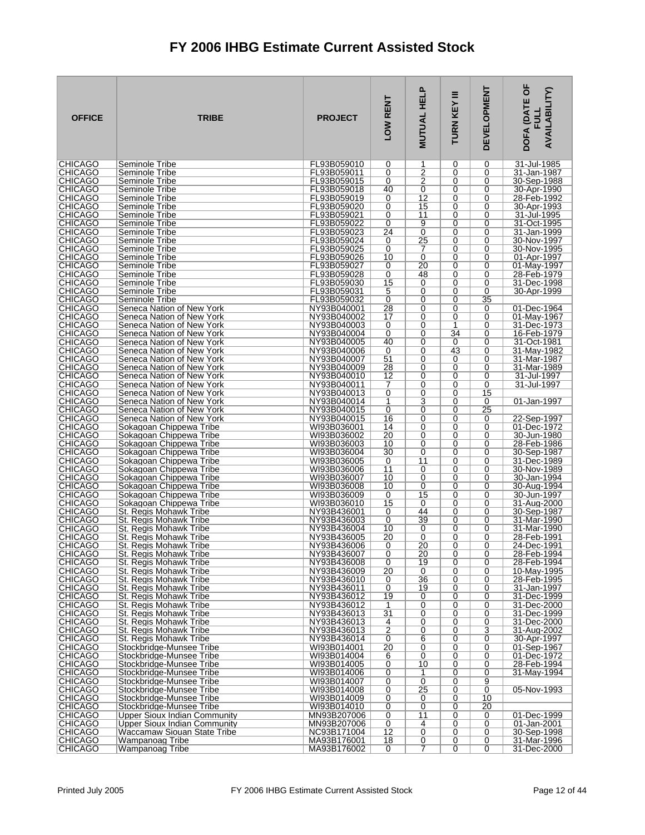| <b>OFFICE</b>                     | <b>TRIBE</b>                                           | <b>PROJECT</b>             | LOW RENT             | <b>MUTUAL HELP</b>  | Ξ<br><b>TURN KEY</b> | <b>DEVELOPMENT</b> | DOFA (DATE OF<br><b>AVAILABILITY)</b><br>ヨコ |
|-----------------------------------|--------------------------------------------------------|----------------------------|----------------------|---------------------|----------------------|--------------------|---------------------------------------------|
| <b>CHICAGO</b>                    | Seminole Tribe                                         | FL93B059010                | 0<br>0               | 1<br>$\overline{2}$ | 0                    | 0                  | 31-Jul-1985                                 |
| <b>CHICAGO</b><br><b>CHICAGO</b>  | Seminole Tribe<br>Seminole Tribe                       | FL93B059011<br>FL93B059015 | 0                    | 2                   | 0<br>0               | 0<br>0             | 31-Jan-1987<br>30-Sep-1988                  |
| <b>CHICAGO</b>                    | Seminole Tribe                                         | FL93B059018                | 40                   | 0                   | 0                    | 0                  | 30-Apr-1990                                 |
| <b>CHICAGO</b>                    | Seminole Tribe                                         | FL93B059019                | 0                    | $\overline{12}$     | 0                    | 0                  | 28-Feb-1992                                 |
| <b>CHICAGO</b>                    | Seminole Tribe                                         | FL93B059020                | 0                    | 15                  | 0                    | 0                  | 30-Apr-1993                                 |
| <b>CHICAGO</b><br><b>CHICAGO</b>  | Seminole Tribe<br>Seminole Tribe                       | FL93B059021<br>FL93B059022 | 0<br>0               | 11<br>9             | 0<br>0               | 0<br>0             | 31-Jul-1995<br>31-Oct-1995                  |
| <b>CHICAGO</b>                    | Seminole Tribe                                         | FL93B059023                | 24                   | 0                   | 0                    | 0                  | 31-Jan-1999                                 |
| <b>CHICAGO</b>                    | Seminole Tribe                                         | FL93B059024                | 0                    | $\overline{25}$     | 0                    | 0                  | 30-Nov-1997                                 |
| <b>CHICAGO</b>                    | Seminole Tribe                                         | FL93B059025                | 0                    | 7                   | 0                    | 0                  | 30-Nov-1995                                 |
| <b>CHICAGO</b><br><b>CHICAGO</b>  | Seminole Tribe<br>Seminole Tribe                       | FL93B059026<br>FL93B059027 | 10<br>0              | 0<br>20             | 0<br>0               | 0<br>0             | 01-Apr-1997<br>01-May-1997                  |
| <b>CHICAGO</b>                    | Seminole Tribe                                         | FL93B059028                | 0                    | 48                  | 0                    | 0                  | 28-Feb-1979                                 |
| <b>CHICAGO</b>                    | Seminole Tribe                                         | FL93B059030                | 15                   | 0                   | 0                    | 0                  | 31-Dec-1998                                 |
| <b>CHICAGO</b>                    | Seminole Tribe                                         | FL93B059031                | 5                    | 0                   | 0                    | 0                  | 30-Apr-1999                                 |
| <b>CHICAGO</b><br><b>CHICAGO</b>  | Seminole Tribe<br>Seneca Nation of New York            | FL93B059032<br>NY93B040001 | $\overline{0}$<br>28 | $\overline{0}$<br>0 | 0<br>0               | 35<br>0            | 01-Dec-1964                                 |
| <b>CHICAGO</b>                    | Seneca Nation of New York                              | NY93B040002                | 17                   | 0                   | 0                    | 0                  | 01-May-1967                                 |
| <b>CHICAGO</b>                    | Seneca Nation of New York                              | NY93B040003                | 0                    | 0                   | 1                    | 0                  | 31-Dec-1973                                 |
| <b>CHICAGO</b>                    | Seneca Nation of New York                              | NY93B040004                | 0                    | 0                   | 34                   | 0                  | 16-Feb-1979                                 |
| <b>CHICAGO</b><br><b>CHICAGO</b>  | Seneca Nation of New York<br>Seneca Nation of New York | NY93B040005<br>NY93B040006 | 40<br>0              | 0<br>0              | 0<br>43              | 0<br>0             | 31-Oct-1981<br>31-May-1982                  |
| <b>CHICAGO</b>                    | Seneca Nation of New York                              | NY93B040007                | 51                   | 0                   | 0                    | 0                  | 31-Mar-1987                                 |
| <b>CHICAGO</b>                    | Seneca Nation of New York                              | NY93B040009                | 28                   | 0                   | 0                    | 0                  | 31-Mar-1989                                 |
| <b>CHICAGO</b>                    | Seneca Nation of New York                              | NY93B040010                | 12                   | 0                   | 0                    | 0                  | 31-Jul-1997                                 |
| <b>CHICAGO</b><br><b>CHICAGO</b>  | Seneca Nation of New York<br>Seneca Nation of New York | NY93B040011<br>NY93B040013 | 7<br>0               | 0<br>0              | 0<br>0               | 0<br>15            | 31-Jul-1997                                 |
| <b>CHICAGO</b>                    | Seneca Nation of New York                              | NY93B040014                | 1                    | 3                   | 0                    | 0                  | 01-Jan-1997                                 |
| <b>CHICAGO</b>                    | Seneca Nation of New York                              | NY93B040015                | 0                    | 0                   | 0                    | 25                 |                                             |
| <b>CHICAGO</b>                    | Seneca Nation of New York                              | NY93B040015                | 16                   | 0<br>0              | 0<br>0               | 0<br>0             | 22-Sep-1997                                 |
| <b>CHICAGO</b><br><b>CHICAGO</b>  | Sokagoan Chippewa Tribe<br>Sokagoan Chippewa Tribe     | WI93B036001<br>WI93B036002 | 14<br>20             | 0                   | 0                    | 0                  | 01-Dec-1972<br>30-Jun-1980                  |
| <b>CHICAGO</b>                    | Sokagoan Chippewa Tribe                                | WI93B036003                | 10                   | 0                   | 0                    | 0                  | 28-Feb-1986                                 |
| <b>CHICAGO</b>                    | Sokagoan Chippewa Tribe                                | WI93B036004                | 30                   | 0                   | 0                    | 0                  | 30-Sep-1987                                 |
| <b>CHICAGO</b><br><b>CHICAGO</b>  | Sokagoan Chippewa Tribe<br>Sokagoan Chippewa Tribe     | WI93B036005<br>WI93B036006 | 0<br>11              | 11<br>0             | 0<br>0               | 0<br>0             | 31-Dec-1989<br>30-Nov-1989                  |
| <b>CHICAGO</b>                    | Sokagoan Chippewa Tribe                                | WI93B036007                | 10                   | 0                   | 0                    | 0                  | 30-Jan-1994                                 |
| <b>CHICAGO</b>                    | Sokagoan Chippewa Tribe                                | WI93B036008                | 10                   | 0                   | 0                    | 0                  | 30-Aug-1994                                 |
| <b>CHICAGO</b>                    | Sokagoan Chippewa Tribe                                | WI93B036009                | 0                    | 15                  | 0                    | 0                  | 30-Jun-1997                                 |
| <b>CHICAGO</b><br><b>CHICAGO</b>  | Sokagoan Chippewa Tribe<br>St. Regis Mohawk Tribe      | WI93B036010<br>NY93B436001 | 15<br>0              | 0<br>44             | 0<br>0               | 0<br>0             | 31-Aug-2000<br>30-Sep-1987                  |
| <b>CHICAGO</b>                    | St. Regis Mohawk Tribe                                 | NY93B436003                | 0                    | 39                  | 0                    | 0                  | 31-Mar-1990                                 |
| <b>CHICAGO</b>                    | St. Regis Mohawk Tribe                                 | NY93B436004                | 10                   | 0                   | 0                    | 0                  | 31-Mar-1990                                 |
| <b>CHICAGO</b><br><b>ICHICAGO</b> | St. Regis Mohawk Tribe                                 | NY93B436005<br>NY93B436006 | 20<br>0              | 0<br>20             | 0<br>0               | 0<br>0             | 28-Feb-1991<br>24-Dec-1991                  |
| <b>CHICAGO</b>                    | St. Regis Mohawk Tribe<br>St. Regis Mohawk Tribe       | NY93B436007                | $\overline{0}$       | 20                  | 0                    | 0                  | 28-Feb-1994                                 |
| <b>CHICAGO</b>                    | St. Regis Mohawk Tribe                                 | NY93B436008                | 0                    | 19                  | 0                    | 0                  | 28-Feb-1994                                 |
| <b>CHICAGO</b>                    | St. Regis Mohawk Tribe                                 | NY93B436009                | 20                   | 0                   | 0                    | 0                  | 10-May-1995                                 |
| <b>CHICAGO</b><br><b>CHICAGO</b>  | St. Regis Mohawk Tribe<br>St. Regis Mohawk Tribe       | NY93B436010<br>NY93B436011 | 0<br>0               | 36<br>19            | 0<br>0               | 0<br>0             | 28-Feb-1995<br>31-Jan-1997                  |
| <b>CHICAGO</b>                    | St. Regis Mohawk Tribe                                 | NY93B436012                | 19                   | 0                   | 0                    | 0                  | 31-Dec-1999                                 |
| <b>CHICAGO</b>                    | St. Regis Mohawk Tribe                                 | NY93B436012                | 1                    | 0                   | 0                    | 0                  | 31-Dec-2000                                 |
| <b>CHICAGO</b>                    | St. Regis Mohawk Tribe                                 | NY93B436013                | 31                   | 0                   | 0                    | 0                  | 31-Dec-1999                                 |
| <b>CHICAGO</b><br><b>CHICAGO</b>  | St. Regis Mohawk Tribe<br>St. Regis Mohawk Tribe       | NY93B436013<br>NY93B436013 | 4<br>$\overline{2}$  | 0<br>0              | 0<br>0               | 0<br>3             | 31-Dec-2000<br>31-Aug-2002                  |
| <b>CHICAGO</b>                    | St. Regis Mohawk Tribe                                 | NY93B436014                | 0                    | $\overline{6}$      | 0                    | 0                  | 30-Apr-1997                                 |
| <b>CHICAGO</b>                    | Stockbridge-Munsee Tribe                               | WI93B014001                | 20                   | $\overline{0}$      | 0                    | 0                  | 01-Sep-1967                                 |
| <b>CHICAGO</b><br><b>CHICAGO</b>  | Stockbridge-Munsee Tribe<br>Stockbridge-Munsee Tribe   | WI93B014004<br>WI93B014005 | 6<br>0               | 0<br>10             | 0<br>0               | 0<br>0             | 01-Dec-1972<br>28-Feb-1994                  |
| <b>CHICAGO</b>                    | Stockbridge-Munsee Tribe                               | WI93B014006                | 0                    | 1                   | 0                    | 0                  | 31-May-1994                                 |
| <b>CHICAGO</b>                    | Stockbridge-Munsee Tribe                               | WI93B014007                | 0                    | 0                   | 0                    | 9                  |                                             |
| <b>CHICAGO</b>                    | Stockbridge-Munsee Tribe                               | WI93B014008                | 0                    | $\overline{25}$     | 0                    | 0                  | 05-Nov-1993                                 |
| <b>CHICAGO</b><br><b>CHICAGO</b>  | Stockbridge-Munsee Tribe<br>Stockbridge-Munsee Tribe   | WI93B014009<br>WI93B014010 | 0<br>0               | 0<br>0              | 0<br>0               | 10<br>20           |                                             |
| <b>CHICAGO</b>                    | Upper Sioux Indian Community                           | MN93B207006                | 0                    | 11                  | 0                    | 0                  | 01-Dec-1999                                 |
| <b>CHICAGO</b>                    | Upper Sioux Indian Community                           | MN93B207006                | $\overline{0}$       | 4                   | 0                    | 0                  | 01-Jan-2001                                 |
| <b>CHICAGO</b><br><b>CHICAGO</b>  | Waccamaw Siouan State Tribe<br>Wampanoag Tribe         | NC93B171004<br>MA93B176001 | 12<br>18             | 0                   | 0<br>0               | 0<br>0             | 30-Sep-1998<br>31-Mar-1996                  |
| <b>CHICAGO</b>                    | Wampanoag Tribe                                        | MA93B176002                | 0                    | 0<br>7              | 0                    | $\overline{0}$     | 31-Dec-2000                                 |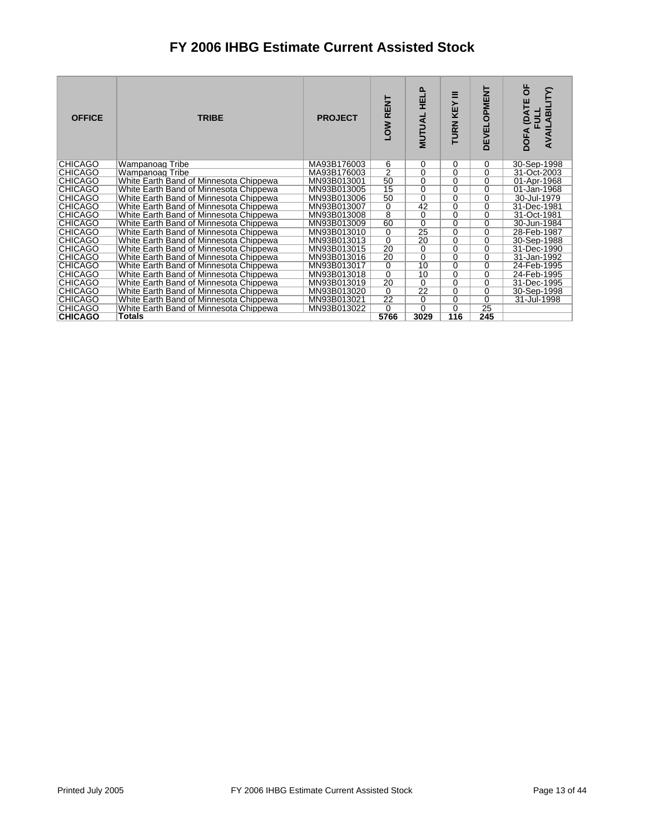| <b>OFFICE</b>  | <b>TRIBE</b>                           | <b>PROJECT</b> | LOW RENT        | <u>a</u><br>핖<br>MUTUAL | ≡<br>KEY<br><b>TURN</b> | <b>DEVELOPMENT</b> | ხ<br><b>(DATE</b><br>ABILI<br><b>FULL</b><br>AVAIL<br><b>DOFA</b> |
|----------------|----------------------------------------|----------------|-----------------|-------------------------|-------------------------|--------------------|-------------------------------------------------------------------|
| <b>CHICAGO</b> | Wampanoag Tribe                        | MA93B176003    |                 | 0                       | 0                       | 0                  | 30-Sep-1998                                                       |
| <b>CHICAGO</b> | Wampanoag Tribe                        | MA93B176003    | $\frac{6}{2}$   | $\overline{0}$          | $\overline{0}$          | $\overline{0}$     | 31-Oct-2003                                                       |
| <b>CHICAGO</b> | White Earth Band of Minnesota Chippewa | MN93B013001    | 50              | 0                       | 0                       | 0                  | 01-Apr-1968                                                       |
| <b>CHICAGO</b> | White Earth Band of Minnesota Chippewa | MN93B013005    | $\overline{15}$ | $\overline{0}$          | $\overline{0}$          | $\overline{0}$     | 01-Jan-1968                                                       |
| <b>CHICAGO</b> | White Earth Band of Minnesota Chippewa | MN93B013006    | 50              | $\overline{0}$          | $\overline{0}$          | $\overline{0}$     | 30-Jul-1979                                                       |
| <b>CHICAGO</b> | White Earth Band of Minnesota Chippewa | MN93B013007    |                 | 42                      | $\overline{0}$          | $\overline{0}$     | 31-Dec-1981                                                       |
| <b>CHICAGO</b> | White Earth Band of Minnesota Chippewa | MN93B013008    | $\frac{0}{8}$   | $\overline{0}$          | $\overline{0}$          | $\overline{0}$     | 31-Oct-1981                                                       |
| <b>CHICAGO</b> | White Earth Band of Minnesota Chippewa | MN93B013009    | 60              | $\overline{0}$          | $\overline{0}$          | $\overline{0}$     | 30-Jun-1984                                                       |
| <b>CHICAGO</b> | White Earth Band of Minnesota Chippewa | MN93B013010    | $\overline{0}$  | $\overline{25}$         | $\overline{0}$          | $\overline{0}$     | 28-Feb-1987                                                       |
| <b>CHICAGO</b> | White Earth Band of Minnesota Chippewa | MN93B013013    | $\overline{0}$  | 20                      | 0                       | 0                  | 30-Sep-1988                                                       |
| <b>CHICAGO</b> | White Earth Band of Minnesota Chippewa | MN93B013015    | $\overline{20}$ | 0                       | $\overline{0}$          | $\overline{0}$     | 31-Dec-1990                                                       |
| <b>CHICAGO</b> | White Earth Band of Minnesota Chippewa | MN93B013016    | $\overline{20}$ | 0                       | 0                       | $\overline{0}$     | 31-Jan-1992                                                       |
| <b>CHICAGO</b> | White Earth Band of Minnesota Chippewa | MN93B013017    | $\overline{0}$  | 10                      | $\overline{0}$          | $\overline{0}$     | 24-Feb-1995                                                       |
| <b>CHICAGO</b> | White Earth Band of Minnesota Chippewa | MN93B013018    | $\overline{0}$  | 10                      | $\overline{0}$          | $\overline{0}$     | 24-Feb-1995                                                       |
| <b>CHICAGO</b> | White Earth Band of Minnesota Chippewa | MN93B013019    | 20              | $\overline{0}$          | $\overline{0}$          | $\overline{0}$     | 31-Dec-1995                                                       |
| <b>CHICAGO</b> | White Earth Band of Minnesota Chippewa | MN93B013020    | $\overline{0}$  | $\overline{22}$         | $\overline{0}$          | $\overline{0}$     | 30-Sep-1998                                                       |
| <b>CHICAGO</b> | White Earth Band of Minnesota Chippewa | MN93B013021    | 22              | $\overline{0}$          | 0                       | $\overline{0}$     | 31-Jul-1998                                                       |
| <b>CHICAGO</b> | White Earth Band of Minnesota Chippewa | MN93B013022    | $\overline{0}$  | $\overline{0}$          | $\overline{0}$          | 25                 |                                                                   |
| <b>CHICAGO</b> | Totals                                 |                | 5766            | 3029                    | 116                     | 245                |                                                                   |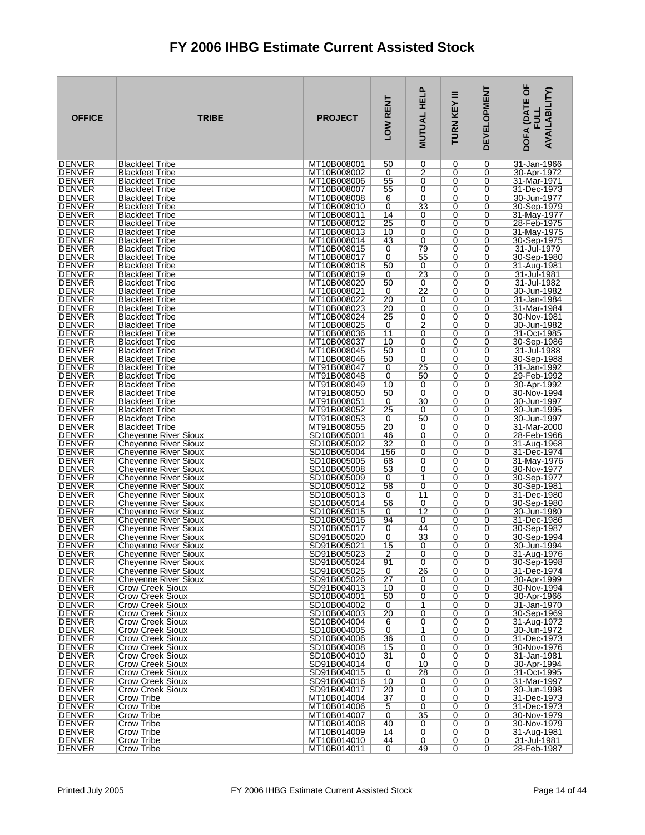| <b>OFFICE</b>                  | <b>TRIBE</b>                                               | <b>PROJECT</b>             | LOW RENT             | <b>MUTUAL HELP</b>   | Ξ<br>TURN KEY    | <b>DEVELOPMENT</b> | DOFA (DATE OF<br>AVAILABILITY)<br><b>FULL</b> |
|--------------------------------|------------------------------------------------------------|----------------------------|----------------------|----------------------|------------------|--------------------|-----------------------------------------------|
| <b>DENVER</b>                  | <b>Blackfeet Tribe</b>                                     | MT10B008001                | 50                   | 0                    | 0                | 0                  | 31-Jan-1966                                   |
| <b>DENVER</b><br><b>DENVER</b> | <b>Blackfeet Tribe</b><br><b>Blackfeet Tribe</b>           | MT10B008002<br>MT10B008006 | 0<br>55              | $\overline{2}$<br>0  | 0<br>0           | 0<br>0             | 30-Apr-1972<br>31-Mar-1971                    |
| DENVER                         | <b>Blackfeet Tribe</b>                                     | MT10B008007                | 55                   | 0                    | 0                | 0                  | 31-Dec-1973                                   |
| <b>DENVER</b>                  | <b>Blackfeet Tribe</b>                                     | MT10B008008                | 6                    | $\overline{0}$       | 0                | 0                  | 30-Jun-1977                                   |
| <b>DENVER</b>                  | <b>Blackfeet Tribe</b>                                     | MT10B008010                | 0                    | $\overline{33}$      | 0                | 0                  | 30-Sep-1979                                   |
| DENVER<br><b>DENVER</b>        | <b>Blackfeet Tribe</b><br><b>Blackfeet Tribe</b>           | MT10B008011<br>MT10B008012 | 14<br>25             | 0<br>0               | 0<br>0           | 0<br>0             | 31-May-1977<br>28-Feb-1975                    |
| <b>DENVER</b>                  | <b>Blackfeet Tribe</b>                                     | MT10B008013                | 10                   | 0                    | 0                | 0                  | 31-May-1975                                   |
| <b>DENVER</b>                  | <b>Blackfeet Tribe</b>                                     | MT10B008014                | 43                   | 0                    | $\mathbf 0$      | 0                  | 30-Sep-1975                                   |
| <b>DENVER</b><br><b>DENVER</b> | <b>Blackfeet Tribe</b><br><b>Blackfeet Tribe</b>           | MT10B008015<br>MT10B008017 | 0<br>0               | 79<br>55             | 0<br>0           | 0<br>0             | 31-Jul-1979<br>30-Sep-1980                    |
| <b>DENVER</b>                  | <b>Blackfeet Tribe</b>                                     | MT10B008018                | 50                   | 0                    | $\mathbf 0$      | 0                  | 31-Aug-1981                                   |
| <b>DENVER</b>                  | <b>Blackfeet Tribe</b>                                     | MT10B008019                | 0                    | 23                   | 0                | 0                  | 31-Jul-1981                                   |
| <b>DENVER</b>                  | <b>Blackfeet Tribe</b>                                     | MT10B008020                | 50                   | 0                    | 0                | 0                  | 31-Jul-1982                                   |
| <b>DENVER</b><br><b>DENVER</b> | <b>Blackfeet Tribe</b><br><b>Blackfeet Tribe</b>           | MT10B008021<br>MT10B008022 | 0<br>20              | $\overline{22}$<br>0 | $\mathbf 0$<br>0 | 0<br>0             | 30-Jun-1982<br>31-Jan-1984                    |
| <b>DENVER</b>                  | <b>Blackfeet Tribe</b>                                     | MT10B008023                | 20                   | 0                    | 0                | 0                  | 31-Mar-1984                                   |
| <b>DENVER</b>                  | <b>Blackfeet Tribe</b>                                     | MT10B008024                | 25                   | 0                    | $\Omega$         | $\Omega$           | 30-Nov-1981                                   |
| <b>DENVER</b><br><b>DENVER</b> | <b>Blackfeet Tribe</b><br><b>Blackfeet Tribe</b>           | MT10B008025<br>MT10B008036 | 0<br>11              | $\overline{2}$<br>0  | 0<br>0           | 0<br>0             | 30-Jun-1982                                   |
| <b>DENVER</b>                  | <b>Blackfeet Tribe</b>                                     | MT10B008037                | 10                   | 0                    | $\Omega$         | $\Omega$           | 31-Oct-1985<br>30-Sep-1986                    |
| <b>DENVER</b>                  | <b>Blackfeet Tribe</b>                                     | MT10B008045                | 50                   | 0                    | 0                | 0                  | 31-Jul-1988                                   |
| <b>DENVER</b>                  | <b>Blackfeet Tribe</b>                                     | MT10B008046                | 50                   | 0                    | 0                | 0                  | 30-Sep-1988                                   |
| <b>DENVER</b><br><b>DENVER</b> | <b>Blackfeet Tribe</b><br><b>Blackfeet Tribe</b>           | MT91B008047<br>MT91B008048 | 0<br>0               | 25<br>50             | $\Omega$<br>0    | 0<br>0             | 31-Jan-1992<br>29-Feb-1992                    |
| <b>DENVER</b>                  | <b>Blackfeet Tribe</b>                                     | MT91B008049                | 10                   | 0                    | 0                | 0                  | 30-Apr-1992                                   |
| <b>DENVER</b>                  | <b>Blackfeet Tribe</b>                                     | MT91B008050                | 50                   | 0                    | $\Omega$         | 0                  | 30-Nov-1994                                   |
| DENVER<br><b>DENVER</b>        | <b>Blackfeet Tribe</b><br><b>Blackfeet Tribe</b>           | MT91B008051<br>MT91B008052 | 0<br>25              | 30<br>0              | 0<br>0           | 0<br>0             | 30-Jun-1997<br>30-Jun-1995                    |
| <b>DENVER</b>                  | <b>Blackfeet Tribe</b>                                     | MT91B008053                | 0                    | 50                   | 0                | 0                  | 30-Jun-1997                                   |
| DENVER                         | <b>Blackfeet Tribe</b>                                     | MT91B008055                | 20                   | 0                    | 0                | 0                  | 31-Mar-2000                                   |
| <b>DENVER</b>                  | Cheyenne River Sioux                                       | SD10B005001                | 46                   | 0                    | 0                | 0                  | 28-Feb-1966                                   |
| <b>DENVER</b><br><b>DENVER</b> | Cheyenne River Sioux<br>Cheyenne River Sioux               | SD10B005002<br>SD10B005004 | 32<br>156            | 0<br>0               | $\mathbf 0$<br>0 | 0<br>0             | 31-Aug-1968<br>31-Dec-1974                    |
| <b>DENVER</b>                  | Cheyenne River Sioux                                       | SD10B005005                | 68                   | 0                    | 0                | 0                  | 31-May-1976                                   |
| <b>DENVER</b>                  | Cheyenne River Sioux                                       | SD10B005008                | 53                   | 0                    | 0                | 0                  | 30-Nov-1977                                   |
| <b>DENVER</b><br><b>DENVER</b> | Cheyenne River Sioux<br>Cheyenne River Sioux               | SD10B005009<br>SD10B005012 | 0<br>58              | 1<br>0               | 0<br>0           | 0<br>0             | 30-Sep-1977<br>30-Sep-1981                    |
| <b>DENVER</b>                  | <b>Chevenne River Sioux</b>                                | SD10B005013                | 0                    | $\overline{11}$      | 0                | 0                  | 31-Dec-1980                                   |
| <b>DENVER</b>                  | <b>Chevenne River Sioux</b>                                | SD10B005014                | 56                   | 0                    | 0                | 0                  | 30-Sep-1980                                   |
| <b>DENVER</b><br><b>DENVER</b> | Cheyenne River Sioux<br>Cheyenne River Sioux               | SD10B005015<br>SD10B005016 | 0<br>94              | $\overline{12}$<br>0 | 0<br>0           | 0<br>0             | 30-Jun-1980<br>31-Dec-1986                    |
| <b>DENVER</b>                  | <b>Cheyenne River Sioux</b>                                | SD10B005017                | 0                    | 44                   | 0                | 0                  | 30-Sep-1987                                   |
| DENVER                         | Cheyenne River Sioux                                       | SD91B005020                | 0                    | 33                   | 0                | 0                  | 30-Sep-1994                                   |
| <b>DENVER</b>                  | <b>Cheyenne River Sioux</b>                                | SD91B005021                | 15                   | 0                    | 0                | $\Omega$           | 30-Jun-1994                                   |
| <b>DENVER</b><br><b>DENVER</b> | <b>Cheyenne River Sioux</b><br><b>Chevenne River Sioux</b> | SD91B005023<br>SD91B005024 | $\overline{2}$<br>91 | 0<br>0               | 0<br>0           | 0<br>0             | 31-Aug-1976<br>30-Sep-1998                    |
| <b>DENVER</b>                  | <b>Chevenne River Sioux</b>                                | SD91B005025                | 0                    | 26                   | 0                | 0                  | 31-Dec-1974                                   |
| <b>DENVER</b>                  | <b>Cheyenne River Sioux</b>                                | SD91B005026                | 27                   | 0                    | 0                | 0                  | 30-Apr-1999                                   |
| <b>DENVER</b><br><b>DENVER</b> | Crow Creek Sioux<br>Crow Creek Sioux                       | SD91B004013<br>SD10B004001 | 10<br>50             | 0<br>0               | 0<br>0           | 0<br>0             | 30-Nov-1994<br>30-Apr-1966                    |
| <b>DENVER</b>                  | <b>Crow Creek Sioux</b>                                    | SD10B004002                | 0                    | 1                    | 0                | 0                  | 31-Jan-1970                                   |
| <b>DENVER</b>                  | Crow Creek Sioux                                           | SD10B004003                | 20                   | $\overline{0}$       | 0                | 0                  | 30-Sep-1969                                   |
| <b>DENVER</b><br><b>DENVER</b> | <b>Crow Creek Sioux</b><br><b>Crow Creek Sioux</b>         | SD10B004004<br>SD10B004005 | 6<br>0               | 0<br>1               | 0<br>0           | 0<br>0             | 31-Aug-1972<br>30-Jun-1972                    |
| <b>DENVER</b>                  | Crow Creek Sioux                                           | SD10B004006                | 36                   | 0                    | $\mathbf 0$      | 0                  | 31-Dec-1973                                   |
| <b>DENVER</b>                  | <b>Crow Creek Sioux</b>                                    | SD10B004008                | 15                   | 0                    | 0                | 0                  | 30-Nov-1976                                   |
| <b>DENVER</b>                  | <b>Crow Creek Sioux</b>                                    | SD10B004010<br>SD91B004014 | 31                   | 0                    | 0                | 0                  | 31-Jan-1981                                   |
| <b>DENVER</b><br><b>DENVER</b> | <b>Crow Creek Sioux</b><br><b>Crow Creek Sioux</b>         | SD91B004015                | 0<br>0               | 10<br>28             | $\mathbf 0$<br>0 | 0<br>0             | 30-Apr-1994<br>31-Oct-1995                    |
| <b>DENVER</b>                  | Crow Creek Sioux                                           | SD91B004016                | 10                   | 0                    | 0                | 0                  | 31-Mar-1997                                   |
| <b>DENVER</b>                  | Crow Creek Sioux                                           | SD91B004017                | 20                   | 0                    | $\mathbf 0$      | 0                  | 30-Jun-1998                                   |
| <b>DENVER</b><br><b>DENVER</b> | Crow Tribe<br>Crow Tribe                                   | MT10B014004<br>MT10B014006 | 37<br>5              | 0<br>0               | 0<br>0           | 0<br>0             | 31-Dec-1973<br>31-Dec-1973                    |
| <b>DENVER</b>                  | Crow Tribe                                                 | MT10B014007                | 0                    | 35                   | $\mathbf 0$      | 0                  | 30-Nov-1979                                   |
| <b>DENVER</b>                  | Crow Tribe                                                 | MT10B014008                | 40                   | 0                    | 0                | 0                  | 30-Nov-1979                                   |
| DENVER<br><b>DENVER</b>        | Crow Tribe<br>Crow Tribe                                   | MT10B014009<br>MT10B014010 | 14<br>44             | 0<br>0               | 0<br>0           | 0<br>0             | 31-Aug-1981<br>31-Jul-1981                    |
| DENVER                         | Crow Tribe                                                 | MT10B014011                | 0                    | 49                   | 0                | $\overline{0}$     | 28-Feb-1987                                   |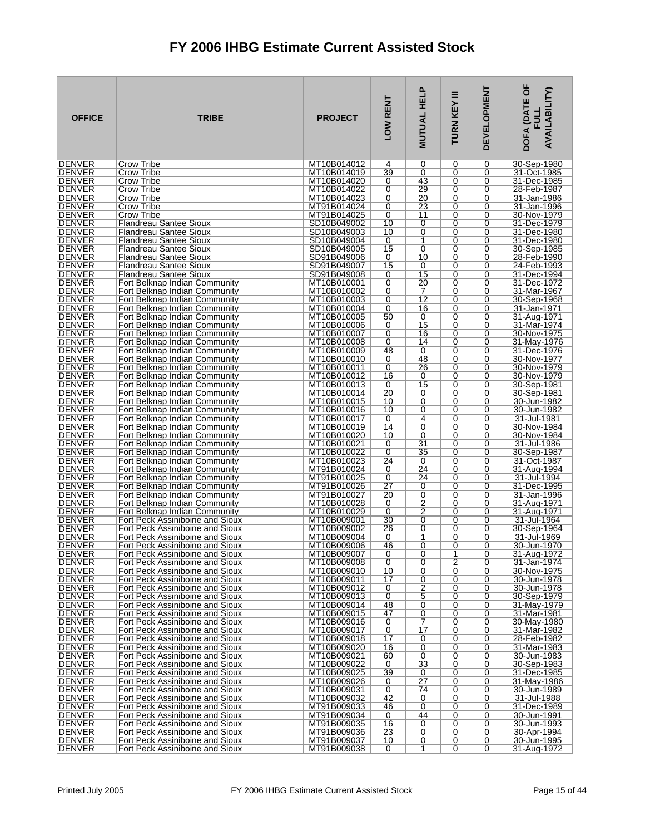| <b>DENVER</b><br>MT10B014012<br>30-Sep-1980<br>Crow Tribe<br>0<br>0<br>0<br>4<br><b>DENVER</b><br>39<br>0<br>Crow Tribe<br>MT10B014019<br>0<br>0<br>31-Oct-1985<br><b>DENVER</b><br>MT10B014020<br>43<br>31-Dec-1985<br>Crow Tribe<br>0<br>0<br>0<br>29<br>DENVER<br>Crow Tribe<br>MT10B014022<br>0<br>0<br>0<br>28-Feb-1987<br><b>DENVER</b><br>20<br>MT10B014023<br>0<br>0<br>0<br>31-Jan-1986<br>Crow Tribe<br>23<br><b>DENVER</b><br>31-Jan-1996<br>Crow Tribe<br>MT91B014024<br>0<br>0<br>0<br>DENVER<br>Crow Tribe<br>MT91B014025<br>0<br>11<br>0<br>0<br>30-Nov-1979<br><b>DENVER</b><br>SD10B049002<br>10<br>0<br>0<br>0<br>31-Dec-1979<br><b>Flandreau Santee Sioux</b><br><b>DENVER</b><br>0<br>SD10B049003<br>10<br>0<br>31-Dec-1980<br>Flandreau Santee Sioux<br>0<br><b>DENVER</b><br>SD10B049004<br>Flandreau Santee Sioux<br>0<br>1<br>0<br>0<br>31-Dec-1980<br><b>DENVER</b><br>0<br>SD10B049005<br>15<br>0<br>0<br>30-Sep-1985<br>Flandreau Santee Sioux<br><b>DENVER</b><br>SD91B049006<br>Flandreau Santee Sioux<br>0<br>10<br>0<br>0<br>28-Feb-1990<br><b>DENVER</b><br>15<br>Flandreau Santee Sioux<br>SD91B049007<br>0<br>0<br>0<br>24-Feb-1993<br><b>DENVER</b><br>15<br>SD91B049008<br>0<br>0<br>31-Dec-1994<br>Flandreau Santee Sioux<br>0<br><b>DENVER</b><br>20<br>Fort Belknap Indian Community<br>MT10B010001<br>0<br>0<br>0<br>31-Dec-1972<br><b>DENVER</b><br>Fort Belknap Indian Community<br>MT10B010002<br>0<br>7<br>0<br>0<br>31-Mar-1967<br>$\overline{12}$<br><b>DENVER</b><br>MT10B010003<br>0<br>0<br>0<br>30-Sep-1968<br>Fort Belknap Indian Community<br><b>DENVER</b><br>MT10B010004<br>0<br>16<br>0<br>0<br>31-Jan-1971<br>Fort Belknap Indian Community<br><b>DENVER</b><br>MT10B010005<br>50<br>0<br>0<br>31-Aug-1971<br>Fort Belknap Indian Community<br>0<br><b>DENVER</b><br>15<br>MT10B010006<br>0<br>0<br>31-Mar-1974<br>Fort Belknap Indian Community<br>0<br><b>DENVER</b><br>MT10B010007<br>Fort Belknap Indian Community<br>0<br>16<br>0<br>0<br>30-Nov-1975<br><b>DENVER</b><br>MT10B010008<br>14<br>0<br>0<br>Fort Belknap Indian Community<br>0<br>31-May-1976<br>48<br>DENVER<br>0<br>0<br>0<br>Fort Belknap Indian Community<br>MT10B010009<br>31-Dec-1976<br><b>DENVER</b><br>MT10B010010<br>48<br>Fort Belknap Indian Community<br>0<br>0<br>0<br>30-Nov-1977<br><b>DENVER</b><br>MT10B010011<br>0<br>26<br>0<br>0<br>30-Nov-1979<br>Fort Belknap Indian Community<br><b>DENVER</b><br>Fort Belknap Indian Community<br>MT10B010012<br>16<br>0<br>0<br>0<br>30-Nov-1979<br><b>DENVER</b><br>15<br>Fort Belknap Indian Community<br>MT10B010013<br>0<br>0<br>30-Sep-1981<br>0<br><b>DENVER</b><br>MT10B010014<br>20<br>0<br>0<br>Fort Belknap Indian Community<br>0<br>30-Sep-1981<br>DENVER<br>Fort Belknap Indian Community<br>MT10B010015<br>10<br>0<br>0<br>0<br>30-Jun-1982<br><b>DENVER</b><br>MT10B010016<br>10<br>0<br>0<br>0<br>30-Jun-1982<br>Fort Belknap Indian Community<br><b>DENVER</b><br>MT10B010017<br>4<br>0<br>31-Jul-1981<br>Fort Belknap Indian Community<br>0<br>0<br>0<br>DENVER<br>MT10B010019<br>14<br>0<br>0<br>30-Nov-1984<br>Fort Belknap Indian Community<br><b>DENVER</b><br>Fort Belknap Indian Community<br>MT10B010020<br>10<br>0<br>0<br>0<br>30-Nov-1984<br>$\overline{31}$<br><b>DENVER</b><br>MT10B010021<br>0<br>0<br>31-Jul-1986<br>Fort Belknap Indian Community<br>0<br><b>DENVER</b><br>MT10B010022<br>35<br>Fort Belknap Indian Community<br>0<br>0<br>0<br>30-Sep-1987<br>DENVER<br>Fort Belknap Indian Community<br>MT10B010023<br>24<br>0<br>0<br>31-Oct-1987<br>0<br>24<br><b>DENVER</b><br>MT91B010024<br>Fort Belknap Indian Community<br>0<br>0<br>0<br>31-Aug-1994<br>24<br><b>DENVER</b><br>Fort Belknap Indian Community<br>MT91B010025<br>0<br>0<br>0<br>31-Jul-1994<br><b>DENVER</b><br>27<br>0<br>0<br>Fort Belknap Indian Community<br>MT91B010026<br>0<br>31-Dec-1995<br><b>DENVER</b><br>MT91B010027<br>0<br>Fort Belknap Indian Community<br>20<br>0<br>0<br>31-Jan-1996<br>2<br><b>DENVER</b><br>Fort Belknap Indian Community<br>MT10B010028<br>0<br>0<br>31-Aug-1971<br>0<br><b>DENVER</b><br>2<br>Fort Belknap Indian Community<br>MT10B010029<br>0<br>0<br>0<br>31-Aug-1971<br>0<br><b>DENVER</b><br>MT10B009001<br>30<br>0<br>0<br>31-Jul-1964<br>Fort Peck Assiniboine and Sioux<br><b>DENVER</b><br>MT10B009002<br>30-Sep-1964<br>Fort Peck Assiniboine and Sioux<br>26<br>0<br>0<br>0<br>DENVER<br>MT10B009004<br>0<br>0<br>Fort Peck Assiniboine and Sioux<br>0<br>1<br>31-Jul-1969<br><b>DENVER</b><br>46<br>0<br>MT10B009006<br>0<br>0<br>30-Jun-1970<br>Fort Peck Assiniboine and Sioux<br><b>DENVER</b><br>MT10B009007<br>0<br>0<br>1<br>0<br>31-Aug-1972<br>Fort Peck Assiniboine and Sioux<br><b>DENVER</b><br>2<br>Fort Peck Assiniboine and Sioux<br>MT10B009008<br>0<br>0<br>0<br>31-Jan-1974<br><b>DENVER</b><br>MT10B009010<br>10<br>0<br>0<br>30-Nov-1975<br>Fort Peck Assiniboine and Sioux<br>0<br>17<br>0<br>30-Jun-1978<br><b>DENVER</b><br>Fort Peck Assiniboine and Sioux<br>MT10B009011<br>0<br>0<br>$\frac{2}{5}$<br><b>DENVER</b><br>Fort Peck Assiniboine and Sioux<br>MT10B009012<br>0<br>0<br>0<br>30-Jun-1978<br><b>DENVER</b><br>0<br>Fort Peck Assiniboine and Sioux<br>MT10B009013<br>0<br>0<br>30-Sep-1979<br><b>DENVER</b><br>Fort Peck Assiniboine and Sioux<br>MT10B009014<br>48<br>0<br>31-May-1979<br>0<br>0<br>0<br>DENVER<br>Fort Peck Assiniboine and Sioux<br>MT10B009015<br>47<br>0<br>0<br>31-Mar-1981<br>7<br><b>DENVER</b><br>Fort Peck Assiniboine and Sioux<br>MT10B009016<br>0<br>0<br>0<br>30-May-1980<br><b>DENVER</b><br>MT10B009017<br>17<br>31-Mar-1982<br>Fort Peck Assiniboine and Sioux<br>0<br>0<br>0<br>17<br>DENVER<br>Fort Peck Assiniboine and Sioux<br>MT10B009018<br>0<br>0<br>0<br>28-Feb-1982<br><b>DENVER</b><br>MT10B009020<br>16<br>0<br>0<br>0<br>31-Mar-1983<br>Fort Peck Assiniboine and Sioux<br><b>DENVER</b><br>0<br>MT10B009021<br>60<br>0<br>0<br>30-Jun-1983<br>Fort Peck Assiniboine and Sioux<br>33<br><b>DENVER</b><br>MT10B009022<br>0<br>Fort Peck Assiniboine and Sioux<br>0<br>0<br>30-Sep-1983<br><b>DENVER</b><br>39<br>Fort Peck Assiniboine and Sioux<br>MT10B009025<br>0<br>0<br>0<br>31-Dec-1985<br>$\overline{27}$<br><b>DENVER</b><br>MT10B009026<br>Fort Peck Assiniboine and Sioux<br>0<br>0<br>31-May-1986<br>0<br><b>DENVER</b><br>30-Jun-1989<br>Fort Peck Assiniboine and Sioux<br>MT10B009031<br>0<br>74<br>0<br>0<br><b>DENVER</b><br>42<br>Fort Peck Assiniboine and Sioux<br>MT10B009032<br>0<br>0<br>0<br>31-Jul-1988<br><b>DENVER</b><br>0<br>Fort Peck Assiniboine and Sioux<br>MT91B009033<br>46<br>0<br>0<br>31-Dec-1989<br><b>DENVER</b><br>44<br>Fort Peck Assiniboine and Sioux<br>MT91B009034<br>0<br>0<br>0<br>30-Jun-1991<br><b>DENVER</b><br>16<br>0<br>0<br>Fort Peck Assiniboine and Sioux<br>MT91B009035<br>0<br>30-Jun-1993<br><b>DENVER</b><br>Fort Peck Assiniboine and Sioux<br>MT91B009036<br>23<br>0<br>0<br>0<br>30-Apr-1994<br><b>DENVER</b><br>Fort Peck Assiniboine and Sioux<br>MT91B009037<br>10<br>0<br>0<br>0<br>30-Jun-1995 | <b>OFFICE</b> | <b>TRIBE</b>                    | <b>PROJECT</b> | LOW RENT | <b>MUTUAL HELP</b> | Ξ<br>TURN KEY | <b>DEVELOPMENT</b> | DOFA (DATE OF<br><b>AVAILABILITY)</b><br><b>FULL</b> |
|-------------------------------------------------------------------------------------------------------------------------------------------------------------------------------------------------------------------------------------------------------------------------------------------------------------------------------------------------------------------------------------------------------------------------------------------------------------------------------------------------------------------------------------------------------------------------------------------------------------------------------------------------------------------------------------------------------------------------------------------------------------------------------------------------------------------------------------------------------------------------------------------------------------------------------------------------------------------------------------------------------------------------------------------------------------------------------------------------------------------------------------------------------------------------------------------------------------------------------------------------------------------------------------------------------------------------------------------------------------------------------------------------------------------------------------------------------------------------------------------------------------------------------------------------------------------------------------------------------------------------------------------------------------------------------------------------------------------------------------------------------------------------------------------------------------------------------------------------------------------------------------------------------------------------------------------------------------------------------------------------------------------------------------------------------------------------------------------------------------------------------------------------------------------------------------------------------------------------------------------------------------------------------------------------------------------------------------------------------------------------------------------------------------------------------------------------------------------------------------------------------------------------------------------------------------------------------------------------------------------------------------------------------------------------------------------------------------------------------------------------------------------------------------------------------------------------------------------------------------------------------------------------------------------------------------------------------------------------------------------------------------------------------------------------------------------------------------------------------------------------------------------------------------------------------------------------------------------------------------------------------------------------------------------------------------------------------------------------------------------------------------------------------------------------------------------------------------------------------------------------------------------------------------------------------------------------------------------------------------------------------------------------------------------------------------------------------------------------------------------------------------------------------------------------------------------------------------------------------------------------------------------------------------------------------------------------------------------------------------------------------------------------------------------------------------------------------------------------------------------------------------------------------------------------------------------------------------------------------------------------------------------------------------------------------------------------------------------------------------------------------------------------------------------------------------------------------------------------------------------------------------------------------------------------------------------------------------------------------------------------------------------------------------------------------------------------------------------------------------------------------------------------------------------------------------------------------------------------------------------------------------------------------------------------------------------------------------------------------------------------------------------------------------------------------------------------------------------------------------------------------------------------------------------------------------------------------------------------------------------------------------------------------------------------------------------------------------------------------------------------------------------------------------------------------------------------------------------------------------------------------------------------------------------------------------------------------------------------------------------------------------------------------------------------------------------------------------------------------------------------------------------------------------------------------------------------------------------------------------------------------------------------------------------------------------------------------------------------------------------------------------------------------------------------------------------------------------------------------------------------------------------------------------------------------------------------------------------------------------------------------------------------------------------------------------------------------------------------------------------------------------------------------------------------------------------------------------------------------------------------------------------------------------------------------------------------------------------------------------------------------------------------------------------------------------------------------------------------------------------------------------------------------------------------------------------------------------------------------------------------------------------------------------------------------------------------------------------------------------------------------------------------------------------------------------------------------------------------|---------------|---------------------------------|----------------|----------|--------------------|---------------|--------------------|------------------------------------------------------|
|                                                                                                                                                                                                                                                                                                                                                                                                                                                                                                                                                                                                                                                                                                                                                                                                                                                                                                                                                                                                                                                                                                                                                                                                                                                                                                                                                                                                                                                                                                                                                                                                                                                                                                                                                                                                                                                                                                                                                                                                                                                                                                                                                                                                                                                                                                                                                                                                                                                                                                                                                                                                                                                                                                                                                                                                                                                                                                                                                                                                                                                                                                                                                                                                                                                                                                                                                                                                                                                                                                                                                                                                                                                                                                                                                                                                                                                                                                                                                                                                                                                                                                                                                                                                                                                                                                                                                                                                                                                                                                                                                                                                                                                                                                                                                                                                                                                                                                                                                                                                                                                                                                                                                                                                                                                                                                                                                                                                                                                                                                                                                                                                                                                                                                                                                                                                                                                                                                                                                                                                                                                                                                                                                                                                                                                                                                                                                                                                                                                                                                                                                                                                                                                                                                                                                                                                                                                                                                                                                                                                                                                                                                 |               |                                 |                |          |                    |               |                    |                                                      |
|                                                                                                                                                                                                                                                                                                                                                                                                                                                                                                                                                                                                                                                                                                                                                                                                                                                                                                                                                                                                                                                                                                                                                                                                                                                                                                                                                                                                                                                                                                                                                                                                                                                                                                                                                                                                                                                                                                                                                                                                                                                                                                                                                                                                                                                                                                                                                                                                                                                                                                                                                                                                                                                                                                                                                                                                                                                                                                                                                                                                                                                                                                                                                                                                                                                                                                                                                                                                                                                                                                                                                                                                                                                                                                                                                                                                                                                                                                                                                                                                                                                                                                                                                                                                                                                                                                                                                                                                                                                                                                                                                                                                                                                                                                                                                                                                                                                                                                                                                                                                                                                                                                                                                                                                                                                                                                                                                                                                                                                                                                                                                                                                                                                                                                                                                                                                                                                                                                                                                                                                                                                                                                                                                                                                                                                                                                                                                                                                                                                                                                                                                                                                                                                                                                                                                                                                                                                                                                                                                                                                                                                                                                 |               |                                 |                |          |                    |               |                    |                                                      |
|                                                                                                                                                                                                                                                                                                                                                                                                                                                                                                                                                                                                                                                                                                                                                                                                                                                                                                                                                                                                                                                                                                                                                                                                                                                                                                                                                                                                                                                                                                                                                                                                                                                                                                                                                                                                                                                                                                                                                                                                                                                                                                                                                                                                                                                                                                                                                                                                                                                                                                                                                                                                                                                                                                                                                                                                                                                                                                                                                                                                                                                                                                                                                                                                                                                                                                                                                                                                                                                                                                                                                                                                                                                                                                                                                                                                                                                                                                                                                                                                                                                                                                                                                                                                                                                                                                                                                                                                                                                                                                                                                                                                                                                                                                                                                                                                                                                                                                                                                                                                                                                                                                                                                                                                                                                                                                                                                                                                                                                                                                                                                                                                                                                                                                                                                                                                                                                                                                                                                                                                                                                                                                                                                                                                                                                                                                                                                                                                                                                                                                                                                                                                                                                                                                                                                                                                                                                                                                                                                                                                                                                                                                 |               |                                 |                |          |                    |               |                    |                                                      |
|                                                                                                                                                                                                                                                                                                                                                                                                                                                                                                                                                                                                                                                                                                                                                                                                                                                                                                                                                                                                                                                                                                                                                                                                                                                                                                                                                                                                                                                                                                                                                                                                                                                                                                                                                                                                                                                                                                                                                                                                                                                                                                                                                                                                                                                                                                                                                                                                                                                                                                                                                                                                                                                                                                                                                                                                                                                                                                                                                                                                                                                                                                                                                                                                                                                                                                                                                                                                                                                                                                                                                                                                                                                                                                                                                                                                                                                                                                                                                                                                                                                                                                                                                                                                                                                                                                                                                                                                                                                                                                                                                                                                                                                                                                                                                                                                                                                                                                                                                                                                                                                                                                                                                                                                                                                                                                                                                                                                                                                                                                                                                                                                                                                                                                                                                                                                                                                                                                                                                                                                                                                                                                                                                                                                                                                                                                                                                                                                                                                                                                                                                                                                                                                                                                                                                                                                                                                                                                                                                                                                                                                                                                 |               |                                 |                |          |                    |               |                    |                                                      |
|                                                                                                                                                                                                                                                                                                                                                                                                                                                                                                                                                                                                                                                                                                                                                                                                                                                                                                                                                                                                                                                                                                                                                                                                                                                                                                                                                                                                                                                                                                                                                                                                                                                                                                                                                                                                                                                                                                                                                                                                                                                                                                                                                                                                                                                                                                                                                                                                                                                                                                                                                                                                                                                                                                                                                                                                                                                                                                                                                                                                                                                                                                                                                                                                                                                                                                                                                                                                                                                                                                                                                                                                                                                                                                                                                                                                                                                                                                                                                                                                                                                                                                                                                                                                                                                                                                                                                                                                                                                                                                                                                                                                                                                                                                                                                                                                                                                                                                                                                                                                                                                                                                                                                                                                                                                                                                                                                                                                                                                                                                                                                                                                                                                                                                                                                                                                                                                                                                                                                                                                                                                                                                                                                                                                                                                                                                                                                                                                                                                                                                                                                                                                                                                                                                                                                                                                                                                                                                                                                                                                                                                                                                 |               |                                 |                |          |                    |               |                    |                                                      |
|                                                                                                                                                                                                                                                                                                                                                                                                                                                                                                                                                                                                                                                                                                                                                                                                                                                                                                                                                                                                                                                                                                                                                                                                                                                                                                                                                                                                                                                                                                                                                                                                                                                                                                                                                                                                                                                                                                                                                                                                                                                                                                                                                                                                                                                                                                                                                                                                                                                                                                                                                                                                                                                                                                                                                                                                                                                                                                                                                                                                                                                                                                                                                                                                                                                                                                                                                                                                                                                                                                                                                                                                                                                                                                                                                                                                                                                                                                                                                                                                                                                                                                                                                                                                                                                                                                                                                                                                                                                                                                                                                                                                                                                                                                                                                                                                                                                                                                                                                                                                                                                                                                                                                                                                                                                                                                                                                                                                                                                                                                                                                                                                                                                                                                                                                                                                                                                                                                                                                                                                                                                                                                                                                                                                                                                                                                                                                                                                                                                                                                                                                                                                                                                                                                                                                                                                                                                                                                                                                                                                                                                                                                 |               |                                 |                |          |                    |               |                    |                                                      |
|                                                                                                                                                                                                                                                                                                                                                                                                                                                                                                                                                                                                                                                                                                                                                                                                                                                                                                                                                                                                                                                                                                                                                                                                                                                                                                                                                                                                                                                                                                                                                                                                                                                                                                                                                                                                                                                                                                                                                                                                                                                                                                                                                                                                                                                                                                                                                                                                                                                                                                                                                                                                                                                                                                                                                                                                                                                                                                                                                                                                                                                                                                                                                                                                                                                                                                                                                                                                                                                                                                                                                                                                                                                                                                                                                                                                                                                                                                                                                                                                                                                                                                                                                                                                                                                                                                                                                                                                                                                                                                                                                                                                                                                                                                                                                                                                                                                                                                                                                                                                                                                                                                                                                                                                                                                                                                                                                                                                                                                                                                                                                                                                                                                                                                                                                                                                                                                                                                                                                                                                                                                                                                                                                                                                                                                                                                                                                                                                                                                                                                                                                                                                                                                                                                                                                                                                                                                                                                                                                                                                                                                                                                 |               |                                 |                |          |                    |               |                    |                                                      |
|                                                                                                                                                                                                                                                                                                                                                                                                                                                                                                                                                                                                                                                                                                                                                                                                                                                                                                                                                                                                                                                                                                                                                                                                                                                                                                                                                                                                                                                                                                                                                                                                                                                                                                                                                                                                                                                                                                                                                                                                                                                                                                                                                                                                                                                                                                                                                                                                                                                                                                                                                                                                                                                                                                                                                                                                                                                                                                                                                                                                                                                                                                                                                                                                                                                                                                                                                                                                                                                                                                                                                                                                                                                                                                                                                                                                                                                                                                                                                                                                                                                                                                                                                                                                                                                                                                                                                                                                                                                                                                                                                                                                                                                                                                                                                                                                                                                                                                                                                                                                                                                                                                                                                                                                                                                                                                                                                                                                                                                                                                                                                                                                                                                                                                                                                                                                                                                                                                                                                                                                                                                                                                                                                                                                                                                                                                                                                                                                                                                                                                                                                                                                                                                                                                                                                                                                                                                                                                                                                                                                                                                                                                 |               |                                 |                |          |                    |               |                    |                                                      |
|                                                                                                                                                                                                                                                                                                                                                                                                                                                                                                                                                                                                                                                                                                                                                                                                                                                                                                                                                                                                                                                                                                                                                                                                                                                                                                                                                                                                                                                                                                                                                                                                                                                                                                                                                                                                                                                                                                                                                                                                                                                                                                                                                                                                                                                                                                                                                                                                                                                                                                                                                                                                                                                                                                                                                                                                                                                                                                                                                                                                                                                                                                                                                                                                                                                                                                                                                                                                                                                                                                                                                                                                                                                                                                                                                                                                                                                                                                                                                                                                                                                                                                                                                                                                                                                                                                                                                                                                                                                                                                                                                                                                                                                                                                                                                                                                                                                                                                                                                                                                                                                                                                                                                                                                                                                                                                                                                                                                                                                                                                                                                                                                                                                                                                                                                                                                                                                                                                                                                                                                                                                                                                                                                                                                                                                                                                                                                                                                                                                                                                                                                                                                                                                                                                                                                                                                                                                                                                                                                                                                                                                                                                 |               |                                 |                |          |                    |               |                    |                                                      |
|                                                                                                                                                                                                                                                                                                                                                                                                                                                                                                                                                                                                                                                                                                                                                                                                                                                                                                                                                                                                                                                                                                                                                                                                                                                                                                                                                                                                                                                                                                                                                                                                                                                                                                                                                                                                                                                                                                                                                                                                                                                                                                                                                                                                                                                                                                                                                                                                                                                                                                                                                                                                                                                                                                                                                                                                                                                                                                                                                                                                                                                                                                                                                                                                                                                                                                                                                                                                                                                                                                                                                                                                                                                                                                                                                                                                                                                                                                                                                                                                                                                                                                                                                                                                                                                                                                                                                                                                                                                                                                                                                                                                                                                                                                                                                                                                                                                                                                                                                                                                                                                                                                                                                                                                                                                                                                                                                                                                                                                                                                                                                                                                                                                                                                                                                                                                                                                                                                                                                                                                                                                                                                                                                                                                                                                                                                                                                                                                                                                                                                                                                                                                                                                                                                                                                                                                                                                                                                                                                                                                                                                                                                 |               |                                 |                |          |                    |               |                    |                                                      |
|                                                                                                                                                                                                                                                                                                                                                                                                                                                                                                                                                                                                                                                                                                                                                                                                                                                                                                                                                                                                                                                                                                                                                                                                                                                                                                                                                                                                                                                                                                                                                                                                                                                                                                                                                                                                                                                                                                                                                                                                                                                                                                                                                                                                                                                                                                                                                                                                                                                                                                                                                                                                                                                                                                                                                                                                                                                                                                                                                                                                                                                                                                                                                                                                                                                                                                                                                                                                                                                                                                                                                                                                                                                                                                                                                                                                                                                                                                                                                                                                                                                                                                                                                                                                                                                                                                                                                                                                                                                                                                                                                                                                                                                                                                                                                                                                                                                                                                                                                                                                                                                                                                                                                                                                                                                                                                                                                                                                                                                                                                                                                                                                                                                                                                                                                                                                                                                                                                                                                                                                                                                                                                                                                                                                                                                                                                                                                                                                                                                                                                                                                                                                                                                                                                                                                                                                                                                                                                                                                                                                                                                                                                 |               |                                 |                |          |                    |               |                    |                                                      |
|                                                                                                                                                                                                                                                                                                                                                                                                                                                                                                                                                                                                                                                                                                                                                                                                                                                                                                                                                                                                                                                                                                                                                                                                                                                                                                                                                                                                                                                                                                                                                                                                                                                                                                                                                                                                                                                                                                                                                                                                                                                                                                                                                                                                                                                                                                                                                                                                                                                                                                                                                                                                                                                                                                                                                                                                                                                                                                                                                                                                                                                                                                                                                                                                                                                                                                                                                                                                                                                                                                                                                                                                                                                                                                                                                                                                                                                                                                                                                                                                                                                                                                                                                                                                                                                                                                                                                                                                                                                                                                                                                                                                                                                                                                                                                                                                                                                                                                                                                                                                                                                                                                                                                                                                                                                                                                                                                                                                                                                                                                                                                                                                                                                                                                                                                                                                                                                                                                                                                                                                                                                                                                                                                                                                                                                                                                                                                                                                                                                                                                                                                                                                                                                                                                                                                                                                                                                                                                                                                                                                                                                                                                 |               |                                 |                |          |                    |               |                    |                                                      |
|                                                                                                                                                                                                                                                                                                                                                                                                                                                                                                                                                                                                                                                                                                                                                                                                                                                                                                                                                                                                                                                                                                                                                                                                                                                                                                                                                                                                                                                                                                                                                                                                                                                                                                                                                                                                                                                                                                                                                                                                                                                                                                                                                                                                                                                                                                                                                                                                                                                                                                                                                                                                                                                                                                                                                                                                                                                                                                                                                                                                                                                                                                                                                                                                                                                                                                                                                                                                                                                                                                                                                                                                                                                                                                                                                                                                                                                                                                                                                                                                                                                                                                                                                                                                                                                                                                                                                                                                                                                                                                                                                                                                                                                                                                                                                                                                                                                                                                                                                                                                                                                                                                                                                                                                                                                                                                                                                                                                                                                                                                                                                                                                                                                                                                                                                                                                                                                                                                                                                                                                                                                                                                                                                                                                                                                                                                                                                                                                                                                                                                                                                                                                                                                                                                                                                                                                                                                                                                                                                                                                                                                                                                 |               |                                 |                |          |                    |               |                    |                                                      |
|                                                                                                                                                                                                                                                                                                                                                                                                                                                                                                                                                                                                                                                                                                                                                                                                                                                                                                                                                                                                                                                                                                                                                                                                                                                                                                                                                                                                                                                                                                                                                                                                                                                                                                                                                                                                                                                                                                                                                                                                                                                                                                                                                                                                                                                                                                                                                                                                                                                                                                                                                                                                                                                                                                                                                                                                                                                                                                                                                                                                                                                                                                                                                                                                                                                                                                                                                                                                                                                                                                                                                                                                                                                                                                                                                                                                                                                                                                                                                                                                                                                                                                                                                                                                                                                                                                                                                                                                                                                                                                                                                                                                                                                                                                                                                                                                                                                                                                                                                                                                                                                                                                                                                                                                                                                                                                                                                                                                                                                                                                                                                                                                                                                                                                                                                                                                                                                                                                                                                                                                                                                                                                                                                                                                                                                                                                                                                                                                                                                                                                                                                                                                                                                                                                                                                                                                                                                                                                                                                                                                                                                                                                 |               |                                 |                |          |                    |               |                    |                                                      |
|                                                                                                                                                                                                                                                                                                                                                                                                                                                                                                                                                                                                                                                                                                                                                                                                                                                                                                                                                                                                                                                                                                                                                                                                                                                                                                                                                                                                                                                                                                                                                                                                                                                                                                                                                                                                                                                                                                                                                                                                                                                                                                                                                                                                                                                                                                                                                                                                                                                                                                                                                                                                                                                                                                                                                                                                                                                                                                                                                                                                                                                                                                                                                                                                                                                                                                                                                                                                                                                                                                                                                                                                                                                                                                                                                                                                                                                                                                                                                                                                                                                                                                                                                                                                                                                                                                                                                                                                                                                                                                                                                                                                                                                                                                                                                                                                                                                                                                                                                                                                                                                                                                                                                                                                                                                                                                                                                                                                                                                                                                                                                                                                                                                                                                                                                                                                                                                                                                                                                                                                                                                                                                                                                                                                                                                                                                                                                                                                                                                                                                                                                                                                                                                                                                                                                                                                                                                                                                                                                                                                                                                                                                 |               |                                 |                |          |                    |               |                    |                                                      |
|                                                                                                                                                                                                                                                                                                                                                                                                                                                                                                                                                                                                                                                                                                                                                                                                                                                                                                                                                                                                                                                                                                                                                                                                                                                                                                                                                                                                                                                                                                                                                                                                                                                                                                                                                                                                                                                                                                                                                                                                                                                                                                                                                                                                                                                                                                                                                                                                                                                                                                                                                                                                                                                                                                                                                                                                                                                                                                                                                                                                                                                                                                                                                                                                                                                                                                                                                                                                                                                                                                                                                                                                                                                                                                                                                                                                                                                                                                                                                                                                                                                                                                                                                                                                                                                                                                                                                                                                                                                                                                                                                                                                                                                                                                                                                                                                                                                                                                                                                                                                                                                                                                                                                                                                                                                                                                                                                                                                                                                                                                                                                                                                                                                                                                                                                                                                                                                                                                                                                                                                                                                                                                                                                                                                                                                                                                                                                                                                                                                                                                                                                                                                                                                                                                                                                                                                                                                                                                                                                                                                                                                                                                 |               |                                 |                |          |                    |               |                    |                                                      |
|                                                                                                                                                                                                                                                                                                                                                                                                                                                                                                                                                                                                                                                                                                                                                                                                                                                                                                                                                                                                                                                                                                                                                                                                                                                                                                                                                                                                                                                                                                                                                                                                                                                                                                                                                                                                                                                                                                                                                                                                                                                                                                                                                                                                                                                                                                                                                                                                                                                                                                                                                                                                                                                                                                                                                                                                                                                                                                                                                                                                                                                                                                                                                                                                                                                                                                                                                                                                                                                                                                                                                                                                                                                                                                                                                                                                                                                                                                                                                                                                                                                                                                                                                                                                                                                                                                                                                                                                                                                                                                                                                                                                                                                                                                                                                                                                                                                                                                                                                                                                                                                                                                                                                                                                                                                                                                                                                                                                                                                                                                                                                                                                                                                                                                                                                                                                                                                                                                                                                                                                                                                                                                                                                                                                                                                                                                                                                                                                                                                                                                                                                                                                                                                                                                                                                                                                                                                                                                                                                                                                                                                                                                 |               |                                 |                |          |                    |               |                    |                                                      |
|                                                                                                                                                                                                                                                                                                                                                                                                                                                                                                                                                                                                                                                                                                                                                                                                                                                                                                                                                                                                                                                                                                                                                                                                                                                                                                                                                                                                                                                                                                                                                                                                                                                                                                                                                                                                                                                                                                                                                                                                                                                                                                                                                                                                                                                                                                                                                                                                                                                                                                                                                                                                                                                                                                                                                                                                                                                                                                                                                                                                                                                                                                                                                                                                                                                                                                                                                                                                                                                                                                                                                                                                                                                                                                                                                                                                                                                                                                                                                                                                                                                                                                                                                                                                                                                                                                                                                                                                                                                                                                                                                                                                                                                                                                                                                                                                                                                                                                                                                                                                                                                                                                                                                                                                                                                                                                                                                                                                                                                                                                                                                                                                                                                                                                                                                                                                                                                                                                                                                                                                                                                                                                                                                                                                                                                                                                                                                                                                                                                                                                                                                                                                                                                                                                                                                                                                                                                                                                                                                                                                                                                                                                 |               |                                 |                |          |                    |               |                    |                                                      |
|                                                                                                                                                                                                                                                                                                                                                                                                                                                                                                                                                                                                                                                                                                                                                                                                                                                                                                                                                                                                                                                                                                                                                                                                                                                                                                                                                                                                                                                                                                                                                                                                                                                                                                                                                                                                                                                                                                                                                                                                                                                                                                                                                                                                                                                                                                                                                                                                                                                                                                                                                                                                                                                                                                                                                                                                                                                                                                                                                                                                                                                                                                                                                                                                                                                                                                                                                                                                                                                                                                                                                                                                                                                                                                                                                                                                                                                                                                                                                                                                                                                                                                                                                                                                                                                                                                                                                                                                                                                                                                                                                                                                                                                                                                                                                                                                                                                                                                                                                                                                                                                                                                                                                                                                                                                                                                                                                                                                                                                                                                                                                                                                                                                                                                                                                                                                                                                                                                                                                                                                                                                                                                                                                                                                                                                                                                                                                                                                                                                                                                                                                                                                                                                                                                                                                                                                                                                                                                                                                                                                                                                                                                 |               |                                 |                |          |                    |               |                    |                                                      |
|                                                                                                                                                                                                                                                                                                                                                                                                                                                                                                                                                                                                                                                                                                                                                                                                                                                                                                                                                                                                                                                                                                                                                                                                                                                                                                                                                                                                                                                                                                                                                                                                                                                                                                                                                                                                                                                                                                                                                                                                                                                                                                                                                                                                                                                                                                                                                                                                                                                                                                                                                                                                                                                                                                                                                                                                                                                                                                                                                                                                                                                                                                                                                                                                                                                                                                                                                                                                                                                                                                                                                                                                                                                                                                                                                                                                                                                                                                                                                                                                                                                                                                                                                                                                                                                                                                                                                                                                                                                                                                                                                                                                                                                                                                                                                                                                                                                                                                                                                                                                                                                                                                                                                                                                                                                                                                                                                                                                                                                                                                                                                                                                                                                                                                                                                                                                                                                                                                                                                                                                                                                                                                                                                                                                                                                                                                                                                                                                                                                                                                                                                                                                                                                                                                                                                                                                                                                                                                                                                                                                                                                                                                 |               |                                 |                |          |                    |               |                    |                                                      |
|                                                                                                                                                                                                                                                                                                                                                                                                                                                                                                                                                                                                                                                                                                                                                                                                                                                                                                                                                                                                                                                                                                                                                                                                                                                                                                                                                                                                                                                                                                                                                                                                                                                                                                                                                                                                                                                                                                                                                                                                                                                                                                                                                                                                                                                                                                                                                                                                                                                                                                                                                                                                                                                                                                                                                                                                                                                                                                                                                                                                                                                                                                                                                                                                                                                                                                                                                                                                                                                                                                                                                                                                                                                                                                                                                                                                                                                                                                                                                                                                                                                                                                                                                                                                                                                                                                                                                                                                                                                                                                                                                                                                                                                                                                                                                                                                                                                                                                                                                                                                                                                                                                                                                                                                                                                                                                                                                                                                                                                                                                                                                                                                                                                                                                                                                                                                                                                                                                                                                                                                                                                                                                                                                                                                                                                                                                                                                                                                                                                                                                                                                                                                                                                                                                                                                                                                                                                                                                                                                                                                                                                                                                 |               |                                 |                |          |                    |               |                    |                                                      |
|                                                                                                                                                                                                                                                                                                                                                                                                                                                                                                                                                                                                                                                                                                                                                                                                                                                                                                                                                                                                                                                                                                                                                                                                                                                                                                                                                                                                                                                                                                                                                                                                                                                                                                                                                                                                                                                                                                                                                                                                                                                                                                                                                                                                                                                                                                                                                                                                                                                                                                                                                                                                                                                                                                                                                                                                                                                                                                                                                                                                                                                                                                                                                                                                                                                                                                                                                                                                                                                                                                                                                                                                                                                                                                                                                                                                                                                                                                                                                                                                                                                                                                                                                                                                                                                                                                                                                                                                                                                                                                                                                                                                                                                                                                                                                                                                                                                                                                                                                                                                                                                                                                                                                                                                                                                                                                                                                                                                                                                                                                                                                                                                                                                                                                                                                                                                                                                                                                                                                                                                                                                                                                                                                                                                                                                                                                                                                                                                                                                                                                                                                                                                                                                                                                                                                                                                                                                                                                                                                                                                                                                                                                 |               |                                 |                |          |                    |               |                    |                                                      |
|                                                                                                                                                                                                                                                                                                                                                                                                                                                                                                                                                                                                                                                                                                                                                                                                                                                                                                                                                                                                                                                                                                                                                                                                                                                                                                                                                                                                                                                                                                                                                                                                                                                                                                                                                                                                                                                                                                                                                                                                                                                                                                                                                                                                                                                                                                                                                                                                                                                                                                                                                                                                                                                                                                                                                                                                                                                                                                                                                                                                                                                                                                                                                                                                                                                                                                                                                                                                                                                                                                                                                                                                                                                                                                                                                                                                                                                                                                                                                                                                                                                                                                                                                                                                                                                                                                                                                                                                                                                                                                                                                                                                                                                                                                                                                                                                                                                                                                                                                                                                                                                                                                                                                                                                                                                                                                                                                                                                                                                                                                                                                                                                                                                                                                                                                                                                                                                                                                                                                                                                                                                                                                                                                                                                                                                                                                                                                                                                                                                                                                                                                                                                                                                                                                                                                                                                                                                                                                                                                                                                                                                                                                 |               |                                 |                |          |                    |               |                    |                                                      |
|                                                                                                                                                                                                                                                                                                                                                                                                                                                                                                                                                                                                                                                                                                                                                                                                                                                                                                                                                                                                                                                                                                                                                                                                                                                                                                                                                                                                                                                                                                                                                                                                                                                                                                                                                                                                                                                                                                                                                                                                                                                                                                                                                                                                                                                                                                                                                                                                                                                                                                                                                                                                                                                                                                                                                                                                                                                                                                                                                                                                                                                                                                                                                                                                                                                                                                                                                                                                                                                                                                                                                                                                                                                                                                                                                                                                                                                                                                                                                                                                                                                                                                                                                                                                                                                                                                                                                                                                                                                                                                                                                                                                                                                                                                                                                                                                                                                                                                                                                                                                                                                                                                                                                                                                                                                                                                                                                                                                                                                                                                                                                                                                                                                                                                                                                                                                                                                                                                                                                                                                                                                                                                                                                                                                                                                                                                                                                                                                                                                                                                                                                                                                                                                                                                                                                                                                                                                                                                                                                                                                                                                                                                 |               |                                 |                |          |                    |               |                    |                                                      |
|                                                                                                                                                                                                                                                                                                                                                                                                                                                                                                                                                                                                                                                                                                                                                                                                                                                                                                                                                                                                                                                                                                                                                                                                                                                                                                                                                                                                                                                                                                                                                                                                                                                                                                                                                                                                                                                                                                                                                                                                                                                                                                                                                                                                                                                                                                                                                                                                                                                                                                                                                                                                                                                                                                                                                                                                                                                                                                                                                                                                                                                                                                                                                                                                                                                                                                                                                                                                                                                                                                                                                                                                                                                                                                                                                                                                                                                                                                                                                                                                                                                                                                                                                                                                                                                                                                                                                                                                                                                                                                                                                                                                                                                                                                                                                                                                                                                                                                                                                                                                                                                                                                                                                                                                                                                                                                                                                                                                                                                                                                                                                                                                                                                                                                                                                                                                                                                                                                                                                                                                                                                                                                                                                                                                                                                                                                                                                                                                                                                                                                                                                                                                                                                                                                                                                                                                                                                                                                                                                                                                                                                                                                 |               |                                 |                |          |                    |               |                    |                                                      |
|                                                                                                                                                                                                                                                                                                                                                                                                                                                                                                                                                                                                                                                                                                                                                                                                                                                                                                                                                                                                                                                                                                                                                                                                                                                                                                                                                                                                                                                                                                                                                                                                                                                                                                                                                                                                                                                                                                                                                                                                                                                                                                                                                                                                                                                                                                                                                                                                                                                                                                                                                                                                                                                                                                                                                                                                                                                                                                                                                                                                                                                                                                                                                                                                                                                                                                                                                                                                                                                                                                                                                                                                                                                                                                                                                                                                                                                                                                                                                                                                                                                                                                                                                                                                                                                                                                                                                                                                                                                                                                                                                                                                                                                                                                                                                                                                                                                                                                                                                                                                                                                                                                                                                                                                                                                                                                                                                                                                                                                                                                                                                                                                                                                                                                                                                                                                                                                                                                                                                                                                                                                                                                                                                                                                                                                                                                                                                                                                                                                                                                                                                                                                                                                                                                                                                                                                                                                                                                                                                                                                                                                                                                 |               |                                 |                |          |                    |               |                    |                                                      |
|                                                                                                                                                                                                                                                                                                                                                                                                                                                                                                                                                                                                                                                                                                                                                                                                                                                                                                                                                                                                                                                                                                                                                                                                                                                                                                                                                                                                                                                                                                                                                                                                                                                                                                                                                                                                                                                                                                                                                                                                                                                                                                                                                                                                                                                                                                                                                                                                                                                                                                                                                                                                                                                                                                                                                                                                                                                                                                                                                                                                                                                                                                                                                                                                                                                                                                                                                                                                                                                                                                                                                                                                                                                                                                                                                                                                                                                                                                                                                                                                                                                                                                                                                                                                                                                                                                                                                                                                                                                                                                                                                                                                                                                                                                                                                                                                                                                                                                                                                                                                                                                                                                                                                                                                                                                                                                                                                                                                                                                                                                                                                                                                                                                                                                                                                                                                                                                                                                                                                                                                                                                                                                                                                                                                                                                                                                                                                                                                                                                                                                                                                                                                                                                                                                                                                                                                                                                                                                                                                                                                                                                                                                 |               |                                 |                |          |                    |               |                    |                                                      |
|                                                                                                                                                                                                                                                                                                                                                                                                                                                                                                                                                                                                                                                                                                                                                                                                                                                                                                                                                                                                                                                                                                                                                                                                                                                                                                                                                                                                                                                                                                                                                                                                                                                                                                                                                                                                                                                                                                                                                                                                                                                                                                                                                                                                                                                                                                                                                                                                                                                                                                                                                                                                                                                                                                                                                                                                                                                                                                                                                                                                                                                                                                                                                                                                                                                                                                                                                                                                                                                                                                                                                                                                                                                                                                                                                                                                                                                                                                                                                                                                                                                                                                                                                                                                                                                                                                                                                                                                                                                                                                                                                                                                                                                                                                                                                                                                                                                                                                                                                                                                                                                                                                                                                                                                                                                                                                                                                                                                                                                                                                                                                                                                                                                                                                                                                                                                                                                                                                                                                                                                                                                                                                                                                                                                                                                                                                                                                                                                                                                                                                                                                                                                                                                                                                                                                                                                                                                                                                                                                                                                                                                                                                 |               |                                 |                |          |                    |               |                    |                                                      |
|                                                                                                                                                                                                                                                                                                                                                                                                                                                                                                                                                                                                                                                                                                                                                                                                                                                                                                                                                                                                                                                                                                                                                                                                                                                                                                                                                                                                                                                                                                                                                                                                                                                                                                                                                                                                                                                                                                                                                                                                                                                                                                                                                                                                                                                                                                                                                                                                                                                                                                                                                                                                                                                                                                                                                                                                                                                                                                                                                                                                                                                                                                                                                                                                                                                                                                                                                                                                                                                                                                                                                                                                                                                                                                                                                                                                                                                                                                                                                                                                                                                                                                                                                                                                                                                                                                                                                                                                                                                                                                                                                                                                                                                                                                                                                                                                                                                                                                                                                                                                                                                                                                                                                                                                                                                                                                                                                                                                                                                                                                                                                                                                                                                                                                                                                                                                                                                                                                                                                                                                                                                                                                                                                                                                                                                                                                                                                                                                                                                                                                                                                                                                                                                                                                                                                                                                                                                                                                                                                                                                                                                                                                 |               |                                 |                |          |                    |               |                    |                                                      |
|                                                                                                                                                                                                                                                                                                                                                                                                                                                                                                                                                                                                                                                                                                                                                                                                                                                                                                                                                                                                                                                                                                                                                                                                                                                                                                                                                                                                                                                                                                                                                                                                                                                                                                                                                                                                                                                                                                                                                                                                                                                                                                                                                                                                                                                                                                                                                                                                                                                                                                                                                                                                                                                                                                                                                                                                                                                                                                                                                                                                                                                                                                                                                                                                                                                                                                                                                                                                                                                                                                                                                                                                                                                                                                                                                                                                                                                                                                                                                                                                                                                                                                                                                                                                                                                                                                                                                                                                                                                                                                                                                                                                                                                                                                                                                                                                                                                                                                                                                                                                                                                                                                                                                                                                                                                                                                                                                                                                                                                                                                                                                                                                                                                                                                                                                                                                                                                                                                                                                                                                                                                                                                                                                                                                                                                                                                                                                                                                                                                                                                                                                                                                                                                                                                                                                                                                                                                                                                                                                                                                                                                                                                 |               |                                 |                |          |                    |               |                    |                                                      |
|                                                                                                                                                                                                                                                                                                                                                                                                                                                                                                                                                                                                                                                                                                                                                                                                                                                                                                                                                                                                                                                                                                                                                                                                                                                                                                                                                                                                                                                                                                                                                                                                                                                                                                                                                                                                                                                                                                                                                                                                                                                                                                                                                                                                                                                                                                                                                                                                                                                                                                                                                                                                                                                                                                                                                                                                                                                                                                                                                                                                                                                                                                                                                                                                                                                                                                                                                                                                                                                                                                                                                                                                                                                                                                                                                                                                                                                                                                                                                                                                                                                                                                                                                                                                                                                                                                                                                                                                                                                                                                                                                                                                                                                                                                                                                                                                                                                                                                                                                                                                                                                                                                                                                                                                                                                                                                                                                                                                                                                                                                                                                                                                                                                                                                                                                                                                                                                                                                                                                                                                                                                                                                                                                                                                                                                                                                                                                                                                                                                                                                                                                                                                                                                                                                                                                                                                                                                                                                                                                                                                                                                                                                 |               |                                 |                |          |                    |               |                    |                                                      |
|                                                                                                                                                                                                                                                                                                                                                                                                                                                                                                                                                                                                                                                                                                                                                                                                                                                                                                                                                                                                                                                                                                                                                                                                                                                                                                                                                                                                                                                                                                                                                                                                                                                                                                                                                                                                                                                                                                                                                                                                                                                                                                                                                                                                                                                                                                                                                                                                                                                                                                                                                                                                                                                                                                                                                                                                                                                                                                                                                                                                                                                                                                                                                                                                                                                                                                                                                                                                                                                                                                                                                                                                                                                                                                                                                                                                                                                                                                                                                                                                                                                                                                                                                                                                                                                                                                                                                                                                                                                                                                                                                                                                                                                                                                                                                                                                                                                                                                                                                                                                                                                                                                                                                                                                                                                                                                                                                                                                                                                                                                                                                                                                                                                                                                                                                                                                                                                                                                                                                                                                                                                                                                                                                                                                                                                                                                                                                                                                                                                                                                                                                                                                                                                                                                                                                                                                                                                                                                                                                                                                                                                                                                 |               |                                 |                |          |                    |               |                    |                                                      |
|                                                                                                                                                                                                                                                                                                                                                                                                                                                                                                                                                                                                                                                                                                                                                                                                                                                                                                                                                                                                                                                                                                                                                                                                                                                                                                                                                                                                                                                                                                                                                                                                                                                                                                                                                                                                                                                                                                                                                                                                                                                                                                                                                                                                                                                                                                                                                                                                                                                                                                                                                                                                                                                                                                                                                                                                                                                                                                                                                                                                                                                                                                                                                                                                                                                                                                                                                                                                                                                                                                                                                                                                                                                                                                                                                                                                                                                                                                                                                                                                                                                                                                                                                                                                                                                                                                                                                                                                                                                                                                                                                                                                                                                                                                                                                                                                                                                                                                                                                                                                                                                                                                                                                                                                                                                                                                                                                                                                                                                                                                                                                                                                                                                                                                                                                                                                                                                                                                                                                                                                                                                                                                                                                                                                                                                                                                                                                                                                                                                                                                                                                                                                                                                                                                                                                                                                                                                                                                                                                                                                                                                                                                 |               |                                 |                |          |                    |               |                    |                                                      |
|                                                                                                                                                                                                                                                                                                                                                                                                                                                                                                                                                                                                                                                                                                                                                                                                                                                                                                                                                                                                                                                                                                                                                                                                                                                                                                                                                                                                                                                                                                                                                                                                                                                                                                                                                                                                                                                                                                                                                                                                                                                                                                                                                                                                                                                                                                                                                                                                                                                                                                                                                                                                                                                                                                                                                                                                                                                                                                                                                                                                                                                                                                                                                                                                                                                                                                                                                                                                                                                                                                                                                                                                                                                                                                                                                                                                                                                                                                                                                                                                                                                                                                                                                                                                                                                                                                                                                                                                                                                                                                                                                                                                                                                                                                                                                                                                                                                                                                                                                                                                                                                                                                                                                                                                                                                                                                                                                                                                                                                                                                                                                                                                                                                                                                                                                                                                                                                                                                                                                                                                                                                                                                                                                                                                                                                                                                                                                                                                                                                                                                                                                                                                                                                                                                                                                                                                                                                                                                                                                                                                                                                                                                 |               |                                 |                |          |                    |               |                    |                                                      |
|                                                                                                                                                                                                                                                                                                                                                                                                                                                                                                                                                                                                                                                                                                                                                                                                                                                                                                                                                                                                                                                                                                                                                                                                                                                                                                                                                                                                                                                                                                                                                                                                                                                                                                                                                                                                                                                                                                                                                                                                                                                                                                                                                                                                                                                                                                                                                                                                                                                                                                                                                                                                                                                                                                                                                                                                                                                                                                                                                                                                                                                                                                                                                                                                                                                                                                                                                                                                                                                                                                                                                                                                                                                                                                                                                                                                                                                                                                                                                                                                                                                                                                                                                                                                                                                                                                                                                                                                                                                                                                                                                                                                                                                                                                                                                                                                                                                                                                                                                                                                                                                                                                                                                                                                                                                                                                                                                                                                                                                                                                                                                                                                                                                                                                                                                                                                                                                                                                                                                                                                                                                                                                                                                                                                                                                                                                                                                                                                                                                                                                                                                                                                                                                                                                                                                                                                                                                                                                                                                                                                                                                                                                 |               |                                 |                |          |                    |               |                    |                                                      |
|                                                                                                                                                                                                                                                                                                                                                                                                                                                                                                                                                                                                                                                                                                                                                                                                                                                                                                                                                                                                                                                                                                                                                                                                                                                                                                                                                                                                                                                                                                                                                                                                                                                                                                                                                                                                                                                                                                                                                                                                                                                                                                                                                                                                                                                                                                                                                                                                                                                                                                                                                                                                                                                                                                                                                                                                                                                                                                                                                                                                                                                                                                                                                                                                                                                                                                                                                                                                                                                                                                                                                                                                                                                                                                                                                                                                                                                                                                                                                                                                                                                                                                                                                                                                                                                                                                                                                                                                                                                                                                                                                                                                                                                                                                                                                                                                                                                                                                                                                                                                                                                                                                                                                                                                                                                                                                                                                                                                                                                                                                                                                                                                                                                                                                                                                                                                                                                                                                                                                                                                                                                                                                                                                                                                                                                                                                                                                                                                                                                                                                                                                                                                                                                                                                                                                                                                                                                                                                                                                                                                                                                                                                 |               |                                 |                |          |                    |               |                    |                                                      |
|                                                                                                                                                                                                                                                                                                                                                                                                                                                                                                                                                                                                                                                                                                                                                                                                                                                                                                                                                                                                                                                                                                                                                                                                                                                                                                                                                                                                                                                                                                                                                                                                                                                                                                                                                                                                                                                                                                                                                                                                                                                                                                                                                                                                                                                                                                                                                                                                                                                                                                                                                                                                                                                                                                                                                                                                                                                                                                                                                                                                                                                                                                                                                                                                                                                                                                                                                                                                                                                                                                                                                                                                                                                                                                                                                                                                                                                                                                                                                                                                                                                                                                                                                                                                                                                                                                                                                                                                                                                                                                                                                                                                                                                                                                                                                                                                                                                                                                                                                                                                                                                                                                                                                                                                                                                                                                                                                                                                                                                                                                                                                                                                                                                                                                                                                                                                                                                                                                                                                                                                                                                                                                                                                                                                                                                                                                                                                                                                                                                                                                                                                                                                                                                                                                                                                                                                                                                                                                                                                                                                                                                                                                 |               |                                 |                |          |                    |               |                    |                                                      |
|                                                                                                                                                                                                                                                                                                                                                                                                                                                                                                                                                                                                                                                                                                                                                                                                                                                                                                                                                                                                                                                                                                                                                                                                                                                                                                                                                                                                                                                                                                                                                                                                                                                                                                                                                                                                                                                                                                                                                                                                                                                                                                                                                                                                                                                                                                                                                                                                                                                                                                                                                                                                                                                                                                                                                                                                                                                                                                                                                                                                                                                                                                                                                                                                                                                                                                                                                                                                                                                                                                                                                                                                                                                                                                                                                                                                                                                                                                                                                                                                                                                                                                                                                                                                                                                                                                                                                                                                                                                                                                                                                                                                                                                                                                                                                                                                                                                                                                                                                                                                                                                                                                                                                                                                                                                                                                                                                                                                                                                                                                                                                                                                                                                                                                                                                                                                                                                                                                                                                                                                                                                                                                                                                                                                                                                                                                                                                                                                                                                                                                                                                                                                                                                                                                                                                                                                                                                                                                                                                                                                                                                                                                 |               |                                 |                |          |                    |               |                    |                                                      |
|                                                                                                                                                                                                                                                                                                                                                                                                                                                                                                                                                                                                                                                                                                                                                                                                                                                                                                                                                                                                                                                                                                                                                                                                                                                                                                                                                                                                                                                                                                                                                                                                                                                                                                                                                                                                                                                                                                                                                                                                                                                                                                                                                                                                                                                                                                                                                                                                                                                                                                                                                                                                                                                                                                                                                                                                                                                                                                                                                                                                                                                                                                                                                                                                                                                                                                                                                                                                                                                                                                                                                                                                                                                                                                                                                                                                                                                                                                                                                                                                                                                                                                                                                                                                                                                                                                                                                                                                                                                                                                                                                                                                                                                                                                                                                                                                                                                                                                                                                                                                                                                                                                                                                                                                                                                                                                                                                                                                                                                                                                                                                                                                                                                                                                                                                                                                                                                                                                                                                                                                                                                                                                                                                                                                                                                                                                                                                                                                                                                                                                                                                                                                                                                                                                                                                                                                                                                                                                                                                                                                                                                                                                 |               |                                 |                |          |                    |               |                    |                                                      |
|                                                                                                                                                                                                                                                                                                                                                                                                                                                                                                                                                                                                                                                                                                                                                                                                                                                                                                                                                                                                                                                                                                                                                                                                                                                                                                                                                                                                                                                                                                                                                                                                                                                                                                                                                                                                                                                                                                                                                                                                                                                                                                                                                                                                                                                                                                                                                                                                                                                                                                                                                                                                                                                                                                                                                                                                                                                                                                                                                                                                                                                                                                                                                                                                                                                                                                                                                                                                                                                                                                                                                                                                                                                                                                                                                                                                                                                                                                                                                                                                                                                                                                                                                                                                                                                                                                                                                                                                                                                                                                                                                                                                                                                                                                                                                                                                                                                                                                                                                                                                                                                                                                                                                                                                                                                                                                                                                                                                                                                                                                                                                                                                                                                                                                                                                                                                                                                                                                                                                                                                                                                                                                                                                                                                                                                                                                                                                                                                                                                                                                                                                                                                                                                                                                                                                                                                                                                                                                                                                                                                                                                                                                 |               |                                 |                |          |                    |               |                    |                                                      |
|                                                                                                                                                                                                                                                                                                                                                                                                                                                                                                                                                                                                                                                                                                                                                                                                                                                                                                                                                                                                                                                                                                                                                                                                                                                                                                                                                                                                                                                                                                                                                                                                                                                                                                                                                                                                                                                                                                                                                                                                                                                                                                                                                                                                                                                                                                                                                                                                                                                                                                                                                                                                                                                                                                                                                                                                                                                                                                                                                                                                                                                                                                                                                                                                                                                                                                                                                                                                                                                                                                                                                                                                                                                                                                                                                                                                                                                                                                                                                                                                                                                                                                                                                                                                                                                                                                                                                                                                                                                                                                                                                                                                                                                                                                                                                                                                                                                                                                                                                                                                                                                                                                                                                                                                                                                                                                                                                                                                                                                                                                                                                                                                                                                                                                                                                                                                                                                                                                                                                                                                                                                                                                                                                                                                                                                                                                                                                                                                                                                                                                                                                                                                                                                                                                                                                                                                                                                                                                                                                                                                                                                                                                 |               |                                 |                |          |                    |               |                    |                                                      |
|                                                                                                                                                                                                                                                                                                                                                                                                                                                                                                                                                                                                                                                                                                                                                                                                                                                                                                                                                                                                                                                                                                                                                                                                                                                                                                                                                                                                                                                                                                                                                                                                                                                                                                                                                                                                                                                                                                                                                                                                                                                                                                                                                                                                                                                                                                                                                                                                                                                                                                                                                                                                                                                                                                                                                                                                                                                                                                                                                                                                                                                                                                                                                                                                                                                                                                                                                                                                                                                                                                                                                                                                                                                                                                                                                                                                                                                                                                                                                                                                                                                                                                                                                                                                                                                                                                                                                                                                                                                                                                                                                                                                                                                                                                                                                                                                                                                                                                                                                                                                                                                                                                                                                                                                                                                                                                                                                                                                                                                                                                                                                                                                                                                                                                                                                                                                                                                                                                                                                                                                                                                                                                                                                                                                                                                                                                                                                                                                                                                                                                                                                                                                                                                                                                                                                                                                                                                                                                                                                                                                                                                                                                 |               |                                 |                |          |                    |               |                    |                                                      |
|                                                                                                                                                                                                                                                                                                                                                                                                                                                                                                                                                                                                                                                                                                                                                                                                                                                                                                                                                                                                                                                                                                                                                                                                                                                                                                                                                                                                                                                                                                                                                                                                                                                                                                                                                                                                                                                                                                                                                                                                                                                                                                                                                                                                                                                                                                                                                                                                                                                                                                                                                                                                                                                                                                                                                                                                                                                                                                                                                                                                                                                                                                                                                                                                                                                                                                                                                                                                                                                                                                                                                                                                                                                                                                                                                                                                                                                                                                                                                                                                                                                                                                                                                                                                                                                                                                                                                                                                                                                                                                                                                                                                                                                                                                                                                                                                                                                                                                                                                                                                                                                                                                                                                                                                                                                                                                                                                                                                                                                                                                                                                                                                                                                                                                                                                                                                                                                                                                                                                                                                                                                                                                                                                                                                                                                                                                                                                                                                                                                                                                                                                                                                                                                                                                                                                                                                                                                                                                                                                                                                                                                                                                 |               |                                 |                |          |                    |               |                    |                                                      |
|                                                                                                                                                                                                                                                                                                                                                                                                                                                                                                                                                                                                                                                                                                                                                                                                                                                                                                                                                                                                                                                                                                                                                                                                                                                                                                                                                                                                                                                                                                                                                                                                                                                                                                                                                                                                                                                                                                                                                                                                                                                                                                                                                                                                                                                                                                                                                                                                                                                                                                                                                                                                                                                                                                                                                                                                                                                                                                                                                                                                                                                                                                                                                                                                                                                                                                                                                                                                                                                                                                                                                                                                                                                                                                                                                                                                                                                                                                                                                                                                                                                                                                                                                                                                                                                                                                                                                                                                                                                                                                                                                                                                                                                                                                                                                                                                                                                                                                                                                                                                                                                                                                                                                                                                                                                                                                                                                                                                                                                                                                                                                                                                                                                                                                                                                                                                                                                                                                                                                                                                                                                                                                                                                                                                                                                                                                                                                                                                                                                                                                                                                                                                                                                                                                                                                                                                                                                                                                                                                                                                                                                                                                 |               |                                 |                |          |                    |               |                    |                                                      |
|                                                                                                                                                                                                                                                                                                                                                                                                                                                                                                                                                                                                                                                                                                                                                                                                                                                                                                                                                                                                                                                                                                                                                                                                                                                                                                                                                                                                                                                                                                                                                                                                                                                                                                                                                                                                                                                                                                                                                                                                                                                                                                                                                                                                                                                                                                                                                                                                                                                                                                                                                                                                                                                                                                                                                                                                                                                                                                                                                                                                                                                                                                                                                                                                                                                                                                                                                                                                                                                                                                                                                                                                                                                                                                                                                                                                                                                                                                                                                                                                                                                                                                                                                                                                                                                                                                                                                                                                                                                                                                                                                                                                                                                                                                                                                                                                                                                                                                                                                                                                                                                                                                                                                                                                                                                                                                                                                                                                                                                                                                                                                                                                                                                                                                                                                                                                                                                                                                                                                                                                                                                                                                                                                                                                                                                                                                                                                                                                                                                                                                                                                                                                                                                                                                                                                                                                                                                                                                                                                                                                                                                                                                 |               |                                 |                |          |                    |               |                    |                                                      |
|                                                                                                                                                                                                                                                                                                                                                                                                                                                                                                                                                                                                                                                                                                                                                                                                                                                                                                                                                                                                                                                                                                                                                                                                                                                                                                                                                                                                                                                                                                                                                                                                                                                                                                                                                                                                                                                                                                                                                                                                                                                                                                                                                                                                                                                                                                                                                                                                                                                                                                                                                                                                                                                                                                                                                                                                                                                                                                                                                                                                                                                                                                                                                                                                                                                                                                                                                                                                                                                                                                                                                                                                                                                                                                                                                                                                                                                                                                                                                                                                                                                                                                                                                                                                                                                                                                                                                                                                                                                                                                                                                                                                                                                                                                                                                                                                                                                                                                                                                                                                                                                                                                                                                                                                                                                                                                                                                                                                                                                                                                                                                                                                                                                                                                                                                                                                                                                                                                                                                                                                                                                                                                                                                                                                                                                                                                                                                                                                                                                                                                                                                                                                                                                                                                                                                                                                                                                                                                                                                                                                                                                                                                 |               |                                 |                |          |                    |               |                    |                                                      |
|                                                                                                                                                                                                                                                                                                                                                                                                                                                                                                                                                                                                                                                                                                                                                                                                                                                                                                                                                                                                                                                                                                                                                                                                                                                                                                                                                                                                                                                                                                                                                                                                                                                                                                                                                                                                                                                                                                                                                                                                                                                                                                                                                                                                                                                                                                                                                                                                                                                                                                                                                                                                                                                                                                                                                                                                                                                                                                                                                                                                                                                                                                                                                                                                                                                                                                                                                                                                                                                                                                                                                                                                                                                                                                                                                                                                                                                                                                                                                                                                                                                                                                                                                                                                                                                                                                                                                                                                                                                                                                                                                                                                                                                                                                                                                                                                                                                                                                                                                                                                                                                                                                                                                                                                                                                                                                                                                                                                                                                                                                                                                                                                                                                                                                                                                                                                                                                                                                                                                                                                                                                                                                                                                                                                                                                                                                                                                                                                                                                                                                                                                                                                                                                                                                                                                                                                                                                                                                                                                                                                                                                                                                 |               |                                 |                |          |                    |               |                    |                                                      |
|                                                                                                                                                                                                                                                                                                                                                                                                                                                                                                                                                                                                                                                                                                                                                                                                                                                                                                                                                                                                                                                                                                                                                                                                                                                                                                                                                                                                                                                                                                                                                                                                                                                                                                                                                                                                                                                                                                                                                                                                                                                                                                                                                                                                                                                                                                                                                                                                                                                                                                                                                                                                                                                                                                                                                                                                                                                                                                                                                                                                                                                                                                                                                                                                                                                                                                                                                                                                                                                                                                                                                                                                                                                                                                                                                                                                                                                                                                                                                                                                                                                                                                                                                                                                                                                                                                                                                                                                                                                                                                                                                                                                                                                                                                                                                                                                                                                                                                                                                                                                                                                                                                                                                                                                                                                                                                                                                                                                                                                                                                                                                                                                                                                                                                                                                                                                                                                                                                                                                                                                                                                                                                                                                                                                                                                                                                                                                                                                                                                                                                                                                                                                                                                                                                                                                                                                                                                                                                                                                                                                                                                                                                 |               |                                 |                |          |                    |               |                    |                                                      |
|                                                                                                                                                                                                                                                                                                                                                                                                                                                                                                                                                                                                                                                                                                                                                                                                                                                                                                                                                                                                                                                                                                                                                                                                                                                                                                                                                                                                                                                                                                                                                                                                                                                                                                                                                                                                                                                                                                                                                                                                                                                                                                                                                                                                                                                                                                                                                                                                                                                                                                                                                                                                                                                                                                                                                                                                                                                                                                                                                                                                                                                                                                                                                                                                                                                                                                                                                                                                                                                                                                                                                                                                                                                                                                                                                                                                                                                                                                                                                                                                                                                                                                                                                                                                                                                                                                                                                                                                                                                                                                                                                                                                                                                                                                                                                                                                                                                                                                                                                                                                                                                                                                                                                                                                                                                                                                                                                                                                                                                                                                                                                                                                                                                                                                                                                                                                                                                                                                                                                                                                                                                                                                                                                                                                                                                                                                                                                                                                                                                                                                                                                                                                                                                                                                                                                                                                                                                                                                                                                                                                                                                                                                 |               |                                 |                |          |                    |               |                    |                                                      |
|                                                                                                                                                                                                                                                                                                                                                                                                                                                                                                                                                                                                                                                                                                                                                                                                                                                                                                                                                                                                                                                                                                                                                                                                                                                                                                                                                                                                                                                                                                                                                                                                                                                                                                                                                                                                                                                                                                                                                                                                                                                                                                                                                                                                                                                                                                                                                                                                                                                                                                                                                                                                                                                                                                                                                                                                                                                                                                                                                                                                                                                                                                                                                                                                                                                                                                                                                                                                                                                                                                                                                                                                                                                                                                                                                                                                                                                                                                                                                                                                                                                                                                                                                                                                                                                                                                                                                                                                                                                                                                                                                                                                                                                                                                                                                                                                                                                                                                                                                                                                                                                                                                                                                                                                                                                                                                                                                                                                                                                                                                                                                                                                                                                                                                                                                                                                                                                                                                                                                                                                                                                                                                                                                                                                                                                                                                                                                                                                                                                                                                                                                                                                                                                                                                                                                                                                                                                                                                                                                                                                                                                                                                 |               |                                 |                |          |                    |               |                    |                                                      |
|                                                                                                                                                                                                                                                                                                                                                                                                                                                                                                                                                                                                                                                                                                                                                                                                                                                                                                                                                                                                                                                                                                                                                                                                                                                                                                                                                                                                                                                                                                                                                                                                                                                                                                                                                                                                                                                                                                                                                                                                                                                                                                                                                                                                                                                                                                                                                                                                                                                                                                                                                                                                                                                                                                                                                                                                                                                                                                                                                                                                                                                                                                                                                                                                                                                                                                                                                                                                                                                                                                                                                                                                                                                                                                                                                                                                                                                                                                                                                                                                                                                                                                                                                                                                                                                                                                                                                                                                                                                                                                                                                                                                                                                                                                                                                                                                                                                                                                                                                                                                                                                                                                                                                                                                                                                                                                                                                                                                                                                                                                                                                                                                                                                                                                                                                                                                                                                                                                                                                                                                                                                                                                                                                                                                                                                                                                                                                                                                                                                                                                                                                                                                                                                                                                                                                                                                                                                                                                                                                                                                                                                                                                 |               |                                 |                |          |                    |               |                    |                                                      |
|                                                                                                                                                                                                                                                                                                                                                                                                                                                                                                                                                                                                                                                                                                                                                                                                                                                                                                                                                                                                                                                                                                                                                                                                                                                                                                                                                                                                                                                                                                                                                                                                                                                                                                                                                                                                                                                                                                                                                                                                                                                                                                                                                                                                                                                                                                                                                                                                                                                                                                                                                                                                                                                                                                                                                                                                                                                                                                                                                                                                                                                                                                                                                                                                                                                                                                                                                                                                                                                                                                                                                                                                                                                                                                                                                                                                                                                                                                                                                                                                                                                                                                                                                                                                                                                                                                                                                                                                                                                                                                                                                                                                                                                                                                                                                                                                                                                                                                                                                                                                                                                                                                                                                                                                                                                                                                                                                                                                                                                                                                                                                                                                                                                                                                                                                                                                                                                                                                                                                                                                                                                                                                                                                                                                                                                                                                                                                                                                                                                                                                                                                                                                                                                                                                                                                                                                                                                                                                                                                                                                                                                                                                 |               |                                 |                |          |                    |               |                    |                                                      |
|                                                                                                                                                                                                                                                                                                                                                                                                                                                                                                                                                                                                                                                                                                                                                                                                                                                                                                                                                                                                                                                                                                                                                                                                                                                                                                                                                                                                                                                                                                                                                                                                                                                                                                                                                                                                                                                                                                                                                                                                                                                                                                                                                                                                                                                                                                                                                                                                                                                                                                                                                                                                                                                                                                                                                                                                                                                                                                                                                                                                                                                                                                                                                                                                                                                                                                                                                                                                                                                                                                                                                                                                                                                                                                                                                                                                                                                                                                                                                                                                                                                                                                                                                                                                                                                                                                                                                                                                                                                                                                                                                                                                                                                                                                                                                                                                                                                                                                                                                                                                                                                                                                                                                                                                                                                                                                                                                                                                                                                                                                                                                                                                                                                                                                                                                                                                                                                                                                                                                                                                                                                                                                                                                                                                                                                                                                                                                                                                                                                                                                                                                                                                                                                                                                                                                                                                                                                                                                                                                                                                                                                                                                 |               |                                 |                |          |                    |               |                    |                                                      |
|                                                                                                                                                                                                                                                                                                                                                                                                                                                                                                                                                                                                                                                                                                                                                                                                                                                                                                                                                                                                                                                                                                                                                                                                                                                                                                                                                                                                                                                                                                                                                                                                                                                                                                                                                                                                                                                                                                                                                                                                                                                                                                                                                                                                                                                                                                                                                                                                                                                                                                                                                                                                                                                                                                                                                                                                                                                                                                                                                                                                                                                                                                                                                                                                                                                                                                                                                                                                                                                                                                                                                                                                                                                                                                                                                                                                                                                                                                                                                                                                                                                                                                                                                                                                                                                                                                                                                                                                                                                                                                                                                                                                                                                                                                                                                                                                                                                                                                                                                                                                                                                                                                                                                                                                                                                                                                                                                                                                                                                                                                                                                                                                                                                                                                                                                                                                                                                                                                                                                                                                                                                                                                                                                                                                                                                                                                                                                                                                                                                                                                                                                                                                                                                                                                                                                                                                                                                                                                                                                                                                                                                                                                 |               |                                 |                |          |                    |               |                    |                                                      |
|                                                                                                                                                                                                                                                                                                                                                                                                                                                                                                                                                                                                                                                                                                                                                                                                                                                                                                                                                                                                                                                                                                                                                                                                                                                                                                                                                                                                                                                                                                                                                                                                                                                                                                                                                                                                                                                                                                                                                                                                                                                                                                                                                                                                                                                                                                                                                                                                                                                                                                                                                                                                                                                                                                                                                                                                                                                                                                                                                                                                                                                                                                                                                                                                                                                                                                                                                                                                                                                                                                                                                                                                                                                                                                                                                                                                                                                                                                                                                                                                                                                                                                                                                                                                                                                                                                                                                                                                                                                                                                                                                                                                                                                                                                                                                                                                                                                                                                                                                                                                                                                                                                                                                                                                                                                                                                                                                                                                                                                                                                                                                                                                                                                                                                                                                                                                                                                                                                                                                                                                                                                                                                                                                                                                                                                                                                                                                                                                                                                                                                                                                                                                                                                                                                                                                                                                                                                                                                                                                                                                                                                                                                 | <b>DENVER</b> | Fort Peck Assiniboine and Sioux | MT91B009038    | 0        | 1                  | 0             | 0                  | 31-Aug-1972                                          |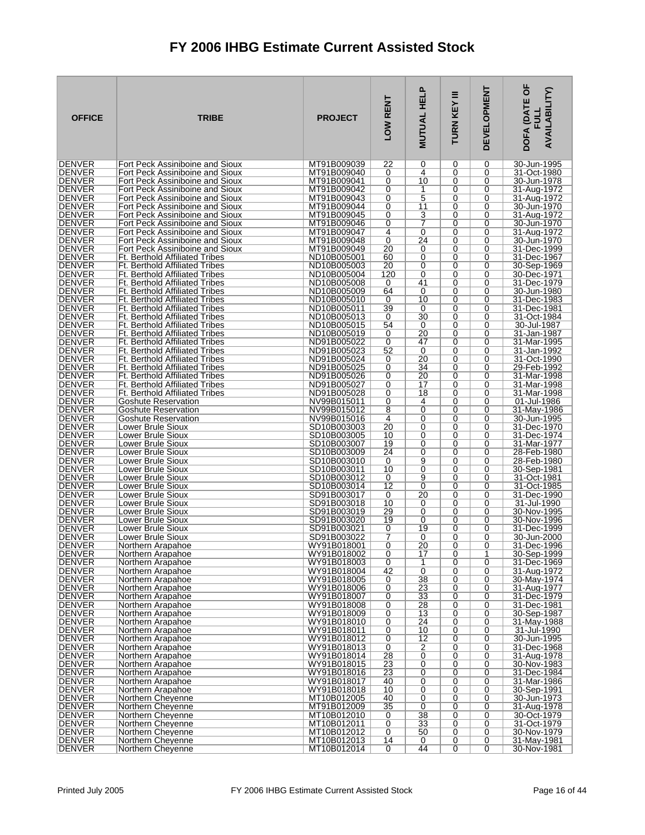| <b>OFFICE</b>                  | <b>TRIBE</b>                                                                   | <b>PROJECT</b>             | LOW RENT       | <b>MUTUAL HELP</b>   | Ξ<br>TURN KEY | <b>DEVELOPMENT</b> | DOFA (DATE OF<br><b>AVAILABILITY)</b><br>글 |
|--------------------------------|--------------------------------------------------------------------------------|----------------------------|----------------|----------------------|---------------|--------------------|--------------------------------------------|
| <b>DENVER</b><br><b>DENVER</b> | Fort Peck Assiniboine and Sioux                                                | MT91B009039<br>MT91B009040 | 22<br>0        | 0<br>4               | 0<br>0        | 0<br>0             | 30-Jun-1995<br>31-Oct-1980                 |
| <b>DENVER</b>                  | Fort Peck Assiniboine and Sioux<br>Fort Peck Assiniboine and Sioux             | MT91B009041                | 0              | 10                   | 0             | 0                  | 30-Jun-1978                                |
| DENVER                         | Fort Peck Assiniboine and Sioux                                                | MT91B009042                | 0              | 1                    | 0             | 0                  | 31-Aug-1972                                |
| <b>DENVER</b>                  | Fort Peck Assiniboine and Sioux                                                | MT91B009043                | 0              | $\overline{5}$       | 0             | 0                  | 31-Aug-1972                                |
| <b>DENVER</b><br>DENVER        | Fort Peck Assiniboine and Sioux<br>Fort Peck Assiniboine and Sioux             | MT91B009044<br>MT91B009045 | 0<br>0         | 11<br>3              | 0<br>0        | 0<br>0             | 30-Jun-1970<br>31-Aug-1972                 |
| <b>DENVER</b>                  | Fort Peck Assiniboine and Sioux                                                | MT91B009046                | 0              | 7                    | 0             | 0                  | 30-Jun-1970                                |
| <b>DENVER</b>                  | Fort Peck Assiniboine and Sioux                                                | MT91B009047                | 4              | 0                    | 0             | 0                  | 31-Aug-1972                                |
| <b>DENVER</b><br><b>DENVER</b> | Fort Peck Assiniboine and Sioux                                                | MT91B009048<br>MT91B009049 | 0<br>20        | 24<br>0              | 0<br>0        | 0<br>0             | 30-Jun-1970<br>31-Dec-1999                 |
| <b>DENVER</b>                  | Fort Peck Assiniboine and Sioux<br><b>Ft. Berthold Affiliated Tribes</b>       | ND10B005001                | 60             | 0                    | 0             | 0                  | 31-Dec-1967                                |
| <b>DENVER</b>                  | <b>Ft. Berthold Affiliated Tribes</b>                                          | ND10B005003                | 20             | 0                    | 0             | 0                  | 30-Sep-1969                                |
| <b>DENVER</b>                  | Ft. Berthold Affiliated Tribes                                                 | ND10B005004                | 120            | 0                    | 0             | 0                  | 30-Dec-1971                                |
| <b>DENVER</b><br><b>DENVER</b> | <b>Ft. Berthold Affiliated Tribes</b><br><b>Ft. Berthold Affiliated Tribes</b> | ND10B005008<br>ND10B005009 | 0<br>64        | 41<br>0              | 0<br>0        | 0<br>0             | 31-Dec-1979<br>30-Jun-1980                 |
| <b>DENVER</b>                  | <b>Ft. Berthold Affiliated Tribes</b>                                          | ND10B005010                | 0              | 10                   | 0             | 0                  | 31-Dec-1983                                |
| <b>DENVER</b>                  | <b>Ft. Berthold Affiliated Tribes</b>                                          | ND10B005011                | 39             | 0                    | 0             | 0                  | 31-Dec-1981                                |
| <b>DENVER</b><br><b>DENVER</b> | <b>Ft. Berthold Affiliated Tribes</b><br>Ft. Berthold Affiliated Tribes        | ND10B005013<br>ND10B005015 | 0<br>54        | 30<br>0              | 0<br>0        | 0<br>0             | 31-Oct-1984<br>30-Jul-1987                 |
| <b>DENVER</b>                  | <b>Ft. Berthold Affiliated Tribes</b>                                          | ND10B005019                | 0              | 20                   | 0             | 0                  | 31-Jan-1987                                |
| <b>DENVER</b>                  | <b>Ft. Berthold Affiliated Tribes</b>                                          | ND91B005022                | 0              | 47                   | 0             | 0                  | 31-Mar-1995                                |
| <b>DENVER</b>                  | Ft. Berthold Affiliated Tribes                                                 | ND91B005023                | 52             | 0                    | 0             | 0                  | 31-Jan-1992                                |
| <b>DENVER</b><br><b>DENVER</b> | <b>Ft. Berthold Affiliated Tribes</b><br><b>Ft. Berthold Affiliated Tribes</b> | ND91B005024<br>ND91B005025 | 0<br>0         | 20<br>34             | 0<br>0        | 0<br>0             | 31-Oct-1990<br>29-Feb-1992                 |
| <b>DENVER</b>                  | <b>Ft. Berthold Affiliated Tribes</b>                                          | ND91B005026                | 0              | 20                   | 0             | 0                  | 31-Mar-1998                                |
| <b>DENVER</b>                  | <b>Ft. Berthold Affiliated Tribes</b>                                          | ND91B005027                | 0              | 17                   | 0             | 0                  | 31-Mar-1998                                |
| <b>DENVER</b><br>DENVER        | <b>Ft. Berthold Affiliated Tribes</b><br><b>Goshute Reservation</b>            | ND91B005028<br>NV99B015011 | 0<br>0         | 18<br>4              | 0<br>0        | 0<br>0             | 31-Mar-1998<br>01-Jul-1986                 |
| <b>DENVER</b>                  | <b>Goshute Reservation</b>                                                     | NV99B015012                | 8              | 0                    | 0             | 0                  | 31-May-1986                                |
| <b>DENVER</b>                  | <b>Goshute Reservation</b>                                                     | NV99B015016                | $\overline{4}$ | 0                    | 0             | 0                  | 30-Jun-1995                                |
| DENVER<br><b>DENVER</b>        | Lower Brule Sioux<br>Lower Brule Sioux                                         | SD10B003003<br>SD10B003005 | 20<br>10       | 0<br>0               | 0<br>0        | 0<br>0             | 31-Dec-1970<br>31-Dec-1974                 |
| <b>DENVER</b>                  | Lower Brule Sioux                                                              | SD10B003007                | 19             | 0                    | 0             | 0                  | 31-Mar-1977                                |
| <b>DENVER</b>                  | Lower Brule Sioux                                                              | SD10B003009                | 24             | 0                    | 0             | 0                  | 28-Feb-1980                                |
| <b>DENVER</b>                  | Lower Brule Sioux                                                              | SD10B003010                | 0              | 9                    | 0             | 0                  | 28-Feb-1980                                |
| <b>DENVER</b><br><b>DENVER</b> | Lower Brule Sioux<br>Lower Brule Sioux                                         | SD10B003011<br>SD10B003012 | 10<br>0        | 0<br>9               | 0<br>0        | 0<br>0             | 30-Sep-1981<br>31-Oct-1981                 |
| <b>DENVER</b>                  | Lower Brule Sioux                                                              | SD10B003014                | 12             | 0                    | 0             | 0                  | 31-Oct-1985                                |
| <b>DENVER</b>                  | Lower Brule Sioux                                                              | SD91B003017                | 0              | 20                   | 0             | 0                  | 31-Dec-1990                                |
| <b>DENVER</b><br><b>DENVER</b> | Lower Brule Sioux<br>Lower Brule Sioux                                         | SD91B003018<br>SD91B003019 | 10<br>29       | 0<br>0               | 0<br>0        | 0<br>0             | 31-Jul-1990<br>30-Nov-1995                 |
| <b>DENVER</b>                  | Lower Brule Sioux                                                              | SD91B003020                | 19             | 0                    | 0             | 0                  | 30-Nov-1996                                |
| <b>DENVER</b>                  | Lower Brule Sioux                                                              | SD91B003021                | 0              | 19                   | 0             | 0                  | 31-Dec-1999                                |
| DENVER<br><b>DENVER</b>        | Lower Brule Sioux<br>Northern Arapahoe                                         | SD91B003022<br>WY91B018001 | 7<br>0         | 0<br>20              | 0<br>0        | 0<br>0             | 30-Jun-2000<br>31-Dec-1996                 |
| <b>DENVER</b>                  | Northern Arapahoe                                                              | WY91B018002                | $\overline{0}$ | 17                   | 0             | 1                  | 30-Sep-1999                                |
| <b>DENVER</b>                  | Northern Arapahoe                                                              | WY91B018003                | 0              | 1                    | 0             | 0                  | 31-Dec-1969                                |
| <b>DENVER</b><br><b>DENVER</b> | Northern Arapahoe<br>Northern Arapahoe                                         | WY91B018004<br>WY91B018005 | 42<br>0        | $\overline{0}$<br>38 | 0<br>0        | 0<br>0             | 31-Aug-1972<br>30-May-1974                 |
| <b>DENVER</b>                  | Northern Arapahoe                                                              | WY91B018006                | 0              | 23                   | 0             | 0                  | 31-Aug-1977                                |
| <b>DENVER</b>                  | Northern Arapahoe                                                              | WY91B018007                | 0              | 33                   | 0             | 0                  | 31-Dec-1979                                |
| <b>DENVER</b><br>DENVER        | Northern Arapahoe<br>Northern Arapahoe                                         | WY91B018008<br>WY91B018009 | 0<br>0         | 28<br>13             | 0<br>0        | 0<br>0             | 31-Dec-1981<br>30-Sep-1987                 |
| <b>DENVER</b>                  | Northern Arapahoe                                                              | WY91B018010                | $\overline{0}$ | 24                   | 0             | 0                  | 31-May-1988                                |
| <b>DENVER</b>                  | Northern Arapahoe                                                              | WY91B018011                | 0              | 10                   | 0             | 0                  | 31-Jul-1990                                |
| <b>DENVER</b><br><b>DENVER</b> | Northern Arapahoe                                                              | WY91B018012                | 0              | 12                   | 0             | 0                  | 30-Jun-1995                                |
| <b>DENVER</b>                  | Northern Arapahoe<br>Northern Arapahoe                                         | WY91B018013<br>WY91B018014 | 0<br>28        | $\overline{2}$<br>0  | 0<br>0        | 0<br>0             | 31-Dec-1968<br>31-Aug-1978                 |
| <b>DENVER</b>                  | Northern Arapahoe                                                              | WY91B018015                | 23             | 0                    | 0             | 0                  | 30-Nov-1983                                |
| <b>DENVER</b>                  | Northern Arapahoe                                                              | WY91B018016                | 23             | 0                    | 0             | 0                  | 31-Dec-1984                                |
| <b>DENVER</b><br><b>DENVER</b> | Northern Arapahoe<br>Northern Arapahoe                                         | WY91B018017<br>WY91B018018 | 40<br>10       | 0<br>0               | 0<br>0        | 0<br>0             | 31-Mar-1986<br>30-Sep-1991                 |
| <b>DENVER</b>                  | Northern Cheyenne                                                              | MT10B012005                | 40             | 0                    | 0             | 0                  | 30-Jun-1973                                |
| <b>DENVER</b>                  | Northern Cheyenne                                                              | MT91B012009                | 35             | $\overline{0}$       | 0             | 0                  | 31-Aug-1978                                |
| <b>DENVER</b><br><b>DENVER</b> | Northern Cheyenne<br>Northern Cheyenne                                         | MT10B012010<br>MT10B012011 | 0<br>0         | 38<br>33             | 0<br>0        | 0<br>0             | 30-Oct-1979<br>31-Oct-1979                 |
| DENVER                         | Northern Cheyenne                                                              | MT10B012012                | 0              | 50                   | 0             | 0                  | 30-Nov-1979                                |
| <b>DENVER</b>                  | Northern Cheyenne                                                              | MT10B012013                | 14             | 0                    | 0             | 0                  | 31-May-1981                                |
| <b>DENVER</b>                  | Northern Cheyenne                                                              | MT10B012014                | 0              | 44                   | 0             | $\overline{0}$     | 30-Nov-1981                                |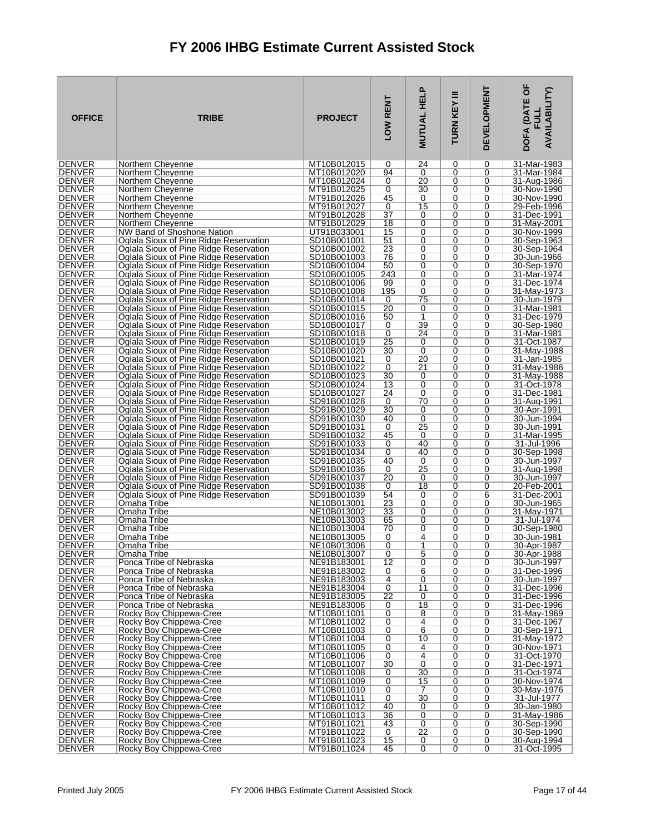| <b>OFFICE</b>                  | <b>TRIBE</b>                                                                     | <b>PROJECT</b>             | LOW RENT      | <b>MUTUAL HELP</b>   | Ξ<br>TURN KEY    | <b>DEVELOPMENT</b>  | DOFA (DATE OF<br><b>AVAILABILITY)</b><br><b>FULL</b> |
|--------------------------------|----------------------------------------------------------------------------------|----------------------------|---------------|----------------------|------------------|---------------------|------------------------------------------------------|
| <b>DENVER</b>                  | Northern Cheyenne                                                                | MT10B012015                | 0             | 24                   | 0                | 0                   | 31-Mar-1983                                          |
| <b>DENVER</b><br><b>DENVER</b> | Northern Cheyenne<br>Northern Cheyenne                                           | MT10B012020<br>MT10B012024 | 94<br>0       | 0<br>20              | 0<br>0           | 0<br>0              | 31-Mar-1984<br>31-Aug-1986                           |
| DENVER                         | Northern Cheyenne                                                                | MT91B012025                | 0             | 30                   | 0                | 0                   | 30-Nov-1990                                          |
| <b>DENVER</b>                  | Northern Cheyenne                                                                | MT91B012026                | 45            | 0                    | 0                | 0                   | 30-Nov-1990                                          |
| <b>DENVER</b>                  | Northern Cheyenne                                                                | MT91B012027                | 0             | 15                   | 0                | 0                   | 29-Feb-1996                                          |
| DENVER<br><b>DENVER</b>        | Northern Cheyenne<br>Northern Cheyenne                                           | MT91B012028<br>MT91B012029 | 37<br>18      | 0<br>0               | 0<br>0           | 0<br>0              | 31-Dec-1991<br>31-May-2001                           |
| <b>DENVER</b>                  | NW Band of Shoshone Nation                                                       | UT91B033001                | 15            | 0                    | 0                | 0                   | 30-Nov-1999                                          |
| <b>DENVER</b>                  | Oglala Sioux of Pine Ridge Reservation                                           | SD10B001001                | 51            | 0                    | 0                | 0                   | 30-Sep-1963                                          |
| <b>DENVER</b>                  | Oglala Sioux of Pine Ridge Reservation                                           | SD10B001002                | 23            | 0                    | 0                | 0                   | 30-Sep-1964                                          |
| <b>DENVER</b><br><b>DENVER</b> | Oglala Sioux of Pine Ridge Reservation<br>Oglala Sioux of Pine Ridge Reservation | SD10B001003<br>SD10B001004 | 76<br>50      | 0<br>0               | 0<br>0           | 0<br>0              | 30-Jun-1966<br>30-Sep-1970                           |
| <b>DENVER</b>                  | Oglala Sioux of Pine Ridge Reservation                                           | SD10B001005                | 243           | 0                    | 0                | 0                   | 31-Mar-1974                                          |
| <b>DENVER</b>                  | Oglala Sioux of Pine Ridge Reservation                                           | SD10B001006                | 99            | 0                    | 0                | 0                   | 31-Dec-1974                                          |
| <b>DENVER</b>                  | Oglala Sioux of Pine Ridge Reservation                                           | SD10B001008                | 195           | 0                    | 0                | 0                   | 31-May-1973                                          |
| <b>DENVER</b><br><b>DENVER</b> | Oglala Sioux of Pine Ridge Reservation<br>Oglala Sioux of Pine Ridge Reservation | SD10B001014<br>SD10B001015 | 0<br>20       | 75<br>0              | 0<br>0           | 0<br>0              | 30-Jun-1979<br>31-Mar-1981                           |
| <b>DENVER</b>                  | Oglala Sioux of Pine Ridge Reservation                                           | SD10B001016                | 50            | 1                    | $\Omega$         | 0                   | 31-Dec-1979                                          |
| DENVER                         | Oglala Sioux of Pine Ridge Reservation                                           | SD10B001017                | 0             | 39                   | 0                | 0                   | 30-Sep-1980                                          |
| <b>DENVER</b>                  | Oglala Sioux of Pine Ridge Reservation                                           | SD10B001018                | 0             | 24                   | 0                | 0                   | 31-Mar-1981                                          |
| <b>DENVER</b><br><b>DENVER</b> | Oglala Sioux of Pine Ridge Reservation<br>Oglala Sioux of Pine Ridge Reservation | SD10B001019<br>SD10B001020 | 25<br>30      | 0<br>0               | $\Omega$<br>0    | 0<br>0              | 31-Oct-1987<br>31-May-1988                           |
| <b>DENVER</b>                  | Oglala Sioux of Pine Ridge Reservation                                           | SD10B001021                | 0             | 20                   | 0                | 0                   | 31-Jan-1985                                          |
| <b>DENVER</b>                  | Oglala Sioux of Pine Ridge Reservation                                           | SD10B001022                | 0             | 21                   | $\Omega$         | 0                   | 31-May-1986                                          |
| <b>DENVER</b>                  | Oglala Sioux of Pine Ridge Reservation                                           | SD10B001023                | 30            | 0                    | 0                | 0                   | 31-May-1988                                          |
| <b>DENVER</b><br><b>DENVER</b> | Oglala Sioux of Pine Ridge Reservation<br>Oglala Sioux of Pine Ridge Reservation | SD10B001024<br>SD10B001027 | 13<br>24      | 0<br>0               | 0<br>0           | 0<br>0              | 31-Oct-1978<br>31-Dec-1981                           |
| DENVER                         | Oglala Sioux of Pine Ridge Reservation                                           | SD91B001028                | 0             | 70                   | 0                | 0                   | 31-Aug-1991                                          |
| <b>DENVER</b>                  | Oglala Sioux of Pine Ridge Reservation                                           | SD91B001029                | 30            | 0                    | 0                | 0                   | 30-Apr-1991                                          |
| <b>DENVER</b>                  | Oglala Sioux of Pine Ridge Reservation                                           | SD91B001030                | 40            | 0                    | $\mathbf 0$      | 0                   | 30-Jun-1994                                          |
| DENVER<br><b>DENVER</b>        | Oglala Sioux of Pine Ridge Reservation<br>Oglala Sioux of Pine Ridge Reservation | SD91B001031<br>SD91B001032 | 0<br>45       | 25<br>0              | 0<br>0           | 0<br>0              | 30-Jun-1991<br>31-Mar-1995                           |
| <b>DENVER</b>                  | Oglala Sioux of Pine Ridge Reservation                                           | SD91B001033                | 0             | 40                   | 0                | 0                   | 31-Jul-1996                                          |
| <b>DENVER</b>                  | Oglala Sioux of Pine Ridge Reservation                                           | SD91B001034                | 0             | 40                   | 0                | 0                   | 30-Sep-1998                                          |
| <b>DENVER</b><br><b>DENVER</b> | Oglala Sioux of Pine Ridge Reservation                                           | SD91B001035<br>SD91B001036 | 40            | 0<br>$\overline{25}$ | 0<br>0           | 0<br>0              | 30-Jun-1997                                          |
| <b>DENVER</b>                  | Oglala Sioux of Pine Ridge Reservation<br>Oglala Sioux of Pine Ridge Reservation | SD91B001037                | 0<br>20       | 0                    | 0                | 0                   | 31-Aug-1998<br>30-Jun-1997                           |
| <b>DENVER</b>                  | Oglala Sioux of Pine Ridge Reservation                                           | SD91B001038                | 0             | 18                   | 0                | 0                   | 20-Feb-2001                                          |
| <b>DENVER</b>                  | Oglala Sioux of Pine Ridge Reservation                                           | SD91B001039                | 54            | 0                    | 0                | 6                   | 31-Dec-2001                                          |
| <b>DENVER</b><br><b>DENVER</b> | Omaha Tribe<br>Omaha Tribe                                                       | NE10B013001<br>NE10B013002 | 23<br>33      | 0<br>0               | 0<br>0           | 0<br>0              | 30-Jun-1965<br>31-May-1971                           |
| <b>DENVER</b>                  | Omaha Tribe                                                                      | NE10B013003                | 65            | 0                    | 0                | 0                   | 31-Jul-1974                                          |
| <b>DENVER</b>                  | Omaha Tribe                                                                      | NE10B013004                | 70            | 0                    | 0                | 0                   | 30-Sep-1980                                          |
| <b>DENVER</b>                  | Omaha Tribe                                                                      | NE10B013005                | 0             | 4                    | 0                | 0                   | 30-Jun-1981                                          |
| <b>DENVER</b><br><b>DENVER</b> | Omaha Tribe<br>Omaha Tribe                                                       | NE10B013006<br>NE10B013007 | $\Omega$<br>0 | 1<br>5               | 0<br>0           | $\Omega$<br>0       | 30-Apr-1987<br>30-Apr-1988                           |
| <b>DENVER</b>                  | Ponca Tribe of Nebraska                                                          | NE91B183001                | 12            | 0                    | 0                | 0                   | 30-Jun-1997                                          |
| <b>DENVER</b>                  | Ponca Tribe of Nebraska                                                          | NE91B183002                | 0             | $\overline{6}$       | 0                | 0                   | 31-Dec-1996                                          |
| <b>DENVER</b><br><b>DENVER</b> | Ponca Tribe of Nebraska<br>Ponca Tribe of Nebraska                               | NE91B183003<br>NE91B183004 | 4<br>0        | 0<br>11              | 0<br>0           | 0<br>0              | 30-Jun-1997<br>31-Dec-1996                           |
| <b>DENVER</b>                  | Ponca Tribe of Nebraska                                                          | NE91B183005                | 22            | 0                    | 0                | 0                   | 31-Dec-1996                                          |
| <b>DENVER</b>                  | Ponca Tribe of Nebraska                                                          | NE91B183006                | 0             | 18                   | 0                | 0                   | 31-Dec-1996                                          |
| <b>DENVER</b>                  | Rocky Boy Chippewa-Cree                                                          | MT10B011001                | 0             | 8                    | 0                | 0                   | 31-May-1969                                          |
| <b>DENVER</b><br><b>DENVER</b> | Rocky Boy Chippewa-Cree<br>Rocky Boy Chippewa-Cree                               | MT10B011002<br>MT10B011003 | 0<br>0        | $\overline{4}$<br>6  | 0<br>0           | 0<br>0              | 31-Dec-1967<br>30-Sep-1971                           |
| <b>DENVER</b>                  | Rocky Boy Chippewa-Cree                                                          | MT10B011004                | 0             | 10                   | 0                | 0                   | 31-Mav-1972                                          |
| <b>DENVER</b>                  | Rocky Boy Chippewa-Cree                                                          | MT10B011005                | 0             | 4                    | 0                | 0                   | 30-Nov-1971                                          |
| <b>DENVER</b>                  | Rocky Boy Chippewa-Cree                                                          | MT10B011006                | 0             | $\overline{4}$       | 0                | 0                   | 31-Oct-1970                                          |
| <b>DENVER</b><br><b>DENVER</b> | Rocky Boy Chippewa-Cree<br>Rocky Boy Chippewa-Cree                               | MT10B011007<br>MT10B011008 | 30<br>0       | 0<br>30              | $\mathbf 0$<br>0 | 0<br>0              | 31-Dec-1971<br>31-Oct-1974                           |
| <b>DENVER</b>                  | Rocky Boy Chippewa-Cree                                                          | MT10B011009                | 0             | 15                   | 0                | 0                   | 30-Nov-1974                                          |
| <b>DENVER</b>                  | Rocky Boy Chippewa-Cree                                                          | MT10B011010                | 0             | 7                    | $\mathbf 0$      | 0                   | 30-May-1976                                          |
| <b>DENVER</b><br><b>DENVER</b> | Rocky Boy Chippewa-Cree<br>Rocky Boy Chippewa-Cree                               | MT10B011011<br>MT10B011012 | 0<br>40       | 30<br>0              | 0<br>0           | 0<br>0              | 31-Jul-1977<br>30-Jan-1980                           |
| <b>DENVER</b>                  | Rocky Boy Chippewa-Cree                                                          | MT10B011013                | 36            | 0                    | 0                | 0                   | 31-May-1986                                          |
| <b>DENVER</b>                  | Rocky Boy Chippewa-Cree                                                          | MT91B011021                | 43            | $\overline{0}$       | 0                | 0                   | 30-Sep-1990                                          |
| <b>DENVER</b><br><b>DENVER</b> | Rocky Boy Chippewa-Cree                                                          | MT91B011022                | 0             | $\overline{22}$      | 0                | 0                   | 30-Sep-1990                                          |
| DENVER                         | Rocky Boy Chippewa-Cree<br>Rocky Boy Chippewa-Cree                               | MT91B011023<br>MT91B011024 | 15<br>45      | 0<br>$\overline{0}$  | 0<br>0           | 0<br>$\overline{0}$ | 30-Aug-1994<br>31-Oct-1995                           |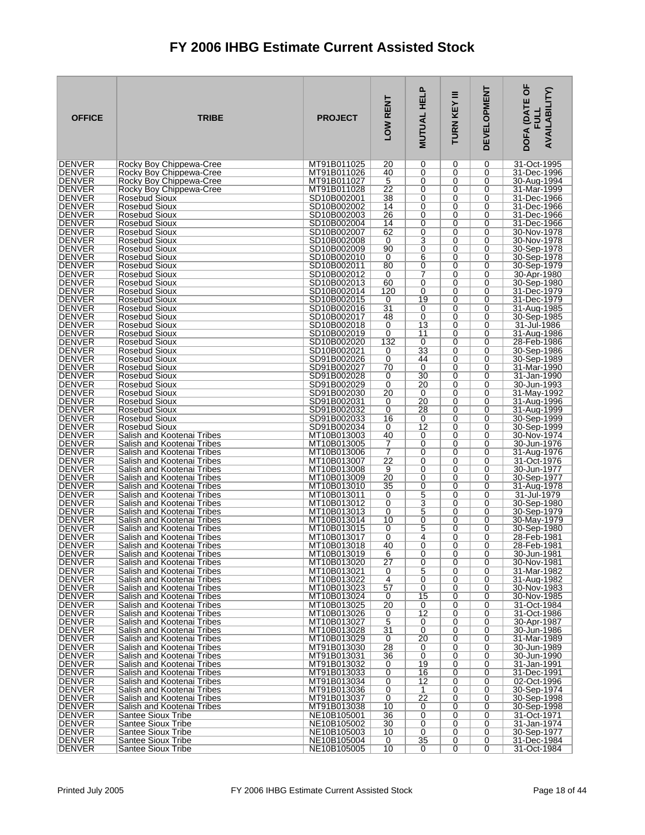| <b>OFFICE</b>                  | <b>TRIBE</b>                                             | <b>PROJECT</b>             | LOW RENT             | <b>.</b><br><b>MUTUAL HEL</b> | Ξ<br>TURN KEY | <b>DEVELOPMENT</b> | DOFA (DATE OF<br><b>AVAILABILITY)</b><br>ヨラ |
|--------------------------------|----------------------------------------------------------|----------------------------|----------------------|-------------------------------|---------------|--------------------|---------------------------------------------|
| <b>DENVER</b>                  | Rocky Boy Chippewa-Cree                                  | MT91B011025                | 20                   | 0                             | 0             | 0                  | 31-Oct-1995                                 |
| <b>DENVER</b>                  | Rocky Boy Chippewa-Cree<br>Rocky Boy Chippewa-Cree       | MT91B011026<br>MT91B011027 | 40                   | 0                             | 0             | 0                  | 31-Dec-1996                                 |
| <b>DENVER</b><br><b>DENVER</b> | Rocky Boy Chippewa-Cree                                  | MT91B011028                | 5<br>22              | 0<br>0                        | 0<br>0        | 0<br>0             | 30-Aug-1994<br>31-Mar-1999                  |
| <b>DENVER</b>                  | Rosebud Sioux                                            | SD10B002001                | 38                   | $\overline{0}$                | 0             | 0                  | 31-Dec-1966                                 |
| <b>DENVER</b>                  | Rosebud Sioux                                            | SD10B002002                | 14                   | 0                             | 0             | 0                  | 31-Dec-1966                                 |
| DENVER<br><b>DENVER</b>        | Rosebud Sioux                                            | SD10B002003<br>SD10B002004 | 26<br>14             | 0<br>0                        | 0<br>0        | 0<br>0             | 31-Dec-1966                                 |
| <b>DENVER</b>                  | Rosebud Sioux<br>Rosebud Sioux                           | SD10B002007                | 62                   | 0                             | 0             | 0                  | 31-Dec-1966<br>30-Nov-1978                  |
| <b>DENVER</b>                  | Rosebud Sioux                                            | SD10B002008                | 0                    | 3                             | 0             | 0                  | 30-Nov-1978                                 |
| <b>DENVER</b>                  | Rosebud Sioux                                            | SD10B002009                | 90                   | 0                             | 0             | 0                  | 30-Sep-1978                                 |
| <b>DENVER</b><br>DENVER        | Rosebud Sioux<br>Rosebud Sioux                           | SD10B002010<br>SD10B002011 | 0<br>80              | 6<br>0                        | 0<br>0        | 0<br>0             | 30-Sep-1978<br>30-Sep-1979                  |
| <b>DENVER</b>                  | Rosebud Sioux                                            | SD10B002012                | 0                    | 7                             | 0             | 0                  | 30-Apr-1980                                 |
| <b>DENVER</b>                  | Rosebud Sioux                                            | SD10B002013                | 60                   | 0                             | 0             | 0                  | 30-Sep-1980                                 |
| DENVER                         | Rosebud Sioux                                            | SD10B002014                | 120                  | 0                             | 0             | 0                  | 31-Dec-1979                                 |
| <b>DENVER</b><br><b>DENVER</b> | Rosebud Sioux<br>Rosebud Sioux                           | SD10B002015<br>SD10B002016 | 0<br>$\overline{31}$ | 19<br>0                       | 0<br>0        | 0<br>0             | 31-Dec-1979<br>31-Aug-1985                  |
| <b>DENVER</b>                  | Rosebud Sioux                                            | SD10B002017                | 48                   | 0                             | 0             | 0                  | 30-Sep-1985                                 |
| <b>DENVER</b>                  | Rosebud Sioux                                            | SD10B002018                | 0                    | 13                            | 0             | 0                  | 31-Jul-1986                                 |
| <b>DENVER</b>                  | Rosebud Sioux                                            | SD10B002019                | 0                    | 11                            | 0             | 0                  | 31-Aug-1986                                 |
| <b>DENVER</b><br><b>DENVER</b> | Rosebud Sioux<br>Rosebud Sioux                           | SD10B002020<br>SD10B002021 | 132<br>0             | 0<br>33                       | 0<br>0        | 0<br>0             | 28-Feb-1986<br>30-Sep-1986                  |
| <b>DENVER</b>                  | Rosebud Sioux                                            | SD91B002026                | 0                    | 44                            | 0             | 0                  | 30-Sep-1989                                 |
| <b>DENVER</b>                  | Rosebud Sioux                                            | SD91B002027                | 70                   | 0                             | 0             | 0                  | 31-Mar-1990                                 |
| <b>DENVER</b><br><b>DENVER</b> | Rosebud Sioux<br>Rosebud Sioux                           | SD91B002028<br>SD91B002029 | 0<br>0               | 30<br>20                      | 0<br>0        | 0<br>0             | 31-Jan-1990<br>30-Jun-1993                  |
| <b>DENVER</b>                  | Rosebud Sioux                                            | SD91B002030                | 20                   | 0                             | 0             | 0                  | 31-May-1992                                 |
| <b>DENVER</b>                  | Rosebud Sioux                                            | SD91B002031                | 0                    | 20                            | 0             | 0                  | 31-Aug-1996                                 |
| <b>DENVER</b>                  | Rosebud Sioux                                            | SD91B002032                | 0                    | 28                            | 0             | 0                  | 31-Aug-1999                                 |
| <b>DENVER</b><br><b>DENVER</b> | <b>Rosebud Sioux</b><br>Rosebud Sioux                    | SD91B002033<br>SD91B002034 | 16<br>0              | 0<br>12                       | 0<br>0        | 0<br>0             | 30-Sep-1999<br>30-Sep-1999                  |
| <b>DENVER</b>                  | Salish and Kootenai Tribes                               | MT10B013003                | 40                   | 0                             | 0             | 0                  | 30-Nov-1974                                 |
| <b>DENVER</b>                  | Salish and Kootenai Tribes                               | MT10B013005                | 7                    | 0                             | 0             | 0                  | 30-Jun-1976                                 |
| <b>DENVER</b>                  | Salish and Kootenai Tribes                               | MT10B013006                | 7                    | 0                             | 0             | 0                  | 31-Aug-1976                                 |
| <b>DENVER</b><br><b>DENVER</b> | Salish and Kootenai Tribes<br>Salish and Kootenai Tribes | MT10B013007<br>MT10B013008 | 22<br>9              | 0<br>0                        | 0<br>0        | 0<br>0             | 31-Oct-1976<br>30-Jun-1977                  |
| DENVER                         | Salish and Kootenai Tribes                               | MT10B013009                | 20                   | 0                             | 0             | 0                  | 30-Sep-1977                                 |
| <b>DENVER</b>                  | Salish and Kootenai Tribes                               | MT10B013010                | 35                   | 0                             | 0             | 0                  | 31-Aug-1978                                 |
| <b>DENVER</b><br><b>DENVER</b> | Salish and Kootenai Tribes<br>Salish and Kootenai Tribes | MT10B013011<br>MT10B013012 | 0<br>0               | 5<br>3                        | 0<br>0        | 0<br>0             | 31-Jul-1979<br>30-Sep-1980                  |
| <b>DENVER</b>                  | Salish and Kootenai Tribes                               | MT10B013013                | 0                    | 5                             | 0             | 0                  | 30-Sep-1979                                 |
| <b>DENVER</b>                  | Salish and Kootenai Tribes                               | MT10B013014                | 10                   | 0                             | 0             | 0                  | 30-May-1979                                 |
| <b>DENVER</b>                  | Salish and Kootenai Tribes                               | MT10B013015                | 0                    | 5                             | 0             | 0                  | 30-Sep-1980                                 |
| <b>DENVER</b><br>IDENVER       | Salish and Kootenai Tribes<br>Salish and Kootenai Tribes | MT10B013017<br>MT10B013018 | 0<br>40              | 4<br>0                        | 0<br>0        | 0<br>0             | 28-Feb-1981<br>28-Feb-1981                  |
| DENVER                         | Salish and Kootenai Tribes                               | MT10B013019                | 6                    | 0                             | 0             | 0                  | 30-Jun-1981                                 |
| <b>DENVER</b>                  | Salish and Kootenai Tribes                               | MT10B013020                | 27                   | 0                             | 0             | 0                  | 30-Nov-1981                                 |
| <b>DENVER</b><br><b>DENVER</b> | Salish and Kootenai Tribes<br>Salish and Kootenai Tribes | MT10B013021<br>MT10B013022 | 0<br>4               | $\overline{5}$<br>0           | 0<br>0        | 0<br>0             | 31-Mar-1982<br>31-Aug-1982                  |
| <b>DENVER</b>                  | Salish and Kootenai Tribes                               | MT10B013023                | 57                   | 0                             | 0             | 0                  | 30-Nov-1983                                 |
| <b>DENVER</b>                  | Salish and Kootenai Tribes                               | MT10B013024                | 0                    | $\overline{15}$               | 0             | 0                  | 30-Nov-1985                                 |
| <b>DENVER</b>                  | Salish and Kootenai Tribes                               | MT10B013025                | 20                   | 0                             | 0             | 0                  | 31-Oct-1984                                 |
| <b>DENVER</b><br><b>DENVER</b> | Salish and Kootenai Tribes<br>Salish and Kootenai Tribes | MT10B013026<br>MT10B013027 | 0<br>$\overline{5}$  | 12<br>0                       | 0<br>0        | 0<br>0             | 31-Oct-1986<br>30-Apr-1987                  |
| <b>DENVER</b>                  | Salish and Kootenai Tribes                               | MT10B013028                | 31                   | 0                             | 0             | 0                  | 30-Jun-1986                                 |
| <b>DENVER</b>                  | Salish and Kootenai Tribes                               | MT10B013029                | 0                    | 20                            | 0             | 0                  | 31-Mar-1989                                 |
| <b>DENVER</b><br><b>DENVER</b> | Salish and Kootenai Tribes<br>Salish and Kootenai Tribes | MT91B013030                | 28                   | 0<br>0                        | 0<br>0        | 0<br>0             | 30-Jun-1989<br>30-Jun-1990                  |
| <b>DENVER</b>                  | Salish and Kootenai Tribes                               | MT91B013031<br>MT91B013032 | 36<br>0              | 19                            | 0             | 0                  | 31-Jan-1991                                 |
| <b>DENVER</b>                  | Salish and Kootenai Tribes                               | MT91B013033                | 0                    | 16                            | 0             | 0                  | 31-Dec-1991                                 |
| <b>DENVER</b>                  | Salish and Kootenai Tribes                               | MT91B013034                | 0                    | 12                            | 0             | 0                  | 02-Oct-1996                                 |
| DENVER<br><b>DENVER</b>        | Salish and Kootenai Tribes<br>Salish and Kootenai Tribes | MT91B013036<br>MT91B013037 | 0<br>0               | 1<br>$\overline{22}$          | 0<br>0        | 0<br>0             | 30-Sep-1974<br>30-Sep-1998                  |
| <b>DENVER</b>                  | Salish and Kootenai Tribes                               | MT91B013038                | 10                   | 0                             | 0             | 0                  | 30-Sep-1998                                 |
| <b>DENVER</b>                  | Santee Sioux Tribe                                       | NE10B105001                | 36                   | 0                             | 0             | 0                  | 31-Oct-1971                                 |
| <b>DENVER</b><br><b>DENVER</b> | <b>Santee Sioux Tribe</b>                                | NE10B105002<br>NE10B105003 | 30                   | 0<br>0                        | 0             | 0                  | 31-Jan-1974                                 |
| <b>DENVER</b>                  | Santee Sioux Tribe<br><b>Santee Sioux Tribe</b>          | NE10B105004                | 10<br>0              | 35                            | 0<br>0        | 0<br>0             | 30-Sep-1977<br>31-Dec-1984                  |
| <b>DENVER</b>                  | Santee Sioux Tribe                                       | NE10B105005                | 10                   | 0                             | 0             | 0                  | 31-Oct-1984                                 |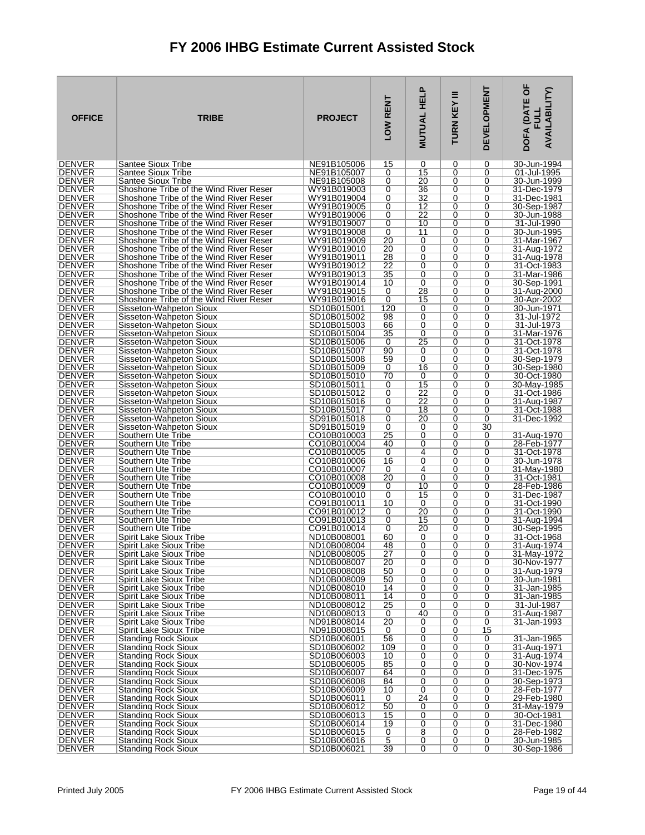| <b>OFFICE</b>                  | <b>TRIBE</b>                                                                     | <b>PROJECT</b>             | LOW RENT  | Ը<br><b>MUTUAL HEL</b> | Ξ<br>TURN KEY | <b>DEVELOPMENT</b> | DOFA (DATE OF<br><b>AVAILABILITY)</b> |
|--------------------------------|----------------------------------------------------------------------------------|----------------------------|-----------|------------------------|---------------|--------------------|---------------------------------------|
| <b>DENVER</b>                  | Santee Sioux Tribe                                                               | NE91B105006                | 15        | 0                      | 0             | 0                  | 30-Jun-1994                           |
| DENVER<br><b>DENVER</b>        | Santee Sioux Tribe<br><b>Santee Sioux Tribe</b>                                  | NE91B105007<br>NE91B105008 | 0<br>0    | 15<br>20               | 0<br>0        | 0<br>0             | 01-Jul-1995<br>30-Jun-1999            |
| <b>DENVER</b>                  | Shoshone Tribe of the Wind River Reser                                           | WY91B019003                | 0         | 36                     | 0             | 0                  | 31-Dec-1979                           |
| <b>DENVER</b>                  | Shoshone Tribe of the Wind River Reser                                           | WY91B019004                | 0         | 32                     | 0             | 0                  | 31-Dec-1981                           |
| <b>DENVER</b><br><b>DENVER</b> | Shoshone Tribe of the Wind River Reser<br>Shoshone Tribe of the Wind River Reser | WY91B019005<br>WY91B019006 | 0<br>0    | 12<br>22               | 0<br>0        | 0<br>0             | 30-Sep-1987<br>30-Jun-1988            |
| <b>DENVER</b>                  | Shoshone Tribe of the Wind River Reser                                           | WY91B019007                | 0         | 10                     | 0             | 0                  | 31-Jul-1990                           |
| <b>DENVER</b>                  | Shoshone Tribe of the Wind River Reser                                           | WY91B019008                | 0         | 11                     | 0             | 0                  | 30-Jun-1995                           |
| <b>DENVER</b><br><b>DENVER</b> | Shoshone Tribe of the Wind River Reser<br>Shoshone Tribe of the Wind River Reser | WY91B019009<br>WY91B019010 | 20<br>20  | 0<br>0                 | 0<br>0        | 0<br>0             | 31-Mar-1967<br>31-Aug-1972            |
| <b>DENVER</b>                  | Shoshone Tribe of the Wind River Reser                                           | WY91B019011                | 28        | 0                      | 0             | 0                  | 31-Aug-1978                           |
| <b>DENVER</b>                  | Shoshone Tribe of the Wind River Reser                                           | WY91B019012                | 22        | 0                      | 0             | 0                  | 31-Oct-1983                           |
| DENVER                         | Shoshone Tribe of the Wind River Reser                                           | WY91B019013                | 35        | 0                      | 0             | 0                  | 31-Mar-1986                           |
| <b>DENVER</b><br><b>DENVER</b> | Shoshone Tribe of the Wind River Reser<br>Shoshone Tribe of the Wind River Reser | WY91B019014<br>WY91B019015 | 10<br>0   | 0<br>28                | 0<br>0        | 0<br>0             | 30-Sep-1991<br>31-Aug-2000            |
| <b>DENVER</b>                  | Shoshone Tribe of the Wind River Reser                                           | WY91B019016                | 0         | 15                     | 0             | 0                  | 30-Apr-2002                           |
| <b>DENVER</b>                  | Sisseton-Wahpeton Sioux                                                          | SD10B015001                | 120       | 0                      | 0             | 0                  | 30-Jun-1971                           |
| <b>DENVER</b><br>DENVER        | Sisseton-Wahpeton Sioux<br>Sisseton-Wahpeton Sioux                               | SD10B015002<br>SD10B015003 | 98<br>66  | 0<br>0                 | 0<br>0        | 0<br>0             | 31-Jul-1972<br>31-Jul-1973            |
| <b>DENVER</b>                  | Sisseton-Wahpeton Sioux                                                          | SD10B015004                | 35        | 0                      | 0             | 0                  | 31-Mar-1976                           |
| <b>DENVER</b>                  | Sisseton-Wahpeton Sioux                                                          | SD10B015006                | 0         | 25                     | 0             | 0                  | 31-Oct-1978                           |
| DENVER<br><b>DENVER</b>        | Sisseton-Wahpeton Sioux<br>Sisseton-Wahpeton Sioux                               | SD10B015007<br>SD10B015008 | 90<br>59  | 0<br>0                 | 0<br>0        | 0<br>0             | 31-Oct-1978<br>30-Sep-1979            |
| <b>DENVER</b>                  | Sisseton-Wahpeton Sioux                                                          | SD10B015009                | 0         | 16                     | 0             | 0                  | 30-Sep-1980                           |
| <b>DENVER</b>                  | Sisseton-Wahpeton Sioux                                                          | SD10B015010                | 70        | 0                      | 0             | 0                  | 30-Oct-1980                           |
| DENVER                         | Sisseton-Wahpeton Sioux                                                          | SD10B015011                | 0         | 15                     | 0             | 0                  | 30-May-1985                           |
| <b>DENVER</b><br><b>DENVER</b> | Sisseton-Wahpeton Sioux<br>Sisseton-Wahpeton Sioux                               | SD10B015012<br>SD10B015016 | 0<br>0    | 22<br>22               | 0<br>0        | 0<br>0             | 31-Oct-1986<br>31-Aug-1987            |
| <b>DENVER</b>                  | Sisseton-Wahpeton Sioux                                                          | SD10B015017                | 0         | 18                     | 0             | 0                  | 31-Oct-1988                           |
| <b>DENVER</b>                  | Sisseton-Wahpeton Sioux                                                          | SD91B015018                | 0         | 20                     | 0             | 0                  | 31-Dec-1992                           |
| <b>DENVER</b><br><b>DENVER</b> | Sisseton-Wahpeton Sioux<br>Southern Ute Tribe                                    | SD91B015019<br>CO10B010003 | 0<br>25   | 0<br>0                 | 0<br>0        | 30<br>0            | 31-Aug-1970                           |
| DENVER                         | Southern Ute Tribe                                                               | CO10B010004                | 40        | 0                      | 0             | 0                  | 28-Feb-1977                           |
| <b>DENVER</b>                  | Southern Ute Tribe                                                               | CO10B010005                | 0         | 4                      | 0             | 0                  | 31-Oct-1978                           |
| <b>DENVER</b><br><b>DENVER</b> | Southern Ute Tribe<br>Southern Ute Tribe                                         | CO10B010006<br>CO10B010007 | 16<br>0   | 0<br>4                 | 0<br>0        | 0<br>0             | 30-Jun-1978<br>31-May-1980            |
| <b>DENVER</b>                  | Southern Ute Tribe                                                               | CO10B010008                | 20        | 0                      | 0             | 0                  | 31-Oct-1981                           |
| <b>DENVER</b>                  | Southern Ute Tribe                                                               | CO10B010009                | 0         | 10                     | 0             | 0                  | 28-Feb-1986                           |
| <b>DENVER</b><br><b>DENVER</b> | Southern Ute Tribe<br>Southern Ute Tribe                                         | CO10B010010<br>CO91B010011 | 0<br>10   | 15<br>0                | 0<br>0        | 0<br>0             | 31-Dec-1987<br>31-Oct-1990            |
| <b>DENVER</b>                  | Southern Ute Tribe                                                               | CO91B010012                | 0         | 20                     | 0             | 0                  | 31-Oct-1990                           |
| <b>DENVER</b>                  | Southern Ute Tribe                                                               | CO91B010013                | 0         | 15                     | 0             | 0                  | 31-Aug-1994                           |
| <b>DENVER</b><br>DENVER        | Southern Ute Tribe<br>Spirit Lake Sioux Tribe                                    | CO91B010014<br>ND10B008001 | 0<br>60   | 20<br>0                | 0<br>0        | 0<br>0             | 30-Sep-1995<br>31-Oct-1968            |
| <b>DENVER</b>                  | Spirit Lake Sioux Tribe                                                          | ND10B008004                | 48        | 0                      | 0             | 0                  | 31-Aug-1974                           |
| <b>DENVER</b>                  | Spirit Lake Sioux Tribe                                                          | ND10B008005                | 27        | 0                      | 0             | 0                  | 31-May-1972                           |
| <b>DENVER</b><br><b>DENVER</b> | Spirit Lake Sioux Tribe<br>Spirit Lake Sioux Tribe                               | ND10B008007<br>ND10B008008 | 20<br>50  | 0<br>0                 | 0<br>0        | 0<br>0             | 30-Nov-1977<br>31-Aug-1979            |
| <b>DENVER</b>                  | Spirit Lake Sioux Tribe                                                          | ND10B008009                | 50        | 0                      | 0             | 0                  | 30-Jun-1981                           |
| <b>DENVER</b>                  | Spirit Lake Sioux Tribe                                                          | ND10B008010                | 14        | 0                      | 0             | 0                  | 31-Jan-1985                           |
| <b>DENVER</b>                  | Spirit Lake Sioux Tribe<br>Spirit Lake Sioux Tribe                               | ND10B008011<br>ND10B008012 | 14        | 0                      | 0             | 0                  | 31-Jan-1985                           |
| <b>DENVER</b><br><b>DENVER</b> | Spirit Lake Sioux Tribe                                                          | ND10B008013                | 25<br>0   | 0<br>40                | 0<br>0        | 0<br>0             | 31-Jul-1987<br>31-Aug-1987            |
| <b>DENVER</b>                  | Spirit Lake Sioux Tribe                                                          | ND91B008014                | 20        | 0                      | 0             | 0                  | 31-Jan-1993                           |
| <b>DENVER</b>                  | Spirit Lake Sioux Tribe                                                          | ND91B008015                | 0         | 0                      | 0             | 15                 | 31-Jan-1965                           |
| <b>DENVER</b><br><b>DENVER</b> | <b>Standing Rock Sioux</b><br>Standing Rock Sioux                                | SD10B006001<br>SD10B006002 | 56<br>109 | 0<br>$\overline{0}$    | 0<br>0        | 0<br>0             | 31-Aug-1971                           |
| <b>DENVER</b>                  | <b>Standing Rock Sioux</b>                                                       | SD10B006003                | 10        | 0                      | 0             | 0                  | 31-Aug-1974                           |
| DENVER                         | <b>Standing Rock Sioux</b>                                                       | SD10B006005                | 85        | 0                      | 0             | 0                  | 30-Nov-1974                           |
| <b>DENVER</b><br><b>DENVER</b> | <b>Standing Rock Sioux</b><br>Standing Rock Sioux                                | SD10B006007<br>SD10B006008 | 64<br>84  | 0<br>0                 | 0<br>0        | 0<br>0             | 31-Dec-1975<br>30-Sep-1973            |
| <b>DENVER</b>                  | <b>Standing Rock Sioux</b>                                                       | SD10B006009                | 10        | 0                      | 0             | 0                  | 28-Feb-1977                           |
| <b>DENVER</b>                  | <b>Standing Rock Sioux</b>                                                       | SD10B006011                | 0         | 24                     | 0             | 0                  | 29-Feb-1980                           |
| <b>DENVER</b><br><b>DENVER</b> | <b>Standing Rock Sioux</b><br><b>Standing Rock Sioux</b>                         | SD10B006012<br>SD10B006013 | 50<br>15  | 0<br>0                 | 0<br>0        | 0<br>0             | 31-May-1979<br>30-Oct-1981            |
| <b>DENVER</b>                  | <b>Standing Rock Sioux</b>                                                       | SD10B006014                | 19        | $\overline{0}$         | 0             | 0                  | 31-Dec-1980                           |
| <b>DENVER</b>                  | <b>Standing Rock Sioux</b>                                                       | SD10B006015                | 0         | 8                      | 0             | 0                  | 28-Feb-1982                           |
| <b>DENVER</b><br> DENVER       | <b>Standing Rock Sioux</b><br><b>Standing Rock Sioux</b>                         | SD10B006016<br>SD10B006021 | 5<br>39   | 0<br>$\overline{0}$    | 0<br>0        | 0<br>0             | 30-Jun-1985<br>30-Sep-1986            |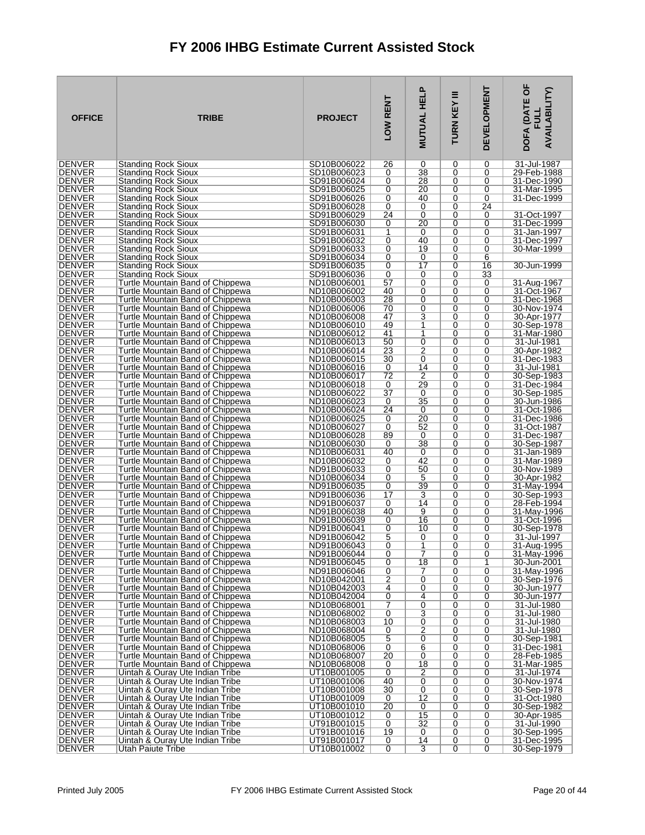| <b>OFFICE</b>                  | <b>TRIBE</b>                                                         | <b>PROJECT</b>             | LOW RENT             | <b>MUTUAL HELP</b>               | Ξ<br>TURN KEY | <b>DEVELOPMENT</b>  | <b>DOFA (DATE OF</b><br><b>AVAILABILITY)</b><br><b>FULL</b> |
|--------------------------------|----------------------------------------------------------------------|----------------------------|----------------------|----------------------------------|---------------|---------------------|-------------------------------------------------------------|
| <b>DENVER</b>                  | Standing Rock Sioux                                                  | SD10B006022                | 26                   | 0<br>38                          | 0             | 0                   | 31-Jul-1987                                                 |
| <b>DENVER</b><br><b>DENVER</b> | <b>Standing Rock Sioux</b><br><b>Standing Rock Sioux</b>             | SD10B006023<br>SD91B006024 | 0<br>0               | 28                               | 0<br>0        | 0<br>0              | 29-Feb-1988<br>31-Dec-1990                                  |
| <b>DENVER</b>                  | Standing Rock Sioux                                                  | SD91B006025                | 0                    | 20                               | 0             | 0                   | 31-Mar-1995                                                 |
| <b>DENVER</b>                  | <b>Standing Rock Sioux</b>                                           | SD91B006026                | 0                    | 40                               | 0             | 0                   | 31-Dec-1999                                                 |
| <b>DENVER</b>                  | <b>Standing Rock Sioux</b>                                           | SD91B006028                | 0                    | 0                                | 0             | 24                  |                                                             |
| <b>DENVER</b><br><b>DENVER</b> | <b>Standing Rock Sioux</b><br><b>Standing Rock Sioux</b>             | SD91B006029<br>SD91B006030 | 24<br>0              | 0<br>20                          | 0<br>0        | 0<br>0              | 31-Oct-1997<br>31-Dec-1999                                  |
| <b>DENVER</b>                  | Standing Rock Sioux                                                  | SD91B006031                | 1                    | 0                                | 0             | 0                   | 31-Jan-1997                                                 |
| <b>DENVER</b>                  | <b>Standing Rock Sioux</b>                                           | SD91B006032                | 0                    | 40                               | 0             | 0                   | 31-Dec-1997                                                 |
| <b>DENVER</b>                  | Standing Rock Sioux                                                  | SD91B006033                | 0                    | 19                               | 0             | 0                   | 30-Mar-1999                                                 |
| <b>DENVER</b><br><b>DENVER</b> | Standing Rock Sioux<br><b>Standing Rock Sioux</b>                    | SD91B006034<br>SD91B006035 | 0<br>0               | 0<br>$\overline{17}$             | 0<br>0        | 6<br>16             | 30-Jun-1999                                                 |
| <b>DENVER</b>                  | Standing Rock Sioux                                                  | SD91B006036                | 0                    | 0                                | 0             | 33                  |                                                             |
| <b>DENVER</b>                  | Turtle Mountain Band of Chippewa                                     | ND10B006001                | 57                   | 0                                | 0             | 0                   | 31-Aug-1967                                                 |
| <b>DENVER</b>                  | Turtle Mountain Band of Chippewa                                     | ND10B006002                | 40                   | 0                                | 0             | 0                   | 31-Oct-1967                                                 |
| <b>DENVER</b><br><b>DENVER</b> | Turtle Mountain Band of Chippewa<br>Turtle Mountain Band of Chippewa | ND10B006003<br>ND10B006006 | 28<br>70             | $\overline{0}$<br>0              | 0<br>0        | 0<br>0              | 31-Dec-1968<br>30-Nov-1974                                  |
| <b>DENVER</b>                  | Turtle Mountain Band of Chippewa                                     | ND10B006008                | 47                   | 3                                | 0             | $\Omega$            | 30-Apr-1977                                                 |
| <b>DENVER</b>                  | Turtle Mountain Band of Chippewa                                     | ND10B006010                | 49                   | 1                                | 0             | 0                   | 30-Sep-1978                                                 |
| <b>DENVER</b>                  | Turtle Mountain Band of Chippewa                                     | ND10B006012                | 41                   | 1                                | 0             | 0                   | 31-Mar-1980                                                 |
| <b>DENVER</b><br><b>DENVER</b> | Turtle Mountain Band of Chippewa<br>Turtle Mountain Band of Chippewa | ND10B006013<br>ND10B006014 | 50<br>23             | 0<br>$\overline{2}$              | 0<br>0        | 0<br>0              | 31-Jul-1981<br>30-Apr-1982                                  |
| <b>DENVER</b>                  | Turtle Mountain Band of Chippewa                                     | ND10B006015                | 30                   | 0                                | 0             | 0                   | 31-Dec-1983                                                 |
| <b>DENVER</b>                  | Turtle Mountain Band of Chippewa                                     | ND10B006016                | 0                    | 14                               | 0             | 0                   | 31-Jul-1981                                                 |
| <b>DENVER</b>                  | Turtle Mountain Band of Chippewa                                     | ND10B006017                | 72                   | 2                                | 0             | 0                   | 30-Sep-1983                                                 |
| <b>DENVER</b><br><b>DENVER</b> | Turtle Mountain Band of Chippewa<br>Turtle Mountain Band of Chippewa | ND10B006018<br>ND10B006022 | 0<br>$\overline{37}$ | 29<br>0                          | 0<br>0        | 0<br>0              | 31-Dec-1984<br>30-Sep-1985                                  |
| <b>DENVER</b>                  | Turtle Mountain Band of Chippewa                                     | ND10B006023                | 0                    | 35                               | 0             | 0                   | 30-Jun-1986                                                 |
| <b>DENVER</b>                  | Turtle Mountain Band of Chippewa                                     | ND10B006024                | 24                   | 0                                | 0             | 0                   | 31-Oct-1986                                                 |
| <b>DENVER</b>                  | Turtle Mountain Band of Chippewa                                     | ND10B006025                | 0                    | $\overline{20}$                  | 0<br>0        | 0<br>0              | 31-Dec-1986                                                 |
| <b>DENVER</b><br><b>DENVER</b> | Turtle Mountain Band of Chippewa<br>Turtle Mountain Band of Chippewa | ND10B006027<br>ND10B006028 | 0<br>89              | 52<br>0                          | 0             | 0                   | 31-Oct-1987<br>31-Dec-1987                                  |
| <b>DENVER</b>                  | Turtle Mountain Band of Chippewa                                     | ND10B006030                | 0                    | 38                               | 0             | 0                   | 30-Sep-1987                                                 |
| <b>DENVER</b>                  | Turtle Mountain Band of Chippewa                                     | ND10B006031                | 40                   | 0                                | 0             | 0                   | 31-Jan-1989                                                 |
| <b>DENVER</b><br><b>DENVER</b> | Turtle Mountain Band of Chippewa<br>Turtle Mountain Band of Chippewa | ND10B006032<br>ND91B006033 | 0<br>0               | 42<br>50                         | 0<br>0        | 0<br>0              | 31-Mar-1989<br>30-Nov-1989                                  |
| <b>DENVER</b>                  | Turtle Mountain Band of Chippewa                                     | ND10B006034                | 0                    | 5                                | 0             | 0                   | 30-Apr-1982                                                 |
| <b>DENVER</b>                  | Turtle Mountain Band of Chippewa                                     | ND91B006035                | 0                    | 39                               | 0             | 0                   | 31-May-1994                                                 |
| <b>DENVER</b>                  | Turtle Mountain Band of Chippewa                                     | ND91B006036                | 17                   | 3                                | 0             | 0                   | 30-Sep-1993                                                 |
| <b>DENVER</b><br><b>DENVER</b> | Turtle Mountain Band of Chippewa<br>Turtle Mountain Band of Chippewa | ND91B006037<br>ND91B006038 | 0<br>40              | 14<br>9                          | 0<br>0        | 0<br>0              | 28-Feb-1994<br>31-May-1996                                  |
| <b>DENVER</b>                  | Turtle Mountain Band of Chippewa                                     | ND91B006039                | 0                    | 16                               | 0             | 0                   | 31-Oct-1996                                                 |
| <b>DENVER</b>                  | Turtle Mountain Band of Chippewa                                     | ND91B006041                | 0                    | 10                               | 0             | 0                   | 30-Sep-1978                                                 |
| <b>DENVER</b>                  | Turtle Mountain Band of Chippewa                                     | ND91B006042                | 5                    | 0                                | 0             | 0                   | 31-Jul-1997                                                 |
| <b>DENVER</b><br><b>DENVER</b> | Turtle Mountain Band of Chippewa<br>Turtle Mountain Band of Chippewa | ND91B006043<br>ND91B006044 | 0<br>0               | 1<br>7                           | 0<br>0        | 0<br>0              | 31-Aug-1995<br>31-May-1996                                  |
| <b>DENVER</b>                  | Turtle Mountain Band of Chippewa                                     | ND91B006045                | 0                    | 18                               | 0             | 1                   | 30-Jun-2001                                                 |
| <b>DENVER</b>                  | Turtle Mountain Band of Chippewa                                     | ND91B006046                | 0                    | 7                                | 0             | 0                   | 31-May-1996                                                 |
| DENVER<br><b>DENVER</b>        | Turtle Mountain Band of Chippewa<br>Turtle Mountain Band of Chippewa | ND10B042001<br>ND10B042003 | $\overline{2}$<br>4  | 0<br>0                           | 0<br>0        | 0<br>0              | 30-Sep-1976<br>30-Jun-1977                                  |
| <b>DENVER</b>                  | Turtle Mountain Band of Chippewa                                     | ND10B042004                | 0                    | 4                                | 0             | 0                   | 30-Jun-1977                                                 |
| <b>DENVER</b>                  | Turtle Mountain Band of Chippewa                                     | ND10B068001                | 7                    | 0                                | 0             | 0                   | 31-Jul-1980                                                 |
| <b>DENVER</b>                  | Turtle Mountain Band of Chippewa                                     | ND10B068002                | 0                    | $\overline{3}$                   | 0             | 0                   | 31-Jul-1980                                                 |
| <b>DENVER</b><br><b>DENVER</b> | Turtle Mountain Band of Chippewa<br>Turtle Mountain Band of Chippewa | ND10B068003<br>ND10B068004 | 10<br>0              | $\overline{0}$<br>$\overline{2}$ | 0<br>0        | 0<br>0              | 31-Jul-1980<br>31-Jul-1980                                  |
| <b>DENVER</b>                  | Turtle Mountain Band of Chippewa                                     | ND10B068005                | 5                    | 0                                | 0             | 0                   | 30-Sep-1981                                                 |
| <b>DENVER</b>                  | Turtle Mountain Band of Chippewa                                     | ND10B068006                | 0                    | $\overline{6}$                   | 0             | 0                   | 31-Dec-1981                                                 |
| <b>DENVER</b>                  | Turtle Mountain Band of Chippewa                                     | ND10B068007                | $\overline{20}$      | 0                                | 0             | 0                   | 28-Feb-1985                                                 |
| <b>DENVER</b><br><b>DENVER</b> | Turtle Mountain Band of Chippewa<br>Uintah & Ouray Ute Indian Tribe  | ND10B068008<br>UT10B001005 | 0<br>0               | 18<br>2                          | 0<br>0        | 0<br>0              | 31-Mar-1985<br>31-Jul-1974                                  |
| <b>DENVER</b>                  | Uintah & Ouray Ute Indian Tribe                                      | UT10B001006                | 40                   | 0                                | 0             | 0                   | 30-Nov-1974                                                 |
| <b>DENVER</b>                  | Uintah & Ouray Ute Indian Tribe                                      | UT10B001008                | 30                   | 0                                | 0             | 0                   | 30-Sep-1978                                                 |
| <b>DENVER</b><br><b>DENVER</b> | Uintah & Ouray Ute Indian Tribe<br>Uintah & Ouray Ute Indian Tribe   | UT10B001009<br>UT10B001010 | 0<br>20              | $\overline{12}$<br>0             | 0<br>0        | 0<br>0              | 31-Oct-1980<br>30-Sep-1982                                  |
| <b>DENVER</b>                  | Uintah & Ouray Ute Indian Tribe                                      | UT10B001012                | 0                    | 15                               | 0             | 0                   | 30-Apr-1985                                                 |
| <b>DENVER</b>                  | Uintah & Ouray Ute Indian Tribe                                      | UT91B001015                | 0                    | 32                               | 0             | 0                   | 31-Jul-1990                                                 |
| <b>DENVER</b>                  | Uintah & Ouray Ute Indian Tribe                                      | UT91B001016                | 19                   | 0                                | 0             | 0                   | 30-Sep-1995                                                 |
| <b>DENVER</b><br><b>DENVER</b> | Uintah & Ouray Ute Indian Tribe<br>Utah Paiute Tribe                 | UT91B001017<br>UT10B010002 | 0<br>$\overline{0}$  | 14<br>3                          | 0<br>0        | 0<br>$\overline{0}$ | 31-Dec-1995<br>30-Sep-1979                                  |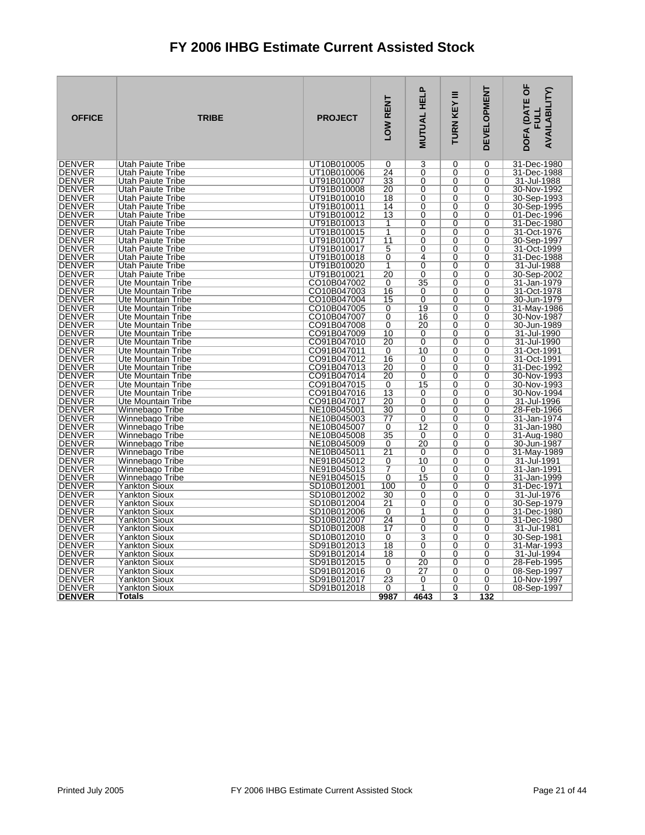| <b>DENVER</b><br>Utah Paiute Tribe<br>UT10B010005<br>0<br>3<br>0<br>0<br>31-Dec-1980<br><b>DENVER</b><br>UT10B010006<br>24<br>0<br>31-Dec-1988<br>Utah Paiute Tribe<br>0<br>0<br><b>DENVER</b><br>Utah Paiute Tribe<br>UT91B010007<br>33<br>0<br>$\mathbf 0$<br>0<br>31-Jul-1988<br>20<br><b>DENVER</b><br>UT91B010008<br>$\overline{0}$<br>$\overline{0}$<br>$\overline{0}$<br>Utah Paiute Tribe<br>30-Nov-1992<br><b>DENVER</b><br>UT91B010010<br>18<br>0<br>$\mathbf 0$<br>0<br>30-Sep-1993<br>Utah Paiute Tribe<br><b>DENVER</b><br><b>Utah Paiute Tribe</b><br>UT91B010011<br>14<br>0<br>$\mathbf 0$<br>0<br>30-Sep-1995<br><b>DENVER</b><br>Utah Paiute Tribe<br>UT91B010012<br>13<br>0<br>$\Omega$<br>$\Omega$<br>01-Dec-1996<br><b>DENVER</b><br><b>Utah Paiute Tribe</b><br>UT91B010013<br>1<br>0<br>$\mathbf 0$<br>0<br>31-Dec-1980<br>$\overline{1}$<br><b>DENVER</b><br>$\overline{0}$<br>$\overline{0}$<br>$\overline{0}$<br>31-Oct-1976<br>Utah Paiute Tribe<br>UT91B010015<br><b>DENVER</b><br>UT91B010017<br>11<br>0<br>$\Omega$<br>30-Sep-1997<br>Utah Paiute Tribe<br>0<br><b>DENVER</b><br>UT91B010017<br>5<br>0<br>0<br>0<br>31-Oct-1999<br>Utah Paiute Tribe<br>0<br>4<br><b>DENVER</b><br>Utah Paiute Tribe<br>UT91B010018<br>$\mathbf 0$<br>0<br>31-Dec-1988<br>$\overline{0}$<br><b>DENVER</b><br>Utah Paiute Tribe<br>UT91B010020<br>1<br>$\mathbf 0$<br>0<br>31-Jul-1988<br>20<br><b>DENVER</b><br>$\overline{0}$<br>$\overline{0}$<br>$\overline{0}$<br>Utah Paiute Tribe<br>UT91B010021<br>30-Sep-2002<br>35<br><b>DENVER</b><br>Ute Mountain Tribe<br>CO10B047002<br>$\Omega$<br>$\Omega$<br>31-Jan-1979<br>0<br><b>DENVER</b><br>CO10B047003<br>16<br>$\mathbf 0$<br>0<br>31-Oct-1978<br>Ute Mountain Tribe<br>0<br><b>DENVER</b><br>Ute Mountain Tribe<br>CO10B047004<br>15<br>0<br>$\mathbf 0$<br>0<br>30-Jun-1979<br>19<br><b>DENVER</b><br>Ute Mountain Tribe<br>CO10B047005<br>0<br>$\mathbf 0$<br>0<br>31-May-1986<br>0<br><b>DENVER</b><br>CO10B047007<br>16<br>$\Omega$<br>$\Omega$<br>30-Nov-1987<br>Ute Mountain Tribe<br><b>DENVER</b><br>20<br>30-Jun-1989<br>Ute Mountain Tribe<br>CO91B047008<br>0<br>0<br>0<br><b>DENVER</b><br>CO91B047009<br>10<br>31-Jul-1990<br>Ute Mountain Tribe<br>0<br>$\mathbf 0$<br>0<br><b>DENVER</b><br>31-Jul-1990<br>Ute Mountain Tribe<br>CO91B047010<br>20<br>0<br>$\mathbf 0$<br>0<br>10<br><b>DENVER</b><br>Ute Mountain Tribe<br>CO91B047011<br>0<br>0<br>0<br>31-Oct-1991<br><b>DENVER</b><br>16<br>CO91B047012<br>0<br>$\Omega$<br>$\Omega$<br>31-Oct-1991<br>Ute Mountain Tribe<br><b>DENVER</b><br>20<br>0<br>31-Dec-1992<br>Ute Mountain Tribe<br>CO91B047013<br>0<br>0<br><b>DENVER</b><br>CO91B047014<br>20<br>$\mathbf 0$<br>$\mathbf 0$<br>30-Nov-1993<br><b>Ute Mountain Tribe</b><br>0<br><b>DENVER</b><br>Ute Mountain Tribe<br>CO91B047015<br>0<br>15<br>$\mathbf 0$<br>0<br>30-Nov-1993<br><b>DENVER</b><br>Ute Mountain Tribe<br>CO91B047016<br>13<br>$\mathbf 0$<br>$\Omega$<br>30-Nov-1994<br>0<br>$\overline{20}$<br>$\overline{0}$<br><b>DENVER</b><br>$\Omega$<br>$\Omega$<br>31-Jul-1996<br>Ute Mountain Tribe<br>CO91B047017<br><b>DENVER</b><br>30<br>0<br>0<br>28-Feb-1966<br>Winnebago Tribe<br>NE10B045001<br>0<br><b>DENVER</b><br>NE10B045003<br>$\overline{77}$<br>$\overline{0}$<br>$\overline{0}$<br>$\overline{0}$<br>31-Jan-1974<br>Winnebago Tribe<br>NE10B045007<br>$\overline{12}$<br>31-Jan-1980<br><b>DENVER</b><br>Winnebago Tribe<br>0<br>0<br>0<br><b>DENVER</b><br>Winnebago Tribe<br>NE10B045008<br>35<br>0<br>$\Omega$<br>31-Aug-1980<br>0<br>$\overline{20}$<br>$\overline{0}$<br><b>DENVER</b><br>NE10B045009<br>0<br>0<br>Winnebago Tribe<br>30-Jun-1987<br><b>DENVER</b><br>21<br>Winnebago Tribe<br>NE10B045011<br>0<br>$\Omega$<br>0<br>31-May-1989<br><b>DENVER</b><br>NE91B045012<br>10<br>$\overline{0}$<br>$\overline{0}$<br>31-Jul-1991<br>Winnebago Tribe<br>0<br><b>DENVER</b><br>NE91B045013<br>7<br>0<br>$\Omega$<br>$\Omega$<br>31-Jan-1991<br>Winnebago Tribe<br><b>DENVER</b><br>Winnebago Tribe<br>NE91B045015<br>0<br>15<br>0<br>0<br>31-Jan-1999<br><b>DENVER</b><br>100<br>$\overline{0}$<br>$\overline{0}$<br>$\overline{0}$<br>31-Dec-1971<br>SD10B012001<br>Yankton Sioux<br><b>DENVER</b><br>$\overline{0}$<br>$\overline{0}$<br>$\overline{0}$<br>Yankton Sioux<br>SD10B012002<br>30<br>31-Jul-1976<br><b>DENVER</b><br>Yankton Sioux<br>SD10B012004<br>21<br>0<br>$\mathbf 0$<br>0<br>30-Sep-1979<br><b>DENVER</b><br><b>Yankton Sioux</b><br>SD10B012006<br>$\Omega$<br>$\Omega$<br>31-Dec-1980<br>0<br>1<br><b>DENVER</b><br>SD10B012007<br>24<br>0<br>$\mathbf 0$<br>0<br>31-Dec-1980<br>Yankton Sioux<br><b>DENVER</b><br>SD10B012008<br>0<br>$\mathbf 0$<br><b>Yankton Sioux</b><br>17<br>$\Omega$<br>31-Jul-1981<br><b>DENVER</b><br>3<br>$\overline{0}$<br>Yankton Sioux<br>SD10B012010<br>0<br>0<br>30-Sep-1981<br><b>DENVER</b><br>Yankton Sioux<br>SD91B012013<br>18<br>0<br>$\Omega$<br>$\Omega$<br>31-Mar-1993<br><b>DENVER</b><br><b>Yankton Sioux</b><br>SD91B012014<br>18<br>0<br>$\mathbf 0$<br>0<br>31-Jul-1994<br><b>DENVER</b><br>SD91B012015<br>0<br>20<br>$\mathbf 0$<br>0<br>28-Feb-1995<br>Yankton Sioux<br><b>DENVER</b><br>SD91B012016<br>$\overline{0}$<br>$\overline{27}$<br>$\overline{0}$<br>Yankton Sioux<br>$\Omega$<br>08-Sep-1997<br>23<br>0<br><b>DENVER</b><br>SD91B012017<br>0<br>0<br>10-Nov-1997<br>Yankton Sioux<br>$\Omega$<br><b>DENVER</b><br>Yankton Sioux<br>SD91B012018<br>$\Omega$<br>1<br>$\Omega$<br>08-Sep-1997<br>132<br><b>DENVER</b><br>9987<br>4643<br>3<br>Totals | <b>OFFICE</b> | <b>TRIBE</b> | <b>PROJECT</b> | <b>LOW RENT</b> | <b>MUTUAL HELP</b> | Ξ<br>TURN KEY | <b>DEVELOPMENT</b> | DOFA (DATE OF<br><b>AVAILABILITY)</b> |
|---------------------------------------------------------------------------------------------------------------------------------------------------------------------------------------------------------------------------------------------------------------------------------------------------------------------------------------------------------------------------------------------------------------------------------------------------------------------------------------------------------------------------------------------------------------------------------------------------------------------------------------------------------------------------------------------------------------------------------------------------------------------------------------------------------------------------------------------------------------------------------------------------------------------------------------------------------------------------------------------------------------------------------------------------------------------------------------------------------------------------------------------------------------------------------------------------------------------------------------------------------------------------------------------------------------------------------------------------------------------------------------------------------------------------------------------------------------------------------------------------------------------------------------------------------------------------------------------------------------------------------------------------------------------------------------------------------------------------------------------------------------------------------------------------------------------------------------------------------------------------------------------------------------------------------------------------------------------------------------------------------------------------------------------------------------------------------------------------------------------------------------------------------------------------------------------------------------------------------------------------------------------------------------------------------------------------------------------------------------------------------------------------------------------------------------------------------------------------------------------------------------------------------------------------------------------------------------------------------------------------------------------------------------------------------------------------------------------------------------------------------------------------------------------------------------------------------------------------------------------------------------------------------------------------------------------------------------------------------------------------------------------------------------------------------------------------------------------------------------------------------------------------------------------------------------------------------------------------------------------------------------------------------------------------------------------------------------------------------------------------------------------------------------------------------------------------------------------------------------------------------------------------------------------------------------------------------------------------------------------------------------------------------------------------------------------------------------------------------------------------------------------------------------------------------------------------------------------------------------------------------------------------------------------------------------------------------------------------------------------------------------------------------------------------------------------------------------------------------------------------------------------------------------------------------------------------------------------------------------------------------------------------------------------------------------------------------------------------------------------------------------------------------------------------------------------------------------------------------------------------------------------------------------------------------------------------------------------------------------------------------------------------------------------------------------------------------------------------------------------------------------------------------------------------------------------------------------------------------------------------------------------------------------------------------------------------------------------------------------------------------------------------------------------------------------------------------------------------------------------------------------------------------------------------------------------------------------------------------------------------------------------------------------------------------------------------------------------------------------------------------------------------------------------------------------------------------------------------------------------------------------------------------------------------------------------------------|---------------|--------------|----------------|-----------------|--------------------|---------------|--------------------|---------------------------------------|
|                                                                                                                                                                                                                                                                                                                                                                                                                                                                                                                                                                                                                                                                                                                                                                                                                                                                                                                                                                                                                                                                                                                                                                                                                                                                                                                                                                                                                                                                                                                                                                                                                                                                                                                                                                                                                                                                                                                                                                                                                                                                                                                                                                                                                                                                                                                                                                                                                                                                                                                                                                                                                                                                                                                                                                                                                                                                                                                                                                                                                                                                                                                                                                                                                                                                                                                                                                                                                                                                                                                                                                                                                                                                                                                                                                                                                                                                                                                                                                                                                                                                                                                                                                                                                                                                                                                                                                                                                                                                                                                                                                                                                                                                                                                                                                                                                                                                                                                                                                                                                                                                                                                                                                                                                                                                                                                                                                                                                                                                                                                                                                                 |               |              |                |                 |                    |               |                    |                                       |
|                                                                                                                                                                                                                                                                                                                                                                                                                                                                                                                                                                                                                                                                                                                                                                                                                                                                                                                                                                                                                                                                                                                                                                                                                                                                                                                                                                                                                                                                                                                                                                                                                                                                                                                                                                                                                                                                                                                                                                                                                                                                                                                                                                                                                                                                                                                                                                                                                                                                                                                                                                                                                                                                                                                                                                                                                                                                                                                                                                                                                                                                                                                                                                                                                                                                                                                                                                                                                                                                                                                                                                                                                                                                                                                                                                                                                                                                                                                                                                                                                                                                                                                                                                                                                                                                                                                                                                                                                                                                                                                                                                                                                                                                                                                                                                                                                                                                                                                                                                                                                                                                                                                                                                                                                                                                                                                                                                                                                                                                                                                                                                                 |               |              |                |                 |                    |               |                    |                                       |
|                                                                                                                                                                                                                                                                                                                                                                                                                                                                                                                                                                                                                                                                                                                                                                                                                                                                                                                                                                                                                                                                                                                                                                                                                                                                                                                                                                                                                                                                                                                                                                                                                                                                                                                                                                                                                                                                                                                                                                                                                                                                                                                                                                                                                                                                                                                                                                                                                                                                                                                                                                                                                                                                                                                                                                                                                                                                                                                                                                                                                                                                                                                                                                                                                                                                                                                                                                                                                                                                                                                                                                                                                                                                                                                                                                                                                                                                                                                                                                                                                                                                                                                                                                                                                                                                                                                                                                                                                                                                                                                                                                                                                                                                                                                                                                                                                                                                                                                                                                                                                                                                                                                                                                                                                                                                                                                                                                                                                                                                                                                                                                                 |               |              |                |                 |                    |               |                    |                                       |
|                                                                                                                                                                                                                                                                                                                                                                                                                                                                                                                                                                                                                                                                                                                                                                                                                                                                                                                                                                                                                                                                                                                                                                                                                                                                                                                                                                                                                                                                                                                                                                                                                                                                                                                                                                                                                                                                                                                                                                                                                                                                                                                                                                                                                                                                                                                                                                                                                                                                                                                                                                                                                                                                                                                                                                                                                                                                                                                                                                                                                                                                                                                                                                                                                                                                                                                                                                                                                                                                                                                                                                                                                                                                                                                                                                                                                                                                                                                                                                                                                                                                                                                                                                                                                                                                                                                                                                                                                                                                                                                                                                                                                                                                                                                                                                                                                                                                                                                                                                                                                                                                                                                                                                                                                                                                                                                                                                                                                                                                                                                                                                                 |               |              |                |                 |                    |               |                    |                                       |
|                                                                                                                                                                                                                                                                                                                                                                                                                                                                                                                                                                                                                                                                                                                                                                                                                                                                                                                                                                                                                                                                                                                                                                                                                                                                                                                                                                                                                                                                                                                                                                                                                                                                                                                                                                                                                                                                                                                                                                                                                                                                                                                                                                                                                                                                                                                                                                                                                                                                                                                                                                                                                                                                                                                                                                                                                                                                                                                                                                                                                                                                                                                                                                                                                                                                                                                                                                                                                                                                                                                                                                                                                                                                                                                                                                                                                                                                                                                                                                                                                                                                                                                                                                                                                                                                                                                                                                                                                                                                                                                                                                                                                                                                                                                                                                                                                                                                                                                                                                                                                                                                                                                                                                                                                                                                                                                                                                                                                                                                                                                                                                                 |               |              |                |                 |                    |               |                    |                                       |
|                                                                                                                                                                                                                                                                                                                                                                                                                                                                                                                                                                                                                                                                                                                                                                                                                                                                                                                                                                                                                                                                                                                                                                                                                                                                                                                                                                                                                                                                                                                                                                                                                                                                                                                                                                                                                                                                                                                                                                                                                                                                                                                                                                                                                                                                                                                                                                                                                                                                                                                                                                                                                                                                                                                                                                                                                                                                                                                                                                                                                                                                                                                                                                                                                                                                                                                                                                                                                                                                                                                                                                                                                                                                                                                                                                                                                                                                                                                                                                                                                                                                                                                                                                                                                                                                                                                                                                                                                                                                                                                                                                                                                                                                                                                                                                                                                                                                                                                                                                                                                                                                                                                                                                                                                                                                                                                                                                                                                                                                                                                                                                                 |               |              |                |                 |                    |               |                    |                                       |
|                                                                                                                                                                                                                                                                                                                                                                                                                                                                                                                                                                                                                                                                                                                                                                                                                                                                                                                                                                                                                                                                                                                                                                                                                                                                                                                                                                                                                                                                                                                                                                                                                                                                                                                                                                                                                                                                                                                                                                                                                                                                                                                                                                                                                                                                                                                                                                                                                                                                                                                                                                                                                                                                                                                                                                                                                                                                                                                                                                                                                                                                                                                                                                                                                                                                                                                                                                                                                                                                                                                                                                                                                                                                                                                                                                                                                                                                                                                                                                                                                                                                                                                                                                                                                                                                                                                                                                                                                                                                                                                                                                                                                                                                                                                                                                                                                                                                                                                                                                                                                                                                                                                                                                                                                                                                                                                                                                                                                                                                                                                                                                                 |               |              |                |                 |                    |               |                    |                                       |
|                                                                                                                                                                                                                                                                                                                                                                                                                                                                                                                                                                                                                                                                                                                                                                                                                                                                                                                                                                                                                                                                                                                                                                                                                                                                                                                                                                                                                                                                                                                                                                                                                                                                                                                                                                                                                                                                                                                                                                                                                                                                                                                                                                                                                                                                                                                                                                                                                                                                                                                                                                                                                                                                                                                                                                                                                                                                                                                                                                                                                                                                                                                                                                                                                                                                                                                                                                                                                                                                                                                                                                                                                                                                                                                                                                                                                                                                                                                                                                                                                                                                                                                                                                                                                                                                                                                                                                                                                                                                                                                                                                                                                                                                                                                                                                                                                                                                                                                                                                                                                                                                                                                                                                                                                                                                                                                                                                                                                                                                                                                                                                                 |               |              |                |                 |                    |               |                    |                                       |
|                                                                                                                                                                                                                                                                                                                                                                                                                                                                                                                                                                                                                                                                                                                                                                                                                                                                                                                                                                                                                                                                                                                                                                                                                                                                                                                                                                                                                                                                                                                                                                                                                                                                                                                                                                                                                                                                                                                                                                                                                                                                                                                                                                                                                                                                                                                                                                                                                                                                                                                                                                                                                                                                                                                                                                                                                                                                                                                                                                                                                                                                                                                                                                                                                                                                                                                                                                                                                                                                                                                                                                                                                                                                                                                                                                                                                                                                                                                                                                                                                                                                                                                                                                                                                                                                                                                                                                                                                                                                                                                                                                                                                                                                                                                                                                                                                                                                                                                                                                                                                                                                                                                                                                                                                                                                                                                                                                                                                                                                                                                                                                                 |               |              |                |                 |                    |               |                    |                                       |
|                                                                                                                                                                                                                                                                                                                                                                                                                                                                                                                                                                                                                                                                                                                                                                                                                                                                                                                                                                                                                                                                                                                                                                                                                                                                                                                                                                                                                                                                                                                                                                                                                                                                                                                                                                                                                                                                                                                                                                                                                                                                                                                                                                                                                                                                                                                                                                                                                                                                                                                                                                                                                                                                                                                                                                                                                                                                                                                                                                                                                                                                                                                                                                                                                                                                                                                                                                                                                                                                                                                                                                                                                                                                                                                                                                                                                                                                                                                                                                                                                                                                                                                                                                                                                                                                                                                                                                                                                                                                                                                                                                                                                                                                                                                                                                                                                                                                                                                                                                                                                                                                                                                                                                                                                                                                                                                                                                                                                                                                                                                                                                                 |               |              |                |                 |                    |               |                    |                                       |
|                                                                                                                                                                                                                                                                                                                                                                                                                                                                                                                                                                                                                                                                                                                                                                                                                                                                                                                                                                                                                                                                                                                                                                                                                                                                                                                                                                                                                                                                                                                                                                                                                                                                                                                                                                                                                                                                                                                                                                                                                                                                                                                                                                                                                                                                                                                                                                                                                                                                                                                                                                                                                                                                                                                                                                                                                                                                                                                                                                                                                                                                                                                                                                                                                                                                                                                                                                                                                                                                                                                                                                                                                                                                                                                                                                                                                                                                                                                                                                                                                                                                                                                                                                                                                                                                                                                                                                                                                                                                                                                                                                                                                                                                                                                                                                                                                                                                                                                                                                                                                                                                                                                                                                                                                                                                                                                                                                                                                                                                                                                                                                                 |               |              |                |                 |                    |               |                    |                                       |
|                                                                                                                                                                                                                                                                                                                                                                                                                                                                                                                                                                                                                                                                                                                                                                                                                                                                                                                                                                                                                                                                                                                                                                                                                                                                                                                                                                                                                                                                                                                                                                                                                                                                                                                                                                                                                                                                                                                                                                                                                                                                                                                                                                                                                                                                                                                                                                                                                                                                                                                                                                                                                                                                                                                                                                                                                                                                                                                                                                                                                                                                                                                                                                                                                                                                                                                                                                                                                                                                                                                                                                                                                                                                                                                                                                                                                                                                                                                                                                                                                                                                                                                                                                                                                                                                                                                                                                                                                                                                                                                                                                                                                                                                                                                                                                                                                                                                                                                                                                                                                                                                                                                                                                                                                                                                                                                                                                                                                                                                                                                                                                                 |               |              |                |                 |                    |               |                    |                                       |
|                                                                                                                                                                                                                                                                                                                                                                                                                                                                                                                                                                                                                                                                                                                                                                                                                                                                                                                                                                                                                                                                                                                                                                                                                                                                                                                                                                                                                                                                                                                                                                                                                                                                                                                                                                                                                                                                                                                                                                                                                                                                                                                                                                                                                                                                                                                                                                                                                                                                                                                                                                                                                                                                                                                                                                                                                                                                                                                                                                                                                                                                                                                                                                                                                                                                                                                                                                                                                                                                                                                                                                                                                                                                                                                                                                                                                                                                                                                                                                                                                                                                                                                                                                                                                                                                                                                                                                                                                                                                                                                                                                                                                                                                                                                                                                                                                                                                                                                                                                                                                                                                                                                                                                                                                                                                                                                                                                                                                                                                                                                                                                                 |               |              |                |                 |                    |               |                    |                                       |
|                                                                                                                                                                                                                                                                                                                                                                                                                                                                                                                                                                                                                                                                                                                                                                                                                                                                                                                                                                                                                                                                                                                                                                                                                                                                                                                                                                                                                                                                                                                                                                                                                                                                                                                                                                                                                                                                                                                                                                                                                                                                                                                                                                                                                                                                                                                                                                                                                                                                                                                                                                                                                                                                                                                                                                                                                                                                                                                                                                                                                                                                                                                                                                                                                                                                                                                                                                                                                                                                                                                                                                                                                                                                                                                                                                                                                                                                                                                                                                                                                                                                                                                                                                                                                                                                                                                                                                                                                                                                                                                                                                                                                                                                                                                                                                                                                                                                                                                                                                                                                                                                                                                                                                                                                                                                                                                                                                                                                                                                                                                                                                                 |               |              |                |                 |                    |               |                    |                                       |
|                                                                                                                                                                                                                                                                                                                                                                                                                                                                                                                                                                                                                                                                                                                                                                                                                                                                                                                                                                                                                                                                                                                                                                                                                                                                                                                                                                                                                                                                                                                                                                                                                                                                                                                                                                                                                                                                                                                                                                                                                                                                                                                                                                                                                                                                                                                                                                                                                                                                                                                                                                                                                                                                                                                                                                                                                                                                                                                                                                                                                                                                                                                                                                                                                                                                                                                                                                                                                                                                                                                                                                                                                                                                                                                                                                                                                                                                                                                                                                                                                                                                                                                                                                                                                                                                                                                                                                                                                                                                                                                                                                                                                                                                                                                                                                                                                                                                                                                                                                                                                                                                                                                                                                                                                                                                                                                                                                                                                                                                                                                                                                                 |               |              |                |                 |                    |               |                    |                                       |
|                                                                                                                                                                                                                                                                                                                                                                                                                                                                                                                                                                                                                                                                                                                                                                                                                                                                                                                                                                                                                                                                                                                                                                                                                                                                                                                                                                                                                                                                                                                                                                                                                                                                                                                                                                                                                                                                                                                                                                                                                                                                                                                                                                                                                                                                                                                                                                                                                                                                                                                                                                                                                                                                                                                                                                                                                                                                                                                                                                                                                                                                                                                                                                                                                                                                                                                                                                                                                                                                                                                                                                                                                                                                                                                                                                                                                                                                                                                                                                                                                                                                                                                                                                                                                                                                                                                                                                                                                                                                                                                                                                                                                                                                                                                                                                                                                                                                                                                                                                                                                                                                                                                                                                                                                                                                                                                                                                                                                                                                                                                                                                                 |               |              |                |                 |                    |               |                    |                                       |
|                                                                                                                                                                                                                                                                                                                                                                                                                                                                                                                                                                                                                                                                                                                                                                                                                                                                                                                                                                                                                                                                                                                                                                                                                                                                                                                                                                                                                                                                                                                                                                                                                                                                                                                                                                                                                                                                                                                                                                                                                                                                                                                                                                                                                                                                                                                                                                                                                                                                                                                                                                                                                                                                                                                                                                                                                                                                                                                                                                                                                                                                                                                                                                                                                                                                                                                                                                                                                                                                                                                                                                                                                                                                                                                                                                                                                                                                                                                                                                                                                                                                                                                                                                                                                                                                                                                                                                                                                                                                                                                                                                                                                                                                                                                                                                                                                                                                                                                                                                                                                                                                                                                                                                                                                                                                                                                                                                                                                                                                                                                                                                                 |               |              |                |                 |                    |               |                    |                                       |
|                                                                                                                                                                                                                                                                                                                                                                                                                                                                                                                                                                                                                                                                                                                                                                                                                                                                                                                                                                                                                                                                                                                                                                                                                                                                                                                                                                                                                                                                                                                                                                                                                                                                                                                                                                                                                                                                                                                                                                                                                                                                                                                                                                                                                                                                                                                                                                                                                                                                                                                                                                                                                                                                                                                                                                                                                                                                                                                                                                                                                                                                                                                                                                                                                                                                                                                                                                                                                                                                                                                                                                                                                                                                                                                                                                                                                                                                                                                                                                                                                                                                                                                                                                                                                                                                                                                                                                                                                                                                                                                                                                                                                                                                                                                                                                                                                                                                                                                                                                                                                                                                                                                                                                                                                                                                                                                                                                                                                                                                                                                                                                                 |               |              |                |                 |                    |               |                    |                                       |
|                                                                                                                                                                                                                                                                                                                                                                                                                                                                                                                                                                                                                                                                                                                                                                                                                                                                                                                                                                                                                                                                                                                                                                                                                                                                                                                                                                                                                                                                                                                                                                                                                                                                                                                                                                                                                                                                                                                                                                                                                                                                                                                                                                                                                                                                                                                                                                                                                                                                                                                                                                                                                                                                                                                                                                                                                                                                                                                                                                                                                                                                                                                                                                                                                                                                                                                                                                                                                                                                                                                                                                                                                                                                                                                                                                                                                                                                                                                                                                                                                                                                                                                                                                                                                                                                                                                                                                                                                                                                                                                                                                                                                                                                                                                                                                                                                                                                                                                                                                                                                                                                                                                                                                                                                                                                                                                                                                                                                                                                                                                                                                                 |               |              |                |                 |                    |               |                    |                                       |
|                                                                                                                                                                                                                                                                                                                                                                                                                                                                                                                                                                                                                                                                                                                                                                                                                                                                                                                                                                                                                                                                                                                                                                                                                                                                                                                                                                                                                                                                                                                                                                                                                                                                                                                                                                                                                                                                                                                                                                                                                                                                                                                                                                                                                                                                                                                                                                                                                                                                                                                                                                                                                                                                                                                                                                                                                                                                                                                                                                                                                                                                                                                                                                                                                                                                                                                                                                                                                                                                                                                                                                                                                                                                                                                                                                                                                                                                                                                                                                                                                                                                                                                                                                                                                                                                                                                                                                                                                                                                                                                                                                                                                                                                                                                                                                                                                                                                                                                                                                                                                                                                                                                                                                                                                                                                                                                                                                                                                                                                                                                                                                                 |               |              |                |                 |                    |               |                    |                                       |
|                                                                                                                                                                                                                                                                                                                                                                                                                                                                                                                                                                                                                                                                                                                                                                                                                                                                                                                                                                                                                                                                                                                                                                                                                                                                                                                                                                                                                                                                                                                                                                                                                                                                                                                                                                                                                                                                                                                                                                                                                                                                                                                                                                                                                                                                                                                                                                                                                                                                                                                                                                                                                                                                                                                                                                                                                                                                                                                                                                                                                                                                                                                                                                                                                                                                                                                                                                                                                                                                                                                                                                                                                                                                                                                                                                                                                                                                                                                                                                                                                                                                                                                                                                                                                                                                                                                                                                                                                                                                                                                                                                                                                                                                                                                                                                                                                                                                                                                                                                                                                                                                                                                                                                                                                                                                                                                                                                                                                                                                                                                                                                                 |               |              |                |                 |                    |               |                    |                                       |
|                                                                                                                                                                                                                                                                                                                                                                                                                                                                                                                                                                                                                                                                                                                                                                                                                                                                                                                                                                                                                                                                                                                                                                                                                                                                                                                                                                                                                                                                                                                                                                                                                                                                                                                                                                                                                                                                                                                                                                                                                                                                                                                                                                                                                                                                                                                                                                                                                                                                                                                                                                                                                                                                                                                                                                                                                                                                                                                                                                                                                                                                                                                                                                                                                                                                                                                                                                                                                                                                                                                                                                                                                                                                                                                                                                                                                                                                                                                                                                                                                                                                                                                                                                                                                                                                                                                                                                                                                                                                                                                                                                                                                                                                                                                                                                                                                                                                                                                                                                                                                                                                                                                                                                                                                                                                                                                                                                                                                                                                                                                                                                                 |               |              |                |                 |                    |               |                    |                                       |
|                                                                                                                                                                                                                                                                                                                                                                                                                                                                                                                                                                                                                                                                                                                                                                                                                                                                                                                                                                                                                                                                                                                                                                                                                                                                                                                                                                                                                                                                                                                                                                                                                                                                                                                                                                                                                                                                                                                                                                                                                                                                                                                                                                                                                                                                                                                                                                                                                                                                                                                                                                                                                                                                                                                                                                                                                                                                                                                                                                                                                                                                                                                                                                                                                                                                                                                                                                                                                                                                                                                                                                                                                                                                                                                                                                                                                                                                                                                                                                                                                                                                                                                                                                                                                                                                                                                                                                                                                                                                                                                                                                                                                                                                                                                                                                                                                                                                                                                                                                                                                                                                                                                                                                                                                                                                                                                                                                                                                                                                                                                                                                                 |               |              |                |                 |                    |               |                    |                                       |
|                                                                                                                                                                                                                                                                                                                                                                                                                                                                                                                                                                                                                                                                                                                                                                                                                                                                                                                                                                                                                                                                                                                                                                                                                                                                                                                                                                                                                                                                                                                                                                                                                                                                                                                                                                                                                                                                                                                                                                                                                                                                                                                                                                                                                                                                                                                                                                                                                                                                                                                                                                                                                                                                                                                                                                                                                                                                                                                                                                                                                                                                                                                                                                                                                                                                                                                                                                                                                                                                                                                                                                                                                                                                                                                                                                                                                                                                                                                                                                                                                                                                                                                                                                                                                                                                                                                                                                                                                                                                                                                                                                                                                                                                                                                                                                                                                                                                                                                                                                                                                                                                                                                                                                                                                                                                                                                                                                                                                                                                                                                                                                                 |               |              |                |                 |                    |               |                    |                                       |
|                                                                                                                                                                                                                                                                                                                                                                                                                                                                                                                                                                                                                                                                                                                                                                                                                                                                                                                                                                                                                                                                                                                                                                                                                                                                                                                                                                                                                                                                                                                                                                                                                                                                                                                                                                                                                                                                                                                                                                                                                                                                                                                                                                                                                                                                                                                                                                                                                                                                                                                                                                                                                                                                                                                                                                                                                                                                                                                                                                                                                                                                                                                                                                                                                                                                                                                                                                                                                                                                                                                                                                                                                                                                                                                                                                                                                                                                                                                                                                                                                                                                                                                                                                                                                                                                                                                                                                                                                                                                                                                                                                                                                                                                                                                                                                                                                                                                                                                                                                                                                                                                                                                                                                                                                                                                                                                                                                                                                                                                                                                                                                                 |               |              |                |                 |                    |               |                    |                                       |
|                                                                                                                                                                                                                                                                                                                                                                                                                                                                                                                                                                                                                                                                                                                                                                                                                                                                                                                                                                                                                                                                                                                                                                                                                                                                                                                                                                                                                                                                                                                                                                                                                                                                                                                                                                                                                                                                                                                                                                                                                                                                                                                                                                                                                                                                                                                                                                                                                                                                                                                                                                                                                                                                                                                                                                                                                                                                                                                                                                                                                                                                                                                                                                                                                                                                                                                                                                                                                                                                                                                                                                                                                                                                                                                                                                                                                                                                                                                                                                                                                                                                                                                                                                                                                                                                                                                                                                                                                                                                                                                                                                                                                                                                                                                                                                                                                                                                                                                                                                                                                                                                                                                                                                                                                                                                                                                                                                                                                                                                                                                                                                                 |               |              |                |                 |                    |               |                    |                                       |
|                                                                                                                                                                                                                                                                                                                                                                                                                                                                                                                                                                                                                                                                                                                                                                                                                                                                                                                                                                                                                                                                                                                                                                                                                                                                                                                                                                                                                                                                                                                                                                                                                                                                                                                                                                                                                                                                                                                                                                                                                                                                                                                                                                                                                                                                                                                                                                                                                                                                                                                                                                                                                                                                                                                                                                                                                                                                                                                                                                                                                                                                                                                                                                                                                                                                                                                                                                                                                                                                                                                                                                                                                                                                                                                                                                                                                                                                                                                                                                                                                                                                                                                                                                                                                                                                                                                                                                                                                                                                                                                                                                                                                                                                                                                                                                                                                                                                                                                                                                                                                                                                                                                                                                                                                                                                                                                                                                                                                                                                                                                                                                                 |               |              |                |                 |                    |               |                    |                                       |
|                                                                                                                                                                                                                                                                                                                                                                                                                                                                                                                                                                                                                                                                                                                                                                                                                                                                                                                                                                                                                                                                                                                                                                                                                                                                                                                                                                                                                                                                                                                                                                                                                                                                                                                                                                                                                                                                                                                                                                                                                                                                                                                                                                                                                                                                                                                                                                                                                                                                                                                                                                                                                                                                                                                                                                                                                                                                                                                                                                                                                                                                                                                                                                                                                                                                                                                                                                                                                                                                                                                                                                                                                                                                                                                                                                                                                                                                                                                                                                                                                                                                                                                                                                                                                                                                                                                                                                                                                                                                                                                                                                                                                                                                                                                                                                                                                                                                                                                                                                                                                                                                                                                                                                                                                                                                                                                                                                                                                                                                                                                                                                                 |               |              |                |                 |                    |               |                    |                                       |
|                                                                                                                                                                                                                                                                                                                                                                                                                                                                                                                                                                                                                                                                                                                                                                                                                                                                                                                                                                                                                                                                                                                                                                                                                                                                                                                                                                                                                                                                                                                                                                                                                                                                                                                                                                                                                                                                                                                                                                                                                                                                                                                                                                                                                                                                                                                                                                                                                                                                                                                                                                                                                                                                                                                                                                                                                                                                                                                                                                                                                                                                                                                                                                                                                                                                                                                                                                                                                                                                                                                                                                                                                                                                                                                                                                                                                                                                                                                                                                                                                                                                                                                                                                                                                                                                                                                                                                                                                                                                                                                                                                                                                                                                                                                                                                                                                                                                                                                                                                                                                                                                                                                                                                                                                                                                                                                                                                                                                                                                                                                                                                                 |               |              |                |                 |                    |               |                    |                                       |
|                                                                                                                                                                                                                                                                                                                                                                                                                                                                                                                                                                                                                                                                                                                                                                                                                                                                                                                                                                                                                                                                                                                                                                                                                                                                                                                                                                                                                                                                                                                                                                                                                                                                                                                                                                                                                                                                                                                                                                                                                                                                                                                                                                                                                                                                                                                                                                                                                                                                                                                                                                                                                                                                                                                                                                                                                                                                                                                                                                                                                                                                                                                                                                                                                                                                                                                                                                                                                                                                                                                                                                                                                                                                                                                                                                                                                                                                                                                                                                                                                                                                                                                                                                                                                                                                                                                                                                                                                                                                                                                                                                                                                                                                                                                                                                                                                                                                                                                                                                                                                                                                                                                                                                                                                                                                                                                                                                                                                                                                                                                                                                                 |               |              |                |                 |                    |               |                    |                                       |
|                                                                                                                                                                                                                                                                                                                                                                                                                                                                                                                                                                                                                                                                                                                                                                                                                                                                                                                                                                                                                                                                                                                                                                                                                                                                                                                                                                                                                                                                                                                                                                                                                                                                                                                                                                                                                                                                                                                                                                                                                                                                                                                                                                                                                                                                                                                                                                                                                                                                                                                                                                                                                                                                                                                                                                                                                                                                                                                                                                                                                                                                                                                                                                                                                                                                                                                                                                                                                                                                                                                                                                                                                                                                                                                                                                                                                                                                                                                                                                                                                                                                                                                                                                                                                                                                                                                                                                                                                                                                                                                                                                                                                                                                                                                                                                                                                                                                                                                                                                                                                                                                                                                                                                                                                                                                                                                                                                                                                                                                                                                                                                                 |               |              |                |                 |                    |               |                    |                                       |
|                                                                                                                                                                                                                                                                                                                                                                                                                                                                                                                                                                                                                                                                                                                                                                                                                                                                                                                                                                                                                                                                                                                                                                                                                                                                                                                                                                                                                                                                                                                                                                                                                                                                                                                                                                                                                                                                                                                                                                                                                                                                                                                                                                                                                                                                                                                                                                                                                                                                                                                                                                                                                                                                                                                                                                                                                                                                                                                                                                                                                                                                                                                                                                                                                                                                                                                                                                                                                                                                                                                                                                                                                                                                                                                                                                                                                                                                                                                                                                                                                                                                                                                                                                                                                                                                                                                                                                                                                                                                                                                                                                                                                                                                                                                                                                                                                                                                                                                                                                                                                                                                                                                                                                                                                                                                                                                                                                                                                                                                                                                                                                                 |               |              |                |                 |                    |               |                    |                                       |
|                                                                                                                                                                                                                                                                                                                                                                                                                                                                                                                                                                                                                                                                                                                                                                                                                                                                                                                                                                                                                                                                                                                                                                                                                                                                                                                                                                                                                                                                                                                                                                                                                                                                                                                                                                                                                                                                                                                                                                                                                                                                                                                                                                                                                                                                                                                                                                                                                                                                                                                                                                                                                                                                                                                                                                                                                                                                                                                                                                                                                                                                                                                                                                                                                                                                                                                                                                                                                                                                                                                                                                                                                                                                                                                                                                                                                                                                                                                                                                                                                                                                                                                                                                                                                                                                                                                                                                                                                                                                                                                                                                                                                                                                                                                                                                                                                                                                                                                                                                                                                                                                                                                                                                                                                                                                                                                                                                                                                                                                                                                                                                                 |               |              |                |                 |                    |               |                    |                                       |
|                                                                                                                                                                                                                                                                                                                                                                                                                                                                                                                                                                                                                                                                                                                                                                                                                                                                                                                                                                                                                                                                                                                                                                                                                                                                                                                                                                                                                                                                                                                                                                                                                                                                                                                                                                                                                                                                                                                                                                                                                                                                                                                                                                                                                                                                                                                                                                                                                                                                                                                                                                                                                                                                                                                                                                                                                                                                                                                                                                                                                                                                                                                                                                                                                                                                                                                                                                                                                                                                                                                                                                                                                                                                                                                                                                                                                                                                                                                                                                                                                                                                                                                                                                                                                                                                                                                                                                                                                                                                                                                                                                                                                                                                                                                                                                                                                                                                                                                                                                                                                                                                                                                                                                                                                                                                                                                                                                                                                                                                                                                                                                                 |               |              |                |                 |                    |               |                    |                                       |
|                                                                                                                                                                                                                                                                                                                                                                                                                                                                                                                                                                                                                                                                                                                                                                                                                                                                                                                                                                                                                                                                                                                                                                                                                                                                                                                                                                                                                                                                                                                                                                                                                                                                                                                                                                                                                                                                                                                                                                                                                                                                                                                                                                                                                                                                                                                                                                                                                                                                                                                                                                                                                                                                                                                                                                                                                                                                                                                                                                                                                                                                                                                                                                                                                                                                                                                                                                                                                                                                                                                                                                                                                                                                                                                                                                                                                                                                                                                                                                                                                                                                                                                                                                                                                                                                                                                                                                                                                                                                                                                                                                                                                                                                                                                                                                                                                                                                                                                                                                                                                                                                                                                                                                                                                                                                                                                                                                                                                                                                                                                                                                                 |               |              |                |                 |                    |               |                    |                                       |
|                                                                                                                                                                                                                                                                                                                                                                                                                                                                                                                                                                                                                                                                                                                                                                                                                                                                                                                                                                                                                                                                                                                                                                                                                                                                                                                                                                                                                                                                                                                                                                                                                                                                                                                                                                                                                                                                                                                                                                                                                                                                                                                                                                                                                                                                                                                                                                                                                                                                                                                                                                                                                                                                                                                                                                                                                                                                                                                                                                                                                                                                                                                                                                                                                                                                                                                                                                                                                                                                                                                                                                                                                                                                                                                                                                                                                                                                                                                                                                                                                                                                                                                                                                                                                                                                                                                                                                                                                                                                                                                                                                                                                                                                                                                                                                                                                                                                                                                                                                                                                                                                                                                                                                                                                                                                                                                                                                                                                                                                                                                                                                                 |               |              |                |                 |                    |               |                    |                                       |
|                                                                                                                                                                                                                                                                                                                                                                                                                                                                                                                                                                                                                                                                                                                                                                                                                                                                                                                                                                                                                                                                                                                                                                                                                                                                                                                                                                                                                                                                                                                                                                                                                                                                                                                                                                                                                                                                                                                                                                                                                                                                                                                                                                                                                                                                                                                                                                                                                                                                                                                                                                                                                                                                                                                                                                                                                                                                                                                                                                                                                                                                                                                                                                                                                                                                                                                                                                                                                                                                                                                                                                                                                                                                                                                                                                                                                                                                                                                                                                                                                                                                                                                                                                                                                                                                                                                                                                                                                                                                                                                                                                                                                                                                                                                                                                                                                                                                                                                                                                                                                                                                                                                                                                                                                                                                                                                                                                                                                                                                                                                                                                                 |               |              |                |                 |                    |               |                    |                                       |
|                                                                                                                                                                                                                                                                                                                                                                                                                                                                                                                                                                                                                                                                                                                                                                                                                                                                                                                                                                                                                                                                                                                                                                                                                                                                                                                                                                                                                                                                                                                                                                                                                                                                                                                                                                                                                                                                                                                                                                                                                                                                                                                                                                                                                                                                                                                                                                                                                                                                                                                                                                                                                                                                                                                                                                                                                                                                                                                                                                                                                                                                                                                                                                                                                                                                                                                                                                                                                                                                                                                                                                                                                                                                                                                                                                                                                                                                                                                                                                                                                                                                                                                                                                                                                                                                                                                                                                                                                                                                                                                                                                                                                                                                                                                                                                                                                                                                                                                                                                                                                                                                                                                                                                                                                                                                                                                                                                                                                                                                                                                                                                                 |               |              |                |                 |                    |               |                    |                                       |
|                                                                                                                                                                                                                                                                                                                                                                                                                                                                                                                                                                                                                                                                                                                                                                                                                                                                                                                                                                                                                                                                                                                                                                                                                                                                                                                                                                                                                                                                                                                                                                                                                                                                                                                                                                                                                                                                                                                                                                                                                                                                                                                                                                                                                                                                                                                                                                                                                                                                                                                                                                                                                                                                                                                                                                                                                                                                                                                                                                                                                                                                                                                                                                                                                                                                                                                                                                                                                                                                                                                                                                                                                                                                                                                                                                                                                                                                                                                                                                                                                                                                                                                                                                                                                                                                                                                                                                                                                                                                                                                                                                                                                                                                                                                                                                                                                                                                                                                                                                                                                                                                                                                                                                                                                                                                                                                                                                                                                                                                                                                                                                                 |               |              |                |                 |                    |               |                    |                                       |
|                                                                                                                                                                                                                                                                                                                                                                                                                                                                                                                                                                                                                                                                                                                                                                                                                                                                                                                                                                                                                                                                                                                                                                                                                                                                                                                                                                                                                                                                                                                                                                                                                                                                                                                                                                                                                                                                                                                                                                                                                                                                                                                                                                                                                                                                                                                                                                                                                                                                                                                                                                                                                                                                                                                                                                                                                                                                                                                                                                                                                                                                                                                                                                                                                                                                                                                                                                                                                                                                                                                                                                                                                                                                                                                                                                                                                                                                                                                                                                                                                                                                                                                                                                                                                                                                                                                                                                                                                                                                                                                                                                                                                                                                                                                                                                                                                                                                                                                                                                                                                                                                                                                                                                                                                                                                                                                                                                                                                                                                                                                                                                                 |               |              |                |                 |                    |               |                    |                                       |
|                                                                                                                                                                                                                                                                                                                                                                                                                                                                                                                                                                                                                                                                                                                                                                                                                                                                                                                                                                                                                                                                                                                                                                                                                                                                                                                                                                                                                                                                                                                                                                                                                                                                                                                                                                                                                                                                                                                                                                                                                                                                                                                                                                                                                                                                                                                                                                                                                                                                                                                                                                                                                                                                                                                                                                                                                                                                                                                                                                                                                                                                                                                                                                                                                                                                                                                                                                                                                                                                                                                                                                                                                                                                                                                                                                                                                                                                                                                                                                                                                                                                                                                                                                                                                                                                                                                                                                                                                                                                                                                                                                                                                                                                                                                                                                                                                                                                                                                                                                                                                                                                                                                                                                                                                                                                                                                                                                                                                                                                                                                                                                                 |               |              |                |                 |                    |               |                    |                                       |
|                                                                                                                                                                                                                                                                                                                                                                                                                                                                                                                                                                                                                                                                                                                                                                                                                                                                                                                                                                                                                                                                                                                                                                                                                                                                                                                                                                                                                                                                                                                                                                                                                                                                                                                                                                                                                                                                                                                                                                                                                                                                                                                                                                                                                                                                                                                                                                                                                                                                                                                                                                                                                                                                                                                                                                                                                                                                                                                                                                                                                                                                                                                                                                                                                                                                                                                                                                                                                                                                                                                                                                                                                                                                                                                                                                                                                                                                                                                                                                                                                                                                                                                                                                                                                                                                                                                                                                                                                                                                                                                                                                                                                                                                                                                                                                                                                                                                                                                                                                                                                                                                                                                                                                                                                                                                                                                                                                                                                                                                                                                                                                                 |               |              |                |                 |                    |               |                    |                                       |
|                                                                                                                                                                                                                                                                                                                                                                                                                                                                                                                                                                                                                                                                                                                                                                                                                                                                                                                                                                                                                                                                                                                                                                                                                                                                                                                                                                                                                                                                                                                                                                                                                                                                                                                                                                                                                                                                                                                                                                                                                                                                                                                                                                                                                                                                                                                                                                                                                                                                                                                                                                                                                                                                                                                                                                                                                                                                                                                                                                                                                                                                                                                                                                                                                                                                                                                                                                                                                                                                                                                                                                                                                                                                                                                                                                                                                                                                                                                                                                                                                                                                                                                                                                                                                                                                                                                                                                                                                                                                                                                                                                                                                                                                                                                                                                                                                                                                                                                                                                                                                                                                                                                                                                                                                                                                                                                                                                                                                                                                                                                                                                                 |               |              |                |                 |                    |               |                    |                                       |
|                                                                                                                                                                                                                                                                                                                                                                                                                                                                                                                                                                                                                                                                                                                                                                                                                                                                                                                                                                                                                                                                                                                                                                                                                                                                                                                                                                                                                                                                                                                                                                                                                                                                                                                                                                                                                                                                                                                                                                                                                                                                                                                                                                                                                                                                                                                                                                                                                                                                                                                                                                                                                                                                                                                                                                                                                                                                                                                                                                                                                                                                                                                                                                                                                                                                                                                                                                                                                                                                                                                                                                                                                                                                                                                                                                                                                                                                                                                                                                                                                                                                                                                                                                                                                                                                                                                                                                                                                                                                                                                                                                                                                                                                                                                                                                                                                                                                                                                                                                                                                                                                                                                                                                                                                                                                                                                                                                                                                                                                                                                                                                                 |               |              |                |                 |                    |               |                    |                                       |
|                                                                                                                                                                                                                                                                                                                                                                                                                                                                                                                                                                                                                                                                                                                                                                                                                                                                                                                                                                                                                                                                                                                                                                                                                                                                                                                                                                                                                                                                                                                                                                                                                                                                                                                                                                                                                                                                                                                                                                                                                                                                                                                                                                                                                                                                                                                                                                                                                                                                                                                                                                                                                                                                                                                                                                                                                                                                                                                                                                                                                                                                                                                                                                                                                                                                                                                                                                                                                                                                                                                                                                                                                                                                                                                                                                                                                                                                                                                                                                                                                                                                                                                                                                                                                                                                                                                                                                                                                                                                                                                                                                                                                                                                                                                                                                                                                                                                                                                                                                                                                                                                                                                                                                                                                                                                                                                                                                                                                                                                                                                                                                                 |               |              |                |                 |                    |               |                    |                                       |
|                                                                                                                                                                                                                                                                                                                                                                                                                                                                                                                                                                                                                                                                                                                                                                                                                                                                                                                                                                                                                                                                                                                                                                                                                                                                                                                                                                                                                                                                                                                                                                                                                                                                                                                                                                                                                                                                                                                                                                                                                                                                                                                                                                                                                                                                                                                                                                                                                                                                                                                                                                                                                                                                                                                                                                                                                                                                                                                                                                                                                                                                                                                                                                                                                                                                                                                                                                                                                                                                                                                                                                                                                                                                                                                                                                                                                                                                                                                                                                                                                                                                                                                                                                                                                                                                                                                                                                                                                                                                                                                                                                                                                                                                                                                                                                                                                                                                                                                                                                                                                                                                                                                                                                                                                                                                                                                                                                                                                                                                                                                                                                                 |               |              |                |                 |                    |               |                    |                                       |
|                                                                                                                                                                                                                                                                                                                                                                                                                                                                                                                                                                                                                                                                                                                                                                                                                                                                                                                                                                                                                                                                                                                                                                                                                                                                                                                                                                                                                                                                                                                                                                                                                                                                                                                                                                                                                                                                                                                                                                                                                                                                                                                                                                                                                                                                                                                                                                                                                                                                                                                                                                                                                                                                                                                                                                                                                                                                                                                                                                                                                                                                                                                                                                                                                                                                                                                                                                                                                                                                                                                                                                                                                                                                                                                                                                                                                                                                                                                                                                                                                                                                                                                                                                                                                                                                                                                                                                                                                                                                                                                                                                                                                                                                                                                                                                                                                                                                                                                                                                                                                                                                                                                                                                                                                                                                                                                                                                                                                                                                                                                                                                                 |               |              |                |                 |                    |               |                    |                                       |
|                                                                                                                                                                                                                                                                                                                                                                                                                                                                                                                                                                                                                                                                                                                                                                                                                                                                                                                                                                                                                                                                                                                                                                                                                                                                                                                                                                                                                                                                                                                                                                                                                                                                                                                                                                                                                                                                                                                                                                                                                                                                                                                                                                                                                                                                                                                                                                                                                                                                                                                                                                                                                                                                                                                                                                                                                                                                                                                                                                                                                                                                                                                                                                                                                                                                                                                                                                                                                                                                                                                                                                                                                                                                                                                                                                                                                                                                                                                                                                                                                                                                                                                                                                                                                                                                                                                                                                                                                                                                                                                                                                                                                                                                                                                                                                                                                                                                                                                                                                                                                                                                                                                                                                                                                                                                                                                                                                                                                                                                                                                                                                                 |               |              |                |                 |                    |               |                    |                                       |
|                                                                                                                                                                                                                                                                                                                                                                                                                                                                                                                                                                                                                                                                                                                                                                                                                                                                                                                                                                                                                                                                                                                                                                                                                                                                                                                                                                                                                                                                                                                                                                                                                                                                                                                                                                                                                                                                                                                                                                                                                                                                                                                                                                                                                                                                                                                                                                                                                                                                                                                                                                                                                                                                                                                                                                                                                                                                                                                                                                                                                                                                                                                                                                                                                                                                                                                                                                                                                                                                                                                                                                                                                                                                                                                                                                                                                                                                                                                                                                                                                                                                                                                                                                                                                                                                                                                                                                                                                                                                                                                                                                                                                                                                                                                                                                                                                                                                                                                                                                                                                                                                                                                                                                                                                                                                                                                                                                                                                                                                                                                                                                                 |               |              |                |                 |                    |               |                    |                                       |
|                                                                                                                                                                                                                                                                                                                                                                                                                                                                                                                                                                                                                                                                                                                                                                                                                                                                                                                                                                                                                                                                                                                                                                                                                                                                                                                                                                                                                                                                                                                                                                                                                                                                                                                                                                                                                                                                                                                                                                                                                                                                                                                                                                                                                                                                                                                                                                                                                                                                                                                                                                                                                                                                                                                                                                                                                                                                                                                                                                                                                                                                                                                                                                                                                                                                                                                                                                                                                                                                                                                                                                                                                                                                                                                                                                                                                                                                                                                                                                                                                                                                                                                                                                                                                                                                                                                                                                                                                                                                                                                                                                                                                                                                                                                                                                                                                                                                                                                                                                                                                                                                                                                                                                                                                                                                                                                                                                                                                                                                                                                                                                                 |               |              |                |                 |                    |               |                    |                                       |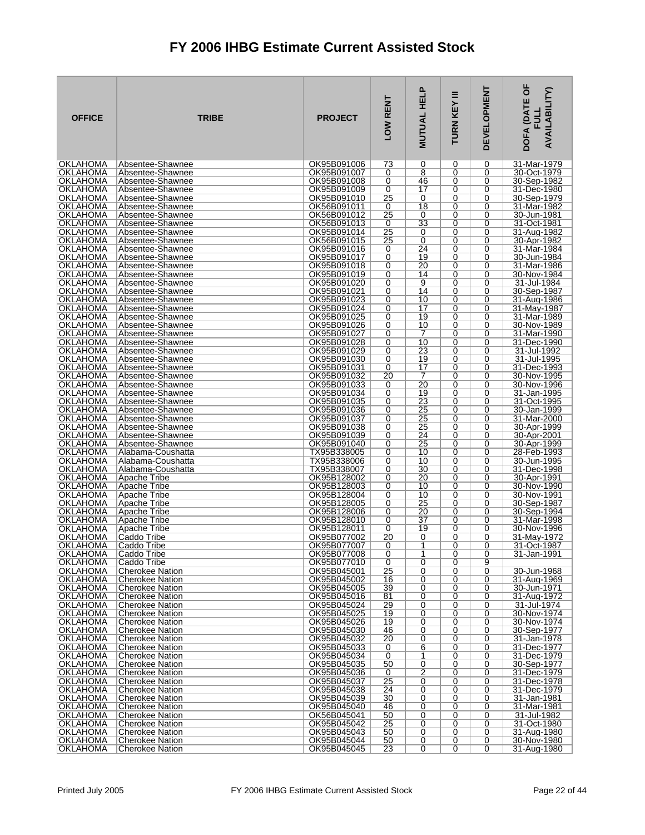| <b>OKLAHOMA</b><br>Absentee-Shawnee<br>OK95B091006<br>73<br>0<br>31-Mar-1979<br>0<br>0<br>$\overline{8}$<br>OKLAHOMA<br>OK95B091007<br>0<br>Absentee-Shawnee<br>0<br>0<br>30-Oct-1979<br>OKLAHOMA<br>Absentee-Shawnee<br>OK95B091008<br>46<br>0<br>30-Sep-1982<br>0<br>0<br>0<br>17<br><b>OKLAHOMA</b><br>Absentee-Shawnee<br>OK95B091009<br>0<br>0<br>31-Dec-1980<br>OKLAHOMA<br>OK95B091010<br>25<br>0<br>0<br>0<br>30-Sep-1979<br>Absentee-Shawnee<br>OKLAHOMA<br>Absentee-Shawnee<br>OK56B091011<br>18<br>0<br>31-Mar-1982<br>0<br>0<br>25<br>0<br>OKLAHOMA<br>Absentee-Shawnee<br>OK56B091012<br>0<br>0<br>30-Jun-1981<br>33<br>OKLAHOMA<br>OK56B091013<br>0<br>0<br>0<br>31-Oct-1981<br>Absentee-Shawnee<br>25<br>OKLAHOMA<br>0<br>31-Aug-1982<br>Absentee-Shawnee<br>OK95B091014<br>0<br>0<br><b>OKLAHOMA</b><br>OK56B091015<br>25<br>0<br>0<br>30-Apr-1982<br>Absentee-Shawnee<br>0<br>OKLAHOMA<br>OK95B091016<br>24<br>0<br>Absentee-Shawnee<br>0<br>0<br>31-Mar-1984<br><b>OKLAHOMA</b><br>19<br>OK95B091017<br>0<br>30-Jun-1984<br>Absentee-Shawnee<br>0<br>0<br>OKLAHOMA<br>OK95B091018<br>0<br>20<br>0<br>31-Mar-1986<br>Absentee-Shawnee<br>0<br>OKLAHOMA<br>OK95B091019<br>0<br>14<br>0<br>30-Nov-1984<br>0<br>Absentee-Shawnee<br><b>OKLAHOMA</b><br>9<br>OK95B091020<br>0<br>0<br>31-Jul-1984<br>Absentee-Shawnee<br>0<br>OKLAHOMA<br>OK95B091021<br>0<br>14<br>0<br>30-Sep-1987<br>Absentee-Shawnee<br>0<br>$\overline{0}$<br><b>OKLAHOMA</b><br>OK95B091023<br>10<br>0<br>31-Aug-1986<br>Absentee-Shawnee<br>0<br>$\overline{17}$<br>OKLAHOMA<br>0<br>Absentee-Shawnee<br>OK95B091024<br>0<br>0<br>31-May-1987<br>19<br>0<br>OKLAHOMA<br>Absentee-Shawnee<br>OK95B091025<br>0<br>0<br>31-Mar-1989<br>$\overline{0}$<br>10<br>0<br>OKLAHOMA<br>Absentee-Shawnee<br>OK95B091026<br>0<br>30-Nov-1989<br>OKLAHOMA<br>OK95B091027<br>0<br>0<br>0<br>31-Mar-1990<br>Absentee-Shawnee<br>7<br>10<br>OKLAHOMA<br>OK95B091028<br>0<br>0<br>0<br>31-Dec-1990<br>Absentee-Shawnee<br>$\overline{0}$<br>23<br>0<br>OKLAHOMA<br>OK95B091029<br>0<br>31-Jul-1992<br>Absentee-Shawnee<br>OKLAHOMA<br>OK95B091030<br>0<br>19<br>0<br>0<br>31-Jul-1995<br>Absentee-Shawnee<br>17<br>OKLAHOMA<br>OK95B091031<br>0<br>0<br>0<br>31-Dec-1993<br>Absentee-Shawnee<br>OKLAHOMA<br>20<br>7<br>0<br>30-Nov-1995<br>Absentee-Shawnee<br>OK95B091032<br>0<br><b>OKLAHOMA</b><br>OK95B091033<br>20<br>0<br>Absentee-Shawnee<br>0<br>0<br>30-Nov-1996<br><b>OKLAHOMA</b><br>0<br>0<br>Absentee-Shawnee<br>OK95B091034<br>19<br>0<br>31-Jan-1995<br>0<br>23<br>OKLAHOMA<br>Absentee-Shawnee<br>OK95B091035<br>0<br>0<br>31-Oct-1995<br>OKLAHOMA<br>OK95B091036<br>0<br>25<br>0<br>30-Jan-1999<br>Absentee-Shawnee<br>0<br><b>OKLAHOMA</b><br>$\overline{25}$<br>$\overline{0}$<br>31-Mar-2000<br>Absentee-Shawnee<br>OK95B091037<br>0<br>0<br>0<br>25<br>OKLAHOMA<br>Absentee-Shawnee<br>OK95B091038<br>0<br>0<br>30-Apr-1999<br>OKLAHOMA<br>Absentee-Shawnee<br>OK95B091039<br>0<br>24<br>0<br>30-Apr-2001<br>0<br>25<br>$\overline{0}$<br>OKLAHOMA<br>OK95B091040<br>0<br>0<br>30-Apr-1999<br>Absentee-Shawnee<br>OKLAHOMA<br>TX95B338005<br>0<br>10<br>0<br>28-Feb-1993<br>Alabama-Coushatta<br>0<br><b>OKLAHOMA</b><br>TX95B338006<br>0<br>10<br>0<br>30-Jun-1995<br>Alabama-Coushatta<br>0<br><b>OKLAHOMA</b><br>TX95B338007<br>$\overline{30}$<br>0<br>0<br>0<br>31-Dec-1998<br>Alabama-Coushatta<br>0<br>20<br>0<br>OKLAHOMA<br>Apache Tribe<br>OK95B128002<br>0<br>30-Apr-1991<br><b>OKLAHOMA</b><br>0<br>10<br>OK95B128003<br>0<br>0<br>30-Nov-1990<br>Apache Tribe<br><b>OKLAHOMA</b><br>$\overline{0}$<br>OK95B128004<br>0<br>10<br>0<br>30-Nov-1991<br>Apache Tribe<br>25<br>OKLAHOMA<br>Apache Tribe<br>OK95B128005<br>0<br>0<br>0<br>30-Sep-1987<br><b>OKLAHOMA</b><br>0<br>20<br>0<br>Apache Tribe<br>OK95B128006<br>0<br>30-Sep-1994<br>OKLAHOMA<br>0<br>37<br>0<br>OK95B128010<br>0<br>31-Mar-1998<br>Apache Tribe<br>OKLAHOMA<br>OK95B128011<br>19<br>0<br>30-Nov-1996<br>Apache Tribe<br>0<br>0<br>20<br>0<br>OKLAHOMA<br>Caddo Tribe<br>OK95B077002<br>0<br>0<br>31-Mav-1972<br><b>OKLAHOMA</b><br>OK95B077007<br>1<br>0<br>$\Omega$<br>Caddo Tribe<br>0<br>31-Oct-1987<br><b>OKLAHOMA</b><br>Caddo Tribe<br>OK95B077008<br>0<br>1<br>0<br>0<br>31-Jan-1991<br>0<br>0<br><b>OKLAHOMA</b><br>Caddo Tribe<br>OK95B077010<br>0<br>9<br>OKLAHOMA<br><b>Cherokee Nation</b><br>OK95B045001<br>25<br>0<br>0<br>0<br>30-Jun-1968<br>0<br>0<br>31-Aug-1969<br>OKLAHOMA<br><b>Cherokee Nation</b><br>OK95B045002<br>16<br>0<br>39<br>0<br>OKLAHOMA<br><b>Cherokee Nation</b><br>OK95B045005<br>0<br>0<br>30-Jun-1971<br>OKLAHOMA<br>OK95B045016<br>81<br>0<br>0<br><b>Cherokee Nation</b><br>0<br>31-Aug-1972<br>OKLAHOMA<br><b>Cherokee Nation</b><br>OK95B045024<br>29<br>0<br>0<br>0<br>31-Jul-1974<br>0<br>OKLAHOMA<br><b>Cherokee Nation</b><br>OK95B045025<br>19<br>0<br>0<br>30-Nov-1974<br>OKLAHOMA<br>OK95B045026<br>19<br>0<br>0<br><b>Cherokee Nation</b><br>0<br>30-Nov-1974<br><b>OKLAHOMA</b><br>OK95B045030<br>46<br>0<br>0<br>30-Sep-1977<br><b>Cherokee Nation</b><br>0<br>0<br><b>OKLAHOMA</b><br><b>Cherokee Nation</b><br>OK95B045032<br>20<br>0<br>0<br>31-Jan-1978<br>OKLAHOMA<br>OK95B045033<br>0<br>6<br>0<br>31-Dec-1977<br><b>Cherokee Nation</b><br>0<br>OKLAHOMA<br><b>Cherokee Nation</b><br>OK95B045034<br>0<br>1<br>0<br>0<br>31-Dec-1979<br>0<br><b>OKLAHOMA</b><br>OK95B045035<br>50<br>0<br>30-Sep-1977<br>Cherokee Nation<br>0<br>$\overline{2}$<br><b>OKLAHOMA</b><br>0<br>31-Dec-1979<br><b>Cherokee Nation</b><br>OK95B045036<br>0<br>0<br>OKLAHOMA<br>OK95B045037<br>25<br>31-Dec-1978<br><b>Cherokee Nation</b><br>0<br>0<br>0<br><b>OKLAHOMA</b><br>OK95B045038<br>24<br>0<br>0<br><b>Cherokee Nation</b><br>0<br>31-Dec-1979<br>OKLAHOMA<br>30<br>0<br>0<br>OK95B045039<br>0<br>31-Jan-1981<br>Cherokee Nation<br>OKLAHOMA<br>OK95B045040<br>0<br>0<br>31-Mar-1981<br><b>Cherokee Nation</b><br>46<br>0<br>50<br>0<br>0<br>31-Jul-1982<br>OKLAHOMA<br><b>Cherokee Nation</b><br>OK56B045041<br>0<br>$\overline{0}$<br><b>OKLAHOMA</b><br>25<br>0<br>31-Oct-1980<br><b>Cherokee Nation</b><br>OK95B045042<br>0<br>31-Aug-1980<br>OKLAHOMA<br><b>Cherokee Nation</b><br>OK95B045043<br>50<br>0<br>0<br>0<br><b>OKLAHOMA</b><br><b>Cherokee Nation</b><br>OK95B045044<br>50<br>0<br>0<br>0<br>30-Nov-1980 | <b>OFFICE</b> | <b>TRIBE</b>    | <b>PROJECT</b> | LOW RENT | <b>MUTUAL HELP</b> | Ξ<br>TURN KEY | <b>DEVELOPMENT</b> | DOFA (DATE OF<br><b>AVAILABILITY)</b><br>ᆜ |
|---------------------------------------------------------------------------------------------------------------------------------------------------------------------------------------------------------------------------------------------------------------------------------------------------------------------------------------------------------------------------------------------------------------------------------------------------------------------------------------------------------------------------------------------------------------------------------------------------------------------------------------------------------------------------------------------------------------------------------------------------------------------------------------------------------------------------------------------------------------------------------------------------------------------------------------------------------------------------------------------------------------------------------------------------------------------------------------------------------------------------------------------------------------------------------------------------------------------------------------------------------------------------------------------------------------------------------------------------------------------------------------------------------------------------------------------------------------------------------------------------------------------------------------------------------------------------------------------------------------------------------------------------------------------------------------------------------------------------------------------------------------------------------------------------------------------------------------------------------------------------------------------------------------------------------------------------------------------------------------------------------------------------------------------------------------------------------------------------------------------------------------------------------------------------------------------------------------------------------------------------------------------------------------------------------------------------------------------------------------------------------------------------------------------------------------------------------------------------------------------------------------------------------------------------------------------------------------------------------------------------------------------------------------------------------------------------------------------------------------------------------------------------------------------------------------------------------------------------------------------------------------------------------------------------------------------------------------------------------------------------------------------------------------------------------------------------------------------------------------------------------------------------------------------------------------------------------------------------------------------------------------------------------------------------------------------------------------------------------------------------------------------------------------------------------------------------------------------------------------------------------------------------------------------------------------------------------------------------------------------------------------------------------------------------------------------------------------------------------------------------------------------------------------------------------------------------------------------------------------------------------------------------------------------------------------------------------------------------------------------------------------------------------------------------------------------------------------------------------------------------------------------------------------------------------------------------------------------------------------------------------------------------------------------------------------------------------------------------------------------------------------------------------------------------------------------------------------------------------------------------------------------------------------------------------------------------------------------------------------------------------------------------------------------------------------------------------------------------------------------------------------------------------------------------------------------------------------------------------------------------------------------------------------------------------------------------------------------------------------------------------------------------------------------------------------------------------------------------------------------------------------------------------------------------------------------------------------------------------------------------------------------------------------------------------------------------------------------------------------------------------------------------------------------------------------------------------------------------------------------------------------------------------------------------------------------------------------------------------------------------------------------------------------------------------------------------------------------------------------------------------------------------------------------------------------------------------------------------------------------------------------------------------------------------------------------------------------------------------------------------------------------------------------------------------------------------------------------------------------------------------------------------------------------------------------------------------------------------------------------------------------------------------------------------------------------------------------------------|---------------|-----------------|----------------|----------|--------------------|---------------|--------------------|--------------------------------------------|
|                                                                                                                                                                                                                                                                                                                                                                                                                                                                                                                                                                                                                                                                                                                                                                                                                                                                                                                                                                                                                                                                                                                                                                                                                                                                                                                                                                                                                                                                                                                                                                                                                                                                                                                                                                                                                                                                                                                                                                                                                                                                                                                                                                                                                                                                                                                                                                                                                                                                                                                                                                                                                                                                                                                                                                                                                                                                                                                                                                                                                                                                                                                                                                                                                                                                                                                                                                                                                                                                                                                                                                                                                                                                                                                                                                                                                                                                                                                                                                                                                                                                                                                                                                                                                                                                                                                                                                                                                                                                                                                                                                                                                                                                                                                                                                                                                                                                                                                                                                                                                                                                                                                                                                                                                                                                                                                                                                                                                                                                                                                                                                                                                                                                                                                                                                                                                                                                                                                                                                                                                                                                                                                                                                                                                                                                                                                                                   |               |                 |                |          |                    |               |                    |                                            |
|                                                                                                                                                                                                                                                                                                                                                                                                                                                                                                                                                                                                                                                                                                                                                                                                                                                                                                                                                                                                                                                                                                                                                                                                                                                                                                                                                                                                                                                                                                                                                                                                                                                                                                                                                                                                                                                                                                                                                                                                                                                                                                                                                                                                                                                                                                                                                                                                                                                                                                                                                                                                                                                                                                                                                                                                                                                                                                                                                                                                                                                                                                                                                                                                                                                                                                                                                                                                                                                                                                                                                                                                                                                                                                                                                                                                                                                                                                                                                                                                                                                                                                                                                                                                                                                                                                                                                                                                                                                                                                                                                                                                                                                                                                                                                                                                                                                                                                                                                                                                                                                                                                                                                                                                                                                                                                                                                                                                                                                                                                                                                                                                                                                                                                                                                                                                                                                                                                                                                                                                                                                                                                                                                                                                                                                                                                                                                   |               |                 |                |          |                    |               |                    |                                            |
|                                                                                                                                                                                                                                                                                                                                                                                                                                                                                                                                                                                                                                                                                                                                                                                                                                                                                                                                                                                                                                                                                                                                                                                                                                                                                                                                                                                                                                                                                                                                                                                                                                                                                                                                                                                                                                                                                                                                                                                                                                                                                                                                                                                                                                                                                                                                                                                                                                                                                                                                                                                                                                                                                                                                                                                                                                                                                                                                                                                                                                                                                                                                                                                                                                                                                                                                                                                                                                                                                                                                                                                                                                                                                                                                                                                                                                                                                                                                                                                                                                                                                                                                                                                                                                                                                                                                                                                                                                                                                                                                                                                                                                                                                                                                                                                                                                                                                                                                                                                                                                                                                                                                                                                                                                                                                                                                                                                                                                                                                                                                                                                                                                                                                                                                                                                                                                                                                                                                                                                                                                                                                                                                                                                                                                                                                                                                                   |               |                 |                |          |                    |               |                    |                                            |
|                                                                                                                                                                                                                                                                                                                                                                                                                                                                                                                                                                                                                                                                                                                                                                                                                                                                                                                                                                                                                                                                                                                                                                                                                                                                                                                                                                                                                                                                                                                                                                                                                                                                                                                                                                                                                                                                                                                                                                                                                                                                                                                                                                                                                                                                                                                                                                                                                                                                                                                                                                                                                                                                                                                                                                                                                                                                                                                                                                                                                                                                                                                                                                                                                                                                                                                                                                                                                                                                                                                                                                                                                                                                                                                                                                                                                                                                                                                                                                                                                                                                                                                                                                                                                                                                                                                                                                                                                                                                                                                                                                                                                                                                                                                                                                                                                                                                                                                                                                                                                                                                                                                                                                                                                                                                                                                                                                                                                                                                                                                                                                                                                                                                                                                                                                                                                                                                                                                                                                                                                                                                                                                                                                                                                                                                                                                                                   |               |                 |                |          |                    |               |                    |                                            |
|                                                                                                                                                                                                                                                                                                                                                                                                                                                                                                                                                                                                                                                                                                                                                                                                                                                                                                                                                                                                                                                                                                                                                                                                                                                                                                                                                                                                                                                                                                                                                                                                                                                                                                                                                                                                                                                                                                                                                                                                                                                                                                                                                                                                                                                                                                                                                                                                                                                                                                                                                                                                                                                                                                                                                                                                                                                                                                                                                                                                                                                                                                                                                                                                                                                                                                                                                                                                                                                                                                                                                                                                                                                                                                                                                                                                                                                                                                                                                                                                                                                                                                                                                                                                                                                                                                                                                                                                                                                                                                                                                                                                                                                                                                                                                                                                                                                                                                                                                                                                                                                                                                                                                                                                                                                                                                                                                                                                                                                                                                                                                                                                                                                                                                                                                                                                                                                                                                                                                                                                                                                                                                                                                                                                                                                                                                                                                   |               |                 |                |          |                    |               |                    |                                            |
|                                                                                                                                                                                                                                                                                                                                                                                                                                                                                                                                                                                                                                                                                                                                                                                                                                                                                                                                                                                                                                                                                                                                                                                                                                                                                                                                                                                                                                                                                                                                                                                                                                                                                                                                                                                                                                                                                                                                                                                                                                                                                                                                                                                                                                                                                                                                                                                                                                                                                                                                                                                                                                                                                                                                                                                                                                                                                                                                                                                                                                                                                                                                                                                                                                                                                                                                                                                                                                                                                                                                                                                                                                                                                                                                                                                                                                                                                                                                                                                                                                                                                                                                                                                                                                                                                                                                                                                                                                                                                                                                                                                                                                                                                                                                                                                                                                                                                                                                                                                                                                                                                                                                                                                                                                                                                                                                                                                                                                                                                                                                                                                                                                                                                                                                                                                                                                                                                                                                                                                                                                                                                                                                                                                                                                                                                                                                                   |               |                 |                |          |                    |               |                    |                                            |
|                                                                                                                                                                                                                                                                                                                                                                                                                                                                                                                                                                                                                                                                                                                                                                                                                                                                                                                                                                                                                                                                                                                                                                                                                                                                                                                                                                                                                                                                                                                                                                                                                                                                                                                                                                                                                                                                                                                                                                                                                                                                                                                                                                                                                                                                                                                                                                                                                                                                                                                                                                                                                                                                                                                                                                                                                                                                                                                                                                                                                                                                                                                                                                                                                                                                                                                                                                                                                                                                                                                                                                                                                                                                                                                                                                                                                                                                                                                                                                                                                                                                                                                                                                                                                                                                                                                                                                                                                                                                                                                                                                                                                                                                                                                                                                                                                                                                                                                                                                                                                                                                                                                                                                                                                                                                                                                                                                                                                                                                                                                                                                                                                                                                                                                                                                                                                                                                                                                                                                                                                                                                                                                                                                                                                                                                                                                                                   |               |                 |                |          |                    |               |                    |                                            |
|                                                                                                                                                                                                                                                                                                                                                                                                                                                                                                                                                                                                                                                                                                                                                                                                                                                                                                                                                                                                                                                                                                                                                                                                                                                                                                                                                                                                                                                                                                                                                                                                                                                                                                                                                                                                                                                                                                                                                                                                                                                                                                                                                                                                                                                                                                                                                                                                                                                                                                                                                                                                                                                                                                                                                                                                                                                                                                                                                                                                                                                                                                                                                                                                                                                                                                                                                                                                                                                                                                                                                                                                                                                                                                                                                                                                                                                                                                                                                                                                                                                                                                                                                                                                                                                                                                                                                                                                                                                                                                                                                                                                                                                                                                                                                                                                                                                                                                                                                                                                                                                                                                                                                                                                                                                                                                                                                                                                                                                                                                                                                                                                                                                                                                                                                                                                                                                                                                                                                                                                                                                                                                                                                                                                                                                                                                                                                   |               |                 |                |          |                    |               |                    |                                            |
|                                                                                                                                                                                                                                                                                                                                                                                                                                                                                                                                                                                                                                                                                                                                                                                                                                                                                                                                                                                                                                                                                                                                                                                                                                                                                                                                                                                                                                                                                                                                                                                                                                                                                                                                                                                                                                                                                                                                                                                                                                                                                                                                                                                                                                                                                                                                                                                                                                                                                                                                                                                                                                                                                                                                                                                                                                                                                                                                                                                                                                                                                                                                                                                                                                                                                                                                                                                                                                                                                                                                                                                                                                                                                                                                                                                                                                                                                                                                                                                                                                                                                                                                                                                                                                                                                                                                                                                                                                                                                                                                                                                                                                                                                                                                                                                                                                                                                                                                                                                                                                                                                                                                                                                                                                                                                                                                                                                                                                                                                                                                                                                                                                                                                                                                                                                                                                                                                                                                                                                                                                                                                                                                                                                                                                                                                                                                                   |               |                 |                |          |                    |               |                    |                                            |
|                                                                                                                                                                                                                                                                                                                                                                                                                                                                                                                                                                                                                                                                                                                                                                                                                                                                                                                                                                                                                                                                                                                                                                                                                                                                                                                                                                                                                                                                                                                                                                                                                                                                                                                                                                                                                                                                                                                                                                                                                                                                                                                                                                                                                                                                                                                                                                                                                                                                                                                                                                                                                                                                                                                                                                                                                                                                                                                                                                                                                                                                                                                                                                                                                                                                                                                                                                                                                                                                                                                                                                                                                                                                                                                                                                                                                                                                                                                                                                                                                                                                                                                                                                                                                                                                                                                                                                                                                                                                                                                                                                                                                                                                                                                                                                                                                                                                                                                                                                                                                                                                                                                                                                                                                                                                                                                                                                                                                                                                                                                                                                                                                                                                                                                                                                                                                                                                                                                                                                                                                                                                                                                                                                                                                                                                                                                                                   |               |                 |                |          |                    |               |                    |                                            |
|                                                                                                                                                                                                                                                                                                                                                                                                                                                                                                                                                                                                                                                                                                                                                                                                                                                                                                                                                                                                                                                                                                                                                                                                                                                                                                                                                                                                                                                                                                                                                                                                                                                                                                                                                                                                                                                                                                                                                                                                                                                                                                                                                                                                                                                                                                                                                                                                                                                                                                                                                                                                                                                                                                                                                                                                                                                                                                                                                                                                                                                                                                                                                                                                                                                                                                                                                                                                                                                                                                                                                                                                                                                                                                                                                                                                                                                                                                                                                                                                                                                                                                                                                                                                                                                                                                                                                                                                                                                                                                                                                                                                                                                                                                                                                                                                                                                                                                                                                                                                                                                                                                                                                                                                                                                                                                                                                                                                                                                                                                                                                                                                                                                                                                                                                                                                                                                                                                                                                                                                                                                                                                                                                                                                                                                                                                                                                   |               |                 |                |          |                    |               |                    |                                            |
|                                                                                                                                                                                                                                                                                                                                                                                                                                                                                                                                                                                                                                                                                                                                                                                                                                                                                                                                                                                                                                                                                                                                                                                                                                                                                                                                                                                                                                                                                                                                                                                                                                                                                                                                                                                                                                                                                                                                                                                                                                                                                                                                                                                                                                                                                                                                                                                                                                                                                                                                                                                                                                                                                                                                                                                                                                                                                                                                                                                                                                                                                                                                                                                                                                                                                                                                                                                                                                                                                                                                                                                                                                                                                                                                                                                                                                                                                                                                                                                                                                                                                                                                                                                                                                                                                                                                                                                                                                                                                                                                                                                                                                                                                                                                                                                                                                                                                                                                                                                                                                                                                                                                                                                                                                                                                                                                                                                                                                                                                                                                                                                                                                                                                                                                                                                                                                                                                                                                                                                                                                                                                                                                                                                                                                                                                                                                                   |               |                 |                |          |                    |               |                    |                                            |
|                                                                                                                                                                                                                                                                                                                                                                                                                                                                                                                                                                                                                                                                                                                                                                                                                                                                                                                                                                                                                                                                                                                                                                                                                                                                                                                                                                                                                                                                                                                                                                                                                                                                                                                                                                                                                                                                                                                                                                                                                                                                                                                                                                                                                                                                                                                                                                                                                                                                                                                                                                                                                                                                                                                                                                                                                                                                                                                                                                                                                                                                                                                                                                                                                                                                                                                                                                                                                                                                                                                                                                                                                                                                                                                                                                                                                                                                                                                                                                                                                                                                                                                                                                                                                                                                                                                                                                                                                                                                                                                                                                                                                                                                                                                                                                                                                                                                                                                                                                                                                                                                                                                                                                                                                                                                                                                                                                                                                                                                                                                                                                                                                                                                                                                                                                                                                                                                                                                                                                                                                                                                                                                                                                                                                                                                                                                                                   |               |                 |                |          |                    |               |                    |                                            |
|                                                                                                                                                                                                                                                                                                                                                                                                                                                                                                                                                                                                                                                                                                                                                                                                                                                                                                                                                                                                                                                                                                                                                                                                                                                                                                                                                                                                                                                                                                                                                                                                                                                                                                                                                                                                                                                                                                                                                                                                                                                                                                                                                                                                                                                                                                                                                                                                                                                                                                                                                                                                                                                                                                                                                                                                                                                                                                                                                                                                                                                                                                                                                                                                                                                                                                                                                                                                                                                                                                                                                                                                                                                                                                                                                                                                                                                                                                                                                                                                                                                                                                                                                                                                                                                                                                                                                                                                                                                                                                                                                                                                                                                                                                                                                                                                                                                                                                                                                                                                                                                                                                                                                                                                                                                                                                                                                                                                                                                                                                                                                                                                                                                                                                                                                                                                                                                                                                                                                                                                                                                                                                                                                                                                                                                                                                                                                   |               |                 |                |          |                    |               |                    |                                            |
|                                                                                                                                                                                                                                                                                                                                                                                                                                                                                                                                                                                                                                                                                                                                                                                                                                                                                                                                                                                                                                                                                                                                                                                                                                                                                                                                                                                                                                                                                                                                                                                                                                                                                                                                                                                                                                                                                                                                                                                                                                                                                                                                                                                                                                                                                                                                                                                                                                                                                                                                                                                                                                                                                                                                                                                                                                                                                                                                                                                                                                                                                                                                                                                                                                                                                                                                                                                                                                                                                                                                                                                                                                                                                                                                                                                                                                                                                                                                                                                                                                                                                                                                                                                                                                                                                                                                                                                                                                                                                                                                                                                                                                                                                                                                                                                                                                                                                                                                                                                                                                                                                                                                                                                                                                                                                                                                                                                                                                                                                                                                                                                                                                                                                                                                                                                                                                                                                                                                                                                                                                                                                                                                                                                                                                                                                                                                                   |               |                 |                |          |                    |               |                    |                                            |
|                                                                                                                                                                                                                                                                                                                                                                                                                                                                                                                                                                                                                                                                                                                                                                                                                                                                                                                                                                                                                                                                                                                                                                                                                                                                                                                                                                                                                                                                                                                                                                                                                                                                                                                                                                                                                                                                                                                                                                                                                                                                                                                                                                                                                                                                                                                                                                                                                                                                                                                                                                                                                                                                                                                                                                                                                                                                                                                                                                                                                                                                                                                                                                                                                                                                                                                                                                                                                                                                                                                                                                                                                                                                                                                                                                                                                                                                                                                                                                                                                                                                                                                                                                                                                                                                                                                                                                                                                                                                                                                                                                                                                                                                                                                                                                                                                                                                                                                                                                                                                                                                                                                                                                                                                                                                                                                                                                                                                                                                                                                                                                                                                                                                                                                                                                                                                                                                                                                                                                                                                                                                                                                                                                                                                                                                                                                                                   |               |                 |                |          |                    |               |                    |                                            |
|                                                                                                                                                                                                                                                                                                                                                                                                                                                                                                                                                                                                                                                                                                                                                                                                                                                                                                                                                                                                                                                                                                                                                                                                                                                                                                                                                                                                                                                                                                                                                                                                                                                                                                                                                                                                                                                                                                                                                                                                                                                                                                                                                                                                                                                                                                                                                                                                                                                                                                                                                                                                                                                                                                                                                                                                                                                                                                                                                                                                                                                                                                                                                                                                                                                                                                                                                                                                                                                                                                                                                                                                                                                                                                                                                                                                                                                                                                                                                                                                                                                                                                                                                                                                                                                                                                                                                                                                                                                                                                                                                                                                                                                                                                                                                                                                                                                                                                                                                                                                                                                                                                                                                                                                                                                                                                                                                                                                                                                                                                                                                                                                                                                                                                                                                                                                                                                                                                                                                                                                                                                                                                                                                                                                                                                                                                                                                   |               |                 |                |          |                    |               |                    |                                            |
|                                                                                                                                                                                                                                                                                                                                                                                                                                                                                                                                                                                                                                                                                                                                                                                                                                                                                                                                                                                                                                                                                                                                                                                                                                                                                                                                                                                                                                                                                                                                                                                                                                                                                                                                                                                                                                                                                                                                                                                                                                                                                                                                                                                                                                                                                                                                                                                                                                                                                                                                                                                                                                                                                                                                                                                                                                                                                                                                                                                                                                                                                                                                                                                                                                                                                                                                                                                                                                                                                                                                                                                                                                                                                                                                                                                                                                                                                                                                                                                                                                                                                                                                                                                                                                                                                                                                                                                                                                                                                                                                                                                                                                                                                                                                                                                                                                                                                                                                                                                                                                                                                                                                                                                                                                                                                                                                                                                                                                                                                                                                                                                                                                                                                                                                                                                                                                                                                                                                                                                                                                                                                                                                                                                                                                                                                                                                                   |               |                 |                |          |                    |               |                    |                                            |
|                                                                                                                                                                                                                                                                                                                                                                                                                                                                                                                                                                                                                                                                                                                                                                                                                                                                                                                                                                                                                                                                                                                                                                                                                                                                                                                                                                                                                                                                                                                                                                                                                                                                                                                                                                                                                                                                                                                                                                                                                                                                                                                                                                                                                                                                                                                                                                                                                                                                                                                                                                                                                                                                                                                                                                                                                                                                                                                                                                                                                                                                                                                                                                                                                                                                                                                                                                                                                                                                                                                                                                                                                                                                                                                                                                                                                                                                                                                                                                                                                                                                                                                                                                                                                                                                                                                                                                                                                                                                                                                                                                                                                                                                                                                                                                                                                                                                                                                                                                                                                                                                                                                                                                                                                                                                                                                                                                                                                                                                                                                                                                                                                                                                                                                                                                                                                                                                                                                                                                                                                                                                                                                                                                                                                                                                                                                                                   |               |                 |                |          |                    |               |                    |                                            |
|                                                                                                                                                                                                                                                                                                                                                                                                                                                                                                                                                                                                                                                                                                                                                                                                                                                                                                                                                                                                                                                                                                                                                                                                                                                                                                                                                                                                                                                                                                                                                                                                                                                                                                                                                                                                                                                                                                                                                                                                                                                                                                                                                                                                                                                                                                                                                                                                                                                                                                                                                                                                                                                                                                                                                                                                                                                                                                                                                                                                                                                                                                                                                                                                                                                                                                                                                                                                                                                                                                                                                                                                                                                                                                                                                                                                                                                                                                                                                                                                                                                                                                                                                                                                                                                                                                                                                                                                                                                                                                                                                                                                                                                                                                                                                                                                                                                                                                                                                                                                                                                                                                                                                                                                                                                                                                                                                                                                                                                                                                                                                                                                                                                                                                                                                                                                                                                                                                                                                                                                                                                                                                                                                                                                                                                                                                                                                   |               |                 |                |          |                    |               |                    |                                            |
|                                                                                                                                                                                                                                                                                                                                                                                                                                                                                                                                                                                                                                                                                                                                                                                                                                                                                                                                                                                                                                                                                                                                                                                                                                                                                                                                                                                                                                                                                                                                                                                                                                                                                                                                                                                                                                                                                                                                                                                                                                                                                                                                                                                                                                                                                                                                                                                                                                                                                                                                                                                                                                                                                                                                                                                                                                                                                                                                                                                                                                                                                                                                                                                                                                                                                                                                                                                                                                                                                                                                                                                                                                                                                                                                                                                                                                                                                                                                                                                                                                                                                                                                                                                                                                                                                                                                                                                                                                                                                                                                                                                                                                                                                                                                                                                                                                                                                                                                                                                                                                                                                                                                                                                                                                                                                                                                                                                                                                                                                                                                                                                                                                                                                                                                                                                                                                                                                                                                                                                                                                                                                                                                                                                                                                                                                                                                                   |               |                 |                |          |                    |               |                    |                                            |
|                                                                                                                                                                                                                                                                                                                                                                                                                                                                                                                                                                                                                                                                                                                                                                                                                                                                                                                                                                                                                                                                                                                                                                                                                                                                                                                                                                                                                                                                                                                                                                                                                                                                                                                                                                                                                                                                                                                                                                                                                                                                                                                                                                                                                                                                                                                                                                                                                                                                                                                                                                                                                                                                                                                                                                                                                                                                                                                                                                                                                                                                                                                                                                                                                                                                                                                                                                                                                                                                                                                                                                                                                                                                                                                                                                                                                                                                                                                                                                                                                                                                                                                                                                                                                                                                                                                                                                                                                                                                                                                                                                                                                                                                                                                                                                                                                                                                                                                                                                                                                                                                                                                                                                                                                                                                                                                                                                                                                                                                                                                                                                                                                                                                                                                                                                                                                                                                                                                                                                                                                                                                                                                                                                                                                                                                                                                                                   |               |                 |                |          |                    |               |                    |                                            |
|                                                                                                                                                                                                                                                                                                                                                                                                                                                                                                                                                                                                                                                                                                                                                                                                                                                                                                                                                                                                                                                                                                                                                                                                                                                                                                                                                                                                                                                                                                                                                                                                                                                                                                                                                                                                                                                                                                                                                                                                                                                                                                                                                                                                                                                                                                                                                                                                                                                                                                                                                                                                                                                                                                                                                                                                                                                                                                                                                                                                                                                                                                                                                                                                                                                                                                                                                                                                                                                                                                                                                                                                                                                                                                                                                                                                                                                                                                                                                                                                                                                                                                                                                                                                                                                                                                                                                                                                                                                                                                                                                                                                                                                                                                                                                                                                                                                                                                                                                                                                                                                                                                                                                                                                                                                                                                                                                                                                                                                                                                                                                                                                                                                                                                                                                                                                                                                                                                                                                                                                                                                                                                                                                                                                                                                                                                                                                   |               |                 |                |          |                    |               |                    |                                            |
|                                                                                                                                                                                                                                                                                                                                                                                                                                                                                                                                                                                                                                                                                                                                                                                                                                                                                                                                                                                                                                                                                                                                                                                                                                                                                                                                                                                                                                                                                                                                                                                                                                                                                                                                                                                                                                                                                                                                                                                                                                                                                                                                                                                                                                                                                                                                                                                                                                                                                                                                                                                                                                                                                                                                                                                                                                                                                                                                                                                                                                                                                                                                                                                                                                                                                                                                                                                                                                                                                                                                                                                                                                                                                                                                                                                                                                                                                                                                                                                                                                                                                                                                                                                                                                                                                                                                                                                                                                                                                                                                                                                                                                                                                                                                                                                                                                                                                                                                                                                                                                                                                                                                                                                                                                                                                                                                                                                                                                                                                                                                                                                                                                                                                                                                                                                                                                                                                                                                                                                                                                                                                                                                                                                                                                                                                                                                                   |               |                 |                |          |                    |               |                    |                                            |
|                                                                                                                                                                                                                                                                                                                                                                                                                                                                                                                                                                                                                                                                                                                                                                                                                                                                                                                                                                                                                                                                                                                                                                                                                                                                                                                                                                                                                                                                                                                                                                                                                                                                                                                                                                                                                                                                                                                                                                                                                                                                                                                                                                                                                                                                                                                                                                                                                                                                                                                                                                                                                                                                                                                                                                                                                                                                                                                                                                                                                                                                                                                                                                                                                                                                                                                                                                                                                                                                                                                                                                                                                                                                                                                                                                                                                                                                                                                                                                                                                                                                                                                                                                                                                                                                                                                                                                                                                                                                                                                                                                                                                                                                                                                                                                                                                                                                                                                                                                                                                                                                                                                                                                                                                                                                                                                                                                                                                                                                                                                                                                                                                                                                                                                                                                                                                                                                                                                                                                                                                                                                                                                                                                                                                                                                                                                                                   |               |                 |                |          |                    |               |                    |                                            |
|                                                                                                                                                                                                                                                                                                                                                                                                                                                                                                                                                                                                                                                                                                                                                                                                                                                                                                                                                                                                                                                                                                                                                                                                                                                                                                                                                                                                                                                                                                                                                                                                                                                                                                                                                                                                                                                                                                                                                                                                                                                                                                                                                                                                                                                                                                                                                                                                                                                                                                                                                                                                                                                                                                                                                                                                                                                                                                                                                                                                                                                                                                                                                                                                                                                                                                                                                                                                                                                                                                                                                                                                                                                                                                                                                                                                                                                                                                                                                                                                                                                                                                                                                                                                                                                                                                                                                                                                                                                                                                                                                                                                                                                                                                                                                                                                                                                                                                                                                                                                                                                                                                                                                                                                                                                                                                                                                                                                                                                                                                                                                                                                                                                                                                                                                                                                                                                                                                                                                                                                                                                                                                                                                                                                                                                                                                                                                   |               |                 |                |          |                    |               |                    |                                            |
|                                                                                                                                                                                                                                                                                                                                                                                                                                                                                                                                                                                                                                                                                                                                                                                                                                                                                                                                                                                                                                                                                                                                                                                                                                                                                                                                                                                                                                                                                                                                                                                                                                                                                                                                                                                                                                                                                                                                                                                                                                                                                                                                                                                                                                                                                                                                                                                                                                                                                                                                                                                                                                                                                                                                                                                                                                                                                                                                                                                                                                                                                                                                                                                                                                                                                                                                                                                                                                                                                                                                                                                                                                                                                                                                                                                                                                                                                                                                                                                                                                                                                                                                                                                                                                                                                                                                                                                                                                                                                                                                                                                                                                                                                                                                                                                                                                                                                                                                                                                                                                                                                                                                                                                                                                                                                                                                                                                                                                                                                                                                                                                                                                                                                                                                                                                                                                                                                                                                                                                                                                                                                                                                                                                                                                                                                                                                                   |               |                 |                |          |                    |               |                    |                                            |
|                                                                                                                                                                                                                                                                                                                                                                                                                                                                                                                                                                                                                                                                                                                                                                                                                                                                                                                                                                                                                                                                                                                                                                                                                                                                                                                                                                                                                                                                                                                                                                                                                                                                                                                                                                                                                                                                                                                                                                                                                                                                                                                                                                                                                                                                                                                                                                                                                                                                                                                                                                                                                                                                                                                                                                                                                                                                                                                                                                                                                                                                                                                                                                                                                                                                                                                                                                                                                                                                                                                                                                                                                                                                                                                                                                                                                                                                                                                                                                                                                                                                                                                                                                                                                                                                                                                                                                                                                                                                                                                                                                                                                                                                                                                                                                                                                                                                                                                                                                                                                                                                                                                                                                                                                                                                                                                                                                                                                                                                                                                                                                                                                                                                                                                                                                                                                                                                                                                                                                                                                                                                                                                                                                                                                                                                                                                                                   |               |                 |                |          |                    |               |                    |                                            |
|                                                                                                                                                                                                                                                                                                                                                                                                                                                                                                                                                                                                                                                                                                                                                                                                                                                                                                                                                                                                                                                                                                                                                                                                                                                                                                                                                                                                                                                                                                                                                                                                                                                                                                                                                                                                                                                                                                                                                                                                                                                                                                                                                                                                                                                                                                                                                                                                                                                                                                                                                                                                                                                                                                                                                                                                                                                                                                                                                                                                                                                                                                                                                                                                                                                                                                                                                                                                                                                                                                                                                                                                                                                                                                                                                                                                                                                                                                                                                                                                                                                                                                                                                                                                                                                                                                                                                                                                                                                                                                                                                                                                                                                                                                                                                                                                                                                                                                                                                                                                                                                                                                                                                                                                                                                                                                                                                                                                                                                                                                                                                                                                                                                                                                                                                                                                                                                                                                                                                                                                                                                                                                                                                                                                                                                                                                                                                   |               |                 |                |          |                    |               |                    |                                            |
|                                                                                                                                                                                                                                                                                                                                                                                                                                                                                                                                                                                                                                                                                                                                                                                                                                                                                                                                                                                                                                                                                                                                                                                                                                                                                                                                                                                                                                                                                                                                                                                                                                                                                                                                                                                                                                                                                                                                                                                                                                                                                                                                                                                                                                                                                                                                                                                                                                                                                                                                                                                                                                                                                                                                                                                                                                                                                                                                                                                                                                                                                                                                                                                                                                                                                                                                                                                                                                                                                                                                                                                                                                                                                                                                                                                                                                                                                                                                                                                                                                                                                                                                                                                                                                                                                                                                                                                                                                                                                                                                                                                                                                                                                                                                                                                                                                                                                                                                                                                                                                                                                                                                                                                                                                                                                                                                                                                                                                                                                                                                                                                                                                                                                                                                                                                                                                                                                                                                                                                                                                                                                                                                                                                                                                                                                                                                                   |               |                 |                |          |                    |               |                    |                                            |
|                                                                                                                                                                                                                                                                                                                                                                                                                                                                                                                                                                                                                                                                                                                                                                                                                                                                                                                                                                                                                                                                                                                                                                                                                                                                                                                                                                                                                                                                                                                                                                                                                                                                                                                                                                                                                                                                                                                                                                                                                                                                                                                                                                                                                                                                                                                                                                                                                                                                                                                                                                                                                                                                                                                                                                                                                                                                                                                                                                                                                                                                                                                                                                                                                                                                                                                                                                                                                                                                                                                                                                                                                                                                                                                                                                                                                                                                                                                                                                                                                                                                                                                                                                                                                                                                                                                                                                                                                                                                                                                                                                                                                                                                                                                                                                                                                                                                                                                                                                                                                                                                                                                                                                                                                                                                                                                                                                                                                                                                                                                                                                                                                                                                                                                                                                                                                                                                                                                                                                                                                                                                                                                                                                                                                                                                                                                                                   |               |                 |                |          |                    |               |                    |                                            |
|                                                                                                                                                                                                                                                                                                                                                                                                                                                                                                                                                                                                                                                                                                                                                                                                                                                                                                                                                                                                                                                                                                                                                                                                                                                                                                                                                                                                                                                                                                                                                                                                                                                                                                                                                                                                                                                                                                                                                                                                                                                                                                                                                                                                                                                                                                                                                                                                                                                                                                                                                                                                                                                                                                                                                                                                                                                                                                                                                                                                                                                                                                                                                                                                                                                                                                                                                                                                                                                                                                                                                                                                                                                                                                                                                                                                                                                                                                                                                                                                                                                                                                                                                                                                                                                                                                                                                                                                                                                                                                                                                                                                                                                                                                                                                                                                                                                                                                                                                                                                                                                                                                                                                                                                                                                                                                                                                                                                                                                                                                                                                                                                                                                                                                                                                                                                                                                                                                                                                                                                                                                                                                                                                                                                                                                                                                                                                   |               |                 |                |          |                    |               |                    |                                            |
|                                                                                                                                                                                                                                                                                                                                                                                                                                                                                                                                                                                                                                                                                                                                                                                                                                                                                                                                                                                                                                                                                                                                                                                                                                                                                                                                                                                                                                                                                                                                                                                                                                                                                                                                                                                                                                                                                                                                                                                                                                                                                                                                                                                                                                                                                                                                                                                                                                                                                                                                                                                                                                                                                                                                                                                                                                                                                                                                                                                                                                                                                                                                                                                                                                                                                                                                                                                                                                                                                                                                                                                                                                                                                                                                                                                                                                                                                                                                                                                                                                                                                                                                                                                                                                                                                                                                                                                                                                                                                                                                                                                                                                                                                                                                                                                                                                                                                                                                                                                                                                                                                                                                                                                                                                                                                                                                                                                                                                                                                                                                                                                                                                                                                                                                                                                                                                                                                                                                                                                                                                                                                                                                                                                                                                                                                                                                                   |               |                 |                |          |                    |               |                    |                                            |
|                                                                                                                                                                                                                                                                                                                                                                                                                                                                                                                                                                                                                                                                                                                                                                                                                                                                                                                                                                                                                                                                                                                                                                                                                                                                                                                                                                                                                                                                                                                                                                                                                                                                                                                                                                                                                                                                                                                                                                                                                                                                                                                                                                                                                                                                                                                                                                                                                                                                                                                                                                                                                                                                                                                                                                                                                                                                                                                                                                                                                                                                                                                                                                                                                                                                                                                                                                                                                                                                                                                                                                                                                                                                                                                                                                                                                                                                                                                                                                                                                                                                                                                                                                                                                                                                                                                                                                                                                                                                                                                                                                                                                                                                                                                                                                                                                                                                                                                                                                                                                                                                                                                                                                                                                                                                                                                                                                                                                                                                                                                                                                                                                                                                                                                                                                                                                                                                                                                                                                                                                                                                                                                                                                                                                                                                                                                                                   |               |                 |                |          |                    |               |                    |                                            |
|                                                                                                                                                                                                                                                                                                                                                                                                                                                                                                                                                                                                                                                                                                                                                                                                                                                                                                                                                                                                                                                                                                                                                                                                                                                                                                                                                                                                                                                                                                                                                                                                                                                                                                                                                                                                                                                                                                                                                                                                                                                                                                                                                                                                                                                                                                                                                                                                                                                                                                                                                                                                                                                                                                                                                                                                                                                                                                                                                                                                                                                                                                                                                                                                                                                                                                                                                                                                                                                                                                                                                                                                                                                                                                                                                                                                                                                                                                                                                                                                                                                                                                                                                                                                                                                                                                                                                                                                                                                                                                                                                                                                                                                                                                                                                                                                                                                                                                                                                                                                                                                                                                                                                                                                                                                                                                                                                                                                                                                                                                                                                                                                                                                                                                                                                                                                                                                                                                                                                                                                                                                                                                                                                                                                                                                                                                                                                   |               |                 |                |          |                    |               |                    |                                            |
|                                                                                                                                                                                                                                                                                                                                                                                                                                                                                                                                                                                                                                                                                                                                                                                                                                                                                                                                                                                                                                                                                                                                                                                                                                                                                                                                                                                                                                                                                                                                                                                                                                                                                                                                                                                                                                                                                                                                                                                                                                                                                                                                                                                                                                                                                                                                                                                                                                                                                                                                                                                                                                                                                                                                                                                                                                                                                                                                                                                                                                                                                                                                                                                                                                                                                                                                                                                                                                                                                                                                                                                                                                                                                                                                                                                                                                                                                                                                                                                                                                                                                                                                                                                                                                                                                                                                                                                                                                                                                                                                                                                                                                                                                                                                                                                                                                                                                                                                                                                                                                                                                                                                                                                                                                                                                                                                                                                                                                                                                                                                                                                                                                                                                                                                                                                                                                                                                                                                                                                                                                                                                                                                                                                                                                                                                                                                                   |               |                 |                |          |                    |               |                    |                                            |
|                                                                                                                                                                                                                                                                                                                                                                                                                                                                                                                                                                                                                                                                                                                                                                                                                                                                                                                                                                                                                                                                                                                                                                                                                                                                                                                                                                                                                                                                                                                                                                                                                                                                                                                                                                                                                                                                                                                                                                                                                                                                                                                                                                                                                                                                                                                                                                                                                                                                                                                                                                                                                                                                                                                                                                                                                                                                                                                                                                                                                                                                                                                                                                                                                                                                                                                                                                                                                                                                                                                                                                                                                                                                                                                                                                                                                                                                                                                                                                                                                                                                                                                                                                                                                                                                                                                                                                                                                                                                                                                                                                                                                                                                                                                                                                                                                                                                                                                                                                                                                                                                                                                                                                                                                                                                                                                                                                                                                                                                                                                                                                                                                                                                                                                                                                                                                                                                                                                                                                                                                                                                                                                                                                                                                                                                                                                                                   |               |                 |                |          |                    |               |                    |                                            |
|                                                                                                                                                                                                                                                                                                                                                                                                                                                                                                                                                                                                                                                                                                                                                                                                                                                                                                                                                                                                                                                                                                                                                                                                                                                                                                                                                                                                                                                                                                                                                                                                                                                                                                                                                                                                                                                                                                                                                                                                                                                                                                                                                                                                                                                                                                                                                                                                                                                                                                                                                                                                                                                                                                                                                                                                                                                                                                                                                                                                                                                                                                                                                                                                                                                                                                                                                                                                                                                                                                                                                                                                                                                                                                                                                                                                                                                                                                                                                                                                                                                                                                                                                                                                                                                                                                                                                                                                                                                                                                                                                                                                                                                                                                                                                                                                                                                                                                                                                                                                                                                                                                                                                                                                                                                                                                                                                                                                                                                                                                                                                                                                                                                                                                                                                                                                                                                                                                                                                                                                                                                                                                                                                                                                                                                                                                                                                   |               |                 |                |          |                    |               |                    |                                            |
|                                                                                                                                                                                                                                                                                                                                                                                                                                                                                                                                                                                                                                                                                                                                                                                                                                                                                                                                                                                                                                                                                                                                                                                                                                                                                                                                                                                                                                                                                                                                                                                                                                                                                                                                                                                                                                                                                                                                                                                                                                                                                                                                                                                                                                                                                                                                                                                                                                                                                                                                                                                                                                                                                                                                                                                                                                                                                                                                                                                                                                                                                                                                                                                                                                                                                                                                                                                                                                                                                                                                                                                                                                                                                                                                                                                                                                                                                                                                                                                                                                                                                                                                                                                                                                                                                                                                                                                                                                                                                                                                                                                                                                                                                                                                                                                                                                                                                                                                                                                                                                                                                                                                                                                                                                                                                                                                                                                                                                                                                                                                                                                                                                                                                                                                                                                                                                                                                                                                                                                                                                                                                                                                                                                                                                                                                                                                                   |               |                 |                |          |                    |               |                    |                                            |
|                                                                                                                                                                                                                                                                                                                                                                                                                                                                                                                                                                                                                                                                                                                                                                                                                                                                                                                                                                                                                                                                                                                                                                                                                                                                                                                                                                                                                                                                                                                                                                                                                                                                                                                                                                                                                                                                                                                                                                                                                                                                                                                                                                                                                                                                                                                                                                                                                                                                                                                                                                                                                                                                                                                                                                                                                                                                                                                                                                                                                                                                                                                                                                                                                                                                                                                                                                                                                                                                                                                                                                                                                                                                                                                                                                                                                                                                                                                                                                                                                                                                                                                                                                                                                                                                                                                                                                                                                                                                                                                                                                                                                                                                                                                                                                                                                                                                                                                                                                                                                                                                                                                                                                                                                                                                                                                                                                                                                                                                                                                                                                                                                                                                                                                                                                                                                                                                                                                                                                                                                                                                                                                                                                                                                                                                                                                                                   |               |                 |                |          |                    |               |                    |                                            |
|                                                                                                                                                                                                                                                                                                                                                                                                                                                                                                                                                                                                                                                                                                                                                                                                                                                                                                                                                                                                                                                                                                                                                                                                                                                                                                                                                                                                                                                                                                                                                                                                                                                                                                                                                                                                                                                                                                                                                                                                                                                                                                                                                                                                                                                                                                                                                                                                                                                                                                                                                                                                                                                                                                                                                                                                                                                                                                                                                                                                                                                                                                                                                                                                                                                                                                                                                                                                                                                                                                                                                                                                                                                                                                                                                                                                                                                                                                                                                                                                                                                                                                                                                                                                                                                                                                                                                                                                                                                                                                                                                                                                                                                                                                                                                                                                                                                                                                                                                                                                                                                                                                                                                                                                                                                                                                                                                                                                                                                                                                                                                                                                                                                                                                                                                                                                                                                                                                                                                                                                                                                                                                                                                                                                                                                                                                                                                   |               |                 |                |          |                    |               |                    |                                            |
|                                                                                                                                                                                                                                                                                                                                                                                                                                                                                                                                                                                                                                                                                                                                                                                                                                                                                                                                                                                                                                                                                                                                                                                                                                                                                                                                                                                                                                                                                                                                                                                                                                                                                                                                                                                                                                                                                                                                                                                                                                                                                                                                                                                                                                                                                                                                                                                                                                                                                                                                                                                                                                                                                                                                                                                                                                                                                                                                                                                                                                                                                                                                                                                                                                                                                                                                                                                                                                                                                                                                                                                                                                                                                                                                                                                                                                                                                                                                                                                                                                                                                                                                                                                                                                                                                                                                                                                                                                                                                                                                                                                                                                                                                                                                                                                                                                                                                                                                                                                                                                                                                                                                                                                                                                                                                                                                                                                                                                                                                                                                                                                                                                                                                                                                                                                                                                                                                                                                                                                                                                                                                                                                                                                                                                                                                                                                                   |               |                 |                |          |                    |               |                    |                                            |
|                                                                                                                                                                                                                                                                                                                                                                                                                                                                                                                                                                                                                                                                                                                                                                                                                                                                                                                                                                                                                                                                                                                                                                                                                                                                                                                                                                                                                                                                                                                                                                                                                                                                                                                                                                                                                                                                                                                                                                                                                                                                                                                                                                                                                                                                                                                                                                                                                                                                                                                                                                                                                                                                                                                                                                                                                                                                                                                                                                                                                                                                                                                                                                                                                                                                                                                                                                                                                                                                                                                                                                                                                                                                                                                                                                                                                                                                                                                                                                                                                                                                                                                                                                                                                                                                                                                                                                                                                                                                                                                                                                                                                                                                                                                                                                                                                                                                                                                                                                                                                                                                                                                                                                                                                                                                                                                                                                                                                                                                                                                                                                                                                                                                                                                                                                                                                                                                                                                                                                                                                                                                                                                                                                                                                                                                                                                                                   |               |                 |                |          |                    |               |                    |                                            |
|                                                                                                                                                                                                                                                                                                                                                                                                                                                                                                                                                                                                                                                                                                                                                                                                                                                                                                                                                                                                                                                                                                                                                                                                                                                                                                                                                                                                                                                                                                                                                                                                                                                                                                                                                                                                                                                                                                                                                                                                                                                                                                                                                                                                                                                                                                                                                                                                                                                                                                                                                                                                                                                                                                                                                                                                                                                                                                                                                                                                                                                                                                                                                                                                                                                                                                                                                                                                                                                                                                                                                                                                                                                                                                                                                                                                                                                                                                                                                                                                                                                                                                                                                                                                                                                                                                                                                                                                                                                                                                                                                                                                                                                                                                                                                                                                                                                                                                                                                                                                                                                                                                                                                                                                                                                                                                                                                                                                                                                                                                                                                                                                                                                                                                                                                                                                                                                                                                                                                                                                                                                                                                                                                                                                                                                                                                                                                   |               |                 |                |          |                    |               |                    |                                            |
|                                                                                                                                                                                                                                                                                                                                                                                                                                                                                                                                                                                                                                                                                                                                                                                                                                                                                                                                                                                                                                                                                                                                                                                                                                                                                                                                                                                                                                                                                                                                                                                                                                                                                                                                                                                                                                                                                                                                                                                                                                                                                                                                                                                                                                                                                                                                                                                                                                                                                                                                                                                                                                                                                                                                                                                                                                                                                                                                                                                                                                                                                                                                                                                                                                                                                                                                                                                                                                                                                                                                                                                                                                                                                                                                                                                                                                                                                                                                                                                                                                                                                                                                                                                                                                                                                                                                                                                                                                                                                                                                                                                                                                                                                                                                                                                                                                                                                                                                                                                                                                                                                                                                                                                                                                                                                                                                                                                                                                                                                                                                                                                                                                                                                                                                                                                                                                                                                                                                                                                                                                                                                                                                                                                                                                                                                                                                                   |               |                 |                |          |                    |               |                    |                                            |
|                                                                                                                                                                                                                                                                                                                                                                                                                                                                                                                                                                                                                                                                                                                                                                                                                                                                                                                                                                                                                                                                                                                                                                                                                                                                                                                                                                                                                                                                                                                                                                                                                                                                                                                                                                                                                                                                                                                                                                                                                                                                                                                                                                                                                                                                                                                                                                                                                                                                                                                                                                                                                                                                                                                                                                                                                                                                                                                                                                                                                                                                                                                                                                                                                                                                                                                                                                                                                                                                                                                                                                                                                                                                                                                                                                                                                                                                                                                                                                                                                                                                                                                                                                                                                                                                                                                                                                                                                                                                                                                                                                                                                                                                                                                                                                                                                                                                                                                                                                                                                                                                                                                                                                                                                                                                                                                                                                                                                                                                                                                                                                                                                                                                                                                                                                                                                                                                                                                                                                                                                                                                                                                                                                                                                                                                                                                                                   |               |                 |                |          |                    |               |                    |                                            |
|                                                                                                                                                                                                                                                                                                                                                                                                                                                                                                                                                                                                                                                                                                                                                                                                                                                                                                                                                                                                                                                                                                                                                                                                                                                                                                                                                                                                                                                                                                                                                                                                                                                                                                                                                                                                                                                                                                                                                                                                                                                                                                                                                                                                                                                                                                                                                                                                                                                                                                                                                                                                                                                                                                                                                                                                                                                                                                                                                                                                                                                                                                                                                                                                                                                                                                                                                                                                                                                                                                                                                                                                                                                                                                                                                                                                                                                                                                                                                                                                                                                                                                                                                                                                                                                                                                                                                                                                                                                                                                                                                                                                                                                                                                                                                                                                                                                                                                                                                                                                                                                                                                                                                                                                                                                                                                                                                                                                                                                                                                                                                                                                                                                                                                                                                                                                                                                                                                                                                                                                                                                                                                                                                                                                                                                                                                                                                   |               |                 |                |          |                    |               |                    |                                            |
|                                                                                                                                                                                                                                                                                                                                                                                                                                                                                                                                                                                                                                                                                                                                                                                                                                                                                                                                                                                                                                                                                                                                                                                                                                                                                                                                                                                                                                                                                                                                                                                                                                                                                                                                                                                                                                                                                                                                                                                                                                                                                                                                                                                                                                                                                                                                                                                                                                                                                                                                                                                                                                                                                                                                                                                                                                                                                                                                                                                                                                                                                                                                                                                                                                                                                                                                                                                                                                                                                                                                                                                                                                                                                                                                                                                                                                                                                                                                                                                                                                                                                                                                                                                                                                                                                                                                                                                                                                                                                                                                                                                                                                                                                                                                                                                                                                                                                                                                                                                                                                                                                                                                                                                                                                                                                                                                                                                                                                                                                                                                                                                                                                                                                                                                                                                                                                                                                                                                                                                                                                                                                                                                                                                                                                                                                                                                                   |               |                 |                |          |                    |               |                    |                                            |
|                                                                                                                                                                                                                                                                                                                                                                                                                                                                                                                                                                                                                                                                                                                                                                                                                                                                                                                                                                                                                                                                                                                                                                                                                                                                                                                                                                                                                                                                                                                                                                                                                                                                                                                                                                                                                                                                                                                                                                                                                                                                                                                                                                                                                                                                                                                                                                                                                                                                                                                                                                                                                                                                                                                                                                                                                                                                                                                                                                                                                                                                                                                                                                                                                                                                                                                                                                                                                                                                                                                                                                                                                                                                                                                                                                                                                                                                                                                                                                                                                                                                                                                                                                                                                                                                                                                                                                                                                                                                                                                                                                                                                                                                                                                                                                                                                                                                                                                                                                                                                                                                                                                                                                                                                                                                                                                                                                                                                                                                                                                                                                                                                                                                                                                                                                                                                                                                                                                                                                                                                                                                                                                                                                                                                                                                                                                                                   |               |                 |                |          |                    |               |                    |                                            |
|                                                                                                                                                                                                                                                                                                                                                                                                                                                                                                                                                                                                                                                                                                                                                                                                                                                                                                                                                                                                                                                                                                                                                                                                                                                                                                                                                                                                                                                                                                                                                                                                                                                                                                                                                                                                                                                                                                                                                                                                                                                                                                                                                                                                                                                                                                                                                                                                                                                                                                                                                                                                                                                                                                                                                                                                                                                                                                                                                                                                                                                                                                                                                                                                                                                                                                                                                                                                                                                                                                                                                                                                                                                                                                                                                                                                                                                                                                                                                                                                                                                                                                                                                                                                                                                                                                                                                                                                                                                                                                                                                                                                                                                                                                                                                                                                                                                                                                                                                                                                                                                                                                                                                                                                                                                                                                                                                                                                                                                                                                                                                                                                                                                                                                                                                                                                                                                                                                                                                                                                                                                                                                                                                                                                                                                                                                                                                   |               |                 |                |          |                    |               |                    |                                            |
|                                                                                                                                                                                                                                                                                                                                                                                                                                                                                                                                                                                                                                                                                                                                                                                                                                                                                                                                                                                                                                                                                                                                                                                                                                                                                                                                                                                                                                                                                                                                                                                                                                                                                                                                                                                                                                                                                                                                                                                                                                                                                                                                                                                                                                                                                                                                                                                                                                                                                                                                                                                                                                                                                                                                                                                                                                                                                                                                                                                                                                                                                                                                                                                                                                                                                                                                                                                                                                                                                                                                                                                                                                                                                                                                                                                                                                                                                                                                                                                                                                                                                                                                                                                                                                                                                                                                                                                                                                                                                                                                                                                                                                                                                                                                                                                                                                                                                                                                                                                                                                                                                                                                                                                                                                                                                                                                                                                                                                                                                                                                                                                                                                                                                                                                                                                                                                                                                                                                                                                                                                                                                                                                                                                                                                                                                                                                                   |               |                 |                |          |                    |               |                    |                                            |
|                                                                                                                                                                                                                                                                                                                                                                                                                                                                                                                                                                                                                                                                                                                                                                                                                                                                                                                                                                                                                                                                                                                                                                                                                                                                                                                                                                                                                                                                                                                                                                                                                                                                                                                                                                                                                                                                                                                                                                                                                                                                                                                                                                                                                                                                                                                                                                                                                                                                                                                                                                                                                                                                                                                                                                                                                                                                                                                                                                                                                                                                                                                                                                                                                                                                                                                                                                                                                                                                                                                                                                                                                                                                                                                                                                                                                                                                                                                                                                                                                                                                                                                                                                                                                                                                                                                                                                                                                                                                                                                                                                                                                                                                                                                                                                                                                                                                                                                                                                                                                                                                                                                                                                                                                                                                                                                                                                                                                                                                                                                                                                                                                                                                                                                                                                                                                                                                                                                                                                                                                                                                                                                                                                                                                                                                                                                                                   |               |                 |                |          |                    |               |                    |                                            |
|                                                                                                                                                                                                                                                                                                                                                                                                                                                                                                                                                                                                                                                                                                                                                                                                                                                                                                                                                                                                                                                                                                                                                                                                                                                                                                                                                                                                                                                                                                                                                                                                                                                                                                                                                                                                                                                                                                                                                                                                                                                                                                                                                                                                                                                                                                                                                                                                                                                                                                                                                                                                                                                                                                                                                                                                                                                                                                                                                                                                                                                                                                                                                                                                                                                                                                                                                                                                                                                                                                                                                                                                                                                                                                                                                                                                                                                                                                                                                                                                                                                                                                                                                                                                                                                                                                                                                                                                                                                                                                                                                                                                                                                                                                                                                                                                                                                                                                                                                                                                                                                                                                                                                                                                                                                                                                                                                                                                                                                                                                                                                                                                                                                                                                                                                                                                                                                                                                                                                                                                                                                                                                                                                                                                                                                                                                                                                   |               |                 |                |          |                    |               |                    |                                            |
|                                                                                                                                                                                                                                                                                                                                                                                                                                                                                                                                                                                                                                                                                                                                                                                                                                                                                                                                                                                                                                                                                                                                                                                                                                                                                                                                                                                                                                                                                                                                                                                                                                                                                                                                                                                                                                                                                                                                                                                                                                                                                                                                                                                                                                                                                                                                                                                                                                                                                                                                                                                                                                                                                                                                                                                                                                                                                                                                                                                                                                                                                                                                                                                                                                                                                                                                                                                                                                                                                                                                                                                                                                                                                                                                                                                                                                                                                                                                                                                                                                                                                                                                                                                                                                                                                                                                                                                                                                                                                                                                                                                                                                                                                                                                                                                                                                                                                                                                                                                                                                                                                                                                                                                                                                                                                                                                                                                                                                                                                                                                                                                                                                                                                                                                                                                                                                                                                                                                                                                                                                                                                                                                                                                                                                                                                                                                                   | OKLAHOMA      | Cherokee Nation | OK95B045045    | 23       | $\overline{0}$     | 0             | 0                  | 31-Aug-1980                                |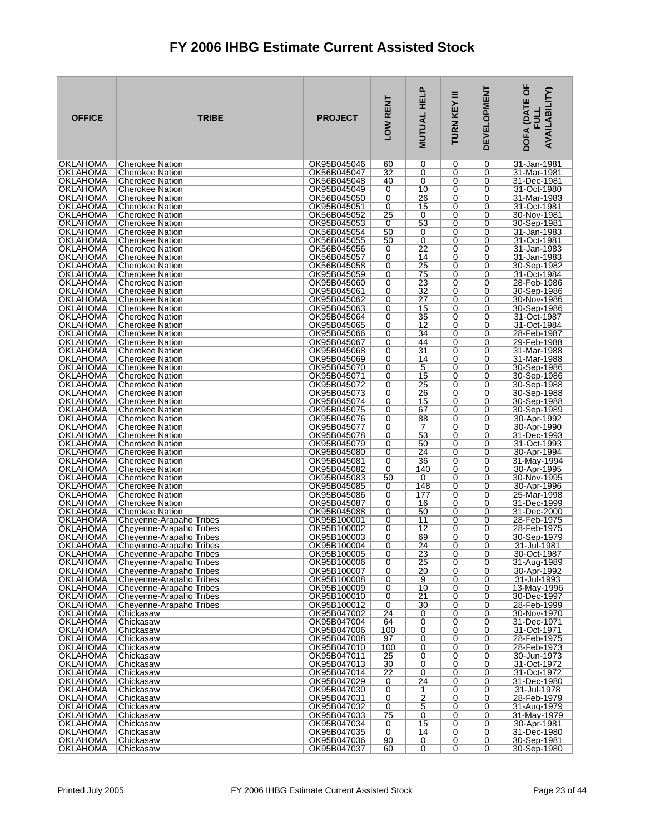| <b>OFFICE</b>                      | <b>TRIBE</b>                                       | <b>PROJECT</b>             | LOW RENT  | <u>a.</u><br><b>MUTUAL HEL</b> | Ξ<br>TURN KEY | <b>DEVELOPMENT</b> | <b>TOF</b><br><b>AVAILABILITY)</b><br>DOFA (DAT<br>릸 |
|------------------------------------|----------------------------------------------------|----------------------------|-----------|--------------------------------|---------------|--------------------|------------------------------------------------------|
| <b>OKLAHOMA</b>                    | Cherokee Nation                                    | OK95B045046                | 60        | 0                              | 0             | 0                  | 31-Jan-1981                                          |
| OKLAHOMA<br><b>OKLAHOMA</b>        | <b>Cherokee Nation</b><br>Cherokee Nation          | OK56B045047<br>OK56B045048 | 32<br>40  | 0<br>0                         | 0<br>0        | 0<br>0             | 31-Mar-1981<br>31-Dec-1981                           |
| OKLAHOMA                           | <b>Cherokee Nation</b>                             | OK95B045049                | 0         | 10                             | 0             | 0                  | 31-Oct-1980                                          |
| <b>OKLAHOMA</b>                    | <b>Cherokee Nation</b>                             | OK56B045050                | 0         | 26                             | 0             | 0                  | 31-Mar-1983                                          |
| <b>OKLAHOMA</b>                    | <b>Cherokee Nation</b>                             | OK95B045051                | 0         | 15                             | 0             | 0                  | 31-Oct-1981                                          |
| OKLAHOMA<br><b>OKLAHOMA</b>        | <b>Cherokee Nation</b><br><b>Cherokee Nation</b>   | OK56B045052<br>OK95B045053 | 25<br>0   | 0<br>53                        | 0<br>0        | 0<br>0             | 30-Nov-1981<br>30-Sep-1981                           |
| OKLAHOMA                           | <b>Cherokee Nation</b>                             | OK56B045054                | 50        | 0                              | 0             | 0                  | 31-Jan-1983                                          |
| <b>OKLAHOMA</b>                    | <b>Cherokee Nation</b>                             | OK56B045055                | 50        | 0                              | 0             | 0                  | 31-Oct-1981                                          |
| <b>OKLAHOMA</b>                    | Cherokee Nation                                    | OK56B045056                | 0         | 22                             | 0             | 0                  | 31-Jan-1983                                          |
| OKLAHOMA<br><b>OKLAHOMA</b>        | <b>Cherokee Nation</b><br><b>Cherokee Nation</b>   | OK56B045057<br>OK56B045058 | 0<br>0    | 14<br>25                       | 0<br>0        | 0<br>0             | 31-Jan-1983<br>30-Sep-1982                           |
| <b>OKLAHOMA</b>                    | Cherokee Nation                                    | OK95B045059                | 0         | 75                             | 0             | 0                  | 31-Oct-1984                                          |
| OKLAHOMA                           | <b>Cherokee Nation</b>                             | OK95B045060                | 0         | 23                             | 0             | 0                  | 28-Feb-1986                                          |
| <b>OKLAHOMA</b>                    | <b>Cherokee Nation</b>                             | OK95B045061                | 0         | 32                             | 0             | 0                  | 30-Sep-1986                                          |
| <b>OKLAHOMA</b><br>OKLAHOMA        | <b>Cherokee Nation</b><br><b>Cherokee Nation</b>   | OK95B045062<br>OK95B045063 | 0<br>0    | 27<br>15                       | 0<br>0        | 0<br>0             | 30-Nov-1986<br>30-Sep-1986                           |
| <b>OKLAHOMA</b>                    | <b>Cherokee Nation</b>                             | OK95B045064                | 0         | 35                             | 0             | $\Omega$           | 31-Oct-1987                                          |
| OKLAHOMA                           | <b>Cherokee Nation</b>                             | OK95B045065                | 0         | 12                             | 0             | 0                  | 31-Oct-1984                                          |
| <b>OKLAHOMA</b>                    | <b>Cherokee Nation</b>                             | OK95B045066                | 0         | 34                             | 0             | 0                  | 28-Feb-1987                                          |
| <b>OKLAHOMA</b><br><b>OKLAHOMA</b> | <b>Cherokee Nation</b><br><b>Cherokee Nation</b>   | OK95B045067<br>OK95B045068 | 0<br>0    | 44<br>31                       | $\Omega$<br>0 | 0<br>0             | 29-Feb-1988<br>31-Mar-1988                           |
| <b>OKLAHOMA</b>                    | <b>Cherokee Nation</b>                             | OK95B045069                | 0         | 14                             | 0             | 0                  | 31-Mar-1988                                          |
| <b>OKLAHOMA</b>                    | <b>Cherokee Nation</b>                             | OK95B045070                | 0         | 5                              | $\Omega$      | 0                  | 30-Sep-1986                                          |
| OKLAHOMA                           | <b>Cherokee Nation</b>                             | OK95B045071                | 0         | 15                             | 0             | 0                  | 30-Sep-1986                                          |
| <b>OKLAHOMA</b><br><b>OKLAHOMA</b> | <b>Cherokee Nation</b><br>Cherokee Nation          | OK95B045072<br>OK95B045073 | 0<br>0    | 25<br>26                       | 0<br>0        | 0<br>0             | 30-Sep-1988<br>30-Sep-1988                           |
| OKLAHOMA                           | <b>Cherokee Nation</b>                             | OK95B045074                | 0         | 15                             | 0             | 0                  | 30-Sep-1988                                          |
| OKLAHOMA                           | <b>Cherokee Nation</b>                             | OK95B045075                | 0         | 67                             | 0             | 0                  | 30-Sep-1989                                          |
| <b>OKLAHOMA</b>                    | <b>Cherokee Nation</b>                             | OK95B045076                | 0         | 88                             | 0             | 0                  | 30-Apr-1992                                          |
| OKLAHOMA<br><b>OKLAHOMA</b>        | Cherokee Nation<br><b>Cherokee Nation</b>          | OK95B045077<br>OK95B045078 | 0<br>0    | 7<br>53                        | 0<br>0        | 0<br>0             | 30-Apr-1990<br>31-Dec-1993                           |
| <b>OKLAHOMA</b>                    | Cherokee Nation                                    | OK95B045079                | 0         | 50                             | 0             | 0                  | 31-Oct-1993                                          |
| <b>OKLAHOMA</b>                    | <b>Cherokee Nation</b>                             | OK95B045080                | 0         | 24                             | 0             | 0                  | 30-Apr-1994                                          |
| <b>OKLAHOMA</b>                    | <b>Cherokee Nation</b>                             | OK95B045081                | 0         | 36                             | 0             | 0                  | 31-May-1994                                          |
| <b>OKLAHOMA</b><br>OKLAHOMA        | <b>Cherokee Nation</b><br>Cherokee Nation          | OK95B045082<br>OK95B045083 | 0<br>50   | 140<br>0                       | 0<br>0        | 0<br>0             | 30-Apr-1995<br>30-Nov-1995                           |
| OKLAHOMA                           | <b>Cherokee Nation</b>                             | OK95B045085                | 0         | 148                            | 0             | 0                  | 30-Apr-1996                                          |
| <b>OKLAHOMA</b>                    | <b>Cherokee Nation</b>                             | OK95B045086                | 0         | 177                            | 0             | 0                  | 25-Mar-1998                                          |
| OKLAHOMA                           | Cherokee Nation                                    | OK95B045087                | 0         | 16                             | 0             | 0                  | 31-Dec-1999                                          |
| <b>OKLAHOMA</b><br>OKLAHOMA        | Cherokee Nation<br>Cheyenne-Arapaho Tribes         | OK95B045088<br>OK95B100001 | 0<br>0    | 50<br>11                       | 0<br>0        | 0<br>0             | 31-Dec-2000<br>28-Feb-1975                           |
| OKLAHOMA                           | Cheyenne-Arapaho Tribes                            | OK95B100002                | 0         | 12                             | 0             | 0                  | 28-Feb-1975                                          |
| OKLAHOMA                           | Cheyenne-Arapaho Tribes                            | OK95B100003                | 0         | 69                             | 0             | 0                  | 30-Sep-1979                                          |
| <b>OKLAHOMA</b><br><b>OKLAHOMA</b> | Cheyenne-Arapaho Tribes<br>Cheyenne-Arapaho Tribes | OK95B100004<br>OK95B100005 | 0<br>0    | 24<br>23                       | 0<br>0        | 0<br>0             | 31-Jul-1981<br>30-Oct-1987                           |
| OKLAHOMA                           | Cheyenne-Arapaho Tribes                            | OK95B100006                | 0         | 25                             | 0             | 0                  | 31-Aug-1989                                          |
| <b>OKLAHOMA</b>                    | Cheyenne-Arapaho Tribes                            | OK95B100007                | 0         | 20                             | 0             | 0                  | 30-Apr-1992                                          |
| OKLAHOMA                           | Cheyenne-Arapaho Tribes                            | OK95B100008                | 0         | 9                              | 0             | 0                  | 31-Jul-1993                                          |
| OKLAHOMA                           | Cheyenne-Arapaho Tribes                            | OK95B100009<br>OK95B100010 | 0<br>0    | 10<br>21                       | 0<br>0        | 0<br>0             | 13-May-1996<br>30-Dec-1997                           |
| OKLAHOMA<br><b>OKLAHOMA</b>        | Cheyenne-Arapaho Tribes<br>Cheyenne-Arapaho Tribes | OK95B100012                | 0         | 30                             | 0             | 0                  | 28-Feb-1999                                          |
| OKLAHOMA                           | Chickasaw                                          | OK95B047002                | 24        | 0                              | 0             | 0                  | 30-Nov-1970                                          |
| <b>OKLAHOMA</b>                    | Chickasaw                                          | OK95B047004                | 64        | $\overline{0}$                 | 0             | 0                  | 31-Dec-1971                                          |
| <b>OKLAHOMA</b><br>OKLAHOMA        | Chickasaw<br>Chickasaw                             | OK95B047006<br>OK95B047008 | 100<br>97 | 0<br>0                         | 0<br>0        | 0<br>0             | 31-Oct-1971<br>28-Feb-1975                           |
| <b>OKLAHOMA</b>                    | Chickasaw                                          | OK95B047010                | 100       | 0                              | 0             | 0                  | 28-Feb-1973                                          |
| OKLAHOMA                           | Chickasaw                                          | OK95B047011                | 25        | 0                              | 0             | 0                  | 30-Jun-1973                                          |
| <b>OKLAHOMA</b>                    | Chickasaw                                          | OK95B047013                | 30        | 0                              | 0             | 0                  | 31-Oct-1972                                          |
| <b>OKLAHOMA</b><br><b>OKLAHOMA</b> | Chickasaw<br>Chickasaw                             | OK95B047014<br>OK95B047029 | 22<br>0   | 0<br>$\overline{24}$           | 0<br>0        | 0<br>0             | 31-Oct-1972<br>31-Dec-1980                           |
| OKLAHOMA                           | Chickasaw                                          | OK95B047030                | 0         | 1                              | 0             | 0                  | 31-Jul-1978                                          |
| OKLAHOMA                           | Chickasaw                                          | OK95B047031                | 0         | $\overline{2}$                 | 0             | 0                  | 28-Feb-1979                                          |
| <b>OKLAHOMA</b>                    | Chickasaw                                          | OK95B047032                | 0         | 5                              | 0             | 0                  | 31-Aug-1979                                          |
| OKLAHOMA<br><b>OKLAHOMA</b>        | Chickasaw<br>Chickasaw                             | OK95B047033<br>OK95B047034 | 75<br>0   | $\overline{0}$<br>15           | 0<br>0        | 0<br>0             | 31-May-1979<br>30-Apr-1981                           |
| OKLAHOMA                           | Chickasaw                                          | OK95B047035                | 0         | 14                             | 0             | 0                  | 31-Dec-1980                                          |
| <b>OKLAHOMA</b>                    | Chickasaw                                          | OK95B047036                | 90        | 0                              | 0             | 0                  | 30-Sep-1981                                          |
| OKLAHOMA                           | Chickasaw                                          | OK95B047037                | 60        | $\overline{0}$                 | 0             | $\overline{0}$     | 30-Sep-1980                                          |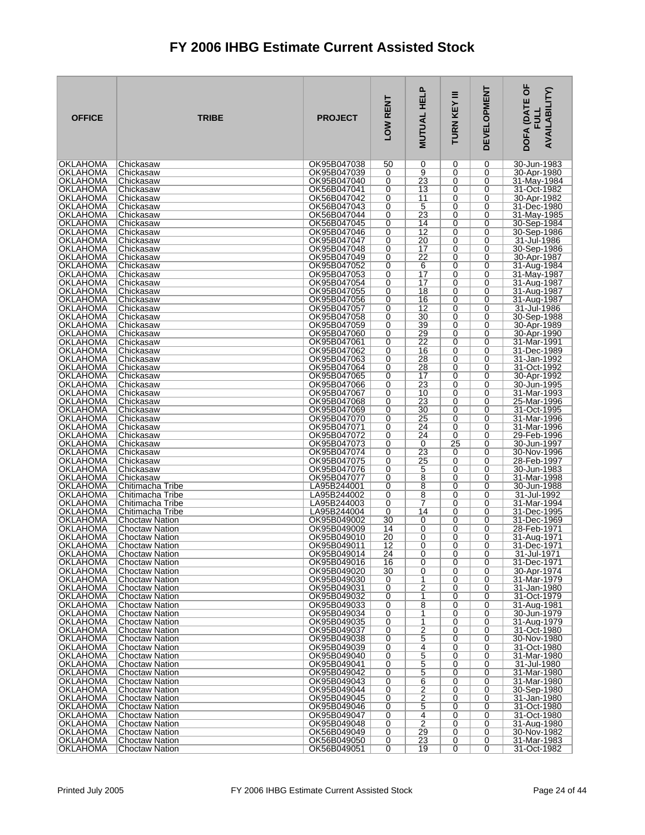| <b>OFFICE</b>                      | <b>TRIBE</b>                                   | <b>PROJECT</b>             | LOW RENT            | <b>MUTUAL HELP</b>    | Ξ<br>KEY<br>TURN | <b>DEVELOPMENT</b> | DOFA (DATE OF<br><b>AVAILABILITY)</b><br>FU니 |
|------------------------------------|------------------------------------------------|----------------------------|---------------------|-----------------------|------------------|--------------------|----------------------------------------------|
| <b>OKLAHOMA</b>                    | Chickasaw                                      | OK95B047038                | 50                  | 0                     | 0                | 0                  | 30-Jun-1983                                  |
| <b>OKLAHOMA</b><br><b>OKLAHOMA</b> | Chickasaw<br>Chickasaw                         | OK95B047039<br>OK95B047040 | 0<br>0              | 9<br>23               | 0<br>0           | 0<br>0             | 30-Apr-1980<br>31-May-1984                   |
| OKLAHOMA                           | Chickasaw                                      | OK56B047041                | 0                   | 13                    | 0                | 0                  | 31-Oct-1982                                  |
| <b>OKLAHOMA</b>                    | Chickasaw                                      | OK56B047042                | 0                   | 11                    | 0                | 0                  | 30-Apr-1982                                  |
| OKLAHOMA<br>OKLAHOMA               | Chickasaw<br>Chickasaw                         | OK56B047043<br>OK56B047044 | 0<br>0              | 5<br>23               | 0<br>0           | 0<br>0             | 31-Dec-1980                                  |
| OKLAHOMA                           | Chickasaw                                      | OK56B047045                | 0                   | 14                    | 0                | 0                  | 31-May-1985<br>30-Sep-1984                   |
| OKLAHOMA                           | Chickasaw                                      | OK95B047046                | 0                   | $\overline{12}$       | 0                | 0                  | 30-Sep-1986                                  |
| OKLAHOMA                           | Chickasaw                                      | OK95B047047                | 0                   | 20                    | 0                | 0                  | 31-Jul-1986                                  |
| <b>OKLAHOMA</b><br>OKLAHOMA        | Chickasaw<br>Chickasaw                         | OK95B047048<br>OK95B047049 | 0<br>0              | 17<br>22              | 0<br>0           | 0<br>0             | 30-Sep-1986<br>30-Apr-1987                   |
| OKLAHOMA                           | Chickasaw                                      | OK95B047052                | 0                   | 6                     | 0                | 0                  | 31-Aug-1984                                  |
| <b>OKLAHOMA</b>                    | Chickasaw                                      | OK95B047053                | 0                   | 17                    | 0                | 0                  | 31-May-1987                                  |
| <b>OKLAHOMA</b><br><b>OKLAHOMA</b> | Chickasaw<br>Chickasaw                         | OK95B047054<br>OK95B047055 | 0<br>0              | $\overline{17}$<br>18 | 0<br>0           | 0<br>0             | 31-Aug-1987<br>31-Aug-1987                   |
| OKLAHOMA                           | Chickasaw                                      | OK95B047056                | $\overline{0}$      | 16                    | 0                | 0                  | 31-Aug-1987                                  |
| <b>OKLAHOMA</b>                    | Chickasaw                                      | OK95B047057                | 0                   | $\overline{12}$       | 0                | 0                  | 31-Jul-1986                                  |
| OKLAHOMA                           | Chickasaw                                      | OK95B047058                | 0                   | 30                    | 0                | 0                  | 30-Sep-1988                                  |
| OKLAHOMA<br>OKLAHOMA               | Chickasaw<br>Chickasaw                         | OK95B047059<br>OK95B047060 | 0<br>0              | 39<br>29              | 0<br>0           | 0<br>0             | 30-Apr-1989<br>30-Apr-1990                   |
| OKLAHOMA                           | Chickasaw                                      | OK95B047061                | 0                   | $\overline{22}$       | 0                | 0                  | 31-Mar-1991                                  |
| OKLAHOMA                           | Chickasaw                                      | OK95B047062                | 0                   | 16                    | 0                | 0                  | 31-Dec-1989                                  |
| OKLAHOMA<br><b>OKLAHOMA</b>        | Chickasaw<br>Chickasaw                         | OK95B047063<br>OK95B047064 | 0<br>0              | 28<br>28              | 0<br>0           | 0<br>0             | 31-Jan-1992<br>31-Oct-1992                   |
| OKLAHOMA                           | Chickasaw                                      | OK95B047065                | 0                   | 17                    | 0                | 0                  | 30-Apr-1992                                  |
| <b>OKLAHOMA</b>                    | Chickasaw                                      | OK95B047066                | 0                   | 23                    | 0                | 0                  | 30-Jun-1995                                  |
| <b>OKLAHOMA</b><br>OKLAHOMA        | Chickasaw<br>Chickasaw                         | OK95B047067<br>OK95B047068 | 0<br>0              | 10<br>23              | 0<br>0           | 0<br>0             | 31-Mar-1993<br>25-Mar-1996                   |
| OKLAHOMA                           | Chickasaw                                      | OK95B047069                | 0                   | 30                    | 0                | 0                  | 31-Oct-1995                                  |
| <b>OKLAHOMA</b>                    | Chickasaw                                      | OK95B047070                | 0                   | 25                    | 0                | $\overline{0}$     | 31-Mar-1996                                  |
| OKLAHOMA<br>OKLAHOMA               | Chickasaw<br>Chickasaw                         | OK95B047071<br>OK95B047072 | 0<br>0              | 24<br>24              | 0<br>0           | 0<br>0             | 31-Mar-1996<br>29-Feb-1996                   |
| OKLAHOMA                           | Chickasaw                                      | OK95B047073                | 0                   | 0                     | $\overline{25}$  | $\overline{0}$     | 30-Jun-1997                                  |
| OKLAHOMA                           | Chickasaw                                      | OK95B047074                | 0                   | 23                    | 0                | 0                  | 30-Nov-1996                                  |
| <b>OKLAHOMA</b><br><b>OKLAHOMA</b> | Chickasaw                                      | OK95B047075<br>OK95B047076 | 0                   | 25                    | 0                | 0<br>0             | 28-Feb-1997                                  |
| OKLAHOMA                           | Chickasaw<br>Chickasaw                         | OK95B047077                | 0<br>0              | 5<br>8                | 0<br>0           | 0                  | 30-Jun-1983<br>31-Mar-1998                   |
| <b>OKLAHOMA</b>                    | Chitimacha Tribe                               | LA95B244001                | 0                   | 8                     | 0                | 0                  | 30-Jun-1988                                  |
| <b>OKLAHOMA</b>                    | Chitimacha Tribe                               | LA95B244002                | 0                   | 8                     | 0                | $\overline{0}$     | 31-Jul-1992                                  |
| OKLAHOMA<br>OKLAHOMA               | Chitimacha Tribe<br>Chitimacha Tribe           | LA95B244003<br>LA95B244004 | 0<br>0              | 7<br>14               | 0<br>0           | 0<br>0             | 31-Mar-1994<br>31-Dec-1995                   |
| OKLAHOMA                           | <b>Choctaw Nation</b>                          | OK95B049002                | 30                  | 0                     | 0                | 0                  | 31-Dec-1969                                  |
| OKLAHOMA                           | <b>Choctaw Nation</b>                          | OK95B049009                | 14                  | 0                     | 0                | 0                  | 28-Feb-1971                                  |
| OKLAHOMA<br><b>OKLAHOMA</b>        | <b>Choctaw Nation</b><br>Choctaw Nation        | OK95B049010<br>OK95B049011 | 20<br>12            | 0<br>0                | 0<br>0           | 0<br>$\Omega$      | 31-Aug-1971<br>31-Dec-1971                   |
| <b>OKLAHOMA</b>                    | <b>Choctaw Nation</b>                          | OK95B049014                | 24                  | 0                     | 0                | 0                  | 31-Jul-1971                                  |
| OKLAHOMA                           | <b>Choctaw Nation</b>                          | OK95B049016                | 16                  | 0                     | 0                | 0                  | 31-Dec-1971                                  |
| <b>OKLAHOMA</b><br>OKLAHOMA        | <b>Choctaw Nation</b><br><b>Choctaw Nation</b> | OK95B049020<br>OK95B049030 | 30<br>0             | 0<br>1                | 0<br>0           | 0<br>0             | 30-Apr-1974<br>31-Mar-1979                   |
| OKLAHOMA                           | <b>Choctaw Nation</b>                          | OK95B049031                | 0                   | 2                     | 0                | 0                  | 31-Jan-1980                                  |
| OKLAHOMA                           | <b>Choctaw Nation</b>                          | OK95B049032                | 0                   | 1                     | 0                | 0                  | 31-Oct-1979                                  |
| OKLAHOMA<br>OKLAHOMA               | <b>Choctaw Nation</b><br><b>Choctaw Nation</b> | OK95B049033<br>OK95B049034 | 0<br>0              | 8<br>1                | 0<br>0           | 0<br>0             | 31-Aug-1981<br>30-Jun-1979                   |
| <b>OKLAHOMA</b>                    | <b>Choctaw Nation</b>                          | OK95B049035                | 0                   | 1                     | 0                | 0                  | 31-Aug-1979                                  |
| OKLAHOMA                           | <b>Choctaw Nation</b>                          | OK95B049037                | 0                   | $\overline{2}$        | 0                | 0                  | 31-Oct-1980                                  |
| <b>OKLAHOMA</b><br><b>OKLAHOMA</b> | <b>Choctaw Nation</b><br><b>Choctaw Nation</b> | OK95B049038<br>OK95B049039 | 0<br>0              | 5<br>4                | 0<br>0           | 0<br>0             | 30-Nov-1980<br>31-Oct-1980                   |
| OKLAHOMA                           | <b>Choctaw Nation</b>                          | OK95B049040                | 0                   | 5                     | 0                | 0                  | 31-Mar-1980                                  |
| <b>OKLAHOMA</b>                    | <b>Choctaw Nation</b>                          | OK95B049041                | 0                   | 5                     | 0                | 0                  | 31-Jul-1980                                  |
| <b>OKLAHOMA</b><br>OKLAHOMA        | <b>Choctaw Nation</b><br><b>Choctaw Nation</b> | OK95B049042<br>OK95B049043 | 0<br>0              | 5<br>6                | 0<br>0           | 0<br>0             | 31-Mar-1980<br>31-Mar-1980                   |
| <b>OKLAHOMA</b>                    | <b>Choctaw Nation</b>                          | OK95B049044                | 0                   | $\overline{2}$        | 0                | 0                  | 30-Sep-1980                                  |
| <b>OKLAHOMA</b>                    | <b>Choctaw Nation</b>                          | OK95B049045                | 0                   | $\overline{2}$        | 0                | 0                  | 31-Jan-1980                                  |
| OKLAHOMA<br>OKLAHOMA               | <b>Choctaw Nation</b><br><b>Choctaw Nation</b> | OK95B049046<br>OK95B049047 | 0<br>0              | 5<br>4                | 0<br>0           | 0<br>0             | 31-Oct-1980<br>31-Oct-1980                   |
| <b>OKLAHOMA</b>                    | <b>Choctaw Nation</b>                          | OK95B049048                | 0                   | $\overline{2}$        | 0                | 0                  | 31-Aug-1980                                  |
| OKLAHOMA                           | <b>Choctaw Nation</b>                          | OK56B049049                | 0                   | 29                    | 0                | 0                  | 30-Nov-1982                                  |
| <b>OKLAHOMA</b><br>OKLAHOMA        | <b>Choctaw Nation</b><br>Choctaw Nation        | OK56B049050<br>OK56B049051 | 0<br>$\overline{0}$ | 23<br>19              | 0<br>0           | 0<br>0             | 31-Mar-1983<br>31-Oct-1982                   |
|                                    |                                                |                            |                     |                       |                  |                    |                                              |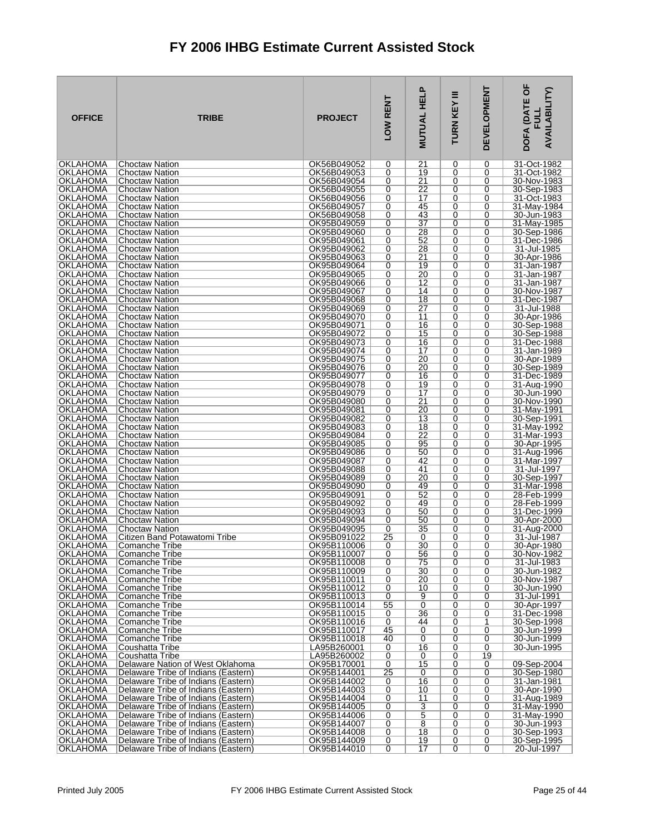| <b>OFFICE</b>                      | <b>TRIBE</b>                                                               | <b>PROJECT</b>             | LOW RENT            | <b>MUTUAL HELP</b>    | Ξ<br>TURN KEY | <b>DEVELOPMENT</b> | DOFA (DATE OF<br><b>AVAILABILITY)</b><br>ᆜ |
|------------------------------------|----------------------------------------------------------------------------|----------------------------|---------------------|-----------------------|---------------|--------------------|--------------------------------------------|
| <b>OKLAHOMA</b>                    | <b>Choctaw Nation</b>                                                      | OK56B049052                | 0                   | 21                    | 0             | 0                  | 31-Oct-1982                                |
| OKLAHOMA<br>OKLAHOMA               | <b>Choctaw Nation</b><br><b>Choctaw Nation</b>                             | OK56B049053<br>OK56B049054 | 0<br>0              | 19<br>$\overline{21}$ | 0<br>0        | 0<br>0             | 31-Oct-1982<br>30-Nov-1983                 |
| OKLAHOMA                           | <b>Choctaw Nation</b>                                                      | OK56B049055                | 0                   | 22                    | 0             | 0                  | 30-Sep-1983                                |
| OKLAHOMA                           | <b>Choctaw Nation</b>                                                      | OK56B049056                | 0                   | 17                    | 0             | 0                  | 31-Oct-1983                                |
| OKLAHOMA<br>OKLAHOMA               | <b>Choctaw Nation</b><br><b>Choctaw Nation</b>                             | OK56B049057<br>OK56B049058 | 0<br>0              | 45<br>43              | 0<br>0        | 0<br>0             | 31-May-1984<br>30-Jun-1983                 |
| OKLAHOMA                           | <b>Choctaw Nation</b>                                                      | OK95B049059                | 0                   | 37                    | 0             | 0                  | 31-May-1985                                |
| OKLAHOMA                           | <b>Choctaw Nation</b>                                                      | OK95B049060                | 0                   | 28                    | 0             | 0                  | 30-Sep-1986                                |
| <b>OKLAHOMA</b>                    | <b>Choctaw Nation</b>                                                      | OK95B049061                | 0                   | 52                    | 0             | 0                  | 31-Dec-1986                                |
| OKLAHOMA<br>OKLAHOMA               | Choctaw Nation<br><b>Choctaw Nation</b>                                    | OK95B049062<br>OK95B049063 | 0<br>0              | 28<br>21              | 0<br>0        | 0<br>0             | 31-Jul-1985<br>30-Apr-1986                 |
| OKLAHOMA                           | <b>Choctaw Nation</b>                                                      | OK95B049064                | 0                   | 19                    | 0             | 0                  | 31-Jan-1987                                |
| OKLAHOMA                           | <b>Choctaw Nation</b>                                                      | OK95B049065                | 0                   | 20                    | 0             | 0                  | 31-Jan-1987                                |
| OKLAHOMA<br>OKLAHOMA               | <b>Choctaw Nation</b><br><b>Choctaw Nation</b>                             | OK95B049066<br>OK95B049067 | 0<br>0              | $\overline{12}$<br>14 | 0<br>0        | 0<br>0             | 31-Jan-1987<br>30-Nov-1987                 |
| OKLAHOMA                           | <b>Choctaw Nation</b>                                                      | OK95B049068                | 0                   | 18                    | 0             | 0                  | 31-Dec-1987                                |
| OKLAHOMA                           | <b>Choctaw Nation</b>                                                      | OK95B049069                | 0                   | 27                    | 0             | 0                  | 31-Jul-1988                                |
| OKLAHOMA                           | <b>Choctaw Nation</b>                                                      | OK95B049070                | 0                   | 11                    | 0             | 0                  | 30-Apr-1986                                |
| OKLAHOMA<br>OKLAHOMA               | Choctaw Nation<br><b>Choctaw Nation</b>                                    | OK95B049071<br>OK95B049072 | 0<br>0              | 16<br>15              | 0<br>0        | 0<br>0             | 30-Sep-1988<br>30-Sep-1988                 |
| OKLAHOMA                           | <b>Choctaw Nation</b>                                                      | OK95B049073                | 0                   | 16                    | 0             | 0                  | 31-Dec-1988                                |
| OKLAHOMA                           | <b>Choctaw Nation</b>                                                      | OK95B049074                | 0                   | 17                    | 0             | 0                  | 31-Jan-1989                                |
| OKLAHOMA<br><b>OKLAHOMA</b>        | <b>Choctaw Nation</b><br><b>Choctaw Nation</b>                             | OK95B049075<br>OK95B049076 | 0<br>0              | 20<br>20              | 0<br>0        | 0<br>0             | 30-Apr-1989<br>30-Sep-1989                 |
| OKLAHOMA                           | <b>Choctaw Nation</b>                                                      | OK95B049077                | 0                   | 16                    | 0             | 0                  | 31-Dec-1989                                |
| <b>OKLAHOMA</b>                    | <b>Choctaw Nation</b>                                                      | OK95B049078                | 0                   | 19                    | 0             | 0                  | 31-Aug-1990                                |
| <b>OKLAHOMA</b>                    | <b>Choctaw Nation</b>                                                      | OK95B049079                | 0                   | 17                    | 0             | 0                  | 30-Jun-1990                                |
| OKLAHOMA<br>OKLAHOMA               | <b>Choctaw Nation</b><br><b>Choctaw Nation</b>                             | OK95B049080<br>OK95B049081 | 0<br>0              | 21<br>20              | 0<br>0        | 0<br>0             | 30-Nov-1990<br>31-May-1991                 |
| <b>OKLAHOMA</b>                    | <b>Choctaw Nation</b>                                                      | OK95B049082                | 0                   | $\overline{13}$       | 0             | $\overline{0}$     | 30-Sep-1991                                |
| OKLAHOMA                           | <b>Choctaw Nation</b>                                                      | OK95B049083                | 0                   | 18                    | 0             | 0                  | 31-May-1992                                |
| OKLAHOMA<br>OKLAHOMA               | <b>Choctaw Nation</b><br><b>Choctaw Nation</b>                             | OK95B049084<br>OK95B049085 | 0<br>0              | 22<br>95              | 0<br>0        | 0<br>0             | 31-Mar-1993<br>30-Apr-1995                 |
| OKLAHOMA                           | <b>Choctaw Nation</b>                                                      | OK95B049086                | 0                   | 50                    | 0             | 0                  | 31-Aug-1996                                |
| <b>OKLAHOMA</b>                    | <b>Choctaw Nation</b>                                                      | OK95B049087                | 0                   | 42                    | 0             | 0                  | 31-Mar-1997                                |
| OKLAHOMA<br>OKLAHOMA               | <b>Choctaw Nation</b><br><b>Choctaw Nation</b>                             | OK95B049088<br>OK95B049089 | 0<br>0              | 41<br>20              | 0<br>0        | 0<br>0             | 31-Jul-1997<br>30-Sep-1997                 |
| OKLAHOMA                           | <b>Choctaw Nation</b>                                                      | OK95B049090                | 0                   | 49                    | 0             | 0                  | 31-Mar-1998                                |
| OKLAHOMA                           | <b>Choctaw Nation</b>                                                      | OK95B049091                | 0                   | 52                    | 0             | 0                  | 28-Feb-1999                                |
| OKLAHOMA                           | <b>Choctaw Nation</b>                                                      | OK95B049092                | 0                   | 49                    | 0             | 0                  | 28-Feb-1999                                |
| <b>OKLAHOMA</b><br>OKLAHOMA        | <b>Choctaw Nation</b><br><b>Choctaw Nation</b>                             | OK95B049093<br>OK95B049094 | 0<br>0              | 50<br>50              | 0<br>0        | 0<br>0             | 31-Dec-1999<br>30-Apr-2000                 |
| OKLAHOMA                           | <b>Choctaw Nation</b>                                                      | OK95B049095                | 0                   | 35                    | 0             | 0                  | 31-Aug-2000                                |
| OKLAHOMA                           | Citizen Band Potawatomi Tribe                                              | OK95B091022                | 25                  | 0                     | 0             | 0                  | 31-Jul-1987                                |
| <b>OKLAHOMA</b><br><b>OKLAHOMA</b> | Comanche Tribe<br>Comanche Tribe                                           | OK95B110006<br>OK95B110007 | 0<br>0              | 30<br>56              | 0<br>0        | 0<br>0             | 30-Apr-1980<br>30-Nov-1982                 |
| OKLAHOMA                           | Comanche Tribe                                                             | OK95B110008                | 0                   | 75                    | 0             | 0                  | 31-Jul-1983                                |
| OKLAHOMA                           | Comanche Tribe                                                             | OK95B110009                | 0                   | 30                    | 0             | 0                  | 30-Jun-1982                                |
| OKLAHOMA<br>OKLAHOMA               | Comanche Tribe<br>Comanche Tribe                                           | OK95B110011<br>OK95B110012 | 0<br>0              | 20<br>10              | 0<br>0        | 0<br>0             | 30-Nov-1987<br>30-Jun-1990                 |
| OKLAHOMA                           | Comanche Tribe                                                             | OK95B110013                | 0                   | 9                     | 0             | 0                  | 31-Jul-1991                                |
| OKLAHOMA                           | Comanche Tribe                                                             | OK95B110014                | 55                  | 0                     | 0             | 0                  | 30-Apr-1997                                |
| <b>OKLAHOMA</b><br><b>OKLAHOMA</b> | Comanche Tribe<br>Comanche Tribe                                           | OK95B110015<br>OK95B110016 | 0<br>0              | 36<br>44              | 0<br>0        | 0<br>1             | 31-Dec-1998<br>30-Sep-1998                 |
| OKLAHOMA                           | Comanche Tribe                                                             | OK95B110017                | 45                  | 0                     | 0             | 0                  | 30-Jun-1999                                |
| <b>OKLAHOMA</b>                    | Comanche Tribe                                                             | OK95B110018                | 40                  | 0                     | 0             | 0                  | 30-Jun-1999                                |
| OKLAHOMA                           | Coushatta Tribe                                                            | LA95B260001                | 0                   | 16                    | 0             | 0                  | 30-Jun-1995                                |
| OKLAHOMA<br><b>OKLAHOMA</b>        | Coushatta Tribe<br>Delaware Nation of West Oklahoma                        | LA95B260002<br>OK95B170001 | 0<br>0              | 0<br>15               | 0<br>0        | 19<br>0            | 09-Sep-2004                                |
| <b>OKLAHOMA</b>                    | Delaware Tribe of Indians (Eastern)                                        | OK95B144001                | 25                  | 0                     | 0             | 0                  | 30-Sep-1980                                |
| <b>OKLAHOMA</b>                    | Delaware Tribe of Indians (Eastern)                                        | OK95B144002                | 0                   | 16                    | 0             | 0                  | 31-Jan-1981                                |
| OKLAHOMA<br>OKLAHOMA               | Delaware Tribe of Indians (Eastern)<br>Delaware Tribe of Indians (Eastern) | OK95B144003<br>OK95B144004 | 0<br>0              | 10<br>11              | 0<br>0        | 0<br>0             | 30-Apr-1990<br>31-Aug-1989                 |
| OKLAHOMA                           | Delaware Tribe of Indians (Eastern)                                        | OK95B144005                | 0                   | 3                     | 0             | 0                  | 31-May-1990                                |
| OKLAHOMA                           | Delaware Tribe of Indians (Eastern)                                        | OK95B144006                | 0                   | 5                     | 0             | 0                  | 31-May-1990                                |
| <b>OKLAHOMA</b><br>OKLAHOMA        | Delaware Tribe of Indians (Eastern)<br>Delaware Tribe of Indians (Eastern) | OK95B144007<br>OK95B144008 | $\overline{0}$<br>0 | $\overline{8}$<br>18  | 0<br>0        | 0<br>0             | 30-Jun-1993<br>30-Sep-1993                 |
| <b>OKLAHOMA</b>                    | Delaware Tribe of Indians (Eastern)                                        | OK95B144009                | 0                   | 19                    | 0             | 0                  | 30-Sep-1995                                |
| OKLAHOMA                           | Delaware Tribe of Indians (Eastern)                                        | OK95B144010                | $\overline{0}$      | $\overline{17}$       | 0             | 0                  | 20-Jul-1997                                |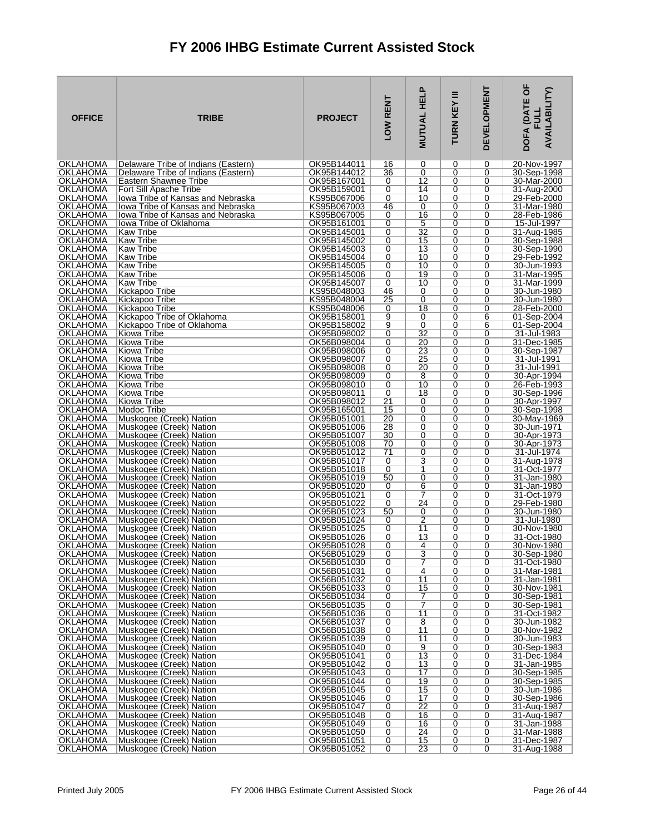| <b>OFFICE</b>                      | <b>TRIBE</b>                                                           | <b>PROJECT</b>             | LOW RENT | Ը<br><b>MUTUAL HEL</b> | Ξ<br>TURN KEY | <b>DEVELOPMENT</b> | <b>EOF</b><br><b>AVAILABILITY)</b><br><b>DOFA (DAT)</b> |
|------------------------------------|------------------------------------------------------------------------|----------------------------|----------|------------------------|---------------|--------------------|---------------------------------------------------------|
| <b>OKLAHOMA</b>                    | Delaware Tribe of Indians (Eastern)                                    | OK95B144011                | 16       | 0                      | 0             | 0                  | 20-Nov-1997                                             |
| OKLAHOMA<br><b>OKLAHOMA</b>        | Delaware Tribe of Indians (Eastern)<br>Eastern Shawnee Tribe           | OK95B144012<br>OK95B167001 | 36<br>0  | 0<br>12                | 0<br>0        | 0<br>0             | 30-Sep-1998<br>30-Mar-2000                              |
| <b>OKLAHOMA</b>                    | Fort Sill Apache Tribe                                                 | OK95B159001                | 0        | 14                     | 0             | 0                  | 31-Aug-2000                                             |
| OKLAHOMA                           | lowa Tribe of Kansas and Nebraska                                      | KS95B067006                | 0        | 10                     | 0             | 0                  | 29-Feb-2000                                             |
| OKLAHOMA<br><b>OKLAHOMA</b>        | lowa Tribe of Kansas and Nebraska<br>lowa Tribe of Kansas and Nebraska | KS95B067003<br>KS95B067005 | 46<br>0  | 0<br>16                | 0<br>0        | 0<br>0             | 31-Mar-1980<br>28-Feb-1986                              |
| <b>OKLAHOMA</b>                    | lowa Tribe of Oklahoma                                                 | OK95B161001                | 0        | 5                      | 0             | 0                  | 15-Jul-1997                                             |
| OKLAHOMA                           | <b>Kaw Tribe</b>                                                       | OK95B145001                | 0        | $\overline{32}$        | 0             | 0                  | 31-Aug-1985                                             |
| <b>OKLAHOMA</b><br>OKLAHOMA        | <b>Kaw Tribe</b><br><b>Kaw Tribe</b>                                   | OK95B145002<br>OK95B145003 | 0<br>0   | 15<br>13               | $\Omega$<br>0 | $\Omega$<br>0      | 30-Sep-1988<br>30-Sep-1990                              |
| <b>OKLAHOMA</b>                    | <b>Kaw Tribe</b>                                                       | OK95B145004                | 0        | 10                     | 0             | 0                  | 29-Feb-1992                                             |
| <b>OKLAHOMA</b>                    | <b>Kaw Tribe</b>                                                       | OK95B145005                | 0        | 10                     | $\Omega$      | 0                  | 30-Jun-1993                                             |
| OKLAHOMA<br><b>OKLAHOMA</b>        | Kaw Tribe<br>Kaw Tribe                                                 | OK95B145006<br>OK95B145007 | 0<br>0   | 19<br>10               | 0<br>0        | 0<br>0             | 31-Mar-1995                                             |
| <b>OKLAHOMA</b>                    | Kickapoo Tribe                                                         | KS95B048003                | 46       | 0                      | $\Omega$      | 0                  | 31-Mar-1999<br>30-Jun-1980                              |
| OKLAHOMA                           | Kickapoo Tribe                                                         | KS95B048004                | 25       | $\overline{0}$         | 0             | 0                  | 30-Jun-1980                                             |
| OKLAHOMA                           | Kickapoo Tribe                                                         | KS95B048006                | 0        | 18                     | 0             | 0                  | 28-Feb-2000                                             |
| <b>OKLAHOMA</b><br><b>OKLAHOMA</b> | Kickapoo Tribe of Oklahoma<br>Kickapoo Tribe of Oklahoma               | OK95B158001<br>OK95B158002 | 9<br>9   | 0<br>0                 | 0<br>0        | 6<br>6             | 01-Sep-2004<br>01-Sep-2004                              |
| <b>OKLAHOMA</b>                    | Kiowa Tribe                                                            | OK95B098002                | 0        | 32                     | 0             | 0                  | 31-Jul-1983                                             |
| <b>OKLAHOMA</b>                    | Kiowa Tribe                                                            | OK56B098004                | 0        | 20                     | 0             | 0                  | 31-Dec-1985                                             |
| OKLAHOMA<br><b>OKLAHOMA</b>        | Kiowa Tribe<br><b>Kiowa Tribe</b>                                      | OK95B098006<br>OK95B098007 | 0<br>0   | 23<br>25               | 0<br>0        | 0<br>0             | 30-Sep-1987<br>31-Jul-1991                              |
| <b>OKLAHOMA</b>                    | Kiowa Tribe                                                            | OK95B098008                | 0        | 20                     | 0             | 0                  | 31-Jul-1991                                             |
| <b>OKLAHOMA</b>                    | Kiowa Tribe                                                            | OK95B098009                | 0        | 8                      | 0             | 0                  | 30-Apr-1994                                             |
| <b>OKLAHOMA</b><br><b>OKLAHOMA</b> | Kiowa Tribe<br>Kiowa Tribe                                             | OK95B098010<br>OK95B098011 | 0<br>0   | 10<br>18               | 0<br>0        | 0<br>0             | 26-Feb-1993<br>30-Sep-1996                              |
| <b>OKLAHOMA</b>                    | Kiowa Tribe                                                            | OK95B098012                | 21       | 0                      | 0             | 0                  | 30-Apr-1997                                             |
| OKLAHOMA                           | Modoc Tribe                                                            | OK95B165001                | 15       | 0                      | 0             | 0                  | 30-Sep-1998                                             |
| <b>OKLAHOMA</b><br>OKLAHOMA        | Muskogee (Creek) Nation<br>Muskogee (Creek) Nation                     | OK95B051001<br>OK95B051006 | 20<br>28 | 0<br>0                 | 0<br>0        | 0<br>0             | 30-May-1969<br>30-Jun-1971                              |
| <b>OKLAHOMA</b>                    | Muskogee (Creek) Nation                                                | OK95B051007                | 30       | 0                      | 0             | 0                  | 30-Apr-1973                                             |
| OKLAHOMA                           | Muskogee (Creek) Nation                                                | OK95B051008                | 70       | 0                      | 0             | 0                  | 30-Apr-1973                                             |
| <b>OKLAHOMA</b><br>OKLAHOMA        | Muskogee (Creek) Nation<br>Muskogee (Creek) Nation                     | OK95B051012<br>OK95B051017 | 71<br>0  | 0<br>3                 | $\Omega$<br>0 | 0<br>0             | 31-Jul-1974<br>31-Aug-1978                              |
| <b>OKLAHOMA</b>                    | Muskogee (Creek) Nation                                                | OK95B051018                | 0        | 1                      | 0             | 0                  | 31-Oct-1977                                             |
| <b>OKLAHOMA</b>                    | Muskogee (Creek) Nation                                                | OK95B051019                | 50       | 0                      | 0             | 0                  | 31-Jan-1980                                             |
| OKLAHOMA<br><b>OKLAHOMA</b>        | Muskogee (Creek) Nation<br>Muskogee (Creek) Nation                     | OK95B051020<br>OK95B051021 | 0<br>0   | 6<br>7                 | 0<br>0        | 0<br>0             | 31-Jan-1980<br>31-Oct-1979                              |
| OKLAHOMA                           | Muskogee (Creek) Nation                                                | OK95B051022                | 0        | 24                     | 0             | 0                  | 29-Feb-1980                                             |
| <b>OKLAHOMA</b>                    | Muskogee (Creek) Nation                                                | OK95B051023                | 50       | 0                      | 0             | 0                  | 30-Jun-1980                                             |
| OKLAHOMA<br>OKLAHOMA               | Muskogee (Creek) Nation<br>Muskogee (Creek) Nation                     | OK95B051024<br>OK95B051025 | 0        | $\overline{2}$<br>11   | 0<br>0        | 0<br>0             | 31-Jul-1980<br>30-Nov-1980                              |
| OKLAHOMA                           | Muskogee (Creek) Nation                                                | OK95B051026                | 0<br>0   | 13                     | 0             | 0                  | 31-Oct-1980                                             |
| IOKI AHOMA                         | Muskogee (Creek) Nation                                                | OK95B051028                | $\Omega$ | 4                      | 0             | 0                  | 30-Nov-1980                                             |
| <b>OKLAHOMA</b><br>OKLAHOMA        | Muskogee (Creek) Nation<br>Muskogee (Creek) Nation                     | OK56B051029<br>OK56B051030 | 0<br>0   | 3<br>7                 | 0<br>0        | 0<br>0             | 30-Sep-1980<br>31-Oct-1980                              |
| <b>OKLAHOMA</b>                    | Muskogee (Creek) Nation                                                | OK56B051031                | 0        | 4                      | 0             | 0                  | 31-Mar-1981                                             |
| OKLAHOMA                           | Muskogee (Creek) Nation                                                | OK56B051032                | 0        | 11                     | 0             | 0                  | 31-Jan-1981                                             |
| <b>OKLAHOMA</b><br><b>OKLAHOMA</b> | Muskogee (Creek) Nation<br>Muskogee (Creek) Nation                     | OK56B051033<br>OK56B051034 | 0<br>0   | 15<br>7                | 0<br>0        | 0<br>0             | 30-Nov-1981                                             |
| <b>OKLAHOMA</b>                    | Muskogee (Creek) Nation                                                | OK56B051035                | 0        | 7                      | 0             | 0                  | 30-Sep-1981<br>30-Sep-1981                              |
| <b>OKLAHOMA</b>                    | Muskogee (Creek) Nation                                                | OK56B051036                | 0        | 11                     | 0             | 0                  | 31-Oct-1982                                             |
| <b>OKLAHOMA</b><br><b>OKLAHOMA</b> | Muskogee (Creek) Nation                                                | OK56B051037<br>OK56B051038 | 0        | 8<br>$\overline{11}$   | 0             | 0                  | 30-Jun-1982                                             |
| <b>OKLAHOMA</b>                    | Muskogee (Creek) Nation<br>Muskogee (Creek) Nation                     | OK95B051039                | 0<br>0   | 11                     | 0<br>0        | 0<br>0             | 30-Nov-1982<br>30-Jun-1983                              |
| OKLAHOMA                           | Muskogee (Creek) Nation                                                | OK95B051040                | 0        | $\overline{9}$         | 0             | 0                  | 30-Sep-1983                                             |
| OKLAHOMA                           | Muskogee (Creek) Nation                                                | OK95B051041                | 0        | $\overline{13}$        | 0<br>$\Omega$ | 0<br>0             | 31-Dec-1984                                             |
| <b>OKLAHOMA</b><br>OKLAHOMA        | Muskogee (Creek) Nation<br>Muskogee (Creek) Nation                     | OK95B051042<br>OK95B051043 | 0<br>0   | 13<br>17               | 0             | 0                  | 31-Jan-1985<br>30-Sep-1985                              |
| <b>OKLAHOMA</b>                    | Muskogee (Creek) Nation                                                | OK95B051044                | 0        | 19                     | 0             | 0                  | 30-Sep-1985                                             |
| <b>OKLAHOMA</b>                    | Muskogee (Creek) Nation                                                | OK95B051045                | 0        | 15                     | $\Omega$      | 0                  | 30-Jun-1986                                             |
| OKLAHOMA<br><b>OKLAHOMA</b>        | Muskogee (Creek) Nation<br>Muskogee (Creek) Nation                     | OK95B051046<br>OK95B051047 | 0<br>0   | 17<br>22               | 0<br>0        | 0<br>0             | 30-Sep-1986<br>31-Aug-1987                              |
| <b>OKLAHOMA</b>                    | Muskogee (Creek) Nation                                                | OK95B051048                | 0        | 16                     | 0             | 0                  | 31-Aug-1987                                             |
| OKLAHOMA                           | Muskogee (Creek) Nation                                                | OK95B051049                | 0        | 16                     | 0             | 0                  | 31-Jan-1988                                             |
| <b>OKLAHOMA</b><br><b>OKLAHOMA</b> | Muskogee (Creek) Nation<br>Muskogee (Creek) Nation                     | OK95B051050<br>OK95B051051 | 0<br>0   | 24<br>15               | 0<br>0        | 0<br>0             | 31-Mar-1988<br>31-Dec-1987                              |
| OKLAHOMA                           | Muskogee (Creek) Nation                                                | OK95B051052                | 0        | 23                     | 0             | 0                  | 31-Aug-1988                                             |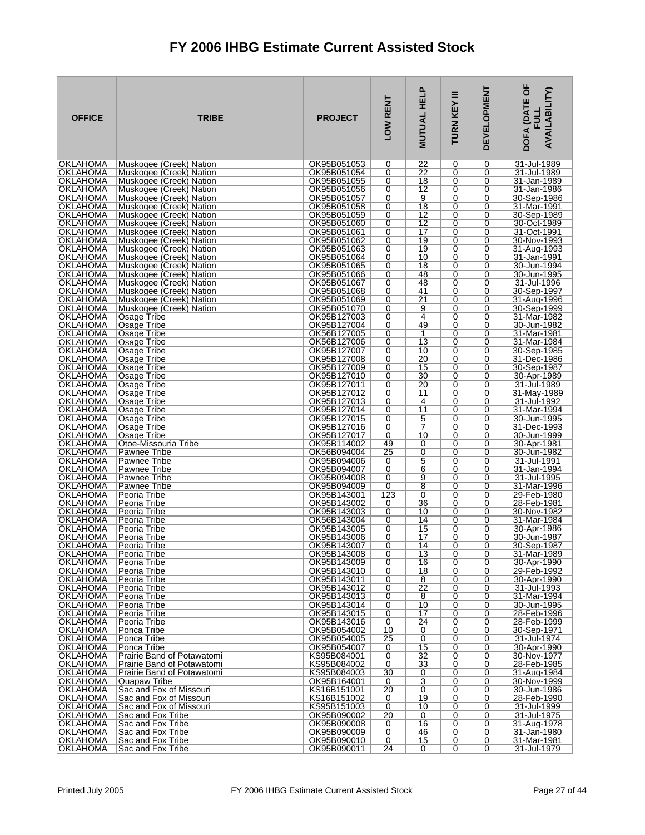| <b>OFFICE</b>                      | <b>TRIBE</b>                                       | <b>PROJECT</b>             | LOW RENT | <b>MUTUAL HELP</b> | Ξ<br>TURN KEY | <b>DEVELOPMENT</b> | <b>TOF</b><br><b>AVAILABILITY)</b><br>DOFA (DAT<br>릸 |
|------------------------------------|----------------------------------------------------|----------------------------|----------|--------------------|---------------|--------------------|------------------------------------------------------|
| <b>OKLAHOMA</b>                    | Muskogee (Creek) Nation                            | OK95B051053                | 0        | 22                 | 0             | 0                  | 31-Jul-1989                                          |
| OKLAHOMA<br><b>OKLAHOMA</b>        | Muskogee (Creek) Nation<br>Muskogee (Creek) Nation | OK95B051054<br>OK95B051055 | 0<br>0   | 22<br>18           | 0<br>0        | 0<br>0             | 31-Jul-1989<br>31-Jan-1989                           |
| OKLAHOMA                           | Muskogee (Creek) Nation                            | OK95B051056                | 0        | 12                 | 0             | 0                  | 31-Jan-1986                                          |
| <b>OKLAHOMA</b>                    | Muskogee (Creek) Nation                            | OK95B051057                | 0        | 9                  | 0             | 0                  | 30-Sep-1986                                          |
| <b>OKLAHOMA</b><br><b>OKLAHOMA</b> | Muskogee (Creek) Nation                            | OK95B051058<br>OK95B051059 | 0<br>0   | 18<br>12           | 0<br>0        | 0<br>0             | 31-Mar-1991<br>30-Sep-1989                           |
| <b>OKLAHOMA</b>                    | Muskogee (Creek) Nation<br>Muskogee (Creek) Nation | OK95B051060                | 0        | 12                 | 0             | 0                  | 30-Oct-1989                                          |
| OKLAHOMA                           | Muskogee (Creek) Nation                            | OK95B051061                | 0        | 17                 | 0             | 0                  | 31-Oct-1991                                          |
| <b>OKLAHOMA</b>                    | Muskogee (Creek) Nation                            | OK95B051062                | 0        | 19                 | 0             | 0                  | 30-Nov-1993                                          |
| <b>OKLAHOMA</b><br>OKLAHOMA        | Muskogee (Creek) Nation<br>Muskogee (Creek) Nation | OK95B051063<br>OK95B051064 | 0<br>0   | 19<br>10           | 0<br>0        | 0<br>0             | 31-Aug-1993<br>31-Jan-1991                           |
| <b>OKLAHOMA</b>                    | Muskogee (Creek) Nation                            | OK95B051065                | 0        | 18                 | 0             | 0                  | 30-Jun-1994                                          |
| <b>OKLAHOMA</b>                    | Muskogee (Creek) Nation                            | OK95B051066                | 0        | 48                 | 0             | 0                  | 30-Jun-1995                                          |
| OKLAHOMA<br><b>OKLAHOMA</b>        | Muskogee (Creek) Nation<br>Muskogee (Creek) Nation | OK95B051067<br>OK95B051068 | 0<br>0   | 48<br>41           | 0<br>0        | 0<br>0             | 31-Jul-1996<br>30-Sep-1997                           |
| <b>OKLAHOMA</b>                    | Muskogee (Creek) Nation                            | OK95B051069                | 0        | $\overline{21}$    | 0             | 0                  | 31-Aug-1996                                          |
| OKLAHOMA                           | Muskogee (Creek) Nation                            | OK95B051070                | 0        | 9                  | 0             | 0                  | 30-Sep-1999                                          |
| <b>OKLAHOMA</b><br><b>OKLAHOMA</b> | Osage Tribe                                        | OK95B127003                | 0        | 4<br>49            | $\Omega$      | $\Omega$           | 31-Mar-1982                                          |
| <b>OKLAHOMA</b>                    | Osage Tribe<br>Osage Tribe                         | OK95B127004<br>OK56B127005 | 0<br>0   | 1                  | 0<br>0        | 0<br>0             | 30-Jun-1982<br>31-Mar-1981                           |
| <b>OKLAHOMA</b>                    | Osage Tribe                                        | OK56B127006                | 0        | $\overline{13}$    | $\Omega$      | 0                  | 31-Mar-1984                                          |
| <b>OKLAHOMA</b>                    | Osage Tribe                                        | OK95B127007                | 0        | 10                 | 0             | 0                  | 30-Sep-1985                                          |
| <b>OKLAHOMA</b><br><b>OKLAHOMA</b> | Osage Tribe<br>Osage Tribe                         | OK95B127008<br>OK95B127009 | 0<br>0   | 20<br>15           | 0<br>$\Omega$ | 0<br>0             | 31-Dec-1986<br>30-Sep-1987                           |
| OKLAHOMA                           | Osage Tribe                                        | OK95B127010                | 0        | 30                 | 0             | 0                  | 30-Apr-1989                                          |
| <b>OKLAHOMA</b>                    | Osage Tribe                                        | OK95B127011                | 0        | 20                 | 0             | 0                  | 31-Jul-1989                                          |
| <b>OKLAHOMA</b><br>OKLAHOMA        | Osage Tribe<br>Osage Tribe                         | OK95B127012<br>OK95B127013 | 0<br>0   | 11<br>4            | 0<br>0        | 0<br>0             | 31-May-1989<br>31-Jul-1992                           |
| OKLAHOMA                           | Osage Tribe                                        | OK95B127014                | 0        | 11                 | 0             | 0                  | 31-Mar-1994                                          |
| <b>OKLAHOMA</b>                    | Osage Tribe                                        | OK95B127015                | 0        | 5                  | 0             | 0                  | 30-Jun-1995                                          |
| OKLAHOMA                           | Osage Tribe                                        | OK95B127016                | 0        | 7                  | 0             | 0                  | 31-Dec-1993                                          |
| <b>OKLAHOMA</b><br><b>OKLAHOMA</b> | Osage Tribe<br>Otoe-Missouria Tribe                | OK95B127017<br>OK95B114002 | 0<br>49  | 10<br>0            | 0<br>0        | 0<br>0             | 30-Jun-1999<br>30-Apr-1981                           |
| <b>OKLAHOMA</b>                    | Pawnee Tribe                                       | OK56B094004                | 25       | 0                  | 0             | 0                  | 30-Jun-1982                                          |
| <b>OKLAHOMA</b>                    | Pawnee Tribe                                       | OK95B094006                | 0        | 5                  | 0             | 0                  | 31-Jul-1991                                          |
| <b>OKLAHOMA</b><br><b>OKLAHOMA</b> | Pawnee Tribe<br>Pawnee Tribe                       | OK95B094007<br>OK95B094008 | 0<br>0   | 6<br>9             | 0<br>0        | 0<br>0             | 31-Jan-1994<br>31-Jul-1995                           |
| OKLAHOMA                           | Pawnee Tribe                                       | OK95B094009                | 0        | 8                  | 0             | 0                  | 31-Mar-1996                                          |
| <b>OKLAHOMA</b>                    | Peoria Tribe                                       | OK95B143001                | 123      | 0                  | 0             | 0                  | 29-Feb-1980                                          |
| OKLAHOMA<br><b>OKLAHOMA</b>        | Peoria Tribe<br>Peoria Tribe                       | OK95B143002<br>OK95B143003 | 0<br>0   | 36<br>10           | 0<br>0        | 0<br>0             | 28-Feb-1981<br>30-Nov-1982                           |
| OKLAHOMA                           | Peoria Tribe                                       | OK56B143004                | 0        | 14                 | 0             | 0                  | 31-Mar-1984                                          |
| OKLAHOMA                           | Peoria Tribe                                       | OK95B143005                | 0        | 15                 | 0             | 0                  | 30-Apr-1986                                          |
| OKLAHOMA<br><b>OKLAHOMA</b>        | Peoria Tribe<br>Peoria Tribe                       | OK95B143006<br>OK95B143007 | 0<br>0   | 17<br>14           | 0<br>0        | 0<br>0             | 30-Jun-1987<br>30-Sep-1987                           |
| <b>OKLAHOMA</b>                    | Peoria Tribe                                       | OK95B143008                | 0        | 13                 | 0             | 0                  | 31-Mar-1989                                          |
| OKLAHOMA                           | Peoria Tribe                                       | OK95B143009                | 0        | 16                 | 0             | 0                  | 30-Apr-1990                                          |
| <b>OKLAHOMA</b>                    | Peoria Tribe                                       | OK95B143010                | 0        | 18                 | 0             | 0                  | 29-Feb-1992                                          |
| OKLAHOMA<br>OKLAHOMA               | Peoria Tribe<br>Peoria Tribe                       | OK95B143011<br>OK95B143012 | 0<br>0   | 8<br>22            | 0<br>0        | 0<br>0             | 30-Apr-1990<br>31-Jul-1993                           |
| OKLAHOMA                           | Peoria Tribe                                       | OK95B143013                | 0        | 8                  | 0             | 0                  | 31-Mar-1994                                          |
| <b>OKLAHOMA</b>                    | Peoria Tribe                                       | OK95B143014                | 0        | 10                 | 0             | 0                  | 30-Jun-1995                                          |
| OKLAHOMA<br><b>OKLAHOMA</b>        | Peoria Tribe<br>Peoria Tribe                       | OK95B143015<br>OK95B143016 | 0<br>0   | 17<br>24           | 0<br>0        | 0<br>0             | 28-Feb-1996<br>28-Feb-1999                           |
| <b>OKLAHOMA</b>                    | Ponca Tribe                                        | OK95B054002                | 10       | 0                  | 0             | 0                  | 30-Sep-1971                                          |
| OKLAHOMA                           | Ponca Tribe                                        | OK95B054005                | 25       | 0                  | 0             | 0                  | 31-Jul-1974                                          |
| <b>OKLAHOMA</b><br><b>OKLAHOMA</b> | Ponca Tribe<br>Prairie Band of Potawatomi          | OK95B054007<br>KS95B084001 | 0<br>0   | 15<br>32           | 0<br>0        | 0<br>0             | 30-Apr-1990<br>30-Nov-1977                           |
| <b>OKLAHOMA</b>                    | Prairie Band of Potawatomi                         | KS95B084002                | 0        | 33                 | 0             | 0                  | 28-Feb-1985                                          |
| OKLAHOMA                           | Prairie Band of Potawatomi                         | KS95B084003                | 30       | 0                  | 0             | 0                  | 31-Aug-1984                                          |
| <b>OKLAHOMA</b><br><b>OKLAHOMA</b> | Quapaw Tribe<br>Sac and Fox of Missouri            | OK95B164001<br>KS16B151001 | 0<br>20  | 3<br>0             | 0<br>0        | 0<br>0             | 30-Nov-1999<br>30-Jun-1986                           |
| OKLAHOMA                           | Sac and Fox of Missouri                            | KS16B151002                | 0        | 19                 | 0             | 0                  | 28-Feb-1990                                          |
| <b>OKLAHOMA</b>                    | Sac and Fox of Missouri                            | KS95B151003                | 0        | 10                 | 0             | 0                  | 31-Jul-1999                                          |
| OKLAHOMA                           | Sac and Fox Tribe                                  | OK95B090002                | 20       | 0                  | 0             | 0                  | 31-Jul-1975                                          |
| <b>OKLAHOMA</b><br>OKLAHOMA        | Sac and Fox Tribe<br>Sac and Fox Tribe             | OK95B090008<br>OK95B090009 | 0<br>0   | 16<br>46           | 0<br>0        | 0<br>0             | 31-Aug-1978<br>31-Jan-1980                           |
| <b>OKLAHOMA</b>                    | Sac and Fox Tribe                                  | OK95B090010                | 0        | 15                 | 0             | 0                  | 31-Mar-1981                                          |
| <b>OKLAHOMA</b>                    | Sac and Fox Tribe                                  | OK95B090011                | 24       | 0                  | 0             | 0                  | 31-Jul-1979                                          |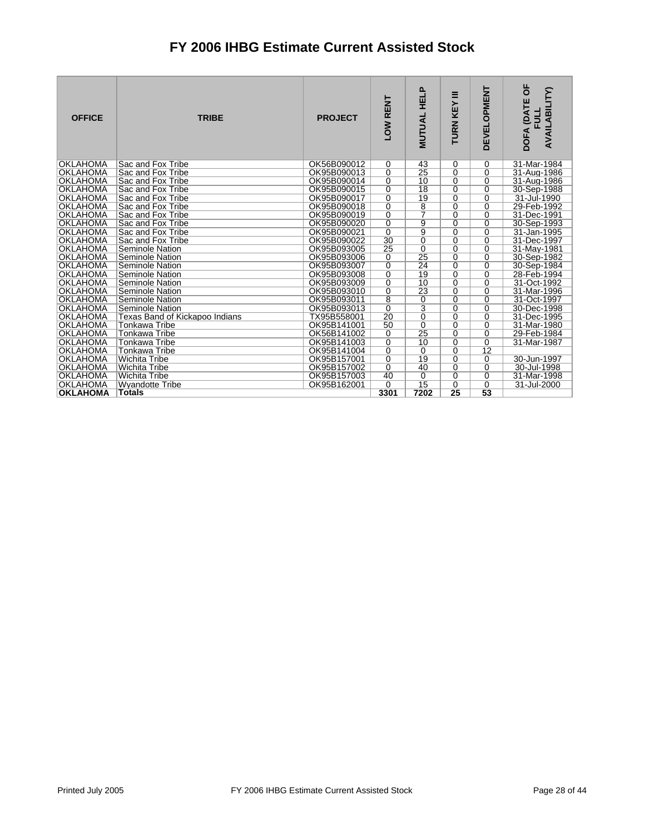| <b>OFFICE</b>   | <b>TRIBE</b>                   | <b>PROJECT</b> | LOW RENT        | <b>HELP</b><br><b>MUTUAL</b> | Ξ<br>TURN KEY   | <b>DEVELOPMENT</b> | DOFA (DATE OF<br>AVAILABILITY)<br><b>FULL</b> |
|-----------------|--------------------------------|----------------|-----------------|------------------------------|-----------------|--------------------|-----------------------------------------------|
| <b>OKLAHOMA</b> | Sac and Fox Tribe              | OK56B090012    | 0               | 43                           | 0               | 0                  | 31-Mar-1984                                   |
| <b>OKLAHOMA</b> | Sac and Fox Tribe              | OK95B090013    | $\overline{0}$  | $\overline{25}$              | $\overline{0}$  | $\overline{0}$     | 31-Aug-1986                                   |
| <b>OKLAHOMA</b> | Sac and Fox Tribe              | OK95B090014    | 0               | 10                           | $\mathbf 0$     | 0                  | 31-Aug-1986                                   |
| <b>OKLAHOMA</b> | Sac and Fox Tribe              | OK95B090015    | $\overline{0}$  | $\overline{18}$              | $\overline{0}$  | $\overline{0}$     | 30-Sep-1988                                   |
| <b>OKLAHOMA</b> | Sac and Fox Tribe              | OK95B090017    | $\overline{0}$  | 19                           | $\overline{0}$  | $\overline{0}$     | 31-Jul-1990                                   |
| <b>OKLAHOMA</b> | Sac and Fox Tribe              | OK95B090018    | $\overline{0}$  | $\overline{8}$               | $\overline{0}$  | $\overline{0}$     | 29-Feb-1992                                   |
| <b>OKLAHOMA</b> | Sac and Fox Tribe              | OK95B090019    | $\overline{0}$  | $\overline{\tau}$            | $\overline{0}$  | $\overline{0}$     | 31-Dec-1991                                   |
| <b>OKLAHOMA</b> | Sac and Fox Tribe              | OK95B090020    | $\overline{0}$  | $\overline{9}$               | $\overline{0}$  | $\overline{0}$     | 30-Sep-1993                                   |
| <b>OKLAHOMA</b> | Sac and Fox Tribe              | OK95B090021    | $\overline{0}$  | $\overline{9}$               | 0               | $\overline{0}$     | 31-Jan-1995                                   |
| <b>OKLAHOMA</b> | Sac and Fox Tribe              | OK95B090022    | 30              | 0                            | $\mathbf 0$     | 0                  | 31-Dec-1997                                   |
| <b>OKLAHOMA</b> | Seminole Nation                | OK95B093005    | 25              | $\overline{0}$               | $\overline{0}$  | $\overline{0}$     | 31-May-1981                                   |
| <b>OKLAHOMA</b> | Seminole Nation                | OK95B093006    | 0               | 25                           | $\mathbf 0$     | 0                  | 30-Sep-1982                                   |
| <b>OKLAHOMA</b> | Seminole Nation                | OK95B093007    | $\overline{0}$  | $\overline{24}$              | $\overline{0}$  | $\overline{0}$     | 30-Sep-1984                                   |
| <b>OKLAHOMA</b> | Seminole Nation                | OK95B093008    | $\overline{0}$  | 19                           | $\overline{0}$  | $\overline{0}$     | 28-Feb-1994                                   |
| <b>OKLAHOMA</b> | Seminole Nation                | OK95B093009    | $\overline{0}$  | 10                           | $\overline{0}$  | $\overline{0}$     | 31-Oct-1992                                   |
| <b>OKLAHOMA</b> | Seminole Nation                | OK95B093010    | $\overline{0}$  | $\overline{23}$              | $\overline{0}$  | $\overline{0}$     | 31-Mar-1996                                   |
| <b>OKLAHOMA</b> | Seminole Nation                | OK95B093011    | $\overline{8}$  | $\overline{0}$               | $\overline{0}$  | $\overline{0}$     | 31-Oct-1997                                   |
| <b>OKLAHOMA</b> | Seminole Nation                | OK95B093013    | $\overline{0}$  | $\overline{3}$               | $\overline{0}$  | $\overline{0}$     | 30-Dec-1998                                   |
| <b>OKLAHOMA</b> | Texas Band of Kickapoo Indians | TX95B558001    | $\overline{20}$ | 0                            | $\mathbf 0$     | $\mathbf 0$        | 31-Dec-1995                                   |
| <b>OKLAHOMA</b> | Tonkawa Tribe                  | OK95B141001    | 50              | $\overline{0}$               | $\overline{0}$  | $\overline{0}$     | 31-Mar-1980                                   |
| <b>OKLAHOMA</b> | Tonkawa Tribe                  | OK56B141002    | 0               | 25                           | $\mathbf 0$     | $\overline{0}$     | 29-Feb-1984                                   |
| <b>OKLAHOMA</b> | Tonkawa Tribe                  | OK95B141003    | $\overline{0}$  | 10                           | $\overline{0}$  | $\overline{0}$     | 31-Mar-1987                                   |
| <b>OKLAHOMA</b> | Tonkawa Tribe                  | OK95B141004    | $\overline{0}$  | $\Omega$                     | $\overline{0}$  | $\overline{12}$    |                                               |
| <b>OKLAHOMA</b> | <b>Wichita Tribe</b>           | OK95B157001    | $\overline{0}$  | 19                           | $\overline{0}$  | $\overline{0}$     | 30-Jun-1997                                   |
| <b>OKLAHOMA</b> | <b>Wichita Tribe</b>           | OK95B157002    | $\overline{0}$  | 40                           | $\overline{0}$  | $\overline{0}$     | 30-Jul-1998                                   |
| <b>OKLAHOMA</b> | Wichita Tribe                  | OK95B157003    | 40              | $\Omega$                     | $\mathbf 0$     | $\overline{0}$     | 31-Mar-1998                                   |
| <b>OKLAHOMA</b> | <b>Wyandotte Tribe</b>         | OK95B162001    | 0               | $\overline{15}$              | $\overline{0}$  | $\overline{0}$     | 31-Jul-2000                                   |
| <b>OKLAHOMA</b> | <b>Totals</b>                  |                | 3301            | 7202                         | $\overline{25}$ | 53                 |                                               |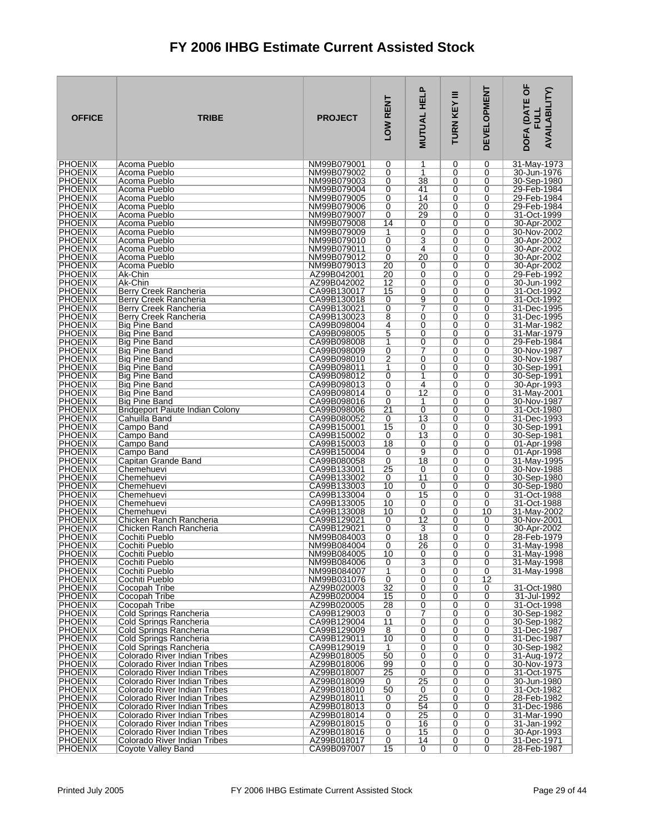| <b>OFFICE</b>                    | <b>TRIBE</b>                                                 | <b>PROJECT</b>             | LOW RENT              | <b>MUTUAL HELP</b>    | Ξ<br>TURN KEY | <b>DEVELOPMENT</b> | DOFA (DATE OF<br><b>AVAILABILITY)</b><br><b>FULL</b> |
|----------------------------------|--------------------------------------------------------------|----------------------------|-----------------------|-----------------------|---------------|--------------------|------------------------------------------------------|
| <b>PHOENIX</b>                   | Acoma Pueblo                                                 | NM99B079001                | 0                     | 1                     | 0             | 0                  | 31-May-1973                                          |
| <b>PHOENIX</b><br><b>PHOENIX</b> | Acoma Pueblo<br>Acoma Pueblo                                 | NM99B079002<br>NM99B079003 | 0<br>0                | 1<br>38               | 0<br>0        | 0<br>0             | 30-Jun-1976<br>30-Sep-1980                           |
| <b>PHOENIX</b>                   | Acoma Pueblo                                                 | NM99B079004                | 0                     | 41                    | 0             | 0                  | 29-Feb-1984                                          |
| <b>PHOENIX</b>                   | Acoma Pueblo                                                 | NM99B079005                | 0                     | 14                    | 0             | 0                  | 29-Feb-1984                                          |
| PHOENIX<br><b>PHOENIX</b>        | Acoma Pueblo<br>Acoma Pueblo                                 | NM99B079006<br>NM99B079007 | 0<br>0                | $\overline{20}$<br>29 | 0<br>0        | 0<br>0             | 29-Feb-1984<br>31-Oct-1999                           |
| <b>PHOENIX</b>                   | Acoma Pueblo                                                 | NM99B079008                | 14                    | 0                     | 0             | 0                  | 30-Apr-2002                                          |
| <b>PHOENIX</b>                   | Acoma Pueblo                                                 | NM99B079009                | 1                     | 0                     | 0             | 0                  | 30-Nov-2002                                          |
| <b>PHOENIX</b>                   | Acoma Pueblo                                                 | NM99B079010                | 0                     | 3                     | 0             | 0                  | 30-Apr-2002                                          |
| <b>PHOENIX</b><br><b>PHOENIX</b> | Acoma Pueblo<br>Acoma Pueblo                                 | NM99B079011<br>NM99B079012 | 0<br>0                | 4<br>20               | 0<br>0        | 0<br>0             | 30-Apr-2002<br>30-Apr-2002                           |
| <b>PHOENIX</b>                   | Acoma Pueblo                                                 | NM99B079013                | 20                    | 0                     | 0             | 0                  | 30-Apr-2002                                          |
| <b>PHOENIX</b>                   | Ak-Chin                                                      | AZ99B042001                | 20                    | 0                     | 0             | 0                  | 29-Feb-1992                                          |
| <b>PHOENIX</b><br><b>PHOENIX</b> | Ak-Chin<br>Berry Creek Rancheria                             | AZ99B042002<br>CA99B130017 | $\overline{12}$<br>15 | 0<br>0                | 0<br>0        | 0<br>0             | 30-Jun-1992<br>31-Oct-1992                           |
| <b>PHOENIX</b>                   | Berry Creek Rancheria                                        | CA99B130018                | 0                     | 9                     | 0             | 0                  | 31-Oct-1992                                          |
| <b>PHOENIX</b>                   | Berry Creek Rancheria                                        | CA99B130021                | 0                     | 7                     | 0             | 0                  | 31-Dec-1995                                          |
| <b>PHOENIX</b><br><b>PHOENIX</b> | Berry Creek Rancheria                                        | CA99B130023<br>CA99B098004 | 8<br>4                | 0<br>0                | 0<br>0        | 0<br>0             | 31-Dec-1995                                          |
| <b>PHOENIX</b>                   | Big Pine Band<br>Big Pine Band                               | CA99B098005                | 5                     | 0                     | 0             | 0                  | 31-Mar-1982<br>31-Mar-1979                           |
| <b>PHOENIX</b>                   | Big Pine Band                                                | CA99B098008                | 1                     | 0                     | 0             | 0                  | 29-Feb-1984                                          |
| <b>PHOENIX</b>                   | Big Pine Band                                                | CA99B098009                | 0                     | 7                     | 0             | 0                  | 30-Nov-1987                                          |
| <b>PHOENIX</b><br><b>PHOENIX</b> | Big Pine Band<br>Big Pine Band                               | CA99B098010<br>CA99B098011 | 2<br>1                | 0<br>0                | 0<br>0        | 0<br>0             | 30-Nov-1987<br>30-Sep-1991                           |
| <b>PHOENIX</b>                   | Big Pine Band                                                | CA99B098012                | 0                     | 1                     | 0             | 0                  | 30-Sep-1991                                          |
| <b>PHOENIX</b>                   | Big Pine Band                                                | CA99B098013                | 0                     | $\overline{4}$        | 0             | 0                  | 30-Apr-1993                                          |
| <b>PHOENIX</b><br><b>PHOENIX</b> | <b>Big Pine Band</b><br>Big Pine Band                        | CA99B098014<br>CA99B098016 | 0<br>0                | 12<br>1               | 0<br>0        | 0<br>0             | 31-May-2001<br>30-Nov-1987                           |
| <b>PHOENIX</b>                   | Bridgeport Paiute Indian Colony                              | CA99B098006                | 21                    | 0                     | 0             | 0                  | 31-Oct-1980                                          |
| <b>PHOENIX</b>                   | Cahuilla Band                                                | CA99B080052                | 0                     | $\overline{13}$       | 0             | 0                  | 31-Dec-1993                                          |
| <b>PHOENIX</b><br><b>PHOENIX</b> | Campo Band<br>Campo Band                                     | CA99B150001<br>CA99B150002 | 15<br>0               | 0<br>13               | 0<br>0        | 0<br>0             | 30-Sep-1991<br>30-Sep-1981                           |
| <b>PHOENIX</b>                   | Campo Band                                                   | CA99B150003                | 18                    | 0                     | 0             | 0                  | 01-Apr-1998                                          |
| <b>PHOENIX</b>                   | Campo Band                                                   | CA99B150004                | 0                     | 9                     | 0             | 0                  | 01-Apr-1998                                          |
| <b>PHOENIX</b><br><b>PHOENIX</b> | Capitan Grande Band<br>Chemehuevi                            | CA99B080058<br>CA99B133001 | 0<br>25               | 18<br>0               | 0<br>0        | 0<br>0             | 31-May-1995<br>30-Nov-1988                           |
| <b>PHOENIX</b>                   | Chemehuevi                                                   | CA99B133002                | 0                     | 11                    | 0             | 0                  | 30-Sep-1980                                          |
| <b>PHOENIX</b>                   | Chemehuevi                                                   | CA99B133003                | 10                    | 0                     | 0             | 0                  | 30-Sep-1980                                          |
| PHOENIX<br><b>PHOENIX</b>        | Chemehuevi<br>Chemehuevi                                     | CA99B133004<br>CA99B133005 | 0<br>10               | 15<br>0               | 0<br>0        | 0<br>0             | 31-Oct-1988<br>31-Oct-1988                           |
| <b>PHOENIX</b>                   | Chemehuevi                                                   | CA99B133008                | 10                    | 0                     | 0             | 10                 | 31-May-2002                                          |
| <b>PHOENIX</b>                   | Chicken Ranch Rancheria                                      | CA99B129021                | 0                     | $\overline{12}$       | 0             | 0                  | 30-Nov-2001                                          |
| <b>PHOENIX</b><br><b>PHOENIX</b> | Chicken Ranch Rancheria<br>Cochiti Pueblo                    | CA99B129021<br>NM99B084003 | 0<br>0                | 3<br>18               | 0<br>0        | 0<br>0             | 30-Apr-2002<br>28-Feb-1979                           |
| <b>PHOENIX</b>                   | Cochiti Pueblo                                               | NM99B084004                | $\Omega$              | 26                    | 0             | $\Omega$           | 31-May-1998                                          |
| <b>PHOENIX</b>                   | Cochiti Pueblo                                               | NM99B084005                | 10                    | 0                     | 0             | 0                  | 31-May-1998                                          |
| <b>PHOENIX</b><br><b>PHOENIX</b> | Cochiti Pueblo<br>Cochiti Pueblo                             | NM99B084006<br>NM99B084007 | 0<br>1                | 3<br>$\overline{0}$   | 0<br>0        | 0<br>0             | 31-May-1998<br>31-May-1998                           |
| <b>PHOENIX</b>                   | Cochiti Pueblo                                               | NM99B031076                | 0                     | 0                     | 0             | 12                 |                                                      |
| <b>PHOENIX</b>                   | Cocopah Tribe                                                | AZ99B020003                | $\overline{32}$       | 0                     | 0             | 0                  | 31-Oct-1980                                          |
| <b>PHOENIX</b><br><b>PHOENIX</b> | Cocopah Tribe<br>Cocopah Tribe                               | AZ99B020004<br>AZ99B020005 | 15<br>28              | 0<br>0                | 0<br>0        | 0<br>0             | 31-Jul-1992<br>31-Oct-1998                           |
| <b>PHOENIX</b>                   | Cold Springs Rancheria                                       | CA99B129003                | 0                     | 7                     | 0             | 0                  | 30-Sep-1982                                          |
| <b>PHOENIX</b>                   | Cold Springs Rancheria                                       | CA99B129004                | 11                    | $\overline{0}$        | 0             | 0                  | 30-Sep-1982                                          |
| <b>PHOENIX</b><br><b>PHOENIX</b> | Cold Springs Rancheria<br>Cold Springs Rancheria             | CA99B129009<br>CA99B129011 | $\overline{8}$<br>10  | 0<br>0                | 0<br>0        | 0<br>0             | 31-Dec-1987<br>31-Dec-1987                           |
| <b>PHOENIX</b>                   | Cold Springs Rancheria                                       | CA99B129019                | 1                     | 0                     | 0             | 0                  | 30-Sep-1982                                          |
| <b>PHOENIX</b>                   | Colorado River Indian Tribes                                 | AZ99B018005                | 50                    | 0                     | 0             | 0                  | 31-Aug-1972                                          |
| <b>PHOENIX</b><br><b>PHOENIX</b> | Colorado River Indian Tribes<br>Colorado River Indian Tribes | AZ99B018006<br>AZ99B018007 | 99<br>25              | 0<br>0                | 0<br>0        | 0<br>0             | 30-Nov-1973<br>31-Oct-1975                           |
| <b>PHOENIX</b>                   | Colorado River Indian Tribes                                 | AZ99B018009                | 0                     | $\overline{25}$       | 0             | 0                  | 30-Jun-1980                                          |
| <b>PHOENIX</b>                   | Colorado River Indian Tribes                                 | AZ99B018010                | 50                    | 0                     | 0             | 0                  | 31-Oct-1982                                          |
| <b>PHOENIX</b><br><b>PHOENIX</b> | Colorado River Indian Tribes<br>Colorado River Indian Tribes | AZ99B018011<br>AZ99B018013 | 0<br>0                | 25<br>54              | 0<br>0        | 0<br>0             | 28-Feb-1982<br>31-Dec-1986                           |
| <b>PHOENIX</b>                   | Colorado River Indian Tribes                                 | AZ99B018014                | 0                     | 25                    | 0             | 0                  | 31-Mar-1990                                          |
| <b>PHOENIX</b>                   | Colorado River Indian Tribes                                 | AZ99B018015                | 0                     | 16                    | 0             | 0                  | 31-Jan-1992                                          |
| <b>PHOENIX</b><br><b>PHOENIX</b> | Colorado River Indian Tribes<br>Colorado River Indian Tribes | AZ99B018016<br>AZ99B018017 | 0<br>0                | 15<br>14              | 0<br>0        | 0<br>0             | 30-Apr-1993<br>31-Dec-1971                           |
| <b>PHOENIX</b>                   | Coyote Valley Band                                           | CA99B097007                | 15                    | 0                     | 0             | $\overline{0}$     | 28-Feb-1987                                          |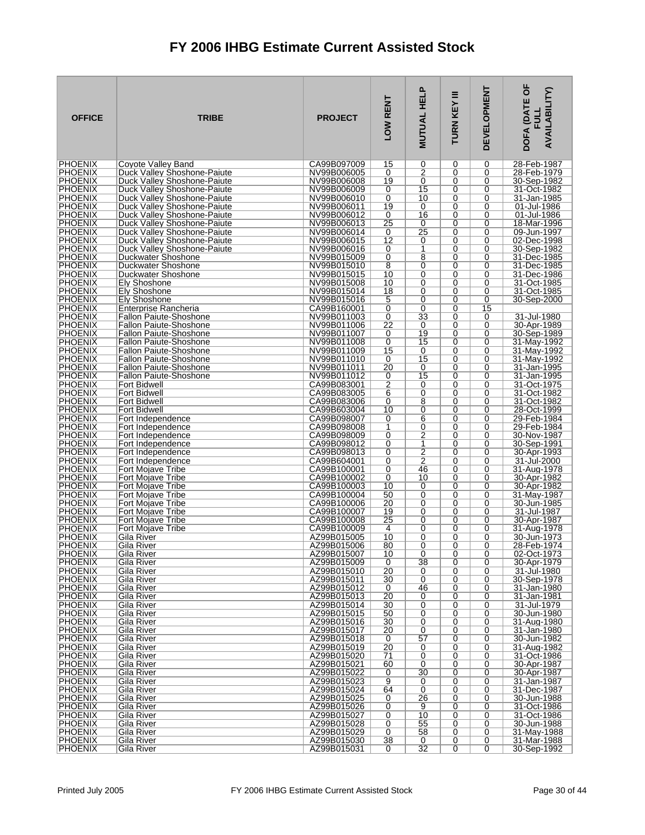| <b>OFFICE</b>                    | <b>TRIBE</b>                                               | <b>PROJECT</b>             | LOW RENT        | <b>MUTUAL HELP</b>  | Ξ<br>TURN KEY    | <b>DEVELOPMENT</b> | DOFA (DATE OF<br><b>AVAILABILITY)</b><br><b>FULL</b> |
|----------------------------------|------------------------------------------------------------|----------------------------|-----------------|---------------------|------------------|--------------------|------------------------------------------------------|
| <b>PHOENIX</b>                   | Coyote Valley Band                                         | CA99B097009                | 15              | 0                   | 0                | 0                  | 28-Feb-1987                                          |
| <b>PHOENIX</b>                   | Duck Valley Shoshone-Paiute                                | NV99B006005                | 0               | $\overline{2}$      | 0                | 0                  | 28-Feb-1979                                          |
| <b>PHOENIX</b><br><b>PHOENIX</b> | Duck Valley Shoshone-Paiute                                | NV99B006008                | 19              | 0<br>15             | 0<br>0           | 0<br>0             | 30-Sep-1982<br>31-Oct-1982                           |
| <b>PHOENIX</b>                   | Duck Valley Shoshone-Paiute<br>Duck Valley Shoshone-Paiute | NV99B006009<br>NV99B006010 | 0<br>0          | 10                  | 0                | 0                  | 31-Jan-1985                                          |
| <b>PHOENIX</b>                   | Duck Valley Shoshone-Paiute                                | NV99B006011                | 19              | 0                   | 0                | 0                  | 01-Jul-1986                                          |
| <b>PHOENIX</b>                   | Duck Valley Shoshone-Paiute                                | NV99B006012                | 0               | 16                  | $\mathbf 0$      | 0                  | 01-Jul-1986                                          |
| <b>PHOENIX</b>                   | Duck Valley Shoshone-Paiute                                | NV99B006013                | 25              | 0                   | 0                | 0                  | 18-Mar-1996                                          |
| <b>PHOENIX</b>                   | Duck Valley Shoshone-Paiute                                | NV99B006014                | 0               | 25                  | 0                | 0                  | 09-Jun-1997                                          |
| <b>PHOENIX</b>                   | Duck Valley Shoshone-Paiute                                | NV99B006015                | 12              | 0                   | 0                | 0                  | 02-Dec-1998                                          |
| <b>PHOENIX</b>                   | Duck Valley Shoshone-Paiute                                | NV99B006016                | 0               | 1<br>8              | 0                | 0                  | 30-Sep-1982                                          |
| <b>PHOENIX</b><br><b>PHOENIX</b> | Duckwater Shoshone<br>Duckwater Shoshone                   | NV99B015009<br>NV99B015010 | 0<br>8          | 0                   | 0<br>$\mathbf 0$ | 0<br>0             | 31-Dec-1985<br>31-Dec-1985                           |
| <b>PHOENIX</b>                   | Duckwater Shoshone                                         | NV99B015015                | 10              | 0                   | $\mathbf 0$      | 0                  | 31-Dec-1986                                          |
| <b>PHOENIX</b>                   | Ely Shoshone                                               | NV99B015008                | 10              | $\overline{0}$      | 0                | 0                  | 31-Oct-1985                                          |
| <b>PHOENIX</b>                   | Ely Shoshone                                               | NV99B015014                | 18              | 0                   | $\mathbf 0$      | 0                  | 31-Oct-1985                                          |
| <b>PHOENIX</b>                   | Ely Shoshone                                               | NV99B015016                | 5               | 0                   | $\mathbf 0$      | 0                  | 30-Sep-2000                                          |
| <b>PHOENIX</b>                   | Enterprise Rancheria                                       | CA99B160001                | 0               | 0                   | 0                | 15                 |                                                      |
| <b>PHOENIX</b><br><b>PHOENIX</b> | Fallon Paiute-Shoshone<br><b>Fallon Paiute-Shoshone</b>    | NV99B011003<br>NV99B011006 | 0<br>22         | 33<br>0             | $\Omega$<br>0    | 0<br>0             | 31-Jul-1980<br>30-Apr-1989                           |
| <b>PHOENIX</b>                   | <b>Fallon Paiute-Shoshone</b>                              | NV99B011007                | 0               | 19                  | 0                | 0                  | 30-Sep-1989                                          |
| <b>PHOENIX</b>                   | <b>Fallon Paiute-Shoshone</b>                              | NV99B011008                | 0               | 15                  | $\Omega$         | 0                  | 31-May-1992                                          |
| <b>PHOENIX</b>                   | <b>Fallon Paiute-Shoshone</b>                              | NV99B011009                | 15              | 0                   | 0                | 0                  | 31-May-1992                                          |
| <b>PHOENIX</b>                   | <b>Fallon Paiute-Shoshone</b>                              | NV99B011010                | 0               | 15                  | 0                | 0                  | 31-May-1992                                          |
| <b>PHOENIX</b>                   | <b>Fallon Paiute-Shoshone</b>                              | NV99B011011                | 20              | 0                   | $\Omega$         | 0                  | 31-Jan-1995                                          |
| <b>PHOENIX</b><br><b>PHOENIX</b> | <b>Fallon Paiute-Shoshone</b>                              | NV99B011012<br>CA99B083001 | 0               | 15<br>0             | 0                | 0<br>0             | 31-Jan-1995<br>31-Oct-1975                           |
| <b>PHOENIX</b>                   | Fort Bidwell<br><b>Fort Bidwell</b>                        | CA99B083005                | 2<br>6          | 0                   | 0<br>$\Omega$    | 0                  | 31-Oct-1982                                          |
| <b>PHOENIX</b>                   | <b>Fort Bidwell</b>                                        | CA99B083006                | 0               | $\overline{8}$      | 0                | 0                  | 31-Oct-1982                                          |
| <b>PHOENIX</b>                   | <b>Fort Bidwell</b>                                        | CA99B603004                | 10              | 0                   | 0                | 0                  | 28-Oct-1999                                          |
| <b>PHOENIX</b>                   | Fort Independence                                          | CA99B098007                | 0               | 6                   | $\mathbf 0$      | 0                  | 29-Feb-1984                                          |
| <b>PHOENIX</b>                   | Fort Independence                                          | CA99B098008                | 1               | 0                   | 0                | 0                  | 29-Feb-1984                                          |
| <b>PHOENIX</b><br><b>PHOENIX</b> | Fort Independence                                          | CA99B098009<br>CA99B098012 | 0<br>0          | $\overline{2}$<br>1 | 0<br>$\mathbf 0$ | 0<br>0             | 30-Nov-1987                                          |
| <b>PHOENIX</b>                   | Fort Independence<br>Fort Independence                     | CA99B098013                | 0               | $\overline{2}$      | 0                | 0                  | 30-Sep-1991<br>30-Apr-1993                           |
| <b>PHOENIX</b>                   | Fort Independence                                          | CA99B604001                | 0               | $\overline{2}$      | 0                | 0                  | 31-Jul-2000                                          |
| <b>PHOENIX</b>                   | Fort Mojave Tribe                                          | CA99B100001                | 0               | 46                  | 0                | 0                  | 31-Aug-1978                                          |
| <b>PHOENIX</b>                   | Fort Mojave Tribe                                          | CA99B100002                | 0               | 10                  | 0                | 0                  | 30-Apr-1982                                          |
| <b>PHOENIX</b>                   | Fort Mojave Tribe                                          | CA99B100003                | 10              | 0                   | 0                | 0                  | 30-Apr-1982                                          |
| PHOENIX<br><b>PHOENIX</b>        | Fort Mojave Tribe<br>Fort Mojave Tribe                     | CA99B100004<br>CA99B100006 | 50<br>20        | $\overline{0}$<br>0 | $\mathbf 0$<br>0 | 0<br>0             | 31-May-1987<br>30-Jun-1985                           |
| <b>PHOENIX</b>                   | <b>Fort Moiave Tribe</b>                                   | CA99B100007                | 19              | 0                   | 0                | 0                  | 31-Jul-1987                                          |
| <b>PHOENIX</b>                   | Fort Mojave Tribe                                          | CA99B100008                | 25              | 0                   | 0                | 0                  | 30-Apr-1987                                          |
| <b>PHOENIX</b>                   | <b>Fort Mojave Tribe</b>                                   | CA99B100009                | 4               | $\Omega$            | 0                | 0                  | 31-Aug-1978                                          |
| <b>PHOENIX</b>                   | Gila River                                                 | AZ99B015005                | 10              | 0                   | 0                | 0                  | 30-Jun-1973                                          |
| <b>PHOENIX</b>                   | Gila River                                                 | AZ99B015006                | 80              | 0                   | 0                | $\Omega$           | 28-Feb-1974                                          |
| <b>PHOENIX</b><br><b>PHOENIX</b> | Gila River<br>Gila River                                   | AZ99B015007<br>AZ99B015009 | 10<br>0         | 0<br>38             | 0<br>0           | 0<br>0             | 02-Oct-1973<br>30-Apr-1979                           |
| <b>PHOENIX</b>                   | Gila River                                                 | AZ99B015010                | $\overline{20}$ | 0                   | 0                | 0                  | 31-Jul-1980                                          |
| <b>PHOENIX</b>                   | Gila River                                                 | AZ99B015011                | 30              | 0                   | 0                | 0                  | 30-Sep-1978                                          |
| <b>PHOENIX</b>                   | Gila River                                                 | AZ99B015012                | 0               | 46                  | 0                | 0                  | 31-Jan-1980                                          |
| <b>PHOENIX</b>                   | Gila River                                                 | AZ99B015013                | 20              | 0                   | 0                | 0                  | 31-Jan-1981                                          |
| <b>PHOENIX</b><br><b>PHOENIX</b> | Gila River<br>Gila River                                   | AZ99B015014<br>AZ99B015015 | 30<br>50        | 0<br>0              | 0<br>0           | 0<br>0             | 31-Jul-1979<br>30-Jun-1980                           |
| <b>PHOENIX</b>                   | Gila River                                                 | AZ99B015016                | 30              | 0                   | 0                | 0                  | 31-Aug-1980                                          |
| <b>PHOENIX</b>                   | Gila River                                                 | AZ99B015017                | $\overline{20}$ | 0                   | 0                | 0                  | 31-Jan-1980                                          |
| <b>PHOENIX</b>                   | Gila River                                                 | AZ99B015018                | 0               | 57                  | 0                | 0                  | 30-Jun-1982                                          |
| <b>PHOENIX</b>                   | Gila River                                                 | AZ99B015019                | 20              | 0                   | 0                | 0                  | 31-Aug-1982                                          |
| <b>PHOENIX</b><br><b>PHOENIX</b> | Gila River                                                 | AZ99B015020<br>AZ99B015021 | $\overline{71}$ | 0                   | 0                | 0                  | 31-Oct-1986                                          |
| <b>PHOENIX</b>                   | Gila River<br>Gila River                                   | AZ99B015022                | 60<br>0         | 0<br>30             | $\mathbf 0$<br>0 | 0<br>0             | 30-Apr-1987<br>30-Apr-1987                           |
| <b>PHOENIX</b>                   | Gila River                                                 | AZ99B015023                | 9               | 0                   | 0                | 0                  | 31-Jan-1987                                          |
| <b>PHOENIX</b>                   | Gila River                                                 | AZ99B015024                | 64              | 0                   | 0                | 0                  | 31-Dec-1987                                          |
| <b>PHOENIX</b>                   | Gila River                                                 | AZ99B015025                | 0               | 26                  | 0                | 0                  | 30-Jun-1988                                          |
| <b>PHOENIX</b>                   | Gila River                                                 | AZ99B015026                | 0               | 9                   | 0                | 0                  | 31-Oct-1986                                          |
| <b>PHOENIX</b>                   | Gila River                                                 | AZ99B015027                | 0               | 10                  | 0                | 0                  | 31-Oct-1986                                          |
| <b>PHOENIX</b><br><b>PHOENIX</b> | Gila River<br>Gila River                                   | AZ99B015028<br>AZ99B015029 | 0<br>0          | 55<br>58            | 0<br>0           | 0<br>0             | 30-Jun-1988<br>31-May-1988                           |
| <b>PHOENIX</b>                   | Gila River                                                 | AZ99B015030                | 38              | 0                   | 0                | 0                  | 31-Mar-1988                                          |
| <b>PHOENIX</b>                   | Gila River                                                 | AZ99B015031                | 0               | $\overline{32}$     | 0                | $\overline{0}$     | 30-Sep-1992                                          |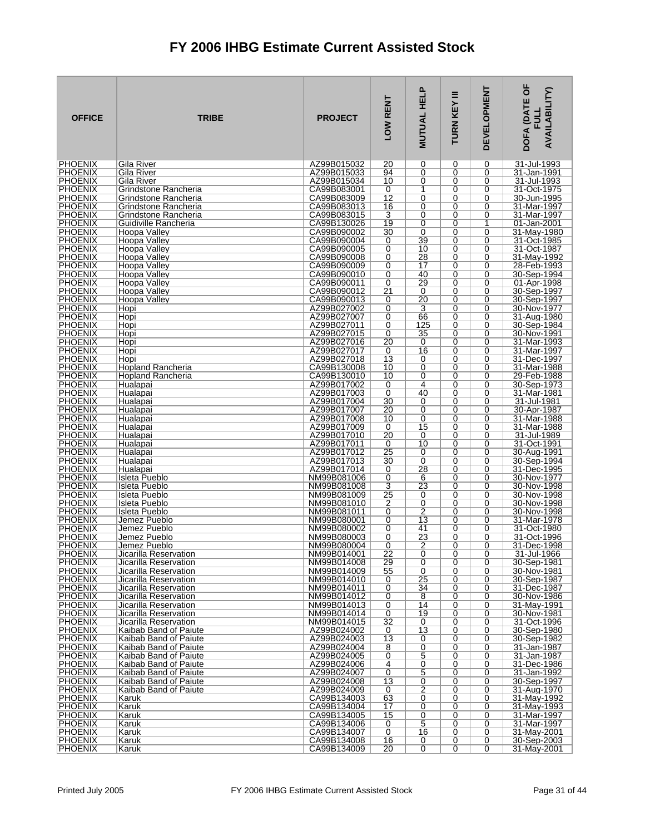| <b>OFFICE</b>                    | <b>TRIBE</b>                                   | <b>PROJECT</b>             | LOW RENT             | <b>MUTUAL HELP</b>  | Ξ<br><b>TURN KEY</b> | <b>DEVELOPMENT</b> | DOFA (DATE OF<br><b>AVAILABILITY)</b><br>FU LI |
|----------------------------------|------------------------------------------------|----------------------------|----------------------|---------------------|----------------------|--------------------|------------------------------------------------|
| <b>PHOENIX</b>                   | Gila River                                     | AZ99B015032                | 20                   | 0                   | 0                    | 0                  | 31-Jul-1993                                    |
| <b>PHOENIX</b><br><b>PHOENIX</b> | Gila River<br>Gila River                       | AZ99B015033<br>AZ99B015034 | 94<br>10             | 0<br>0              | 0<br>0               | 0<br>0             | 31-Jan-1991<br>31-Jul-1993                     |
| <b>PHOENIX</b>                   | Grindstone Rancheria                           | CA99B083001                | 0                    | 1                   | 0                    | 0                  | 31-Oct-1975                                    |
| <b>PHOENIX</b>                   | Grindstone Rancheria                           | CA99B083009                | 12                   | 0                   | 0                    | 0                  | 30-Jun-1995                                    |
| <b>PHOENIX</b><br><b>PHOENIX</b> | Grindstone Rancheria<br>Grindstone Rancheria   | CA99B083013<br>CA99B083015 | 16<br>$\overline{3}$ | 0<br>0              | 0<br>0               | 0<br>0             | 31-Mar-1997<br>31-Mar-1997                     |
| <b>PHOENIX</b>                   | Guidiville Rancheria                           | CA99B130026                | 19                   | 0                   | 0                    | 1                  | 01-Jan-2001                                    |
| <b>PHOENIX</b>                   | Hoopa Valley                                   | CA99B090002                | 30                   | 0                   | 0                    | 0                  | 31-May-1980                                    |
| <b>PHOENIX</b><br><b>PHOENIX</b> | <b>Hoopa Valley</b>                            | CA99B090004                | 0                    | 39                  | 0                    | 0<br>0             | 31-Oct-1985                                    |
| <b>PHOENIX</b>                   | Hoopa Valley<br>Hoopa Valley                   | CA99B090005<br>CA99B090008 | 0<br>0               | 10<br>28            | 0<br>0               | 0                  | 31-Oct-1987<br>31-May-1992                     |
| <b>PHOENIX</b>                   | <b>Hoopa Valley</b>                            | CA99B090009                | 0                    | 17                  | 0                    | 0                  | 28-Feb-1993                                    |
| <b>PHOENIX</b>                   | Hoopa Valley                                   | CA99B090010                | 0                    | 40                  | 0                    | 0                  | 30-Sep-1994                                    |
| <b>PHOENIX</b><br><b>PHOENIX</b> | Hoopa Vallev<br>Hoopa Valley                   | CA99B090011<br>CA99B090012 | 0<br>$\overline{21}$ | 29<br>0             | 0<br>0               | 0<br>0             | 01-Apr-1998<br>30-Sep-1997                     |
| <b>PHOENIX</b>                   | Hoopa Valley                                   | CA99B090013                | 0                    | $\overline{20}$     | 0                    | 0                  | 30-Sep-1997                                    |
| <b>PHOENIX</b>                   | Hopi                                           | AZ99B027002                | 0                    | 3                   | 0                    | 0                  | 30-Nov-1977                                    |
| <b>PHOENIX</b><br><b>PHOENIX</b> | Hopi<br>Hopi                                   | AZ99B027007<br>AZ99B027011 | 0<br>0               | 66<br>125           | 0<br>0               | 0<br>0             | 31-Aug-1980<br>30-Sep-1984                     |
| <b>PHOENIX</b>                   | Hopi                                           | AZ99B027015                | 0                    | 35                  | 0                    | 0                  | 30-Nov-1991                                    |
| <b>PHOENIX</b>                   | Hopi                                           | AZ99B027016                | $\overline{20}$      | 0                   | 0                    | 0                  | 31-Mar-1993                                    |
| <b>PHOENIX</b>                   | Hopi                                           | AZ99B027017                | 0                    | 16                  | 0                    | 0                  | 31-Mar-1997                                    |
| <b>PHOENIX</b><br><b>PHOENIX</b> | Hopi<br><b>Hopland Rancheria</b>               | AZ99B027018<br>CA99B130008 | 13<br>10             | 0<br>0              | 0<br>0               | 0<br>0             | 31-Dec-1997<br>31-Mar-1988                     |
| <b>PHOENIX</b>                   | <b>Hopland Rancheria</b>                       | CA99B130010                | 10                   | 0                   | 0                    | 0                  | 29-Feb-1988                                    |
| <b>PHOENIX</b>                   | Hualapai                                       | AZ99B017002                | 0                    | 4                   | 0                    | 0                  | 30-Sep-1973                                    |
| <b>PHOENIX</b><br><b>PHOENIX</b> | Hualapai<br>Hualapai                           | AZ99B017003<br>AZ99B017004 | 0<br>30              | 40<br>0             | 0<br>0               | 0<br>0             | 31-Mar-1981<br>31-Jul-1981                     |
| <b>PHOENIX</b>                   | Hualapai                                       | AZ99B017007                | 20                   | 0                   | 0                    | 0                  | 30-Apr-1987                                    |
| PHOENIX                          | Hualapai                                       | AZ99B017008                | 10                   | $\overline{0}$      | 0                    | 0                  | 31-Mar-1988                                    |
| <b>PHOENIX</b><br><b>PHOENIX</b> | Hualapai<br>Hualapai                           | AZ99B017009<br>AZ99B017010 | 0<br>20              | 15<br>0             | 0<br>0               | 0<br>0             | 31-Mar-1988<br>31-Jul-1989                     |
| <b>PHOENIX</b>                   | Hualapai                                       | AZ99B017011                | 0                    | 10                  | 0                    | 0                  | 31-Oct-1991                                    |
| <b>PHOENIX</b>                   | Hualapai                                       | AZ99B017012                | $\overline{25}$      | 0                   | 0                    | 0                  | 30-Aug-1991                                    |
| <b>PHOENIX</b>                   | Hualapai                                       | AZ99B017013                | 30                   | 0                   | 0                    | 0                  | 30-Sep-1994                                    |
| <b>PHOENIX</b><br><b>PHOENIX</b> | Hualapai<br>Isleta Pueblo                      | AZ99B017014<br>NM99B081006 | 0<br>0               | 28<br>6             | 0<br>0               | 0<br>0             | 31-Dec-1995<br>30-Nov-1977                     |
| <b>PHOENIX</b>                   | Isleta Pueblo                                  | NM99B081008                | $\overline{3}$       | $\overline{23}$     | 0                    | 0                  | 30-Nov-1998                                    |
| <b>PHOENIX</b>                   | Isleta Pueblo                                  | NM99B081009                | 25                   | 0                   | 0                    | 0                  | 30-Nov-1998                                    |
| <b>PHOENIX</b><br><b>PHOENIX</b> | Isleta Pueblo<br>Isleta Pueblo                 | NM99B081010<br>NM99B081011 | 2<br>0               | 0<br>$\overline{2}$ | 0<br>0               | 0<br>0             | 30-Nov-1998<br>30-Nov-1998                     |
| <b>PHOENIX</b>                   | Jemez Pueblo                                   | NM99B080001                | 0                    | $\overline{13}$     | 0                    | 0                  | 31-Mar-1978                                    |
| <b>PHOENIX</b>                   | Jemez Pueblo                                   | NM99B080002                | 0                    | 41                  | 0                    | 0                  | 31-Oct-1980                                    |
| <b>PHOENIX</b><br><b>PHOFNIX</b> | Jemez Pueblo<br>Jemez Pueblo                   | NM99B080003<br>NM99B080004 | 0<br>$\Omega$        | 23<br>2             | 0<br>0               | 0<br>$\Omega$      | 31-Oct-1996<br>31-Dec-1998                     |
| <b>PHOENIX</b>                   | Jicarilla Reservation                          | NM99B014001                | $\overline{22}$      | $\overline{0}$      | 0                    | 0                  | 31-Jul-1966                                    |
| <b>PHOENIX</b>                   | Jicarilla Reservation                          | NM99B014008                | 29                   | 0                   | 0                    | 0                  | 30-Sep-1981                                    |
| <b>PHOENIX</b><br><b>PHOENIX</b> | Jicarilla Reservation<br>Jicarilla Reservation | NM99B014009<br>NM99B014010 | 55<br>0              | 0<br>25             | 0<br>0               | 0<br>0             | 30-Nov-1981<br>30-Sep-1987                     |
| <b>PHOENIX</b>                   | Jicarilla Reservation                          | NM99B014011                | 0                    | 34                  | 0                    | 0                  | 31-Dec-1987                                    |
| <b>PHOENIX</b>                   | Jicarilla Reservation                          | NM99B014012                | 0                    | 8                   | 0                    | 0                  | 30-Nov-1986                                    |
| <b>PHOENIX</b><br><b>PHOENIX</b> | Jicarilla Reservation<br>Jicarilla Reservation | NM99B014013<br>NM99B014014 | 0<br>0               | 14<br>19            | 0<br>0               | 0<br>0             | 31-May-1991<br>30-Nov-1981                     |
| <b>PHOENIX</b>                   | Jicarilla Reservation                          | NM99B014015                | 32                   | 0                   | 0                    | 0                  | 31-Oct-1996                                    |
| <b>PHOENIX</b>                   | Kaibab Band of Paiute                          | AZ99B024002                | 0                    | $\overline{13}$     | 0                    | 0                  | 30-Sep-1980                                    |
| <b>PHOENIX</b>                   | Kaibab Band of Paiute                          | AZ99B024003                | 13                   | 0                   | 0                    | 0                  | 30-Sep-1982                                    |
| <b>PHOENIX</b><br><b>PHOENIX</b> | Kaibab Band of Paiute<br>Kaibab Band of Paiute | AZ99B024004<br>AZ99B024005 | 8<br>0               | $\overline{0}$<br>5 | 0<br>0               | 0<br>0             | 31-Jan-1987<br>31-Jan-1987                     |
| <b>PHOENIX</b>                   | Kaibab Band of Paiute                          | AZ99B024006                | 4                    | 0                   | 0                    | 0                  | 31-Dec-1986                                    |
| <b>PHOENIX</b>                   | Kaibab Band of Paiute                          | AZ99B024007                | 0                    | 5                   | 0                    | 0                  | 31-Jan-1992                                    |
| <b>PHOENIX</b><br><b>PHOENIX</b> | Kaibab Band of Paiute<br>Kaibab Band of Paiute | AZ99B024008<br>AZ99B024009 | 13<br>0              | 0<br>$\overline{2}$ | 0<br>0               | 0<br>0             | 30-Sep-1997<br>31-Aug-1970                     |
| <b>PHOENIX</b>                   | Karuk                                          | CA99B134003                | 63                   | $\overline{0}$      | 0                    | 0                  | 31-May-1992                                    |
| <b>PHOENIX</b>                   | Karuk                                          | CA99B134004                | 17                   | 0                   | 0                    | 0                  | 31-May-1993                                    |
| <b>PHOENIX</b><br><b>PHOENIX</b> | Karuk<br>Karuk                                 | CA99B134005<br>CA99B134006 | 15<br>0              | 0<br>5              | 0<br>0               | 0<br>0             | 31-Mar-1997<br>31-Mar-1997                     |
| <b>PHOENIX</b>                   | Karuk                                          | CA99B134007                | 0                    | 16                  | 0                    | 0                  | 31-May-2001                                    |
| <b>PHOENIX</b>                   | Karuk                                          | CA99B134008                | 16                   | 0                   | 0                    | 0                  | 30-Sep-2003                                    |
| PHOENIX                          | Karuk                                          | CA99B134009                | 20                   | 0                   | 0                    | 0                  | 31-May-2001                                    |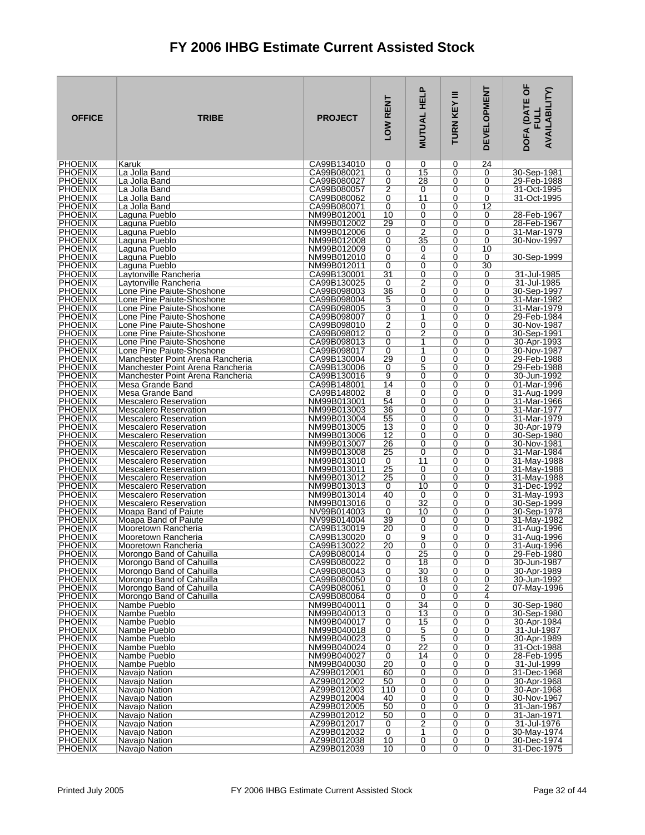| <b>OFFICE</b>                    | <b>TRIBE</b>                                                 | <b>PROJECT</b>             | LOW RENT        | <b>MUTUAL HELP</b>               | Ξ<br><b>TURN KEY</b> | <b>DEVELOPMENT</b>  | DOFA (DATE OF<br><b>AVAILABILITY)</b><br>글 |
|----------------------------------|--------------------------------------------------------------|----------------------------|-----------------|----------------------------------|----------------------|---------------------|--------------------------------------------|
| <b>PHOENIX</b>                   | Karuk                                                        | CA99B134010                | 0               | 0                                | 0                    | 24                  |                                            |
| <b>PHOENIX</b><br><b>PHOENIX</b> | La Jolla Band<br>La Jolla Band                               | CA99B080021<br>CA99B080027 | 0<br>0          | 15<br>28                         | 0<br>0               | 0<br>0              | 30-Sep-1981<br>29-Feb-1988                 |
| <b>PHOENIX</b>                   | La Jolla Band                                                | CA99B080057                | 2               | 0                                | 0                    | 0                   | 31-Oct-1995                                |
| <b>PHOENIX</b>                   | La Jolla Band                                                | CA99B080062                | 0               | $\overline{11}$                  | 0                    | 0                   | 31-Oct-1995                                |
| <b>PHOENIX</b>                   | La Jolla Band                                                | CA99B080071                | 0               | 0                                | 0                    | 12                  |                                            |
| <b>PHOENIX</b><br><b>PHOENIX</b> | Laguna Pueblo<br>Laguna Pueblo                               | NM99B012001<br>NM99B012002 | 10<br>29        | 0<br>0                           | 0<br>0               | 0<br>0              | 28-Feb-1967<br>28-Feb-1967                 |
| <b>PHOENIX</b>                   | Laguna Pueblo                                                | NM99B012006                | 0               | $\overline{2}$                   | 0                    | 0                   | 31-Mar-1979                                |
| <b>PHOENIX</b>                   | Laguna Pueblo                                                | NM99B012008                | 0               | 35                               | 0                    | 0                   | 30-Nov-1997                                |
| <b>PHOENIX</b>                   | Laguna Pueblo                                                | NM99B012009                | 0               | 0                                | 0                    | 10                  |                                            |
| <b>PHOENIX</b><br><b>PHOENIX</b> | Laguna Pueblo<br>Laguna Pueblo                               | NM99B012010<br>NM99B012011 | 0<br>0          | $\overline{4}$<br>$\overline{0}$ | 0<br>0               | 0<br>30             | 30-Sep-1999                                |
| <b>PHOENIX</b>                   | Laytonville Rancheria                                        | CA99B130001                | $\overline{31}$ | 0                                | 0                    | 0                   | 31-Jul-1985                                |
| <b>PHOENIX</b>                   | Laytonville Rancheria                                        | CA99B130025                | 0               | $\overline{2}$                   | 0                    | 0                   | 31-Jul-1985                                |
| <b>PHOENIX</b>                   | Lone Pine Paiute-Shoshone                                    | CA99B098003                | $\overline{36}$ | 0                                | 0                    | 0                   | 30-Sep-1997                                |
| <b>PHOENIX</b><br><b>PHOENIX</b> | Lone Pine Paiute-Shoshone<br>Lone Pine Paiute-Shoshone       | CA99B098004<br>CA99B098005 | 5<br>3          | $\overline{0}$<br>0              | 0<br>0               | 0<br>0              | 31-Mar-1982<br>31-Mar-1979                 |
| <b>PHOENIX</b>                   | Lone Pine Paiute-Shoshone                                    | CA99B098007                | 0               | 1                                | 0                    | 0                   | 29-Feb-1984                                |
| <b>PHOENIX</b>                   | Lone Pine Paiute-Shoshone                                    | CA99B098010                | $\overline{2}$  | $\overline{0}$                   | 0                    | 0                   | 30-Nov-1987                                |
| <b>PHOENIX</b>                   | Lone Pine Paiute-Shoshone                                    | CA99B098012                | 0               | 2                                | 0                    | 0                   | 30-Sep-1991                                |
| PHOENIX<br><b>PHOENIX</b>        | Lone Pine Paiute-Shoshone<br>Lone Pine Paiute-Shoshone       | CA99B098013<br>CA99B098017 | 0<br>0          | 1<br>1                           | 0<br>0               | 0<br>0              | 30-Apr-1993<br>30-Nov-1987                 |
| <b>PHOENIX</b>                   | Manchester Point Arena Rancheria                             | CA99B130004                | 29              | 0                                | 0                    | 0                   | 29-Feb-1988                                |
| <b>PHOENIX</b>                   | Manchester Point Arena Rancheria                             | CA99B130006                | 0               | 5                                | 0                    | 0                   | 29-Feb-1988                                |
| <b>PHOENIX</b>                   | Manchester Point Arena Rancheria                             | CA99B130016                | 9               | 0                                | 0                    | 0                   | 30-Jun-1992                                |
| <b>PHOENIX</b><br><b>PHOENIX</b> | Mesa Grande Band<br>Mesa Grande Band                         | CA99B148001<br>CA99B148002 | 14<br>8         | 0<br>0                           | 0<br>0               | 0<br>0              | 01-Mar-1996<br>31-Aug-1999                 |
| <b>PHOENIX</b>                   | <b>Mescalero Reservation</b>                                 | NM99B013001                | 54              | 0                                | 0                    | 0                   | 31-Mar-1966                                |
| <b>PHOENIX</b>                   | <b>Mescalero Reservation</b>                                 | NM99B013003                | 36              | 0                                | 0                    | 0                   | 31-Mar-1977                                |
| <b>PHOENIX</b>                   | <b>Mescalero Reservation</b>                                 | NM99B013004                | 55              | 0                                | 0                    | 0                   | 31-Mar-1979                                |
| <b>PHOENIX</b><br><b>PHOENIX</b> | <b>Mescalero Reservation</b><br><b>Mescalero Reservation</b> | NM99B013005<br>NM99B013006 | 13<br>12        | 0<br>0                           | 0<br>0               | 0<br>0              | 30-Apr-1979<br>30-Sep-1980                 |
| <b>PHOENIX</b>                   | <b>Mescalero Reservation</b>                                 | NM99B013007                | 26              | 0                                | 0                    | 0                   | 30-Nov-1981                                |
| <b>PHOENIX</b>                   | Mescalero Reservation                                        | NM99B013008                | 25              | 0                                | 0                    | 0                   | 31-Mar-1984                                |
| <b>PHOENIX</b>                   | <b>Mescalero Reservation</b>                                 | NM99B013010                | 0               | 11                               | 0                    | 0                   | 31-May-1988                                |
| <b>PHOENIX</b><br><b>PHOENIX</b> | <b>Mescalero Reservation</b><br><b>Mescalero Reservation</b> | NM99B013011<br>NM99B013012 | 25<br>25        | 0<br>0                           | 0<br>0               | 0<br>0              | 31-May-1988<br>31-May-1988                 |
| <b>PHOENIX</b>                   | Mescalero Reservation                                        | NM99B013013                | 0               | 10                               | 0                    | 0                   | 31-Dec-1992                                |
| <b>PHOENIX</b>                   | <b>Mescalero Reservation</b>                                 | NM99B013014                | 40              | 0                                | 0                    | 0                   | 31-May-1993                                |
| <b>PHOENIX</b><br><b>PHOENIX</b> | <b>Mescalero Reservation</b><br>Moapa Band of Paiute         | NM99B013016                | 0<br>0          | 32<br>10                         | 0<br>0               | 0<br>0              | 30-Sep-1999                                |
| <b>PHOENIX</b>                   | Moapa Band of Paiute                                         | NV99B014003<br>NV99B014004 | 39              | 0                                | 0                    | 0                   | 30-Sep-1978<br>31-May-1982                 |
| <b>PHOENIX</b>                   | Mooretown Rancheria                                          | CA99B130019                | 20              | 0                                | 0                    | 0                   | 31-Aug-1996                                |
| <b>PHOENIX</b>                   | Mooretown Rancheria                                          | CA99B130020                | 0               | 9                                | 0                    | 0                   | 31-Aua-1996                                |
| <b>PHOENIX</b><br><b>PHOENIX</b> | Mooretown Rancheria<br>Morongo Band of Cahuilla              | CA99B130022<br>CA99B080014 | 20<br>0         | 0<br>25                          | 0<br>0               | $\Omega$<br>0       | 31-Aug-1996<br>29-Feb-1980                 |
| <b>PHOENIX</b>                   | Morongo Band of Cahuilla                                     | CA99B080022                | 0               | 18                               | 0                    | 0                   | 30-Jun-1987                                |
| <b>PHOENIX</b>                   | Morongo Band of Cahuilla                                     | CA99B080043                | 0               | 30                               | 0                    | 0                   | 30-Apr-1989                                |
| <b>PHOENIX</b>                   | Morongo Band of Cahuilla                                     | CA99B080050                | 0               | 18                               | 0                    | 0                   | 30-Jun-1992                                |
| <b>PHOENIX</b><br><b>PHOENIX</b> | Morongo Band of Cahuilla<br>Morongo Band of Cahuilla         | CA99B080061<br>CA99B080064 | 0<br>0          | 0<br>0                           | 0<br>0               | 2<br>4              | 07-May-1996                                |
| <b>PHOENIX</b>                   | Nambe Pueblo                                                 | NM99B040011                | 0               | 34                               | 0                    | 0                   | 30-Sep-1980                                |
| <b>PHOENIX</b>                   | Nambe Pueblo                                                 | NM99B040013                | 0               | 13                               | 0                    | 0                   | 30-Sep-1980                                |
| <b>PHOENIX</b>                   | Nambe Pueblo                                                 | NM99B040017                | 0               | 15                               | 0                    | 0                   | 30-Apr-1984<br>31-Jul-1987                 |
| <b>PHOENIX</b><br><b>PHOENIX</b> | Nambe Pueblo<br>Nambe Pueblo                                 | NM99B040018<br>NM99B040023 | 0<br>0          | 5<br>$\overline{5}$              | 0<br>0               | 0<br>0              | 30-Apr-1989                                |
| <b>PHOENIX</b>                   | Nambe Pueblo                                                 | NM99B040024                | 0               | $\overline{22}$                  | 0                    | 0                   | 31-Oct-1988                                |
| <b>PHOENIX</b>                   | Nambe Pueblo                                                 | NM99B040027                | 0               | 14                               | 0                    | 0                   | 28-Feb-1995                                |
| <b>PHOENIX</b><br><b>PHOENIX</b> | Nambe Pueblo<br>Navajo Nation                                | NM99B040030<br>AZ99B012001 | 20<br>60        | 0<br>0                           | 0<br>0               | 0<br>0              | 31-Jul-1999<br>31-Dec-1968                 |
| <b>PHOENIX</b>                   | Navajo Nation                                                | AZ99B012002                | 50              | 0                                | 0                    | 0                   | 30-Apr-1968                                |
| <b>PHOENIX</b>                   | Navajo Nation                                                | AZ99B012003                | 110             | 0                                | 0                    | 0                   | 30-Apr-1968                                |
| <b>PHOENIX</b>                   | Navajo Nation                                                | AZ99B012004                | 40              | 0                                | 0                    | 0                   | 30-Nov-1967                                |
| <b>PHOENIX</b><br><b>PHOENIX</b> | Navajo Nation<br>Navajo Nation                               | AZ99B012005<br>AZ99B012012 | 50<br>50        | 0<br>0                           | 0<br>0               | 0<br>0              | 31-Jan-1967<br>31-Jan-1971                 |
| <b>PHOENIX</b>                   | Navajo Nation                                                | AZ99B012017                | 0               | $\overline{2}$                   | 0                    | 0                   | 31-Jul-1976                                |
| <b>PHOENIX</b>                   | Navajo Nation                                                | AZ99B012032                | 0               | 1                                | 0                    | 0                   | 30-May-1974                                |
| <b>PHOENIX</b><br><b>PHOENIX</b> | Navajo Nation<br>Navajo Nation                               | AZ99B012038<br>AZ99B012039 | 10<br>10        | 0<br>$\overline{0}$              | 0<br>0               | 0<br>$\overline{0}$ | 30-Dec-1974<br>31-Dec-1975                 |
|                                  |                                                              |                            |                 |                                  |                      |                     |                                            |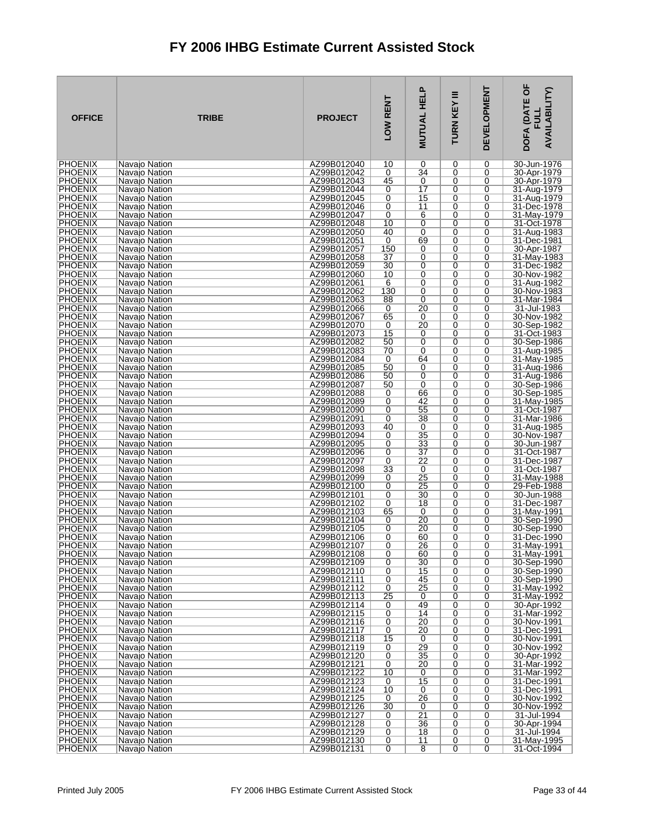| <b>OFFICE</b>                    | <b>TRIBE</b>                   | <b>PROJECT</b>             | LOW RENT            | <b>MUTUAL HELP</b>   | TURN KEY III | <b>DEVELOPMENT</b> | DOFA (DATE OF<br><b>AVAILABILITY)</b><br>글 |
|----------------------------------|--------------------------------|----------------------------|---------------------|----------------------|--------------|--------------------|--------------------------------------------|
| <b>PHOENIX</b>                   | Navajo Nation                  | AZ99B012040                | 10                  | 0                    | 0            | 0                  | 30-Jun-1976                                |
| <b>PHOENIX</b><br><b>PHOENIX</b> | Navajo Nation<br>Navajo Nation | AZ99B012042<br>AZ99B012043 | 0<br>45             | 34<br>0              | 0<br>0       | 0<br>0             | 30-Apr-1979<br>30-Apr-1979                 |
| <b>PHOENIX</b>                   | Navajo Nation                  | AZ99B012044                | 0                   | $\overline{17}$      | 0            | 0                  | 31-Aug-1979                                |
| <b>PHOENIX</b>                   | Navajo Nation                  | AZ99B012045                | 0                   | 15                   | 0            | 0                  | 31-Aug-1979                                |
| <b>PHOENIX</b>                   | Navajo Nation                  | AZ99B012046                | 0                   | 11                   | 0            | 0                  | 31-Dec-1978                                |
| <b>PHOENIX</b><br><b>PHOENIX</b> | Navajo Nation<br>Navaio Nation | AZ99B012047<br>AZ99B012048 | 0<br>10             | 6<br>0               | 0<br>0       | 0<br>0             | 31-May-1979<br>31-Oct-1978                 |
| <b>PHOENIX</b>                   | Navajo Nation                  | AZ99B012050                | 40                  | 0                    | 0            | 0                  | 31-Aug-1983                                |
| <b>PHOENIX</b>                   | Navajo Nation                  | AZ99B012051                | 0                   | 69                   | 0            | 0                  | 31-Dec-1981                                |
| <b>PHOENIX</b>                   | Navajo Nation                  | AZ99B012057                | 150                 | 0                    | 0            | 0                  | 30-Apr-1987                                |
| <b>PHOENIX</b><br><b>PHOENIX</b> | Navajo Nation<br>Navajo Nation | AZ99B012058<br>AZ99B012059 | 37<br>30            | 0<br>0               | 0<br>0       | 0<br>0             | 31-May-1983<br>31-Dec-1982                 |
| <b>PHOENIX</b>                   | Navajo Nation                  | AZ99B012060                | 10                  | 0                    | 0            | 0                  | 30-Nov-1982                                |
| <b>PHOENIX</b>                   | Navaio Nation                  | AZ99B012061                | 6                   | 0                    | 0            | 0                  | 31-Aug-1982                                |
| <b>PHOENIX</b>                   | Navajo Nation                  | AZ99B012062                | 130                 | 0                    | 0            | 0                  | 30-Nov-1983                                |
| <b>PHOENIX</b><br>PHOENIX        | Navajo Nation<br>Navajo Nation | AZ99B012063<br>AZ99B012066 | 88<br>0             | $\overline{0}$<br>20 | 0<br>0       | 0<br>0             | 31-Mar-1984<br>31-Jul-1983                 |
| <b>PHOENIX</b>                   | Navajo Nation                  | AZ99B012067                | 65                  | 0                    | 0            | 0                  | 30-Nov-1982                                |
| <b>PHOENIX</b>                   | Navajo Nation                  | AZ99B012070                | 0                   | 20                   | 0            | 0                  | 30-Sep-1982                                |
| <b>PHOENIX</b>                   | Navaio Nation                  | AZ99B012073                | 15                  | 0                    | 0            | 0                  | 31-Oct-1983                                |
| <b>PHOENIX</b><br><b>PHOENIX</b> | Navajo Nation<br>Navajo Nation | AZ99B012082<br>AZ99B012083 | 50<br>70            | 0<br>$\overline{0}$  | 0<br>0       | 0<br>0             | 30-Sep-1986<br>31-Aug-1985                 |
| <b>PHOENIX</b>                   | Navajo Nation                  | AZ99B012084                | 0                   | 64                   | 0            | 0                  | 31-Mav-1985                                |
| <b>PHOENIX</b>                   | Navajo Nation                  | AZ99B012085                | 50                  | 0                    | 0            | 0                  | 31-Aug-1986                                |
| <b>PHOENIX</b>                   | Navajo Nation                  | AZ99B012086                | 50                  | 0                    | 0            | 0                  | 31-Aug-1986                                |
| <b>PHOENIX</b><br><b>PHOENIX</b> | Navajo Nation<br>Navajo Nation | AZ99B012087<br>AZ99B012088 | 50<br>0             | 0<br>66              | 0<br>0       | 0<br>0             | 30-Sep-1986<br>30-Sep-1985                 |
| PHOENIX                          | Navajo Nation                  | AZ99B012089                | 0                   | 42                   | 0            | 0                  | 31-May-1985                                |
| <b>PHOENIX</b>                   | Navajo Nation                  | AZ99B012090                | 0                   | 55                   | 0            | 0                  | 31-Oct-1987                                |
| <b>PHOENIX</b>                   | Navajo Nation                  | AZ99B012091                | 0                   | 38                   | 0            | $\overline{0}$     | 31-Mar-1986                                |
| <b>PHOENIX</b><br><b>PHOENIX</b> | Navajo Nation<br>Navajo Nation | AZ99B012093<br>AZ99B012094 | 40<br>0             | 0<br>35              | 0<br>0       | 0<br>0             | 31-Aug-1985<br>30-Nov-1987                 |
| <b>PHOENIX</b>                   | Navajo Nation                  | AZ99B012095                | 0                   | 33                   | 0            | 0                  | 30-Jun-1987                                |
| <b>PHOENIX</b>                   | Navajo Nation                  | AZ99B012096                | 0                   | 37                   | 0            | 0                  | 31-Oct-1987                                |
| <b>PHOENIX</b><br><b>PHOENIX</b> | Navajo Nation                  | AZ99B012097                | 0                   | 22                   | 0            | 0                  | 31-Dec-1987                                |
| <b>PHOENIX</b>                   | Navajo Nation<br>Navajo Nation | AZ99B012098<br>AZ99B012099 | 33<br>0             | 0<br>25              | 0<br>0       | 0<br>0             | 31-Oct-1987<br>31-May-1988                 |
| <b>PHOENIX</b>                   | Navajo Nation                  | AZ99B012100                | 0                   | 25                   | 0            | 0                  | 29-Feb-1988                                |
| <b>PHOENIX</b>                   | Navajo Nation                  | AZ99B012101                | 0                   | $\overline{30}$      | 0            | 0                  | 30-Jun-1988                                |
| <b>PHOENIX</b>                   | Navajo Nation                  | AZ99B012102                | 0                   | 18                   | 0            | 0<br>0             | 31-Dec-1987<br>31-May-1991                 |
| <b>PHOENIX</b><br><b>PHOENIX</b> | Navajo Nation<br>Navajo Nation | AZ99B012103<br>AZ99B012104 | 65<br>0             | 0<br>$\overline{20}$ | 0<br>0       | 0                  | 30-Sep-1990                                |
| <b>PHOENIX</b>                   | Navajo Nation                  | AZ99B012105                | 0                   | 20                   | 0            | 0                  | 30-Sep-1990                                |
| <b>PHOENIX</b>                   | Navajo Nation                  | AZ99B012106                | 0                   | 60                   | 0            | 0                  | 31-Dec-1990                                |
| <b>PHOENIX</b><br><b>PHOENIX</b> | Navajo Nation<br>Navajo Nation | AZ99B012107<br>AZ99B012108 | 0<br>$\overline{0}$ | 26<br>60             | 0<br>0       | 0<br>0             | $31$ -May-1991<br>31-May-1991              |
| <b>PHOENIX</b>                   | Navajo Nation                  | AZ99B012109                | 0                   | 30                   | 0            | 0                  | 30-Sep-1990                                |
| <b>PHOENIX</b>                   | Navajo Nation                  | AZ99B012110                | 0                   | 15                   | 0            | 0                  | 30-Sep-1990                                |
| <b>PHOENIX</b>                   | Navajo Nation                  | AZ99B012111                | 0                   | 45                   | 0            | 0                  | 30-Sep-1990                                |
| <b>PHOENIX</b><br><b>PHOENIX</b> | Navajo Nation<br>Navajo Nation | AZ99B012112<br>AZ99B012113 | 0<br>25             | $\overline{25}$<br>0 | 0<br>0       | 0<br>0             | 31-May-1992<br>31-May-1992                 |
| <b>PHOENIX</b>                   | Navaio Nation                  | AZ99B012114                | 0                   | 49                   | 0            | 0                  | 30-Apr-1992                                |
| <b>PHOENIX</b>                   | Navajo Nation                  | AZ99B012115                | 0                   | 14                   | 0            | 0                  | 31-Mar-1992                                |
| <b>PHOENIX</b>                   | Navajo Nation                  | AZ99B012116                | 0                   | 20                   | 0            | 0                  | 30-Nov-1991                                |
| <b>PHOENIX</b><br><b>PHOENIX</b> | Navajo Nation<br>Navajo Nation | AZ99B012117<br>AZ99B012118 | 0<br>15             | 20<br>0              | 0<br>0       | 0<br>0             | 31-Dec-1991<br>30-Nov-1991                 |
| <b>PHOENIX</b>                   | Navajo Nation                  | AZ99B012119                | 0                   | 29                   | 0            | 0                  | 30-Nov-1992                                |
| <b>PHOENIX</b>                   | Navajo Nation                  | AZ99B012120                | 0                   | 35                   | 0            | 0                  | 30-Apr-1992                                |
| <b>PHOENIX</b>                   | Navajo Nation                  | AZ99B012121                | 0                   | 20                   | 0            | 0                  | 31-Mar-1992                                |
| <b>PHOENIX</b><br><b>PHOENIX</b> | Navajo Nation<br>Navaio Nation | AZ99B012122<br>AZ99B012123 | 10<br>0             | 0<br>15              | 0<br>0       | 0<br>0             | 31-Mar-1992<br>31-Dec-1991                 |
| <b>PHOENIX</b>                   | Navajo Nation                  | AZ99B012124                | 10                  | 0                    | 0            | 0                  | 31-Dec-1991                                |
| <b>PHOENIX</b>                   | Navajo Nation                  | AZ99B012125                | 0                   | 26                   | 0            | 0                  | 30-Nov-1992                                |
| <b>PHOENIX</b>                   | Navajo Nation                  | AZ99B012126                | 30                  | 0<br>$\overline{21}$ | 0            | 0                  | 30-Nov-1992                                |
| <b>PHOENIX</b><br><b>PHOENIX</b> | Navajo Nation<br>Navajo Nation | AZ99B012127<br>AZ99B012128 | 0<br>0              | 36                   | 0<br>0       | 0<br>0             | 31-Jul-1994<br>30-Apr-1994                 |
| <b>PHOENIX</b>                   | Navajo Nation                  | AZ99B012129                | 0                   | 18                   | 0            | 0                  | 31-Jul-1994                                |
| <b>PHOENIX</b>                   | Navajo Nation                  | AZ99B012130                | 0                   | 11                   | 0            | 0                  | 31-May-1995                                |
| <b>PHOENIX</b>                   | Navajo Nation                  | AZ99B012131                | $\overline{0}$      | $\overline{8}$       | 0            | 0                  | 31-Oct-1994                                |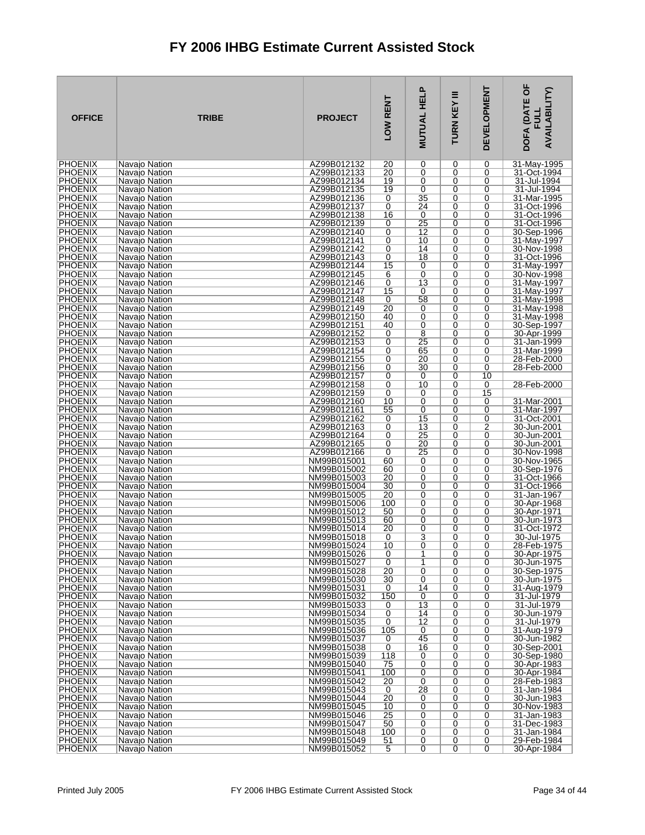| <b>OFFICE</b>                    | <b>TRIBE</b>                   | <b>PROJECT</b>             | LOW RENT              | <b>MUTUAL HELP</b>  | Ξ<br>TURN KEY | <b>DEVELOPMENT</b>  | DOFA (DATE OF<br><b>AVAILABILITY)</b><br>FU니 |
|----------------------------------|--------------------------------|----------------------------|-----------------------|---------------------|---------------|---------------------|----------------------------------------------|
| <b>PHOENIX</b>                   | Navajo Nation                  | AZ99B012132                | 20                    | 0                   | 0             | 0                   | 31-May-1995                                  |
| <b>PHOENIX</b><br><b>PHOENIX</b> | Navajo Nation<br>Navajo Nation | AZ99B012133<br>AZ99B012134 | 20<br>19              | 0<br>0              | 0<br>0        | 0<br>0              | 31-Oct-1994<br>31-Jul-1994                   |
| <b>PHOENIX</b>                   | Navajo Nation                  | AZ99B012135                | 19                    | 0                   | 0             | 0                   | 31-Jul-1994                                  |
| <b>PHOENIX</b>                   | Navajo Nation                  | AZ99B012136                | 0                     | 35                  | 0             | 0                   | 31-Mar-1995                                  |
| <b>PHOENIX</b>                   | Navajo Nation                  | AZ99B012137                | 0                     | $\overline{24}$     | 0             | 0                   | 31-Oct-1996                                  |
| <b>PHOENIX</b><br><b>PHOENIX</b> | Navajo Nation<br>Navaio Nation | AZ99B012138<br>AZ99B012139 | 16<br>0               | 0<br>25             | 0<br>0        | 0<br>0              | 31-Oct-1996<br>31-Oct-1996                   |
| <b>PHOENIX</b>                   | Navajo Nation                  | AZ99B012140                | 0                     | 12                  | 0             | 0                   | 30-Sep-1996                                  |
| <b>PHOENIX</b>                   | Navajo Nation                  | AZ99B012141                | 0                     | 10                  | 0             | 0                   | 31-May-1997                                  |
| <b>PHOENIX</b>                   | Navajo Nation                  | AZ99B012142                | 0                     | 14                  | 0             | 0                   | 30-Nov-1998                                  |
| <b>PHOENIX</b><br><b>PHOENIX</b> | Navajo Nation<br>Navajo Nation | AZ99B012143<br>AZ99B012144 | 0<br>15               | 18<br>0             | 0<br>0        | 0<br>0              | 31-Oct-1996<br>31-May-1997                   |
| <b>PHOENIX</b>                   | Navajo Nation                  | AZ99B012145                | 6                     | $\overline{0}$      | 0             | 0                   | 30-Nov-1998                                  |
| <b>PHOENIX</b>                   | Navajo Nation                  | AZ99B012146                | 0                     | $\overline{13}$     | 0             | 0                   | 31-May-1997                                  |
| <b>PHOENIX</b>                   | Navajo Nation                  | AZ99B012147                | 15                    | 0                   | 0             | 0                   | 31-May-1997                                  |
| <b>PHOENIX</b><br><b>PHOENIX</b> | Navajo Nation<br>Navaio Nation | AZ99B012148<br>AZ99B012149 | 0<br>20               | 58<br>0             | 0<br>0        | 0<br>0              | 31-May-1998<br>31-May-1998                   |
| <b>PHOENIX</b>                   | Navajo Nation                  | AZ99B012150                | 40                    | 0                   | $\Omega$      | 0                   | 31-May-1998                                  |
| <b>PHOENIX</b>                   | Navajo Nation                  | AZ99B012151                | 40                    | 0                   | 0             | 0                   | 30-Sep-1997                                  |
| <b>PHOENIX</b><br>PHOENIX        | Navajo Nation                  | AZ99B012152<br>AZ99B012153 | 0                     | 8<br>25             | 0<br>$\Omega$ | 0                   | 30-Apr-1999                                  |
| <b>PHOENIX</b>                   | Navajo Nation<br>Navajo Nation | AZ99B012154                | 0<br>0                | 65                  | 0             | 0<br>0              | 31-Jan-1999<br>31-Mar-1999                   |
| <b>PHOENIX</b>                   | Navajo Nation                  | AZ99B012155                | 0                     | 20                  | 0             | 0                   | 28-Feb-2000                                  |
| <b>PHOENIX</b>                   | Navajo Nation                  | AZ99B012156                | 0                     | 30                  | $\Omega$      | 0                   | 28-Feb-2000                                  |
| <b>PHOENIX</b>                   | Navajo Nation                  | AZ99B012157                | 0                     | 0                   | 0             | 10                  |                                              |
| <b>PHOENIX</b><br><b>PHOENIX</b> | Navajo Nation<br>Navajo Nation | AZ99B012158<br>AZ99B012159 | 0<br>0                | 10<br>0             | 0<br>0        | 0<br>15             | 28-Feb-2000                                  |
| <b>PHOENIX</b>                   | Navajo Nation                  | AZ99B012160                | 10                    | 0                   | 0             | 0                   | 31-Mar-2001                                  |
| <b>PHOENIX</b>                   | Navajo Nation                  | AZ99B012161                | 55                    | 0                   | 0             | 0                   | 31-Mar-1997                                  |
| <b>PHOENIX</b>                   | Navajo Nation                  | AZ99B012162                | 0                     | $\overline{15}$     | 0<br>0        | 0<br>2              | 31-Oct-2001                                  |
| <b>PHOENIX</b><br><b>PHOENIX</b> | Navajo Nation<br>Navajo Nation | AZ99B012163<br>AZ99B012164 | 0<br>0                | 13<br>25            | 0             | 0                   | 30-Jun-2001<br>30-Jun-2001                   |
| <b>PHOENIX</b>                   | Navajo Nation                  | AZ99B012165                | 0                     | 20                  | 0             | 0                   | 30-Jun-2001                                  |
| <b>PHOENIX</b>                   | Navaio Nation                  | AZ99B012166                | 0                     | 25                  | 0             | 0                   | 30-Nov-1998                                  |
| <b>PHOENIX</b><br><b>PHOENIX</b> | Navajo Nation<br>Navajo Nation | NM99B015001<br>NM99B015002 | 60<br>60              | 0<br>0              | 0<br>0        | 0<br>0              | 30-Nov-1965<br>30-Sep-1976                   |
| <b>PHOENIX</b>                   | Navajo Nation                  | NM99B015003                | 20                    | 0                   | 0             | 0                   | 31-Oct-1966                                  |
| <b>PHOENIX</b>                   | Navajo Nation                  | NM99B015004                | 30                    | 0                   | 0             | 0                   | 31-Oct-1966                                  |
| PHOENIX                          | Navajo Nation                  | NM99B015005                | 20                    | $\overline{0}$      | 0             | 0                   | 31-Jan-1967                                  |
| <b>PHOENIX</b><br><b>PHOENIX</b> | Navajo Nation<br>Navaio Nation | NM99B015006<br>NM99B015012 | 100<br>50             | 0<br>0              | 0<br>0        | 0<br>0              | 30-Apr-1968<br>30-Apr-1971                   |
| <b>PHOENIX</b>                   | Navajo Nation                  | NM99B015013                | 60                    | 0                   | 0             | 0                   | 30-Jun-1973                                  |
| <b>PHOENIX</b>                   | Navajo Nation                  | NM99B015014                | 20                    | 0                   | 0             | 0                   | 31-Oct-1972                                  |
| <b>PHOENIX</b><br><b>PHOENIX</b> | Navajo Nation                  | NM99B015018<br>NM99B015024 | 0<br>10               | 3<br>0              | 0<br>0        | 0<br>$\Omega$       | 30-Jul-1975<br>28-Feb-1975                   |
| <b>PHOENIX</b>                   | Navajo Nation<br>Navajo Nation | NM99B015026                | 0                     | 1                   | 0             | 0                   | 30-Apr-1975                                  |
| <b>PHOENIX</b>                   | Navajo Nation                  | NM99B015027                | 0                     | 1                   | 0             | 0                   | 30-Jun-1975                                  |
| <b>PHOENIX</b>                   | Navajo Nation                  | NM99B015028                | 20                    | $\overline{0}$      | 0             | 0                   | 30-Sep-1975                                  |
| <b>PHOENIX</b><br><b>PHOENIX</b> | Navajo Nation<br>Navajo Nation | NM99B015030<br>NM99B015031 | 30<br>0               | 0<br>14             | 0<br>0        | 0<br>0              | 30-Jun-1975<br>31-Aug-1979                   |
| <b>PHOENIX</b>                   | Navajo Nation                  | NM99B015032                | 150                   | 0                   | 0             | 0                   | 31-Jul-1979                                  |
| <b>PHOENIX</b>                   | Navajo Nation                  | NM99B015033                | 0                     | $\overline{13}$     | 0             | 0                   | 31-Jul-1979                                  |
| <b>PHOENIX</b>                   | Navajo Nation                  | NM99B015034                | 0                     | 14                  | 0             | 0                   | 30-Jun-1979                                  |
| <b>PHOENIX</b><br><b>PHOENIX</b> | Navajo Nation<br>Navajo Nation | NM99B015035<br>NM99B015036 | $\overline{0}$<br>105 | 12<br>0             | 0<br>0        | 0<br>0              | 31-Jul-1979<br>31-Aug-1979                   |
| <b>PHOENIX</b>                   | Navajo Nation                  | NM99B015037                | 0                     | 45                  | 0             | 0                   | 30-Jun-1982                                  |
| <b>PHOENIX</b>                   | Navajo Nation                  | NM99B015038                | 0                     | 16                  | 0             | 0                   | 30-Sep-2001                                  |
| <b>PHOENIX</b><br><b>PHOENIX</b> | Navajo Nation                  | NM99B015039<br>NM99B015040 | 118<br>75             | 0<br>0              | 0<br>0        | 0<br>0              | 30-Sep-1980<br>30-Apr-1983                   |
| <b>PHOENIX</b>                   | Navajo Nation<br>Navajo Nation | NM99B015041                | 100                   | 0                   | 0             | 0                   | 30-Apr-1984                                  |
| <b>PHOENIX</b>                   | Navajo Nation                  | NM99B015042                | 20                    | 0                   | 0             | 0                   | 28-Feb-1983                                  |
| <b>PHOENIX</b>                   | Navajo Nation                  | NM99B015043                | 0                     | 28                  | 0             | 0                   | 31-Jan-1984                                  |
| <b>PHOENIX</b><br><b>PHOENIX</b> | Navajo Nation<br>Navajo Nation | NM99B015044<br>NM99B015045 | 20<br>10              | 0<br>0              | 0<br>0        | 0<br>0              | 30-Jun-1983<br>30-Nov-1983                   |
| <b>PHOENIX</b>                   | Navajo Nation                  | NM99B015046                | 25                    | 0                   | 0             | 0                   | 31-Jan-1983                                  |
| <b>PHOENIX</b>                   | Navajo Nation                  | NM99B015047                | 50                    | $\overline{0}$      | 0             | 0                   | 31-Dec-1983                                  |
| <b>PHOENIX</b>                   | Navajo Nation                  | NM99B015048                | 100                   | 0                   | 0             | 0                   | 31-Jan-1984                                  |
| <b>PHOENIX</b><br><b>PHOENIX</b> | Navajo Nation<br>Navajo Nation | NM99B015049<br>NM99B015052 | 51<br>5               | 0<br>$\overline{0}$ | 0<br>0        | 0<br>$\overline{0}$ | 29-Feb-1984<br>30-Apr-1984                   |
|                                  |                                |                            |                       |                     |               |                     |                                              |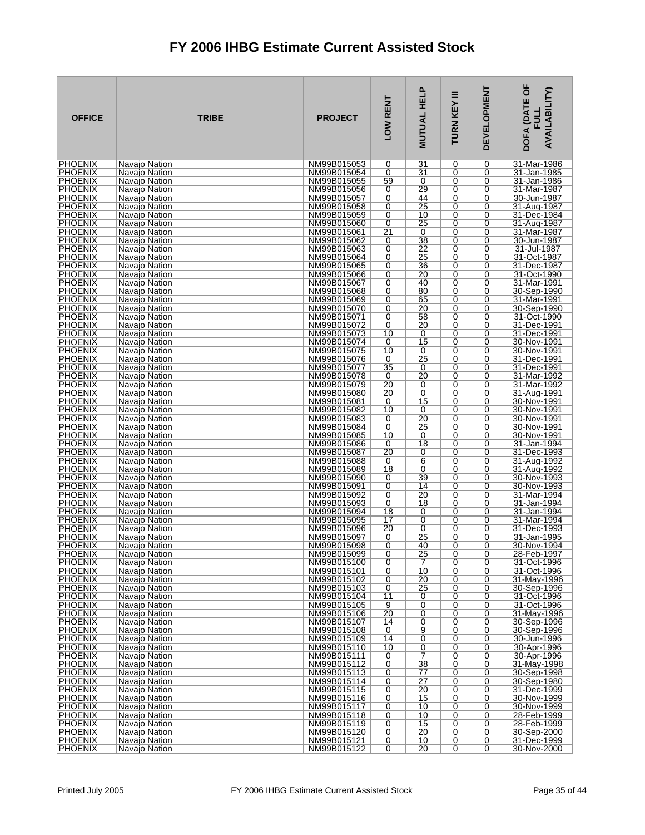| <b>OFFICE</b>                    | <b>TRIBE</b>                   | <b>PROJECT</b>             | LOW RENT        | <b>MUTUAL HELP</b>    | Ξ<br><b>TURN KEY</b> | <b>DEVELOPMENT</b> | DOFA (DATE OF<br><b>AVAILABILITY)</b><br>글 |
|----------------------------------|--------------------------------|----------------------------|-----------------|-----------------------|----------------------|--------------------|--------------------------------------------|
| <b>PHOENIX</b>                   | Navajo Nation                  | NM99B015053                | 0               | 31                    | 0                    | 0                  | 31-Mar-1986                                |
| <b>PHOENIX</b><br><b>PHOENIX</b> | Navajo Nation<br>Navajo Nation | NM99B015054<br>NM99B015055 | 0<br>59         | 31<br>0               | 0<br>0               | 0<br>0             | 31-Jan-1985<br>31-Jan-1986                 |
| <b>PHOENIX</b>                   | Navajo Nation                  | NM99B015056                | 0               | 29                    | 0                    | 0                  | 31-Mar-1987                                |
| <b>PHOENIX</b>                   | Navajo Nation                  | NM99B015057                | 0               | 44                    | 0                    | 0                  | 30-Jun-1987                                |
| <b>PHOENIX</b>                   | Navajo Nation                  | NM99B015058                | 0               | 25                    | 0                    | 0                  | 31-Aug-1987                                |
| <b>PHOENIX</b><br><b>PHOENIX</b> | Navajo Nation<br>Navaio Nation | NM99B015059<br>NM99B015060 | 0<br>0          | 10<br>25              | 0<br>0               | 0<br>0             | 31-Dec-1984<br>31-Aug-1987                 |
| <b>PHOENIX</b>                   | Navajo Nation                  | NM99B015061                | $\overline{21}$ | 0                     | 0                    | 0                  | 31-Mar-1987                                |
| <b>PHOENIX</b>                   | Navajo Nation                  | NM99B015062                | 0               | 38                    | 0                    | 0                  | 30-Jun-1987                                |
| <b>PHOENIX</b>                   | Navajo Nation                  | NM99B015063                | 0               | 22                    | 0                    | 0                  | 31-Jul-1987                                |
| <b>PHOENIX</b><br><b>PHOENIX</b> | Navajo Nation<br>Navajo Nation | NM99B015064<br>NM99B015065 | 0<br>0          | 25<br>36              | 0<br>0               | 0<br>0             | 31-Oct-1987<br>31-Dec-1987                 |
| <b>PHOENIX</b>                   | Navajo Nation                  | NM99B015066                | 0               | 20                    | 0                    | 0                  | 31-Oct-1990                                |
| <b>PHOENIX</b>                   | Navaio Nation                  | NM99B015067                | 0               | 40                    | 0                    | 0                  | 31-Mar-1991                                |
| <b>PHOENIX</b>                   | Navajo Nation                  | NM99B015068                | 0               | 80                    | 0                    | 0                  | 30-Sep-1990                                |
| <b>PHOENIX</b><br>PHOENIX        | Navajo Nation<br>Navajo Nation | NM99B015069<br>NM99B015070 | 0<br>0          | 65<br>20              | 0<br>0               | 0<br>0             | 31-Mar-1991<br>30-Sep-1990                 |
| <b>PHOENIX</b>                   | Navajo Nation                  | NM99B015071                | 0               | 58                    | 0                    | 0                  | 31-Oct-1990                                |
| <b>PHOENIX</b>                   | Navajo Nation                  | NM99B015072                | 0               | 20                    | 0                    | 0                  | 31-Dec-1991                                |
| <b>PHOENIX</b>                   | Navajo Nation                  | NM99B015073                | 10              | 0                     | 0                    | 0                  | 31-Dec-1991                                |
| <b>PHOENIX</b><br><b>PHOENIX</b> | Navajo Nation<br>Navajo Nation | NM99B015074<br>NM99B015075 | 0<br>10         | 15<br>0               | 0<br>0               | 0<br>0             | 30-Nov-1991<br>30-Nov-1991                 |
| <b>PHOENIX</b>                   | Navajo Nation                  | NM99B015076                | 0               | 25                    | 0                    | 0                  | 31-Dec-1991                                |
| <b>PHOENIX</b>                   | Navajo Nation                  | NM99B015077                | 35              | 0                     | 0                    | 0                  | 31-Dec-1991                                |
| <b>PHOENIX</b>                   | Navajo Nation                  | NM99B015078                | 0               | 20                    | 0                    | 0                  | 31-Mar-1992                                |
| <b>PHOENIX</b><br><b>PHOENIX</b> | Navajo Nation<br>Navajo Nation | NM99B015079<br>NM99B015080 | 20<br>20        | 0<br>0                | 0<br>0               | 0<br>0             | 31-Mar-1992<br>31-Aug-1991                 |
| PHOENIX                          | Navajo Nation                  | NM99B015081                | 0               | 15                    | 0                    | 0                  | 30-Nov-1991                                |
| <b>PHOENIX</b>                   | Navajo Nation                  | NM99B015082                | 10              | 0                     | 0                    | 0                  | 30-Nov-1991                                |
| <b>PHOENIX</b>                   | Navajo Nation                  | NM99B015083                | 0               | $\overline{20}$<br>25 | 0                    | $\overline{0}$     | 30-Nov-1991                                |
| <b>PHOENIX</b><br><b>PHOENIX</b> | Navajo Nation<br>Navajo Nation | NM99B015084<br>NM99B015085 | 0<br>10         | 0                     | 0<br>0               | 0<br>0             | 30-Nov-1991<br>30-Nov-1991                 |
| <b>PHOENIX</b>                   | Navajo Nation                  | NM99B015086                | 0               | 18                    | 0                    | 0                  | 31-Jan-1994                                |
| <b>PHOENIX</b>                   | Navajo Nation                  | NM99B015087                | 20              | 0                     | 0                    | 0                  | 31-Dec-1993                                |
| <b>PHOENIX</b><br><b>PHOENIX</b> | Navajo Nation                  | NM99B015088<br>NM99B015089 | 0               | 6<br>0                | 0<br>0               | 0<br>0             | 31-Aug-1992<br>31-Aug-1992                 |
| <b>PHOENIX</b>                   | Navajo Nation<br>Navajo Nation | NM99B015090                | 18<br>0         | 39                    | 0                    | 0                  | 30-Nov-1993                                |
| <b>PHOENIX</b>                   | Navajo Nation                  | NM99B015091                | 0               | 14                    | 0                    | 0                  | 30-Nov-1993                                |
| <b>PHOENIX</b>                   | Navajo Nation                  | NM99B015092                | 0               | $\overline{20}$       | 0                    | 0                  | 31-Mar-1994                                |
| <b>PHOENIX</b><br><b>PHOENIX</b> | Navajo Nation<br>Navajo Nation | NM99B015093<br>NM99B015094 | 0<br>18         | 18<br>0               | 0<br>0               | 0<br>0             | 31-Jan-1994<br>31-Jan-1994                 |
| <b>PHOENIX</b>                   | Navajo Nation                  | NM99B015095                | 17              | 0                     | 0                    | 0                  | 31-Mar-1994                                |
| <b>PHOENIX</b>                   | Navajo Nation                  | NM99B015096                | 20              | 0                     | 0                    | 0                  | 31-Dec-1993                                |
| <b>PHOENIX</b>                   | Navajo Nation                  | NM99B015097                | 0               | $\overline{25}$       | 0                    | 0                  | 31-Jan-1995                                |
| <b>PHOENIX</b><br><b>PHOENIX</b> | Navajo Nation<br>Navajo Nation | NM99B015098<br>NM99B015099 | 0<br>0          | 40<br>25              | 0<br>0               | 0<br>0             | 30-Nov-1994<br>28-Feb-1997                 |
| <b>PHOENIX</b>                   | Navajo Nation                  | NM99B015100                | 0               | 7                     | 0                    | 0                  | 31-Oct-1996                                |
| <b>PHOENIX</b>                   | Navajo Nation                  | NM99B015101                | 0               | 10                    | 0                    | 0                  | 31-Oct-1996                                |
| <b>PHOENIX</b>                   | Navajo Nation                  | NM99B015102                | 0               | 20                    | 0                    | 0                  | 31-May-1996                                |
| <b>PHOENIX</b><br><b>PHOENIX</b> | Navajo Nation<br>Navajo Nation | NM99B015103<br>NM99B015104 | 0<br>11         | 25<br>0               | 0<br>0               | 0<br>0             | 30-Sep-1996<br>31-Oct-1996                 |
| <b>PHOENIX</b>                   | Navajo Nation                  | NM99B015105                | 9               | 0                     | 0                    | 0                  | 31-Oct-1996                                |
| <b>PHOENIX</b>                   | Navajo Nation                  | NM99B015106                | 20              | 0                     | 0                    | 0                  | 31-May-1996                                |
| <b>PHOENIX</b>                   | Navajo Nation                  | NM99B015107                | 14              | 0                     | 0                    | 0                  | 30-Sep-1996                                |
| <b>PHOENIX</b><br><b>PHOENIX</b> | Navajo Nation<br>Navajo Nation | NM99B015108<br>NM99B015109 | 0<br>14         | 9<br>0                | 0<br>0               | 0<br>0             | 30-Sep-1996<br>30-Jun-1996                 |
| <b>PHOENIX</b>                   | Navajo Nation                  | NM99B015110                | 10              | $\overline{0}$        | 0                    | 0                  | 30-Apr-1996                                |
| <b>PHOENIX</b>                   | Navajo Nation                  | NM99B015111                | 0               | 7                     | 0                    | 0                  | 30-Apr-1996                                |
| <b>PHOENIX</b><br><b>PHOENIX</b> | Navajo Nation                  | NM99B015112                | 0<br>0          | 38<br>77              | 0<br>0               | 0<br>0             | 31-May-1998<br>30-Sep-1998                 |
| <b>PHOENIX</b>                   | Navajo Nation<br>Navajo Nation | NM99B015113<br>NM99B015114 | 0               | $\overline{27}$       | 0                    | 0                  | 30-Sep-1980                                |
| <b>PHOENIX</b>                   | Navajo Nation                  | NM99B015115                | 0               | 20                    | 0                    | 0                  | 31-Dec-1999                                |
| <b>PHOENIX</b>                   | Navajo Nation                  | NM99B015116                | 0               | 15                    | 0                    | 0                  | 30-Nov-1999                                |
| <b>PHOENIX</b><br><b>PHOENIX</b> | Navajo Nation                  | NM99B015117                | 0<br>0          | 10<br>10              | 0<br>0               | 0<br>0             | 30-Nov-1999<br>28-Feb-1999                 |
| <b>PHOENIX</b>                   | Navajo Nation<br>Navajo Nation | NM99B015118<br>NM99B015119 | 0               | 15                    | 0                    | 0                  | 28-Feb-1999                                |
| <b>PHOENIX</b>                   | Navajo Nation                  | NM99B015120                | 0               | 20                    | 0                    | 0                  | 30-Sep-2000                                |
| <b>PHOENIX</b>                   | Navajo Nation                  | NM99B015121                | 0               | 10                    | 0                    | 0                  | 31-Dec-1999                                |
| <b>PHOENIX</b>                   | Navajo Nation                  | NM99B015122                | $\overline{0}$  | 20                    | 0                    | 0                  | 30-Nov-2000                                |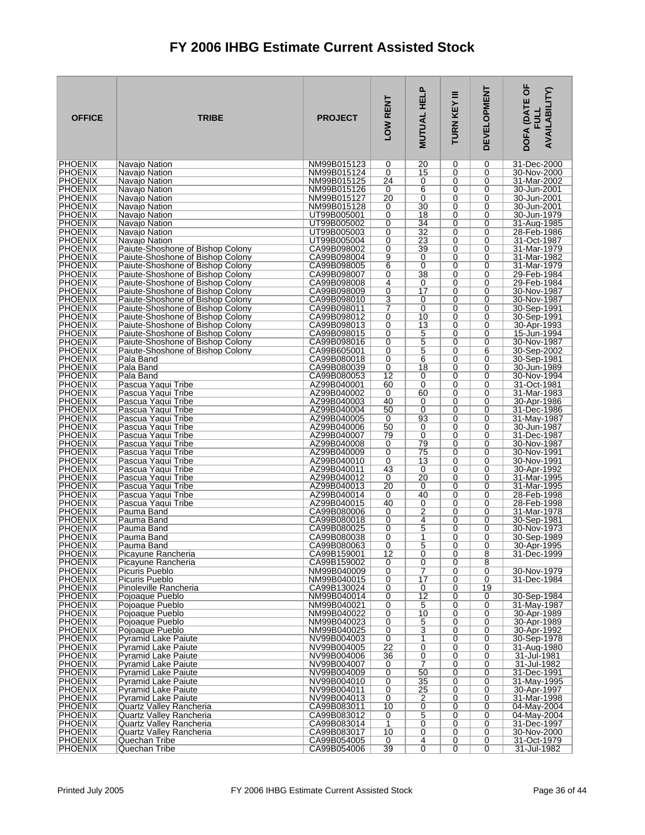| <b>OFFICE</b>                    | <b>TRIBE</b>                                                         | <b>PROJECT</b>             | LOW RENT                    | <b>MUTUAL HELP</b>                 | Ξ<br>TURN KEY | <b>DEVELOPMENT</b> | DOFA (DATE OF<br><b>AVAILABILITY)</b><br><b>FULL</b> |
|----------------------------------|----------------------------------------------------------------------|----------------------------|-----------------------------|------------------------------------|---------------|--------------------|------------------------------------------------------|
| <b>PHOENIX</b>                   | Navajo Nation                                                        | NM99B015123                | 0                           | 20                                 | 0             | 0                  | 31-Dec-2000                                          |
| <b>PHOENIX</b><br><b>PHOENIX</b> | Navajo Nation<br>Navajo Nation                                       | NM99B015124<br>NM99B015125 | 0<br>24                     | 15<br>0                            | 0<br>0        | 0<br>0             | 30-Nov-2000<br>31-Mar-2002                           |
| <b>PHOENIX</b>                   | Navaio Nation                                                        | NM99B015126                | 0                           | $\overline{6}$                     | 0             | 0                  | 30-Jun-2001                                          |
| <b>PHOENIX</b>                   | Navajo Nation                                                        | NM99B015127                | 20                          | 0                                  | 0             | 0                  | 30-Jun-2001                                          |
| <b>PHOENIX</b>                   | Navajo Nation                                                        | NM99B015128                | 0                           | 30                                 | 0             | 0                  | 30-Jun-2001                                          |
| <b>PHOENIX</b>                   | Navajo Nation                                                        | UT99B005001                | 0                           | 18                                 | 0             | 0                  | 30-Jun-1979                                          |
| <b>PHOENIX</b><br><b>PHOENIX</b> | Navajo Nation<br>Navajo Nation                                       | UT99B005002<br>UT99B005003 | 0<br>0                      | $\overline{34}$<br>$\overline{32}$ | 0<br>0        | 0<br>0             | 31-Aug-1985<br>28-Feb-1986                           |
| <b>PHOENIX</b>                   | Navajo Nation                                                        | UT99B005004                | 0                           | 23                                 | 0             | 0                  | 31-Oct-1987                                          |
| <b>PHOENIX</b>                   | Paiute-Shoshone of Bishop Colony                                     | CA99B098002                | 0                           | 39                                 | 0             | 0                  | 31-Mar-1979                                          |
| <b>PHOENIX</b>                   | Paiute-Shoshone of Bishop Colony                                     | CA99B098004                | $\frac{9}{6}$               | 0                                  | 0             | 0                  | 31-Mar-1982                                          |
| <b>PHOENIX</b>                   | Paiute-Shoshone of Bishop Colony                                     | CA99B098005                |                             | 0                                  | 0             | 0                  | 31-Mar-1979                                          |
| <b>PHOENIX</b><br><b>PHOENIX</b> | Paiute-Shoshone of Bishop Colony<br>Paiute-Shoshone of Bishop Colony | CA99B098007<br>CA99B098008 | 0<br>$\overline{4}$         | 38<br>0                            | 0<br>0        | 0<br>0             | 29-Feb-1984<br>29-Feb-1984                           |
| <b>PHOENIX</b>                   | Paiute-Shoshone of Bishop Colony                                     | CA99B098009                | 0                           | 17                                 | 0             | 0                  | 30-Nov-1987                                          |
| <b>PHOENIX</b>                   | Paiute-Shoshone of Bishop Colony                                     | CA99B098010                | 3                           | 0                                  | 0             | 0                  | 30-Nov-1987                                          |
| <b>PHOENIX</b>                   | Paiute-Shoshone of Bishop Colony                                     | CA99B098011                | 7                           | 0                                  | 0             | 0                  | 30-Sep-1991                                          |
| <b>PHOENIX</b><br><b>PHOENIX</b> | Paiute-Shoshone of Bishop Colony<br>Paiute-Shoshone of Bishop Colony | CA99B098012<br>CA99B098013 | 0<br>0                      | 10<br>13                           | 0<br>0        | $\Omega$<br>0      | 30-Sep-1991<br>30-Apr-1993                           |
| <b>PHOENIX</b>                   | Paiute-Shoshone of Bishop Colony                                     | CA99B098015                | 0                           | 5                                  | 0             | 0                  | 15-Jun-1994                                          |
| <b>PHOENIX</b>                   | Paiute-Shoshone of Bishop Colony                                     | CA99B098016                | 0                           | 5                                  | 0             | 0                  | 30-Nov-1987                                          |
| <b>PHOENIX</b>                   | Paiute-Shoshone of Bishop Colony                                     | CA99B605001                | 0                           | 5                                  | 0             | 6                  | 30-Sep-2002                                          |
| <b>PHOENIX</b>                   | Pala Band                                                            | CA99B080018                | 0                           | 6                                  | 0             | 0                  | 30-Sep-1981                                          |
| <b>PHOENIX</b><br><b>PHOENIX</b> | Pala Band<br>Pala Band                                               | CA99B080039<br>CA99B080053 | 0<br>12                     | 18<br>0                            | 0<br>0        | 0<br>0             | 30-Jun-1989<br>30-Nov-1994                           |
| <b>PHOENIX</b>                   | Pascua Yaqui Tribe                                                   | AZ99B040001                | 60                          | 0                                  | 0             | 0                  | 31-Oct-1981                                          |
| <b>PHOENIX</b>                   | Pascua Yaqui Tribe                                                   | AZ99B040002                | 0                           | 60                                 | 0             | 0                  | 31-Mar-1983                                          |
| <b>PHOENIX</b>                   | Pascua Yaqui Tribe                                                   | AZ99B040003                | 40                          | 0                                  | 0             | 0                  | 30-Apr-1986                                          |
| <b>PHOENIX</b><br><b>PHOENIX</b> | Pascua Yaqui Tribe                                                   | AZ99B040004                | 50                          | 0<br>93                            | 0<br>0        | 0                  | 31-Dec-1986                                          |
| <b>PHOENIX</b>                   | Pascua Yaqui Tribe<br>Pascua Yaqui Tribe                             | AZ99B040005<br>AZ99B040006 | 0<br>50                     | 0                                  | 0             | 0<br>0             | 31-May-1987<br>30-Jun-1987                           |
| <b>PHOENIX</b>                   | Pascua Yaqui Tribe                                                   | AZ99B040007                | 79                          | 0                                  | 0             | 0                  | 31-Dec-1987                                          |
| <b>PHOENIX</b>                   | Pascua Yaqui Tribe                                                   | AZ99B040008                | 0                           | 79                                 | 0             | 0                  | 30-Nov-1987                                          |
| <b>PHOENIX</b>                   | Pascua Yagui Tribe                                                   | AZ99B040009                | 0                           | 75                                 | 0             | 0                  | 30-Nov-1991                                          |
| <b>PHOENIX</b><br><b>PHOENIX</b> | Pascua Yaqui Tribe<br>Pascua Yaqui Tribe                             | AZ99B040010<br>AZ99B040011 | 0<br>43                     | 13<br>0                            | 0<br>0        | 0<br>0             | 30-Nov-1991<br>30-Apr-1992                           |
| <b>PHOENIX</b>                   | Pascua Yaqui Tribe                                                   | AZ99B040012                | 0                           | 20                                 | 0             | 0                  | 31-Mar-1995                                          |
| <b>PHOENIX</b>                   | Pascua Yaqui Tribe                                                   | AZ99B040013                | 20                          | 0                                  | 0             | 0                  | 31-Mar-1995                                          |
| PHOENIX                          | Pascua Yagui Tribe                                                   | AZ99B040014                | 0                           | 40                                 | 0             | 0                  | 28-Feb-1998                                          |
| <b>PHOENIX</b><br><b>PHOENIX</b> | Pascua Yaqui Tribe<br>Pauma Band                                     | AZ99B040015<br>CA99B080006 | 40<br>0                     | 0<br>$\overline{2}$                | 0<br>0        | 0<br>0             | 28-Feb-1998<br>31-Mar-1978                           |
| <b>PHOENIX</b>                   | Pauma Band                                                           | CA99B080018                | 0                           | 4                                  | 0             | 0                  | 30-Sep-1981                                          |
| <b>PHOENIX</b>                   | Pauma Band                                                           | CA99B080025                | 0                           | 5                                  | 0             | 0                  | 30-Nov-1973                                          |
| <b>PHOENIX</b>                   | Pauma Band                                                           | CA99B080038                | 0                           | 1                                  | 0             | 0                  | 30-Sep-1989                                          |
| <b>PHOENIX</b>                   | Pauma Band<br>Picayune Rancheria                                     | CA99B080063<br>CA99B159001 | $\Omega$<br>$\overline{12}$ | 5                                  | 0             | $\Omega$           | 30-Apr-1995                                          |
| <b>PHOENIX</b><br><b>PHOENIX</b> | Picayune Rancheria                                                   | CA99B159002                | 0                           | 0<br>0                             | 0<br>0        | 8<br>8             | 31-Dec-1999                                          |
| <b>PHOENIX</b>                   | Picuris Pueblo                                                       | NM99B040009                | $\overline{0}$              | 7                                  | 0             | 0                  | 30-Nov-1979                                          |
| <b>PHOENIX</b>                   | Picuris Pueblo                                                       | NM99B040015                | 0                           | 17                                 | 0             | 0                  | 31-Dec-1984                                          |
| <b>PHOENIX</b>                   | Pinoleville Rancheria                                                | CA99B130024                | 0                           | 0                                  | 0             | 19                 |                                                      |
| <b>PHOENIX</b><br><b>PHOENIX</b> | Pojoaque Pueblo<br>Poioaque Pueblo                                   | NM99B040014<br>NM99B040021 | 0<br>0                      | $\overline{12}$<br>5               | 0<br>0        | 0<br>0             | 30-Sep-1984<br>31-May-1987                           |
| <b>PHOENIX</b>                   | Pojoaque Pueblo                                                      | NM99B040022                | 0                           | 10                                 | 0             | 0                  | 30-Apr-1989                                          |
| <b>PHOENIX</b>                   | Pojoaque Pueblo                                                      | NM99B040023                | 0                           | 5                                  | 0             | 0                  | 30-Apr-1989                                          |
| <b>PHOENIX</b>                   | Pojoaque Pueblo                                                      | NM99B040025                | 0                           | 3                                  | 0             | 0                  | 30-Apr-1992                                          |
| <b>PHOENIX</b><br><b>PHOENIX</b> | <b>Pyramid Lake Paiute</b><br><b>Pyramid Lake Paiute</b>             | NV99B004003<br>NV99B004005 | 0<br>$\overline{22}$        | 1<br>$\overline{0}$                | 0<br>0        | 0<br>0             | 30-Sep-1978<br>31-Aug-1980                           |
| <b>PHOENIX</b>                   | <b>Pyramid Lake Paiute</b>                                           | NV99B004006                | $\overline{36}$             | 0                                  | 0             | 0                  | 31-Jul-1981                                          |
| <b>PHOENIX</b>                   | <b>Pyramid Lake Paiute</b>                                           | NV99B004007                | 0                           | 7                                  | 0             | 0                  | 31-Jul-1982                                          |
| <b>PHOENIX</b>                   | <b>Pyramid Lake Paiute</b>                                           | NV99B004009                | 0                           | 50                                 | 0             | 0                  | 31-Dec-1991                                          |
| <b>PHOENIX</b><br><b>PHOENIX</b> | <b>Pyramid Lake Paiute</b><br><b>Pyramid Lake Paiute</b>             | NV99B004010<br>NV99B004011 | 0<br>0                      | 35<br>25                           | 0<br>0        | 0<br>0             | 31-May-1995<br>30-Apr-1997                           |
| <b>PHOENIX</b>                   | <b>Pyramid Lake Paiute</b>                                           | NV99B004013                | 0                           | $\overline{2}$                     | 0             | 0                  | 31-Mar-1998                                          |
| <b>PHOENIX</b>                   | Quartz Valley Rancheria                                              | CA99B083011                | 10                          | 0                                  | 0             | 0                  | 04-May-2004                                          |
| <b>PHOENIX</b>                   | Quartz Valley Rancheria                                              | CA99B083012                | 0                           | $\overline{5}$                     | 0             | 0                  | 04-May-2004                                          |
| <b>PHOENIX</b>                   | Quartz Valley Rancheria                                              | CA99B083014                | 1                           | $\overline{0}$                     | 0             | 0                  | 31-Dec-1997                                          |
| <b>PHOENIX</b><br><b>PHOENIX</b> | Quartz Valley Rancheria<br>Quechan Tribe                             | CA99B083017<br>CA99B054005 | 10<br>0                     | 0<br>4                             | 0<br>0        | 0<br>0             | 30-Nov-2000<br>31-Oct-1979                           |
| <b>PHOENIX</b>                   | Quechan Tribe                                                        | CA99B054006                | 39                          | $\overline{0}$                     | 0             | $\overline{0}$     | 31-Jul-1982                                          |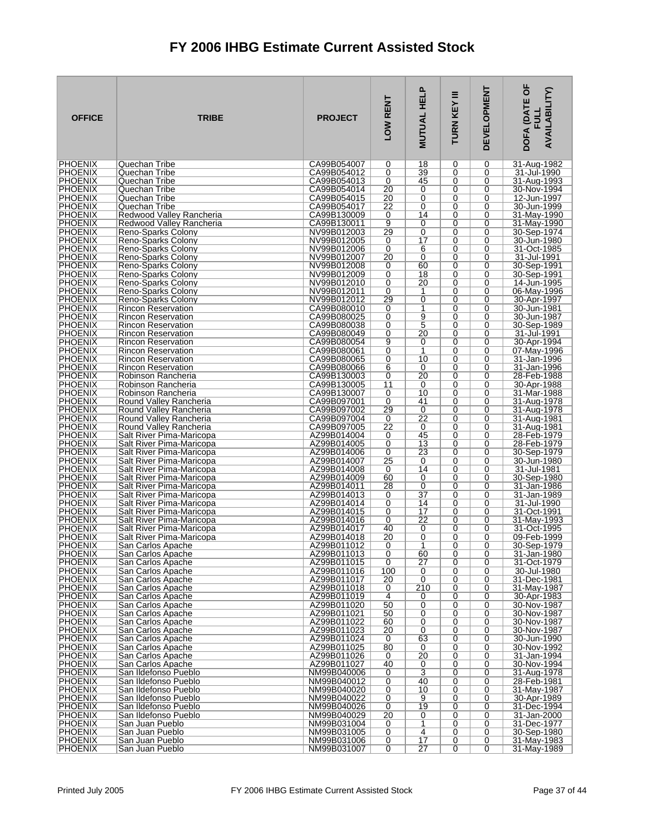| <b>OFFICE</b>                    | <b>TRIBE</b>                                           | <b>PROJECT</b>             | LOW RENT             | <b>MUTUAL HELP</b>   | Ξ<br>TURN KEY    | <b>DEVELOPMENT</b> | DOFA (DATE OF<br>AVAILABILITY)<br><b>FULL</b> |
|----------------------------------|--------------------------------------------------------|----------------------------|----------------------|----------------------|------------------|--------------------|-----------------------------------------------|
| <b>PHOENIX</b>                   | Quechan Tribe                                          | CA99B054007                | 0                    | 18                   | 0                | 0                  | 31-Aug-1982                                   |
| <b>PHOENIX</b>                   | Quechan Tribe                                          | CA99B054012                | 0                    | 39                   | 0                | 0                  | 31-Jul-1990                                   |
| <b>PHOENIX</b><br><b>PHOENIX</b> | Quechan Tribe<br>Quechan Tribe                         | CA99B054013<br>CA99B054014 | 0<br>20              | 45<br>0              | 0<br>0           | 0<br>0             | 31-Aug-1993<br>30-Nov-1994                    |
| <b>PHOENIX</b>                   | Quechan Tribe                                          | CA99B054015                | $\overline{20}$      | $\overline{0}$       | 0                | 0                  | 12-Jun-1997                                   |
| <b>PHOENIX</b>                   | Quechan Tribe                                          | CA99B054017                | 22                   | 0                    | 0                | 0                  | 30-Jun-1999                                   |
| <b>PHOENIX</b>                   | Redwood Valley Rancheria                               | CA99B130009                | 0                    | 14                   | 0                | 0                  | 31-May-1990                                   |
| <b>PHOENIX</b>                   | Redwood Valley Rancheria                               | CA99B130011                | $\overline{9}$       | 0                    | 0                | 0                  | 31-May-1990                                   |
| <b>PHOENIX</b>                   | Reno-Sparks Colony                                     | NV99B012003                | 29                   | 0<br>17              | 0                | 0                  | 30-Sep-1974                                   |
| <b>PHOENIX</b><br><b>PHOENIX</b> | Reno-Sparks Colony<br>Reno-Sparks Colony               | NV99B012005<br>NV99B012006 | 0<br>0               | 6                    | 0<br>0           | 0<br>0             | 30-Jun-1980<br>31-Oct-1985                    |
| <b>PHOENIX</b>                   | Reno-Sparks Colony                                     | NV99B012007                | 20                   | 0                    | 0                | 0                  | 31-Jul-1991                                   |
| <b>PHOENIX</b>                   | Reno-Sparks Colony                                     | NV99B012008                | 0                    | 60                   | $\mathbf 0$      | 0                  | 30-Sep-1991                                   |
| <b>PHOENIX</b>                   | Reno-Sparks Colony                                     | NV99B012009                | 0                    | 18                   | 0                | 0                  | 30-Sep-1991                                   |
| <b>PHOENIX</b>                   | Reno-Sparks Colony                                     | NV99B012010                | 0                    | 20                   | 0                | 0                  | 14-Jun-1995                                   |
| <b>PHOENIX</b><br><b>PHOENIX</b> | Reno-Sparks Colony                                     | NV99B012011<br>NV99B012012 | 0<br>29              | 1<br>$\overline{0}$  | 0<br>0           | 0<br>0             | 06-May-1996                                   |
| <b>PHOENIX</b>                   | Reno-Sparks Colony<br><b>Rincon Reservation</b>        | CA99B080010                | 0                    | 1                    | 0                | 0                  | 30-Apr-1997<br>30-Jun-1981                    |
| <b>PHOENIX</b>                   | <b>Rincon Reservation</b>                              | CA99B080025                | 0                    | 9                    | $\Omega$         | 0                  | 30-Jun-1987                                   |
| <b>PHOENIX</b>                   | <b>Rincon Reservation</b>                              | CA99B080038                | 0                    | $\overline{5}$       | 0                | 0                  | 30-Sep-1989                                   |
| <b>PHOENIX</b>                   | <b>Rincon Reservation</b>                              | CA99B080049                | 0                    | 20                   | 0                | 0                  | 31-Jul-1991                                   |
| <b>PHOENIX</b>                   | <b>Rincon Reservation</b>                              | CA99B080054                | 9                    | 0                    | $\Omega$         | 0                  | 30-Apr-1994                                   |
| <b>PHOENIX</b><br><b>PHOENIX</b> | <b>Rincon Reservation</b><br><b>Rincon Reservation</b> | CA99B080061<br>CA99B080065 | 0<br>0               | 1<br>10              | 0<br>0           | 0<br>0             | 07-May-1996<br>31-Jan-1996                    |
| <b>PHOENIX</b>                   | <b>Rincon Reservation</b>                              | CA99B080066                | 6                    | 0                    | $\mathbf 0$      | 0                  | 31-Jan-1996                                   |
| <b>PHOENIX</b>                   | Robinson Rancheria                                     | CA99B130003                | 0                    | 20                   | 0                | 0                  | 28-Feb-1988                                   |
| <b>PHOENIX</b>                   | Robinson Rancheria                                     | CA99B130005                | 11                   | 0                    | 0                | 0                  | 30-Apr-1988                                   |
| <b>PHOENIX</b>                   | Robinson Rancheria                                     | CA99B130007                | 0                    | 10                   | 0                | $\mathbf 0$        | 31-Mar-1988                                   |
| <b>PHOENIX</b><br><b>PHOENIX</b> | Round Valley Rancheria<br>Round Valley Rancheria       | CA99B097001<br>CA99B097002 | 0<br>29              | 41<br>0              | 0<br>0           | 0<br>0             | 31-Aug-1978<br>31-Aug-1978                    |
| <b>PHOENIX</b>                   | Round Valley Rancheria                                 | CA99B097004                | 0                    | $\overline{22}$      | $\mathbf 0$      | 0                  | 31-Aug-1981                                   |
| <b>PHOENIX</b>                   | Round Valley Rancheria                                 | CA99B097005                | 22                   | 0                    | 0                | 0                  | 31-Aug-1981                                   |
| <b>PHOENIX</b>                   | Salt River Pima-Maricopa                               | AZ99B014004                | 0                    | 45                   | 0                | 0                  | 28-Feb-1979                                   |
| <b>PHOENIX</b>                   | Salt River Pima-Maricopa                               | AZ99B014005                | 0                    | $\overline{13}$      | $\mathbf 0$      | 0                  | 28-Feb-1979                                   |
| <b>PHOENIX</b><br><b>PHOENIX</b> | Salt River Pima-Maricopa<br>Salt River Pima-Maricopa   | AZ99B014006<br>AZ99B014007 | 0<br>25              | 23<br>0              | 0<br>0           | 0<br>0             | 30-Sep-1979<br>30-Jun-1980                    |
| <b>PHOENIX</b>                   | Salt River Pima-Maricopa                               | AZ99B014008                | 0                    | 14                   | 0                | 0                  | 31-Jul-1981                                   |
| <b>PHOENIX</b>                   | Salt River Pima-Maricopa                               | AZ99B014009                | 60                   | 0                    | 0                | 0                  | 30-Sep-1980                                   |
| <b>PHOENIX</b>                   | Salt River Pima-Maricopa                               | AZ99B014011                | 28                   | 0                    | 0                | 0                  | 31-Jan-1986                                   |
| <b>PHOENIX</b>                   | Salt River Pima-Maricopa                               | AZ99B014013                | 0                    | $\overline{37}$      | 0                | 0                  | 31-Jan-1989                                   |
| <b>PHOENIX</b><br><b>PHOENIX</b> | Salt River Pima-Maricopa<br>Salt River Pima-Maricopa   | AZ99B014014<br>AZ99B014015 | 0<br>0               | 14<br>17             | 0<br>0           | 0<br>0             | 31-Jul-1990<br>31-Oct-1991                    |
| <b>PHOENIX</b>                   | Salt River Pima-Maricopa                               | AZ99B014016                | 0                    | 22                   | 0                | 0                  | 31-May-1993                                   |
| <b>PHOENIX</b>                   | Salt River Pima-Maricopa                               | AZ99B014017                | 40                   | 0                    | 0                | 0                  | 31-Oct-1995                                   |
| <b>PHOENIX</b>                   | Salt River Pima-Maricopa                               | AZ99B014018                | 20                   | 0                    | 0                | 0                  | 09-Feb-1999                                   |
| <b>PHOENIX</b><br><b>PHOENIX</b> | San Carlos Apache<br>San Carlos Apache                 | AZ99B011012<br>AZ99B011013 | $\Omega$<br>0        | 1<br>60              | 0<br>0           | $\Omega$<br>0      | 30-Sep-1979<br>31-Jan-1980                    |
| <b>PHOENIX</b>                   | San Carlos Apache                                      | AZ99B011015                | 0                    | 27                   | 0                | 0                  | 31-Oct-1979                                   |
| <b>PHOENIX</b>                   | San Carlos Apache                                      | AZ99B011016                | 100                  | 0                    | 0                | 0                  | 30-Jul-1980                                   |
| <b>PHOENIX</b>                   | San Carlos Apache                                      | AZ99B011017                | 20                   | 0                    | 0                | 0                  | 31-Dec-1981                                   |
| <b>PHOENIX</b>                   | San Carlos Apache                                      | AZ99B011018                | 0                    | 210                  | 0                | 0                  | 31-May-1987                                   |
| <b>PHOENIX</b><br><b>PHOENIX</b> | San Carlos Apache<br>San Carlos Apache                 | AZ99B011019<br>AZ99B011020 | $\overline{4}$<br>50 | 0<br>0               | 0<br>0           | 0<br>0             | 30-Apr-1983<br>30-Nov-1987                    |
| <b>PHOENIX</b>                   | San Carlos Apache                                      | AZ99B011021                | 50                   | 0                    | 0                | 0                  | 30-Nov-1987                                   |
| <b>PHOENIX</b>                   | San Carlos Apache                                      | AZ99B011022                | 60                   | 0                    | 0                | 0                  | 30-Nov-1987                                   |
| <b>PHOENIX</b>                   | San Carlos Apache                                      | AZ99B011023                | $\overline{20}$      | 0                    | 0                | 0                  | 30-Nov-1987                                   |
| <b>PHOENIX</b>                   | San Carlos Apache                                      | AZ99B011024                | 0                    | 63                   | 0                | 0                  | 30-Jun-1990                                   |
| <b>PHOENIX</b><br><b>PHOENIX</b> | San Carlos Apache<br>San Carlos Apache                 | AZ99B011025<br>AZ99B011026 | 80<br>0              | 0<br>20              | 0<br>0           | 0<br>0             | 30-Nov-1992<br>31-Jan-1994                    |
| <b>PHOENIX</b>                   | San Carlos Apache                                      | AZ99B011027                | 40                   | 0                    | 0                | 0                  | 30-Nov-1994                                   |
| <b>PHOENIX</b>                   | San Ildefonso Pueblo                                   | NM99B040006                | 0                    | 3                    | 0                | 0                  | 31-Aug-1978                                   |
| <b>PHOENIX</b>                   | San Ildefonso Pueblo                                   | NM99B040012                | 0                    | 40                   | 0                | 0                  | 28-Feb-1981                                   |
| <b>PHOENIX</b><br><b>PHOENIX</b> | San Ildefonso Pueblo<br>San Ildefonso Pueblo           | NM99B040020<br>NM99B040022 | 0<br>0               | 10<br>9              | $\mathbf 0$<br>0 | 0<br>0             | 31-May-1987<br>30-Apr-1989                    |
| <b>PHOENIX</b>                   | San Ildefonso Pueblo                                   | NM99B040026                | 0                    | $\overline{19}$      | 0                | 0                  | 31-Dec-1994                                   |
| <b>PHOENIX</b>                   | San Ildefonso Pueblo                                   | NM99B040029                | 20                   | 0                    | 0                | 0                  | 31-Jan-2000                                   |
| <b>PHOENIX</b>                   | San Juan Pueblo                                        | NM99B031004                | 0                    | 1                    | 0                | 0                  | 31-Dec-1977                                   |
| <b>PHOENIX</b><br><b>PHOENIX</b> | San Juan Pueblo<br>San Juan Pueblo                     | NM99B031005<br>NM99B031006 | 0<br>0               | $\overline{4}$<br>17 | 0<br>0           | 0<br>0             | 30-Sep-1980<br>31-May-1983                    |
| <b>PHOENIX</b>                   | San Juan Pueblo                                        | NM99B031007                | 0                    | 27                   | 0                | $\overline{0}$     | 31-May-1989                                   |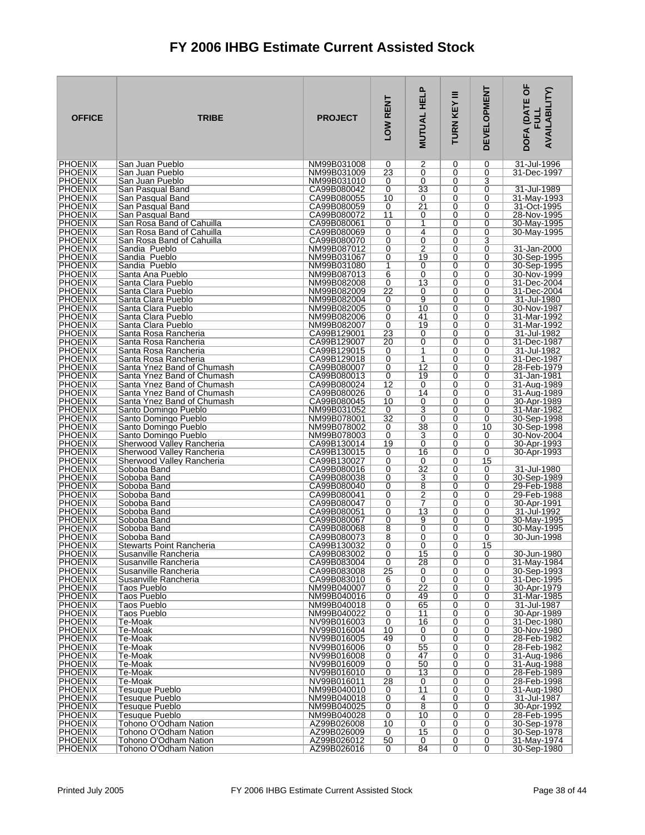| <b>OFFICE</b>                    | <b>TRIBE</b>                                             | <b>PROJECT</b>             | LOW RENT       | Ը<br><b>MUTUAL HEL</b> | Ξ<br>TURN KEY  | <b>DEVELOPMENT</b> | DOFA (DATE OF<br><b>AVAILABILITY)</b> |
|----------------------------------|----------------------------------------------------------|----------------------------|----------------|------------------------|----------------|--------------------|---------------------------------------|
| <b>PHOENIX</b>                   | San Juan Pueblo                                          | NM99B031008                | 0              | 2                      | 0              | 0                  | 31-Jul-1996                           |
| <b>PHOENIX</b><br><b>PHOENIX</b> | San Juan Pueblo<br>San Juan Pueblo                       | NM99B031009<br>NM99B031010 | 23<br>0        | 0<br>0                 | 0<br>0         | 0<br>3             | 31-Dec-1997                           |
| <b>PHOENIX</b>                   | San Pasqual Band                                         | CA99B080042                | 0              | 33                     | 0              | 0                  | 31-Jul-1989                           |
| <b>PHOENIX</b>                   | San Pasqual Band                                         | CA99B080055                | 10             | 0                      | 0              | 0                  | 31-May-1993                           |
| <b>PHOENIX</b><br><b>PHOENIX</b> | San Pasqual Band<br>San Pasqual Band                     | CA99B080059<br>CA99B080072 | 0<br>11        | $\overline{21}$<br>0   | 0<br>0         | 0<br>0             | 31-Oct-1995<br>28-Nov-1995            |
| <b>PHOENIX</b>                   | San Rosa Band of Cahuilla                                | CA99B080061                | 0              | $\mathbf{1}$           | 0              | 0                  | 30-May-1995                           |
| <b>PHOENIX</b>                   | San Rosa Band of Cahuilla                                | CA99B080069                | 0              | 4                      | 0              | 0                  | 30-May-1995                           |
| <b>PHOENIX</b><br><b>PHOENIX</b> | San Rosa Band of Cahuilla<br>Sandia Pueblo               | CA99B080070<br>NM99B087012 | 0<br>0         | 0<br>$\overline{2}$    | 0<br>0         | 3<br>0             | 31-Jan-2000                           |
| <b>PHOENIX</b>                   | Sandia Pueblo                                            | NM99B031067                | 0              | 19                     | 0              | 0                  | 30-Sep-1995                           |
| <b>PHOENIX</b>                   | Sandia Pueblo                                            | NM99B031080                | 1              | 0                      | 0              | 0                  | 30-Sep-1995                           |
| <b>PHOENIX</b><br><b>PHOENIX</b> | Santa Ana Pueblo                                         | NM99B087013<br>NM99B082008 | 6              | 0<br>$\overline{13}$   | 0<br>0         | 0<br>0             | 30-Nov-1999<br>31-Dec-2004            |
| <b>PHOENIX</b>                   | Santa Clara Pueblo<br>Santa Clara Pueblo                 | NM99B082009                | 0<br>22        | 0                      | 0              | 0                  | 31-Dec-2004                           |
| <b>PHOENIX</b>                   | Santa Clara Pueblo                                       | NM99B082004                | 0              | $\overline{9}$         | 0              | 0                  | 31-Jul-1980                           |
| <b>PHOENIX</b>                   | Santa Clara Pueblo                                       | NM99B082005                | 0              | 10                     | 0              | 0                  | 30-Nov-1987                           |
| <b>PHOENIX</b><br><b>PHOENIX</b> | Santa Clara Pueblo<br>Santa Clara Pueblo                 | NM99B082006<br>NM99B082007 | 0<br>0         | 41<br>19               | 0<br>0         | 0<br>0             | 31-Mar-1992<br>31-Mar-1992            |
| <b>PHOENIX</b>                   | Santa Rosa Rancheria                                     | CA99B129001                | 23             | 0                      | 0              | 0                  | 31-Jul-1982                           |
| <b>PHOENIX</b>                   | Santa Rosa Rancheria                                     | CA99B129007                | 20             | 0                      | 0              | 0                  | 31-Dec-1987                           |
| <b>PHOENIX</b><br><b>PHOENIX</b> | Santa Rosa Rancheria<br>Santa Rosa Rancheria             | CA99B129015<br>CA99B129018 | 0<br>0         | 1<br>1                 | 0<br>0         | 0<br>0             | 31-Jul-1982<br>31-Dec-1987            |
| <b>PHOENIX</b>                   | Santa Ynez Band of Chumash                               | CA99B080007                | 0              | $\overline{12}$        | 0              | 0                  | 28-Feb-1979                           |
| <b>PHOENIX</b>                   | Santa Ynez Band of Chumash                               | CA99B080013                | 0              | 19                     | 0              | 0                  | 31-Jan-1981                           |
| <b>PHOENIX</b><br><b>PHOENIX</b> | Santa Ynez Band of Chumash                               | CA99B080024                | 12             | 0<br>14                | 0              | 0                  | 31-Aug-1989                           |
| <b>PHOENIX</b>                   | Santa Ynez Band of Chumash<br>Santa Ynez Band of Chumash | CA99B080026<br>CA99B080045 | 0<br>10        | 0                      | 0<br>0         | 0<br>0             | 31-Aug-1989<br>30-Apr-1989            |
| <b>PHOENIX</b>                   | Santo Domingo Pueblo                                     | NM99B031052                | 0              | 3                      | 0              | 0                  | 31-Mar-1982                           |
| PHOENIX                          | Santo Domingo Pueblo                                     | NM99B078001                | 32             | 0                      | 0              | 0                  | 30-Sep-1998                           |
| <b>PHOENIX</b><br><b>PHOENIX</b> | Santo Domingo Pueblo<br>Santo Domingo Pueblo             | NM99B078002<br>NM99B078003 | 0<br>0         | 38<br>3                | 0<br>0         | 10<br>0            | 30-Sep-1998<br>30-Nov-2004            |
| <b>PHOENIX</b>                   | Sherwood Valley Rancheria                                | CA99B130014                | 19             | $\overline{0}$         | 0              | 0                  | 30-Apr-1993                           |
| <b>PHOENIX</b>                   | Sherwood Valley Rancheria                                | CA99B130015                | 0              | 16                     | 0              | 0                  | 30-Apr-1993                           |
| <b>PHOENIX</b><br><b>PHOENIX</b> | Sherwood Valley Rancheria<br>Soboba Band                 | CA99B130027<br>CA99B080016 | 0<br>0         | 0<br>$\overline{32}$   | 0<br>0         | 15<br>0            | 31-Jul-1980                           |
| <b>PHOENIX</b>                   | Soboba Band                                              | CA99B080038                | 0              | 3                      | 0              | 0                  | 30-Sep-1989                           |
| <b>PHOENIX</b>                   | Soboba Band                                              | CA99B080040                | 0              | $\overline{8}$         | 0              | 0                  | 29-Feb-1988                           |
| <b>PHOENIX</b><br><b>PHOENIX</b> | Soboba Band<br>Soboba Band                               | CA99B080041<br>CA99B080047 | 0<br>0         | $\overline{2}$<br>7    | 0<br>0         | 0<br>0             | 29-Feb-1988<br>30-Apr-1991            |
| <b>PHOENIX</b>                   | Soboba Band                                              | CA99B080051                | 0              | 13                     | 0              | 0                  | 31-Jul-1992                           |
| <b>PHOENIX</b>                   | Soboba Band                                              | CA99B080067                | 0              | 9                      | 0              | 0                  | 30-May-1995                           |
| <b>PHOENIX</b><br><b>PHOENIX</b> | Soboba Band<br>Soboba Band                               | CA99B080068<br>CA99B080073 | 8<br>8         | 0<br>0                 | 0<br>0         | 0<br>0             | 30-May-1995<br>30-Jun-1998            |
| <b>PHOFNIX</b>                   | <b>Stewarts Point Rancheria</b>                          | CA99B130032                | 0              | 0                      | 0              | 15                 |                                       |
| <b>PHOENIX</b>                   | Susanville Rancheria                                     | CA99B083002                | $\overline{0}$ | 15                     | $\overline{0}$ | 0                  | 30-Jun-1980                           |
| <b>PHOENIX</b><br><b>PHOENIX</b> | Susanville Rancheria<br>Susanville Rancheria             | CA99B083004<br>CA99B083008 | 0<br>25        | 28<br>0                | 0<br>0         | 0<br>0             | 31-May-1984<br>30-Sep-1993            |
| <b>PHOENIX</b>                   | Susanville Rancheria                                     | CA99B083010                | 6              | 0                      | 0              | 0                  | 31-Dec-1995                           |
| <b>PHOENIX</b>                   | <b>Taos Pueblo</b>                                       | NM99B040007                | 0              | 22                     | 0              | 0                  | 30-Apr-1979                           |
| <b>PHOENIX</b><br><b>PHOENIX</b> | <b>Taos Pueblo</b><br>Taos Pueblo                        | NM99B040016<br>NM99B040018 | 0<br>0         | 49<br>65               | 0<br>0         | 0<br>0             | 31-Mar-1985<br>31-Jul-1987            |
| <b>PHOENIX</b>                   | <b>Taos Pueblo</b>                                       | NM99B040022                | 0              | 11                     | 0              | 0                  | 30-Apr-1989                           |
| <b>PHOENIX</b>                   | Te-Moak                                                  | NV99B016003                | 0              | 16                     | 0              | 0                  | 31-Dec-1980                           |
| <b>PHOENIX</b><br><b>PHOENIX</b> | Te-Moak<br>Te-Moak                                       | NV99B016004<br>NV99B016005 | 10<br>49       | 0<br>0                 | 0<br>0         | 0<br>0             | 30-Nov-1980<br>28-Feb-1982            |
| <b>PHOENIX</b>                   | Te-Moak                                                  | NV99B016006                | 0              | 55                     | 0              | 0                  | 28-Feb-1982                           |
| <b>PHOENIX</b>                   | Te-Moak                                                  | NV99B016008                | 0              | 47                     | 0              | 0                  | 31-Aug-1986                           |
| <b>PHOENIX</b><br><b>PHOENIX</b> | Te-Moak<br>Te-Moak                                       | NV99B016009<br>NV99B016010 | 0<br>0         | 50<br>13               | 0<br>0         | 0<br>0             | 31-Aug-1988<br>28-Feb-1989            |
| <b>PHOENIX</b>                   | Te-Moak                                                  | NV99B016011                | 28             | 0                      | 0              | 0                  | 28-Feb-1998                           |
| <b>PHOENIX</b>                   | <b>Tesuque Pueblo</b>                                    | NM99B040010                | 0              | 11                     | 0              | 0                  | 31-Aug-1980                           |
| <b>PHOENIX</b><br><b>PHOENIX</b> | Tesuque Pueblo<br><b>Tesuque Pueblo</b>                  | NM99B040018<br>NM99B040025 | 0<br>0         | 4<br>8                 | 0<br>0         | 0<br>0             | 31-Jul-1987<br>30-Apr-1992            |
| <b>PHOENIX</b>                   | <b>Tesuque Pueblo</b>                                    | NM99B040028                | 0              | 10                     | 0              | 0                  | 28-Feb-1995                           |
| <b>PHOENIX</b>                   | Tohono O'Odham Nation                                    | AZ99B026008                | 10             | 0                      | 0              | 0                  | 30-Sep-1978                           |
| <b>PHOENIX</b><br><b>PHOENIX</b> | Tohono O'Odham Nation<br>Tohono O'Odham Nation           | AZ99B026009<br>AZ99B026012 | 0<br>50        | 15<br>0                | 0<br>0         | 0<br>0             | 30-Sep-1978<br>31-May-1974            |
| PHOENIX                          | Tohono O'Odham Nation                                    | AZ99B026016                | 0              | 84                     | 0              | 0                  | 30-Sep-1980                           |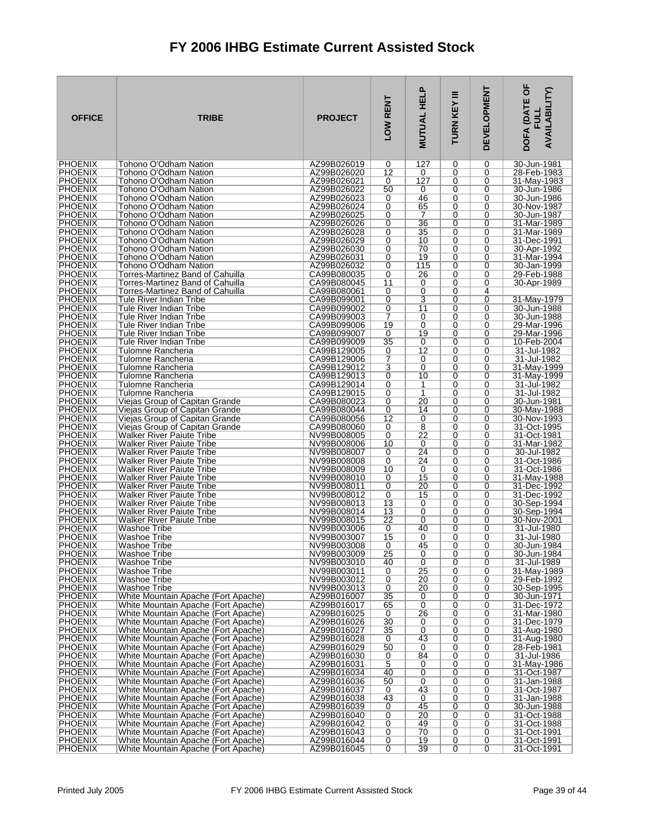| <b>OFFICE</b>                    | <b>TRIBE</b>                                                               | <b>PROJECT</b>             | LOW RENT       | <b>MUTUAL HELP</b>                | Ξ<br>TURN KEY | <b>DEVELOPMENT</b> | DOFA (DATE OF<br><b>AVAILABILITY)</b><br>ヨラ |
|----------------------------------|----------------------------------------------------------------------------|----------------------------|----------------|-----------------------------------|---------------|--------------------|---------------------------------------------|
| <b>PHOENIX</b>                   | Tohono O'Odham Nation                                                      | AZ99B026019                | 0              | 127                               | 0             | 0                  | 30-Jun-1981                                 |
| <b>PHOENIX</b>                   | Tohono O'Odham Nation                                                      | AZ99B026020                | 12             | 0                                 | 0             | 0                  | 28-Feb-1983                                 |
| <b>PHOENIX</b><br><b>PHOENIX</b> | Tohono O'Odham Nation                                                      | AZ99B026021                | 0              | 127<br>0                          | 0<br>0        | 0<br>0             | 31-May-1983                                 |
| <b>PHOENIX</b>                   | Tohono O'Odham Nation<br>Tohono O'Odham Nation                             | AZ99B026022<br>AZ99B026023 | 50<br>0        | 46                                | 0             | 0                  | 30-Jun-1986<br>30-Jun-1986                  |
| <b>PHOENIX</b>                   | <b>Tohono O'Odham Nation</b>                                               | AZ99B026024                | 0              | 65                                | 0             | 0                  | 30-Nov-1987                                 |
| <b>PHOENIX</b>                   | Tohono O'Odham Nation                                                      | AZ99B026025                | 0              | 7                                 | 0             | 0                  | 30-Jun-1987                                 |
| <b>PHOENIX</b>                   | Tohono O'Odham Nation                                                      | AZ99B026026                | 0              | $\overline{36}$                   | 0             | 0                  | 31-Mar-1989                                 |
| <b>PHOENIX</b>                   | Tohono O'Odham Nation                                                      | AZ99B026028                | 0              | 35                                | 0             | 0                  | 31-Mar-1989                                 |
| <b>PHOENIX</b>                   | Tohono O'Odham Nation                                                      | AZ99B026029                | 0              | 10                                | 0             | 0                  | 31-Dec-1991                                 |
| <b>PHOENIX</b><br><b>PHOENIX</b> | Tohono O'Odham Nation<br>Tohono O'Odham Nation                             | AZ99B026030<br>AZ99B026031 | 0              | 70<br>19                          | 0<br>0        | 0<br>0             | 30-Apr-1992<br>31-Mar-1994                  |
| <b>PHOENIX</b>                   | Tohono O'Odham Nation                                                      | AZ99B026032                | 0<br>0         | 115                               | 0             | 0                  | 30-Jan-1999                                 |
| <b>PHOENIX</b>                   | Torres-Martinez Band of Cahuilla                                           | CA99B080035                | 0              | 26                                | 0             | 0                  | 29-Feb-1988                                 |
| <b>PHOENIX</b>                   | Torres-Martinez Band of Cahuilla                                           | CA99B080045                | 11             | 0                                 | 0             | 0                  | 30-Apr-1989                                 |
| <b>PHOENIX</b>                   | Torres-Martinez Band of Cahuilla                                           | CA99B080061                | 0              | 0                                 | 0             | 4                  |                                             |
| <b>PHOENIX</b>                   | Tule River Indian Tribe                                                    | CA99B099001                | 0              | 3                                 | 0             | 0                  | 31-May-1979                                 |
| <b>PHOENIX</b>                   | Tule River Indian Tribe                                                    | CA99B099002                | 0              | 11                                | 0             | 0                  | 30-Jun-1988                                 |
| <b>PHOENIX</b><br><b>PHOENIX</b> | <b>Tule River Indian Tribe</b><br>Tule River Indian Tribe                  | CA99B099003<br>CA99B099006 | 7<br>19        | 0<br>0                            | 0<br>0        | 0<br>0             | 30-Jun-1988<br>29-Mar-1996                  |
| <b>PHOENIX</b>                   | Tule River Indian Tribe                                                    | CA99B099007                | 0              | 19                                | 0             | 0                  | 29-Mar-1996                                 |
| <b>PHOENIX</b>                   | Tule River Indian Tribe                                                    | CA99B099009                | 35             | 0                                 | 0             | 0                  | 10-Feb-2004                                 |
| <b>PHOENIX</b>                   | Tulomne Rancheria                                                          | CA99B129005                | 0              | 12                                | 0             | 0                  | 31-Jul-1982                                 |
| <b>PHOENIX</b>                   | Tulomne Rancheria                                                          | CA99B129006                | 7              | 0                                 | 0             | 0                  | 31-Jul-1982                                 |
| <b>PHOENIX</b>                   | Tulomne Rancheria                                                          | CA99B129012                | 3              | 0                                 | 0             | 0                  | 31-May-1999                                 |
| <b>PHOENIX</b><br><b>PHOENIX</b> | Tulomne Rancheria<br>Tulomne Rancheria                                     | CA99B129013<br>CA99B129014 | 0<br>0         | 10<br>1                           | 0<br>0        | 0<br>0             | 31-May-1999<br>31-Jul-1982                  |
| <b>PHOENIX</b>                   | Tulomne Rancheria                                                          | CA99B129015                | 0              | 1                                 | 0             | 0                  | 31-Jul-1982                                 |
| <b>PHOENIX</b>                   | Viejas Group of Capitan Grande                                             | CA99B080023                | 0              | 20                                | 0             | 0                  | 30-Jun-1981                                 |
| <b>PHOENIX</b>                   | Viejas Group of Capitan Grande                                             | CA99B080044                | 0              | 14                                | 0             | 0                  | 30-May-1988                                 |
| <b>PHOENIX</b>                   | Viejas Group of Capitan Grande                                             | CA99B080056                | 12             | 0                                 | 0             | 0                  | 30-Nov-1993                                 |
| <b>PHOENIX</b>                   | Viejas Group of Capitan Grande                                             | CA99B080060                | 0              | $\overline{8}$<br>$\overline{22}$ | 0<br>0        | 0<br>0             | 31-Oct-1995                                 |
| <b>PHOENIX</b><br><b>PHOENIX</b> | Walker River Paiute Tribe<br><b>Walker River Paiute Tribe</b>              | NV99B008005<br>NV99B008006 | 0<br>10        | 0                                 | 0             | 0                  | 31-Oct-1981<br>31-Mar-1982                  |
| <b>PHOENIX</b>                   | Walker River Paiute Tribe                                                  | NV99B008007                | 0              | $\overline{24}$                   | 0             | 0                  | 30-Jul-1982                                 |
| <b>PHOENIX</b>                   | Walker River Paiute Tribe                                                  | NV99B008008                | 0              | 24                                | 0             | 0                  | 31-Oct-1986                                 |
| <b>PHOENIX</b>                   | Walker River Paiute Tribe                                                  | NV99B008009                | 10             | 0                                 | 0             | 0                  | 31-Oct-1986                                 |
| <b>PHOENIX</b><br><b>PHOENIX</b> | Walker River Paiute Tribe<br>Walker River Paiute Tribe                     | NV99B008010<br>NV99B008011 | 0<br>0         | 15<br>20                          | 0<br>0        | 0<br>0             | 31-May-1988                                 |
| <b>PHOENIX</b>                   | <b>Walker River Paiute Tribe</b>                                           | NV99B008012                | 0              | 15                                | 0             | $\overline{0}$     | 31-Dec-1992<br>31-Dec-1992                  |
| <b>PHOENIX</b>                   | Walker River Paiute Tribe                                                  | NV99B008013                | 13             | 0                                 | 0             | 0                  | 30-Sep-1994                                 |
| <b>PHOENIX</b>                   | <b>Walker River Paiute Tribe</b>                                           | NV99B008014                | 13             | 0                                 | 0             | 0                  | 30-Sep-1994                                 |
| <b>PHOENIX</b>                   | <b>Walker River Paiute Tribe</b>                                           | NV99B008015                | 22             | 0                                 | 0             | 0                  | 30-Nov-2001                                 |
| <b>PHOENIX</b><br><b>PHOENIX</b> | Washoe Tribe<br>Washoe Tribe                                               | NV99B003006<br>NV99B003007 | 0<br>15        | 40<br>0                           | 0<br>0        | 0<br>0             | 31-Jul-1980<br>31-Jul-1980                  |
| <b>PHOENIX</b>                   | Washoe Tribe                                                               | NV99B003008                | 0              | 45                                | 0             | 0                  | 30-Jun-1984                                 |
| <b>PHOENIX</b>                   | Washoe Tribe                                                               | NV99B003009                | 25             | 0                                 | 0             | 0                  | 30-Jun-1984                                 |
| <b>PHOENIX</b>                   | Washoe Tribe                                                               | NV99B003010                | 40             | 0                                 | 0             | 0                  | 31-Jul-1989                                 |
| <b>PHOENIX</b>                   | Washoe Tribe                                                               | NV99B003011                | 0              | $\overline{25}$                   | 0             | 0                  | 31-May-1989                                 |
| <b>PHOENIX</b><br><b>PHOENIX</b> | Washoe Tribe<br>Washoe Tribe                                               | NV99B003012<br>NV99B003013 | 0<br>0         | 20<br>20                          | 0<br>0        | 0<br>0             | 29-Feb-1992<br>30-Sep-1995                  |
| <b>PHOENIX</b>                   | White Mountain Apache (Fort Apache)                                        | AZ99B016007                | 35             | 0                                 | 0             | 0                  | 30-Jun-1971                                 |
| <b>PHOENIX</b>                   | White Mountain Apache (Fort Apache)                                        | AZ99B016017                | 65             | 0                                 | 0             | 0                  | 31-Dec-1972                                 |
| <b>PHOENIX</b>                   | White Mountain Apache (Fort Apache)                                        | AZ99B016025                | 0              | 26                                | 0             | 0                  | 31-Mar-1980                                 |
| <b>PHOENIX</b>                   | White Mountain Apache (Fort Apache)                                        | AZ99B016026                | 30             | 0                                 | 0             | 0                  | 31-Dec-1979                                 |
| <b>PHOENIX</b><br><b>PHOENIX</b> | White Mountain Apache (Fort Apache)<br>White Mountain Apache (Fort Apache) | AZ99B016027<br>AZ99B016028 | 35<br>0        | 0<br>43                           | 0<br>0        | 0<br>0             | 31-Aug-1980<br>31-Aug-1980                  |
| <b>PHOENIX</b>                   | White Mountain Apache (Fort Apache)                                        | AZ99B016029                | 50             | 0                                 | 0             | 0                  | 28-Feb-1981                                 |
| <b>PHOENIX</b>                   | White Mountain Apache (Fort Apache)                                        | AZ99B016030                | 0              | 84                                | 0             | 0                  | 31-Jul-1986                                 |
| <b>PHOENIX</b>                   | White Mountain Apache (Fort Apache)                                        | AZ99B016031                | 5              | 0                                 | 0             | 0                  | 31-May-1986                                 |
| <b>PHOENIX</b>                   | White Mountain Apache (Fort Apache)                                        | AZ99B016034                | 40             | 0                                 | 0             | 0                  | 31-Oct-1987                                 |
| <b>PHOENIX</b><br><b>PHOENIX</b> | White Mountain Apache (Fort Apache)<br>White Mountain Apache (Fort Apache) | AZ99B016036<br>AZ99B016037 | 50<br>0        | 0<br>43                           | 0<br>0        | 0<br>0             | 31-Jan-1988<br>31-Oct-1987                  |
| <b>PHOENIX</b>                   | White Mountain Apache (Fort Apache)                                        | AZ99B016038                | 43             | 0                                 | 0             | 0                  | 31-Jan-1988                                 |
| <b>PHOENIX</b>                   | White Mountain Apache (Fort Apache)                                        | AZ99B016039                | 0              | 45                                | 0             | 0                  | 30-Jun-1988                                 |
| <b>PHOENIX</b>                   | White Mountain Apache (Fort Apache)                                        | AZ99B016040                | 0              | 20                                | 0             | 0                  | 31-Oct-1988                                 |
| <b>PHOENIX</b>                   | White Mountain Apache (Fort Apache)                                        | AZ99B016042                | 0              | 49                                | 0             | 0                  | 31-Oct-1988                                 |
| <b>PHOENIX</b><br><b>PHOENIX</b> | White Mountain Apache (Fort Apache)<br>White Mountain Apache (Fort Apache) | AZ99B016043<br>AZ99B016044 | 0<br>0         | 70<br>19                          | 0<br>0        | 0<br>0             | 31-Oct-1991<br>31-Oct-1991                  |
| <b>PHOENIX</b>                   | White Mountain Apache (Fort Apache)                                        | AZ99B016045                | $\overline{0}$ | 39                                | 0             | 0                  | 31-Oct-1991                                 |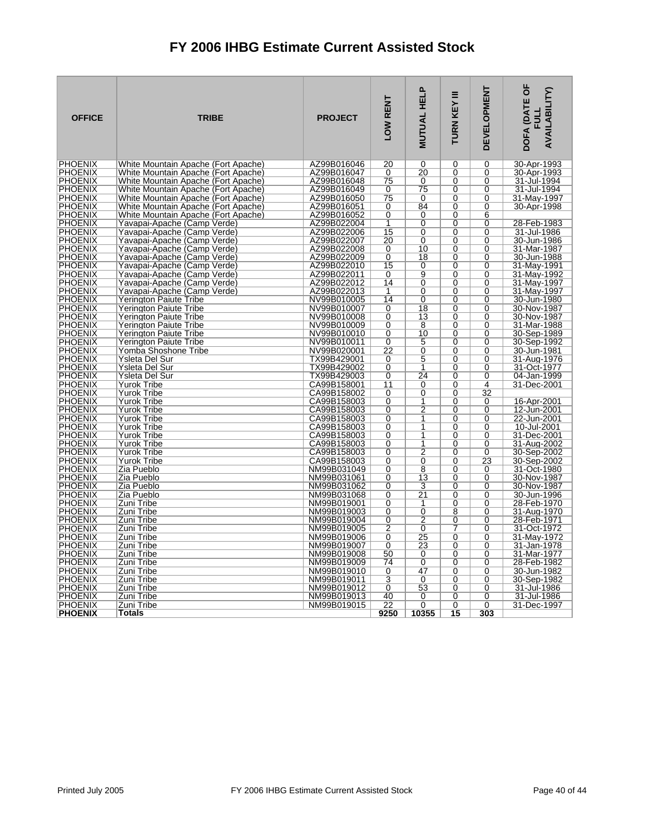| <b>PHOENIX</b><br>White Mountain Apache (Fort Apache)<br>AZ99B016046<br>0<br>30-Apr-1993<br><b>PHOENIX</b><br>AZ99B016047<br>20<br>30-Apr-1993<br>White Mountain Apache (Fort Apache)<br>0<br>0<br>0<br><b>PHOENIX</b><br>White Mountain Apache (Fort Apache)<br>AZ99B016048<br>75<br>31-Jul-1994<br>0<br>0<br>0<br><b>PHOENIX</b><br>AZ99B016049<br>$\overline{75}$<br>White Mountain Apache (Fort Apache)<br>$\overline{0}$<br>$\overline{0}$<br>$\overline{0}$<br>31-Jul-1994<br><b>PHOENIX</b><br>White Mountain Apache (Fort Apache)<br>AZ99B016050<br>75<br>0<br>0<br>31-May-1997<br>0<br>84<br><b>PHOENIX</b><br>White Mountain Apache (Fort Apache)<br>AZ99B016051<br>0<br>$\Omega$<br>$\Omega$<br>30-Apr-1998<br><b>PHOENIX</b><br>$\overline{0}$<br>$\overline{0}$<br>AZ99B016052<br>0<br>6<br>White Mountain Apache (Fort Apache)<br><b>PHOENIX</b><br>Yavapai-Apache (Camp Verde)<br>AZ99B022004<br>1<br>0<br>0<br>0<br>28-Feb-1983<br>15<br><b>PHOENIX</b><br>Yavapai-Apache (Camp Verde)<br>AZ99B022006<br>0<br>0<br>0<br>31-Jul-1986<br><b>PHOENIX</b><br>30-Jun-1986<br>Yavapai-Apache (Camp Verde)<br>AZ99B022007<br>20<br>0<br>$\mathbf 0$<br>$\mathbf 0$<br><b>PHOENIX</b><br>AZ99B022008<br>Yavapai-Apache (Camp Verde)<br>0<br>10<br>$\Omega$<br>$\Omega$<br>31-Mar-1987<br><b>PHOENIX</b><br>Yavapai-Apache (Camp Verde)<br>AZ99B022009<br>0<br>18<br>$\Omega$<br>$\Omega$<br>30-Jun-1988<br><b>PHOENIX</b><br>Yavapai-Apache (Camp Verde)<br>AZ99B022010<br>15<br>$\overline{0}$<br>31-May-1991<br>0<br>0<br><b>PHOENIX</b><br>9<br>Yavapai-Apache (Camp Verde)<br>AZ99B022011<br>0<br>0<br>0<br>31-May-1992<br><b>PHOENIX</b><br>AZ99B022012<br>14<br>0<br>0<br>31-May-1997<br>Yavapai-Apache (Camp Verde)<br>0<br><b>PHOENIX</b><br>AZ99B022013<br>$\overline{1}$<br>$\overline{0}$<br>$\overline{0}$<br>$\overline{0}$<br>31-May-1997<br>Yavapai-Apache (Camp Verde)<br><b>PHOENIX</b><br>NV99B010005<br>14<br>30-Jun-1980<br>Yerington Paiute Tribe<br>0<br>$\Omega$<br>$\Omega$<br><b>PHOENIX</b><br>$\overline{18}$<br><b>Yerington Paiute Tribe</b><br>NV99B010007<br>0<br>$\Omega$<br>30-Nov-1987<br>0<br><b>PHOENIX</b><br>Yerington Paiute Tribe<br>NV99B010008<br>0<br>13<br>$\mathbf 0$<br>0<br>30-Nov-1987<br><b>PHOENIX</b><br>NV99B010009<br>0<br>8<br>31-Mar-1988<br>Yerington Paiute Tribe<br>0<br>0<br><b>PHOENIX</b><br>0<br>10<br>0<br>30-Sep-1989<br>Yerington Paiute Tribe<br>NV99B010010<br>0<br><b>PHOENIX</b><br>NV99B010011<br>$\overline{0}$<br>5<br>$\overline{0}$<br>$\overline{0}$<br>30-Sep-1992<br>Yerington Paiute Tribe<br>$\overline{0}$<br><b>PHOENIX</b><br>$\overline{22}$<br>Yomba Shoshone Tribe<br>NV99B020001<br>$\Omega$<br>$\Omega$<br>30-Jun-1981<br><b>PHOENIX</b><br>5<br>$\overline{0}$<br>$\overline{0}$<br>Ysleta Del Sur<br>TX99B429001<br>0<br>31-Aug-1976<br><b>PHOENIX</b><br>Ysleta Del Sur<br>TX99B429002<br>0<br>1<br>0<br>0<br>31-Oct-1977<br>24<br><b>PHOENIX</b><br>Ysleta Del Sur<br>TX99B429003<br>0<br>$\Omega$<br>0<br>04-Jan-1999<br><b>PHOENIX</b><br>31-Dec-2001<br>Yurok Tribe<br>CA99B158001<br>11<br>0<br>0<br>4<br>$\overline{32}$<br><b>PHOENIX</b><br><b>Yurok Tribe</b><br>CA99B158002<br>0<br>0<br>$\mathbf 0$<br><b>Yurok Tribe</b><br><b>PHOENIX</b><br>CA99B158003<br>16-Apr-2001<br>0<br>1<br>$\Omega$<br>$\Omega$<br>$\overline{2}$<br><b>PHOENIX</b><br><b>Yurok Tribe</b><br>CA99B158003<br>0<br>$\Omega$<br>0<br>12-Jun-2001<br><b>PHOENIX</b><br><b>Yurok Tribe</b><br>CA99B158003<br>22-Jun-2001<br>0<br>1<br>0<br>0<br>$\overline{1}$<br>$\overline{0}$<br><b>PHOENIX</b><br>CA99B158003<br>$\Omega$<br>$\Omega$<br>10-Jul-2001<br>Yurok Tribe<br><b>PHOENIX</b><br>0<br>0<br>31-Dec-2001<br>Yurok Tribe<br>CA99B158003<br>1<br>0<br><b>PHOENIX</b><br>CA99B158003<br>31-Aug-2002<br>Yurok Tribe<br>0<br>1<br>0<br>0<br>$\overline{2}$<br><b>PHOENIX</b><br><b>Yurok Tribe</b><br>CA99B158003<br>0<br>$\Omega$<br>$\Omega$<br>30-Sep-2002<br>$\overline{23}$<br><b>PHOENIX</b><br><b>Yurok Tribe</b><br>CA99B158003<br>0<br>0<br>0<br>30-Sep-2002<br><b>PHOENIX</b><br>Zia Pueblo<br>NM99B031049<br>8<br>31-Oct-1980<br>0<br>0<br>0<br>Zia Pueblo<br>$\overline{0}$<br>$\overline{13}$<br>$\overline{0}$<br><b>PHOENIX</b><br>NM99B031061<br>0<br>30-Nov-1987<br><b>PHOENIX</b><br>Zia Pueblo<br>0<br>3<br>30-Nov-1987<br>NM99B031062<br>0<br>0<br><b>PHOENIX</b><br>Zia Pueblo<br>NM99B031068<br>$\overline{0}$<br>$\overline{21}$<br>30-Jun-1996<br>0<br>0<br><b>PHOENIX</b><br>Zuni Tribe<br>NM99B019001<br>$\overline{0}$<br>$\overline{0}$<br>$\overline{0}$<br>28-Feb-1970<br>1<br><b>PHOENIX</b><br>$\overline{0}$<br>$\overline{0}$<br>Zuni Tribe<br>NM99B019003<br>8<br>$\Omega$<br>31-Aug-1970<br><b>PHOENIX</b><br>Zuni Tribe<br>NM99B019004<br>0<br>2<br>0<br>0<br>28-Feb-1971<br>$\overline{2}$<br><b>PHOENIX</b><br>0<br>7<br>Zuni Tribe<br>NM99B019005<br>$\Omega$<br>31-Oct-1972<br>$\overline{25}$<br><b>PHOENIX</b><br>0<br>0<br>0<br>31-May-1972<br>Zuni Tribe<br>NM99B019006<br><b>PHOENIX</b><br>Zuni Tribe<br>NM99B019007<br>0<br>23<br>0<br>31-Jan-1978<br>0<br><b>PHOENIX</b><br><b>Zuni Tribe</b><br>NM99B019008<br>50<br>$\overline{0}$<br>$\overline{0}$<br>$\overline{0}$<br>31-Mar-1977<br><b>PHOENIX</b><br>28-Feb-1982<br>Zuni Tribe<br>NM99B019009<br>74<br>0<br>0<br>0<br>47<br><b>PHOENIX</b><br>Zuni Tribe<br>NM99B019010<br>0<br>0<br>$\Omega$<br>30-Jun-1982<br><b>PHOENIX</b><br>3<br>$\overline{0}$<br>$\overline{0}$<br>30-Sep-1982<br>Zuni Tribe<br>NM99B019011<br>0<br><b>PHOENIX</b><br>Zuni Tribe<br>NM99B019012<br>0<br>53<br>0<br>31-Jul-1986<br>0<br>40<br><b>PHOENIX</b><br>Zuni Tribe<br>NM99B019013<br>0<br>0<br>0<br>31-Jul-1986<br>$\overline{22}$<br><b>PHOENIX</b><br>Zuni Tribe<br>0<br>$\mathbf 0$<br>$\mathbf 0$<br>NM99B019015<br>31-Dec-1997<br>10355<br>$\overline{15}$<br><b>PHOENIX</b><br>Totals<br>9250<br>303 | <b>OFFICE</b> | <b>TRIBE</b> | <b>PROJECT</b> | LOW RENT | <b>MUTUAL HELP</b> | $\equiv$<br>TURN KEY | <b>DEVELOPMENT</b> | DOFA (DATE OF<br><b>AVAILABILITY)</b><br>딜 |
|---------------------------------------------------------------------------------------------------------------------------------------------------------------------------------------------------------------------------------------------------------------------------------------------------------------------------------------------------------------------------------------------------------------------------------------------------------------------------------------------------------------------------------------------------------------------------------------------------------------------------------------------------------------------------------------------------------------------------------------------------------------------------------------------------------------------------------------------------------------------------------------------------------------------------------------------------------------------------------------------------------------------------------------------------------------------------------------------------------------------------------------------------------------------------------------------------------------------------------------------------------------------------------------------------------------------------------------------------------------------------------------------------------------------------------------------------------------------------------------------------------------------------------------------------------------------------------------------------------------------------------------------------------------------------------------------------------------------------------------------------------------------------------------------------------------------------------------------------------------------------------------------------------------------------------------------------------------------------------------------------------------------------------------------------------------------------------------------------------------------------------------------------------------------------------------------------------------------------------------------------------------------------------------------------------------------------------------------------------------------------------------------------------------------------------------------------------------------------------------------------------------------------------------------------------------------------------------------------------------------------------------------------------------------------------------------------------------------------------------------------------------------------------------------------------------------------------------------------------------------------------------------------------------------------------------------------------------------------------------------------------------------------------------------------------------------------------------------------------------------------------------------------------------------------------------------------------------------------------------------------------------------------------------------------------------------------------------------------------------------------------------------------------------------------------------------------------------------------------------------------------------------------------------------------------------------------------------------------------------------------------------------------------------------------------------------------------------------------------------------------------------------------------------------------------------------------------------------------------------------------------------------------------------------------------------------------------------------------------------------------------------------------------------------------------------------------------------------------------------------------------------------------------------------------------------------------------------------------------------------------------------------------------------------------------------------------------------------------------------------------------------------------------------------------------------------------------------------------------------------------------------------------------------------------------------------------------------------------------------------------------------------------------------------------------------------------------------------------------------------------------------------------------------------------------------------------------------------------------------------------------------------------------------------------------------------------------------------------------------------------------------------------------------------------------------------------------------------------------------------------------------------------------------------------------------------------------------------------------------------------------------------------------------------------------------------------------------------------------------------------------------------------------------------------------------------------------------------------------------------------------------------------------------------------------------------------------------------------------------------------------------------------------------------------------------------------------------------------------------------------------------------------------------------------------------------------------------------------------------------------------------------|---------------|--------------|----------------|----------|--------------------|----------------------|--------------------|--------------------------------------------|
|                                                                                                                                                                                                                                                                                                                                                                                                                                                                                                                                                                                                                                                                                                                                                                                                                                                                                                                                                                                                                                                                                                                                                                                                                                                                                                                                                                                                                                                                                                                                                                                                                                                                                                                                                                                                                                                                                                                                                                                                                                                                                                                                                                                                                                                                                                                                                                                                                                                                                                                                                                                                                                                                                                                                                                                                                                                                                                                                                                                                                                                                                                                                                                                                                                                                                                                                                                                                                                                                                                                                                                                                                                                                                                                                                                                                                                                                                                                                                                                                                                                                                                                                                                                                                                                                                                                                                                                                                                                                                                                                                                                                                                                                                                                                                                                                                                                                                                                                                                                                                                                                                                                                                                                                                                                                                                                                                                                                                                                                                                                                                                                                                                                                                                                                                                                                                                                                                             |               |              |                | 20       |                    | $\mathbf 0$          | $\Omega$           |                                            |
|                                                                                                                                                                                                                                                                                                                                                                                                                                                                                                                                                                                                                                                                                                                                                                                                                                                                                                                                                                                                                                                                                                                                                                                                                                                                                                                                                                                                                                                                                                                                                                                                                                                                                                                                                                                                                                                                                                                                                                                                                                                                                                                                                                                                                                                                                                                                                                                                                                                                                                                                                                                                                                                                                                                                                                                                                                                                                                                                                                                                                                                                                                                                                                                                                                                                                                                                                                                                                                                                                                                                                                                                                                                                                                                                                                                                                                                                                                                                                                                                                                                                                                                                                                                                                                                                                                                                                                                                                                                                                                                                                                                                                                                                                                                                                                                                                                                                                                                                                                                                                                                                                                                                                                                                                                                                                                                                                                                                                                                                                                                                                                                                                                                                                                                                                                                                                                                                                             |               |              |                |          |                    |                      |                    |                                            |
|                                                                                                                                                                                                                                                                                                                                                                                                                                                                                                                                                                                                                                                                                                                                                                                                                                                                                                                                                                                                                                                                                                                                                                                                                                                                                                                                                                                                                                                                                                                                                                                                                                                                                                                                                                                                                                                                                                                                                                                                                                                                                                                                                                                                                                                                                                                                                                                                                                                                                                                                                                                                                                                                                                                                                                                                                                                                                                                                                                                                                                                                                                                                                                                                                                                                                                                                                                                                                                                                                                                                                                                                                                                                                                                                                                                                                                                                                                                                                                                                                                                                                                                                                                                                                                                                                                                                                                                                                                                                                                                                                                                                                                                                                                                                                                                                                                                                                                                                                                                                                                                                                                                                                                                                                                                                                                                                                                                                                                                                                                                                                                                                                                                                                                                                                                                                                                                                                             |               |              |                |          |                    |                      |                    |                                            |
|                                                                                                                                                                                                                                                                                                                                                                                                                                                                                                                                                                                                                                                                                                                                                                                                                                                                                                                                                                                                                                                                                                                                                                                                                                                                                                                                                                                                                                                                                                                                                                                                                                                                                                                                                                                                                                                                                                                                                                                                                                                                                                                                                                                                                                                                                                                                                                                                                                                                                                                                                                                                                                                                                                                                                                                                                                                                                                                                                                                                                                                                                                                                                                                                                                                                                                                                                                                                                                                                                                                                                                                                                                                                                                                                                                                                                                                                                                                                                                                                                                                                                                                                                                                                                                                                                                                                                                                                                                                                                                                                                                                                                                                                                                                                                                                                                                                                                                                                                                                                                                                                                                                                                                                                                                                                                                                                                                                                                                                                                                                                                                                                                                                                                                                                                                                                                                                                                             |               |              |                |          |                    |                      |                    |                                            |
|                                                                                                                                                                                                                                                                                                                                                                                                                                                                                                                                                                                                                                                                                                                                                                                                                                                                                                                                                                                                                                                                                                                                                                                                                                                                                                                                                                                                                                                                                                                                                                                                                                                                                                                                                                                                                                                                                                                                                                                                                                                                                                                                                                                                                                                                                                                                                                                                                                                                                                                                                                                                                                                                                                                                                                                                                                                                                                                                                                                                                                                                                                                                                                                                                                                                                                                                                                                                                                                                                                                                                                                                                                                                                                                                                                                                                                                                                                                                                                                                                                                                                                                                                                                                                                                                                                                                                                                                                                                                                                                                                                                                                                                                                                                                                                                                                                                                                                                                                                                                                                                                                                                                                                                                                                                                                                                                                                                                                                                                                                                                                                                                                                                                                                                                                                                                                                                                                             |               |              |                |          |                    |                      |                    |                                            |
|                                                                                                                                                                                                                                                                                                                                                                                                                                                                                                                                                                                                                                                                                                                                                                                                                                                                                                                                                                                                                                                                                                                                                                                                                                                                                                                                                                                                                                                                                                                                                                                                                                                                                                                                                                                                                                                                                                                                                                                                                                                                                                                                                                                                                                                                                                                                                                                                                                                                                                                                                                                                                                                                                                                                                                                                                                                                                                                                                                                                                                                                                                                                                                                                                                                                                                                                                                                                                                                                                                                                                                                                                                                                                                                                                                                                                                                                                                                                                                                                                                                                                                                                                                                                                                                                                                                                                                                                                                                                                                                                                                                                                                                                                                                                                                                                                                                                                                                                                                                                                                                                                                                                                                                                                                                                                                                                                                                                                                                                                                                                                                                                                                                                                                                                                                                                                                                                                             |               |              |                |          |                    |                      |                    |                                            |
|                                                                                                                                                                                                                                                                                                                                                                                                                                                                                                                                                                                                                                                                                                                                                                                                                                                                                                                                                                                                                                                                                                                                                                                                                                                                                                                                                                                                                                                                                                                                                                                                                                                                                                                                                                                                                                                                                                                                                                                                                                                                                                                                                                                                                                                                                                                                                                                                                                                                                                                                                                                                                                                                                                                                                                                                                                                                                                                                                                                                                                                                                                                                                                                                                                                                                                                                                                                                                                                                                                                                                                                                                                                                                                                                                                                                                                                                                                                                                                                                                                                                                                                                                                                                                                                                                                                                                                                                                                                                                                                                                                                                                                                                                                                                                                                                                                                                                                                                                                                                                                                                                                                                                                                                                                                                                                                                                                                                                                                                                                                                                                                                                                                                                                                                                                                                                                                                                             |               |              |                |          |                    |                      |                    |                                            |
|                                                                                                                                                                                                                                                                                                                                                                                                                                                                                                                                                                                                                                                                                                                                                                                                                                                                                                                                                                                                                                                                                                                                                                                                                                                                                                                                                                                                                                                                                                                                                                                                                                                                                                                                                                                                                                                                                                                                                                                                                                                                                                                                                                                                                                                                                                                                                                                                                                                                                                                                                                                                                                                                                                                                                                                                                                                                                                                                                                                                                                                                                                                                                                                                                                                                                                                                                                                                                                                                                                                                                                                                                                                                                                                                                                                                                                                                                                                                                                                                                                                                                                                                                                                                                                                                                                                                                                                                                                                                                                                                                                                                                                                                                                                                                                                                                                                                                                                                                                                                                                                                                                                                                                                                                                                                                                                                                                                                                                                                                                                                                                                                                                                                                                                                                                                                                                                                                             |               |              |                |          |                    |                      |                    |                                            |
|                                                                                                                                                                                                                                                                                                                                                                                                                                                                                                                                                                                                                                                                                                                                                                                                                                                                                                                                                                                                                                                                                                                                                                                                                                                                                                                                                                                                                                                                                                                                                                                                                                                                                                                                                                                                                                                                                                                                                                                                                                                                                                                                                                                                                                                                                                                                                                                                                                                                                                                                                                                                                                                                                                                                                                                                                                                                                                                                                                                                                                                                                                                                                                                                                                                                                                                                                                                                                                                                                                                                                                                                                                                                                                                                                                                                                                                                                                                                                                                                                                                                                                                                                                                                                                                                                                                                                                                                                                                                                                                                                                                                                                                                                                                                                                                                                                                                                                                                                                                                                                                                                                                                                                                                                                                                                                                                                                                                                                                                                                                                                                                                                                                                                                                                                                                                                                                                                             |               |              |                |          |                    |                      |                    |                                            |
|                                                                                                                                                                                                                                                                                                                                                                                                                                                                                                                                                                                                                                                                                                                                                                                                                                                                                                                                                                                                                                                                                                                                                                                                                                                                                                                                                                                                                                                                                                                                                                                                                                                                                                                                                                                                                                                                                                                                                                                                                                                                                                                                                                                                                                                                                                                                                                                                                                                                                                                                                                                                                                                                                                                                                                                                                                                                                                                                                                                                                                                                                                                                                                                                                                                                                                                                                                                                                                                                                                                                                                                                                                                                                                                                                                                                                                                                                                                                                                                                                                                                                                                                                                                                                                                                                                                                                                                                                                                                                                                                                                                                                                                                                                                                                                                                                                                                                                                                                                                                                                                                                                                                                                                                                                                                                                                                                                                                                                                                                                                                                                                                                                                                                                                                                                                                                                                                                             |               |              |                |          |                    |                      |                    |                                            |
|                                                                                                                                                                                                                                                                                                                                                                                                                                                                                                                                                                                                                                                                                                                                                                                                                                                                                                                                                                                                                                                                                                                                                                                                                                                                                                                                                                                                                                                                                                                                                                                                                                                                                                                                                                                                                                                                                                                                                                                                                                                                                                                                                                                                                                                                                                                                                                                                                                                                                                                                                                                                                                                                                                                                                                                                                                                                                                                                                                                                                                                                                                                                                                                                                                                                                                                                                                                                                                                                                                                                                                                                                                                                                                                                                                                                                                                                                                                                                                                                                                                                                                                                                                                                                                                                                                                                                                                                                                                                                                                                                                                                                                                                                                                                                                                                                                                                                                                                                                                                                                                                                                                                                                                                                                                                                                                                                                                                                                                                                                                                                                                                                                                                                                                                                                                                                                                                                             |               |              |                |          |                    |                      |                    |                                            |
|                                                                                                                                                                                                                                                                                                                                                                                                                                                                                                                                                                                                                                                                                                                                                                                                                                                                                                                                                                                                                                                                                                                                                                                                                                                                                                                                                                                                                                                                                                                                                                                                                                                                                                                                                                                                                                                                                                                                                                                                                                                                                                                                                                                                                                                                                                                                                                                                                                                                                                                                                                                                                                                                                                                                                                                                                                                                                                                                                                                                                                                                                                                                                                                                                                                                                                                                                                                                                                                                                                                                                                                                                                                                                                                                                                                                                                                                                                                                                                                                                                                                                                                                                                                                                                                                                                                                                                                                                                                                                                                                                                                                                                                                                                                                                                                                                                                                                                                                                                                                                                                                                                                                                                                                                                                                                                                                                                                                                                                                                                                                                                                                                                                                                                                                                                                                                                                                                             |               |              |                |          |                    |                      |                    |                                            |
|                                                                                                                                                                                                                                                                                                                                                                                                                                                                                                                                                                                                                                                                                                                                                                                                                                                                                                                                                                                                                                                                                                                                                                                                                                                                                                                                                                                                                                                                                                                                                                                                                                                                                                                                                                                                                                                                                                                                                                                                                                                                                                                                                                                                                                                                                                                                                                                                                                                                                                                                                                                                                                                                                                                                                                                                                                                                                                                                                                                                                                                                                                                                                                                                                                                                                                                                                                                                                                                                                                                                                                                                                                                                                                                                                                                                                                                                                                                                                                                                                                                                                                                                                                                                                                                                                                                                                                                                                                                                                                                                                                                                                                                                                                                                                                                                                                                                                                                                                                                                                                                                                                                                                                                                                                                                                                                                                                                                                                                                                                                                                                                                                                                                                                                                                                                                                                                                                             |               |              |                |          |                    |                      |                    |                                            |
|                                                                                                                                                                                                                                                                                                                                                                                                                                                                                                                                                                                                                                                                                                                                                                                                                                                                                                                                                                                                                                                                                                                                                                                                                                                                                                                                                                                                                                                                                                                                                                                                                                                                                                                                                                                                                                                                                                                                                                                                                                                                                                                                                                                                                                                                                                                                                                                                                                                                                                                                                                                                                                                                                                                                                                                                                                                                                                                                                                                                                                                                                                                                                                                                                                                                                                                                                                                                                                                                                                                                                                                                                                                                                                                                                                                                                                                                                                                                                                                                                                                                                                                                                                                                                                                                                                                                                                                                                                                                                                                                                                                                                                                                                                                                                                                                                                                                                                                                                                                                                                                                                                                                                                                                                                                                                                                                                                                                                                                                                                                                                                                                                                                                                                                                                                                                                                                                                             |               |              |                |          |                    |                      |                    |                                            |
|                                                                                                                                                                                                                                                                                                                                                                                                                                                                                                                                                                                                                                                                                                                                                                                                                                                                                                                                                                                                                                                                                                                                                                                                                                                                                                                                                                                                                                                                                                                                                                                                                                                                                                                                                                                                                                                                                                                                                                                                                                                                                                                                                                                                                                                                                                                                                                                                                                                                                                                                                                                                                                                                                                                                                                                                                                                                                                                                                                                                                                                                                                                                                                                                                                                                                                                                                                                                                                                                                                                                                                                                                                                                                                                                                                                                                                                                                                                                                                                                                                                                                                                                                                                                                                                                                                                                                                                                                                                                                                                                                                                                                                                                                                                                                                                                                                                                                                                                                                                                                                                                                                                                                                                                                                                                                                                                                                                                                                                                                                                                                                                                                                                                                                                                                                                                                                                                                             |               |              |                |          |                    |                      |                    |                                            |
|                                                                                                                                                                                                                                                                                                                                                                                                                                                                                                                                                                                                                                                                                                                                                                                                                                                                                                                                                                                                                                                                                                                                                                                                                                                                                                                                                                                                                                                                                                                                                                                                                                                                                                                                                                                                                                                                                                                                                                                                                                                                                                                                                                                                                                                                                                                                                                                                                                                                                                                                                                                                                                                                                                                                                                                                                                                                                                                                                                                                                                                                                                                                                                                                                                                                                                                                                                                                                                                                                                                                                                                                                                                                                                                                                                                                                                                                                                                                                                                                                                                                                                                                                                                                                                                                                                                                                                                                                                                                                                                                                                                                                                                                                                                                                                                                                                                                                                                                                                                                                                                                                                                                                                                                                                                                                                                                                                                                                                                                                                                                                                                                                                                                                                                                                                                                                                                                                             |               |              |                |          |                    |                      |                    |                                            |
|                                                                                                                                                                                                                                                                                                                                                                                                                                                                                                                                                                                                                                                                                                                                                                                                                                                                                                                                                                                                                                                                                                                                                                                                                                                                                                                                                                                                                                                                                                                                                                                                                                                                                                                                                                                                                                                                                                                                                                                                                                                                                                                                                                                                                                                                                                                                                                                                                                                                                                                                                                                                                                                                                                                                                                                                                                                                                                                                                                                                                                                                                                                                                                                                                                                                                                                                                                                                                                                                                                                                                                                                                                                                                                                                                                                                                                                                                                                                                                                                                                                                                                                                                                                                                                                                                                                                                                                                                                                                                                                                                                                                                                                                                                                                                                                                                                                                                                                                                                                                                                                                                                                                                                                                                                                                                                                                                                                                                                                                                                                                                                                                                                                                                                                                                                                                                                                                                             |               |              |                |          |                    |                      |                    |                                            |
|                                                                                                                                                                                                                                                                                                                                                                                                                                                                                                                                                                                                                                                                                                                                                                                                                                                                                                                                                                                                                                                                                                                                                                                                                                                                                                                                                                                                                                                                                                                                                                                                                                                                                                                                                                                                                                                                                                                                                                                                                                                                                                                                                                                                                                                                                                                                                                                                                                                                                                                                                                                                                                                                                                                                                                                                                                                                                                                                                                                                                                                                                                                                                                                                                                                                                                                                                                                                                                                                                                                                                                                                                                                                                                                                                                                                                                                                                                                                                                                                                                                                                                                                                                                                                                                                                                                                                                                                                                                                                                                                                                                                                                                                                                                                                                                                                                                                                                                                                                                                                                                                                                                                                                                                                                                                                                                                                                                                                                                                                                                                                                                                                                                                                                                                                                                                                                                                                             |               |              |                |          |                    |                      |                    |                                            |
|                                                                                                                                                                                                                                                                                                                                                                                                                                                                                                                                                                                                                                                                                                                                                                                                                                                                                                                                                                                                                                                                                                                                                                                                                                                                                                                                                                                                                                                                                                                                                                                                                                                                                                                                                                                                                                                                                                                                                                                                                                                                                                                                                                                                                                                                                                                                                                                                                                                                                                                                                                                                                                                                                                                                                                                                                                                                                                                                                                                                                                                                                                                                                                                                                                                                                                                                                                                                                                                                                                                                                                                                                                                                                                                                                                                                                                                                                                                                                                                                                                                                                                                                                                                                                                                                                                                                                                                                                                                                                                                                                                                                                                                                                                                                                                                                                                                                                                                                                                                                                                                                                                                                                                                                                                                                                                                                                                                                                                                                                                                                                                                                                                                                                                                                                                                                                                                                                             |               |              |                |          |                    |                      |                    |                                            |
|                                                                                                                                                                                                                                                                                                                                                                                                                                                                                                                                                                                                                                                                                                                                                                                                                                                                                                                                                                                                                                                                                                                                                                                                                                                                                                                                                                                                                                                                                                                                                                                                                                                                                                                                                                                                                                                                                                                                                                                                                                                                                                                                                                                                                                                                                                                                                                                                                                                                                                                                                                                                                                                                                                                                                                                                                                                                                                                                                                                                                                                                                                                                                                                                                                                                                                                                                                                                                                                                                                                                                                                                                                                                                                                                                                                                                                                                                                                                                                                                                                                                                                                                                                                                                                                                                                                                                                                                                                                                                                                                                                                                                                                                                                                                                                                                                                                                                                                                                                                                                                                                                                                                                                                                                                                                                                                                                                                                                                                                                                                                                                                                                                                                                                                                                                                                                                                                                             |               |              |                |          |                    |                      |                    |                                            |
|                                                                                                                                                                                                                                                                                                                                                                                                                                                                                                                                                                                                                                                                                                                                                                                                                                                                                                                                                                                                                                                                                                                                                                                                                                                                                                                                                                                                                                                                                                                                                                                                                                                                                                                                                                                                                                                                                                                                                                                                                                                                                                                                                                                                                                                                                                                                                                                                                                                                                                                                                                                                                                                                                                                                                                                                                                                                                                                                                                                                                                                                                                                                                                                                                                                                                                                                                                                                                                                                                                                                                                                                                                                                                                                                                                                                                                                                                                                                                                                                                                                                                                                                                                                                                                                                                                                                                                                                                                                                                                                                                                                                                                                                                                                                                                                                                                                                                                                                                                                                                                                                                                                                                                                                                                                                                                                                                                                                                                                                                                                                                                                                                                                                                                                                                                                                                                                                                             |               |              |                |          |                    |                      |                    |                                            |
|                                                                                                                                                                                                                                                                                                                                                                                                                                                                                                                                                                                                                                                                                                                                                                                                                                                                                                                                                                                                                                                                                                                                                                                                                                                                                                                                                                                                                                                                                                                                                                                                                                                                                                                                                                                                                                                                                                                                                                                                                                                                                                                                                                                                                                                                                                                                                                                                                                                                                                                                                                                                                                                                                                                                                                                                                                                                                                                                                                                                                                                                                                                                                                                                                                                                                                                                                                                                                                                                                                                                                                                                                                                                                                                                                                                                                                                                                                                                                                                                                                                                                                                                                                                                                                                                                                                                                                                                                                                                                                                                                                                                                                                                                                                                                                                                                                                                                                                                                                                                                                                                                                                                                                                                                                                                                                                                                                                                                                                                                                                                                                                                                                                                                                                                                                                                                                                                                             |               |              |                |          |                    |                      |                    |                                            |
|                                                                                                                                                                                                                                                                                                                                                                                                                                                                                                                                                                                                                                                                                                                                                                                                                                                                                                                                                                                                                                                                                                                                                                                                                                                                                                                                                                                                                                                                                                                                                                                                                                                                                                                                                                                                                                                                                                                                                                                                                                                                                                                                                                                                                                                                                                                                                                                                                                                                                                                                                                                                                                                                                                                                                                                                                                                                                                                                                                                                                                                                                                                                                                                                                                                                                                                                                                                                                                                                                                                                                                                                                                                                                                                                                                                                                                                                                                                                                                                                                                                                                                                                                                                                                                                                                                                                                                                                                                                                                                                                                                                                                                                                                                                                                                                                                                                                                                                                                                                                                                                                                                                                                                                                                                                                                                                                                                                                                                                                                                                                                                                                                                                                                                                                                                                                                                                                                             |               |              |                |          |                    |                      |                    |                                            |
|                                                                                                                                                                                                                                                                                                                                                                                                                                                                                                                                                                                                                                                                                                                                                                                                                                                                                                                                                                                                                                                                                                                                                                                                                                                                                                                                                                                                                                                                                                                                                                                                                                                                                                                                                                                                                                                                                                                                                                                                                                                                                                                                                                                                                                                                                                                                                                                                                                                                                                                                                                                                                                                                                                                                                                                                                                                                                                                                                                                                                                                                                                                                                                                                                                                                                                                                                                                                                                                                                                                                                                                                                                                                                                                                                                                                                                                                                                                                                                                                                                                                                                                                                                                                                                                                                                                                                                                                                                                                                                                                                                                                                                                                                                                                                                                                                                                                                                                                                                                                                                                                                                                                                                                                                                                                                                                                                                                                                                                                                                                                                                                                                                                                                                                                                                                                                                                                                             |               |              |                |          |                    |                      |                    |                                            |
|                                                                                                                                                                                                                                                                                                                                                                                                                                                                                                                                                                                                                                                                                                                                                                                                                                                                                                                                                                                                                                                                                                                                                                                                                                                                                                                                                                                                                                                                                                                                                                                                                                                                                                                                                                                                                                                                                                                                                                                                                                                                                                                                                                                                                                                                                                                                                                                                                                                                                                                                                                                                                                                                                                                                                                                                                                                                                                                                                                                                                                                                                                                                                                                                                                                                                                                                                                                                                                                                                                                                                                                                                                                                                                                                                                                                                                                                                                                                                                                                                                                                                                                                                                                                                                                                                                                                                                                                                                                                                                                                                                                                                                                                                                                                                                                                                                                                                                                                                                                                                                                                                                                                                                                                                                                                                                                                                                                                                                                                                                                                                                                                                                                                                                                                                                                                                                                                                             |               |              |                |          |                    |                      |                    |                                            |
|                                                                                                                                                                                                                                                                                                                                                                                                                                                                                                                                                                                                                                                                                                                                                                                                                                                                                                                                                                                                                                                                                                                                                                                                                                                                                                                                                                                                                                                                                                                                                                                                                                                                                                                                                                                                                                                                                                                                                                                                                                                                                                                                                                                                                                                                                                                                                                                                                                                                                                                                                                                                                                                                                                                                                                                                                                                                                                                                                                                                                                                                                                                                                                                                                                                                                                                                                                                                                                                                                                                                                                                                                                                                                                                                                                                                                                                                                                                                                                                                                                                                                                                                                                                                                                                                                                                                                                                                                                                                                                                                                                                                                                                                                                                                                                                                                                                                                                                                                                                                                                                                                                                                                                                                                                                                                                                                                                                                                                                                                                                                                                                                                                                                                                                                                                                                                                                                                             |               |              |                |          |                    |                      |                    |                                            |
|                                                                                                                                                                                                                                                                                                                                                                                                                                                                                                                                                                                                                                                                                                                                                                                                                                                                                                                                                                                                                                                                                                                                                                                                                                                                                                                                                                                                                                                                                                                                                                                                                                                                                                                                                                                                                                                                                                                                                                                                                                                                                                                                                                                                                                                                                                                                                                                                                                                                                                                                                                                                                                                                                                                                                                                                                                                                                                                                                                                                                                                                                                                                                                                                                                                                                                                                                                                                                                                                                                                                                                                                                                                                                                                                                                                                                                                                                                                                                                                                                                                                                                                                                                                                                                                                                                                                                                                                                                                                                                                                                                                                                                                                                                                                                                                                                                                                                                                                                                                                                                                                                                                                                                                                                                                                                                                                                                                                                                                                                                                                                                                                                                                                                                                                                                                                                                                                                             |               |              |                |          |                    |                      |                    |                                            |
|                                                                                                                                                                                                                                                                                                                                                                                                                                                                                                                                                                                                                                                                                                                                                                                                                                                                                                                                                                                                                                                                                                                                                                                                                                                                                                                                                                                                                                                                                                                                                                                                                                                                                                                                                                                                                                                                                                                                                                                                                                                                                                                                                                                                                                                                                                                                                                                                                                                                                                                                                                                                                                                                                                                                                                                                                                                                                                                                                                                                                                                                                                                                                                                                                                                                                                                                                                                                                                                                                                                                                                                                                                                                                                                                                                                                                                                                                                                                                                                                                                                                                                                                                                                                                                                                                                                                                                                                                                                                                                                                                                                                                                                                                                                                                                                                                                                                                                                                                                                                                                                                                                                                                                                                                                                                                                                                                                                                                                                                                                                                                                                                                                                                                                                                                                                                                                                                                             |               |              |                |          |                    |                      |                    |                                            |
|                                                                                                                                                                                                                                                                                                                                                                                                                                                                                                                                                                                                                                                                                                                                                                                                                                                                                                                                                                                                                                                                                                                                                                                                                                                                                                                                                                                                                                                                                                                                                                                                                                                                                                                                                                                                                                                                                                                                                                                                                                                                                                                                                                                                                                                                                                                                                                                                                                                                                                                                                                                                                                                                                                                                                                                                                                                                                                                                                                                                                                                                                                                                                                                                                                                                                                                                                                                                                                                                                                                                                                                                                                                                                                                                                                                                                                                                                                                                                                                                                                                                                                                                                                                                                                                                                                                                                                                                                                                                                                                                                                                                                                                                                                                                                                                                                                                                                                                                                                                                                                                                                                                                                                                                                                                                                                                                                                                                                                                                                                                                                                                                                                                                                                                                                                                                                                                                                             |               |              |                |          |                    |                      |                    |                                            |
|                                                                                                                                                                                                                                                                                                                                                                                                                                                                                                                                                                                                                                                                                                                                                                                                                                                                                                                                                                                                                                                                                                                                                                                                                                                                                                                                                                                                                                                                                                                                                                                                                                                                                                                                                                                                                                                                                                                                                                                                                                                                                                                                                                                                                                                                                                                                                                                                                                                                                                                                                                                                                                                                                                                                                                                                                                                                                                                                                                                                                                                                                                                                                                                                                                                                                                                                                                                                                                                                                                                                                                                                                                                                                                                                                                                                                                                                                                                                                                                                                                                                                                                                                                                                                                                                                                                                                                                                                                                                                                                                                                                                                                                                                                                                                                                                                                                                                                                                                                                                                                                                                                                                                                                                                                                                                                                                                                                                                                                                                                                                                                                                                                                                                                                                                                                                                                                                                             |               |              |                |          |                    |                      |                    |                                            |
|                                                                                                                                                                                                                                                                                                                                                                                                                                                                                                                                                                                                                                                                                                                                                                                                                                                                                                                                                                                                                                                                                                                                                                                                                                                                                                                                                                                                                                                                                                                                                                                                                                                                                                                                                                                                                                                                                                                                                                                                                                                                                                                                                                                                                                                                                                                                                                                                                                                                                                                                                                                                                                                                                                                                                                                                                                                                                                                                                                                                                                                                                                                                                                                                                                                                                                                                                                                                                                                                                                                                                                                                                                                                                                                                                                                                                                                                                                                                                                                                                                                                                                                                                                                                                                                                                                                                                                                                                                                                                                                                                                                                                                                                                                                                                                                                                                                                                                                                                                                                                                                                                                                                                                                                                                                                                                                                                                                                                                                                                                                                                                                                                                                                                                                                                                                                                                                                                             |               |              |                |          |                    |                      |                    |                                            |
|                                                                                                                                                                                                                                                                                                                                                                                                                                                                                                                                                                                                                                                                                                                                                                                                                                                                                                                                                                                                                                                                                                                                                                                                                                                                                                                                                                                                                                                                                                                                                                                                                                                                                                                                                                                                                                                                                                                                                                                                                                                                                                                                                                                                                                                                                                                                                                                                                                                                                                                                                                                                                                                                                                                                                                                                                                                                                                                                                                                                                                                                                                                                                                                                                                                                                                                                                                                                                                                                                                                                                                                                                                                                                                                                                                                                                                                                                                                                                                                                                                                                                                                                                                                                                                                                                                                                                                                                                                                                                                                                                                                                                                                                                                                                                                                                                                                                                                                                                                                                                                                                                                                                                                                                                                                                                                                                                                                                                                                                                                                                                                                                                                                                                                                                                                                                                                                                                             |               |              |                |          |                    |                      |                    |                                            |
|                                                                                                                                                                                                                                                                                                                                                                                                                                                                                                                                                                                                                                                                                                                                                                                                                                                                                                                                                                                                                                                                                                                                                                                                                                                                                                                                                                                                                                                                                                                                                                                                                                                                                                                                                                                                                                                                                                                                                                                                                                                                                                                                                                                                                                                                                                                                                                                                                                                                                                                                                                                                                                                                                                                                                                                                                                                                                                                                                                                                                                                                                                                                                                                                                                                                                                                                                                                                                                                                                                                                                                                                                                                                                                                                                                                                                                                                                                                                                                                                                                                                                                                                                                                                                                                                                                                                                                                                                                                                                                                                                                                                                                                                                                                                                                                                                                                                                                                                                                                                                                                                                                                                                                                                                                                                                                                                                                                                                                                                                                                                                                                                                                                                                                                                                                                                                                                                                             |               |              |                |          |                    |                      |                    |                                            |
|                                                                                                                                                                                                                                                                                                                                                                                                                                                                                                                                                                                                                                                                                                                                                                                                                                                                                                                                                                                                                                                                                                                                                                                                                                                                                                                                                                                                                                                                                                                                                                                                                                                                                                                                                                                                                                                                                                                                                                                                                                                                                                                                                                                                                                                                                                                                                                                                                                                                                                                                                                                                                                                                                                                                                                                                                                                                                                                                                                                                                                                                                                                                                                                                                                                                                                                                                                                                                                                                                                                                                                                                                                                                                                                                                                                                                                                                                                                                                                                                                                                                                                                                                                                                                                                                                                                                                                                                                                                                                                                                                                                                                                                                                                                                                                                                                                                                                                                                                                                                                                                                                                                                                                                                                                                                                                                                                                                                                                                                                                                                                                                                                                                                                                                                                                                                                                                                                             |               |              |                |          |                    |                      |                    |                                            |
|                                                                                                                                                                                                                                                                                                                                                                                                                                                                                                                                                                                                                                                                                                                                                                                                                                                                                                                                                                                                                                                                                                                                                                                                                                                                                                                                                                                                                                                                                                                                                                                                                                                                                                                                                                                                                                                                                                                                                                                                                                                                                                                                                                                                                                                                                                                                                                                                                                                                                                                                                                                                                                                                                                                                                                                                                                                                                                                                                                                                                                                                                                                                                                                                                                                                                                                                                                                                                                                                                                                                                                                                                                                                                                                                                                                                                                                                                                                                                                                                                                                                                                                                                                                                                                                                                                                                                                                                                                                                                                                                                                                                                                                                                                                                                                                                                                                                                                                                                                                                                                                                                                                                                                                                                                                                                                                                                                                                                                                                                                                                                                                                                                                                                                                                                                                                                                                                                             |               |              |                |          |                    |                      |                    |                                            |
|                                                                                                                                                                                                                                                                                                                                                                                                                                                                                                                                                                                                                                                                                                                                                                                                                                                                                                                                                                                                                                                                                                                                                                                                                                                                                                                                                                                                                                                                                                                                                                                                                                                                                                                                                                                                                                                                                                                                                                                                                                                                                                                                                                                                                                                                                                                                                                                                                                                                                                                                                                                                                                                                                                                                                                                                                                                                                                                                                                                                                                                                                                                                                                                                                                                                                                                                                                                                                                                                                                                                                                                                                                                                                                                                                                                                                                                                                                                                                                                                                                                                                                                                                                                                                                                                                                                                                                                                                                                                                                                                                                                                                                                                                                                                                                                                                                                                                                                                                                                                                                                                                                                                                                                                                                                                                                                                                                                                                                                                                                                                                                                                                                                                                                                                                                                                                                                                                             |               |              |                |          |                    |                      |                    |                                            |
|                                                                                                                                                                                                                                                                                                                                                                                                                                                                                                                                                                                                                                                                                                                                                                                                                                                                                                                                                                                                                                                                                                                                                                                                                                                                                                                                                                                                                                                                                                                                                                                                                                                                                                                                                                                                                                                                                                                                                                                                                                                                                                                                                                                                                                                                                                                                                                                                                                                                                                                                                                                                                                                                                                                                                                                                                                                                                                                                                                                                                                                                                                                                                                                                                                                                                                                                                                                                                                                                                                                                                                                                                                                                                                                                                                                                                                                                                                                                                                                                                                                                                                                                                                                                                                                                                                                                                                                                                                                                                                                                                                                                                                                                                                                                                                                                                                                                                                                                                                                                                                                                                                                                                                                                                                                                                                                                                                                                                                                                                                                                                                                                                                                                                                                                                                                                                                                                                             |               |              |                |          |                    |                      |                    |                                            |
|                                                                                                                                                                                                                                                                                                                                                                                                                                                                                                                                                                                                                                                                                                                                                                                                                                                                                                                                                                                                                                                                                                                                                                                                                                                                                                                                                                                                                                                                                                                                                                                                                                                                                                                                                                                                                                                                                                                                                                                                                                                                                                                                                                                                                                                                                                                                                                                                                                                                                                                                                                                                                                                                                                                                                                                                                                                                                                                                                                                                                                                                                                                                                                                                                                                                                                                                                                                                                                                                                                                                                                                                                                                                                                                                                                                                                                                                                                                                                                                                                                                                                                                                                                                                                                                                                                                                                                                                                                                                                                                                                                                                                                                                                                                                                                                                                                                                                                                                                                                                                                                                                                                                                                                                                                                                                                                                                                                                                                                                                                                                                                                                                                                                                                                                                                                                                                                                                             |               |              |                |          |                    |                      |                    |                                            |
|                                                                                                                                                                                                                                                                                                                                                                                                                                                                                                                                                                                                                                                                                                                                                                                                                                                                                                                                                                                                                                                                                                                                                                                                                                                                                                                                                                                                                                                                                                                                                                                                                                                                                                                                                                                                                                                                                                                                                                                                                                                                                                                                                                                                                                                                                                                                                                                                                                                                                                                                                                                                                                                                                                                                                                                                                                                                                                                                                                                                                                                                                                                                                                                                                                                                                                                                                                                                                                                                                                                                                                                                                                                                                                                                                                                                                                                                                                                                                                                                                                                                                                                                                                                                                                                                                                                                                                                                                                                                                                                                                                                                                                                                                                                                                                                                                                                                                                                                                                                                                                                                                                                                                                                                                                                                                                                                                                                                                                                                                                                                                                                                                                                                                                                                                                                                                                                                                             |               |              |                |          |                    |                      |                    |                                            |
|                                                                                                                                                                                                                                                                                                                                                                                                                                                                                                                                                                                                                                                                                                                                                                                                                                                                                                                                                                                                                                                                                                                                                                                                                                                                                                                                                                                                                                                                                                                                                                                                                                                                                                                                                                                                                                                                                                                                                                                                                                                                                                                                                                                                                                                                                                                                                                                                                                                                                                                                                                                                                                                                                                                                                                                                                                                                                                                                                                                                                                                                                                                                                                                                                                                                                                                                                                                                                                                                                                                                                                                                                                                                                                                                                                                                                                                                                                                                                                                                                                                                                                                                                                                                                                                                                                                                                                                                                                                                                                                                                                                                                                                                                                                                                                                                                                                                                                                                                                                                                                                                                                                                                                                                                                                                                                                                                                                                                                                                                                                                                                                                                                                                                                                                                                                                                                                                                             |               |              |                |          |                    |                      |                    |                                            |
|                                                                                                                                                                                                                                                                                                                                                                                                                                                                                                                                                                                                                                                                                                                                                                                                                                                                                                                                                                                                                                                                                                                                                                                                                                                                                                                                                                                                                                                                                                                                                                                                                                                                                                                                                                                                                                                                                                                                                                                                                                                                                                                                                                                                                                                                                                                                                                                                                                                                                                                                                                                                                                                                                                                                                                                                                                                                                                                                                                                                                                                                                                                                                                                                                                                                                                                                                                                                                                                                                                                                                                                                                                                                                                                                                                                                                                                                                                                                                                                                                                                                                                                                                                                                                                                                                                                                                                                                                                                                                                                                                                                                                                                                                                                                                                                                                                                                                                                                                                                                                                                                                                                                                                                                                                                                                                                                                                                                                                                                                                                                                                                                                                                                                                                                                                                                                                                                                             |               |              |                |          |                    |                      |                    |                                            |
|                                                                                                                                                                                                                                                                                                                                                                                                                                                                                                                                                                                                                                                                                                                                                                                                                                                                                                                                                                                                                                                                                                                                                                                                                                                                                                                                                                                                                                                                                                                                                                                                                                                                                                                                                                                                                                                                                                                                                                                                                                                                                                                                                                                                                                                                                                                                                                                                                                                                                                                                                                                                                                                                                                                                                                                                                                                                                                                                                                                                                                                                                                                                                                                                                                                                                                                                                                                                                                                                                                                                                                                                                                                                                                                                                                                                                                                                                                                                                                                                                                                                                                                                                                                                                                                                                                                                                                                                                                                                                                                                                                                                                                                                                                                                                                                                                                                                                                                                                                                                                                                                                                                                                                                                                                                                                                                                                                                                                                                                                                                                                                                                                                                                                                                                                                                                                                                                                             |               |              |                |          |                    |                      |                    |                                            |
|                                                                                                                                                                                                                                                                                                                                                                                                                                                                                                                                                                                                                                                                                                                                                                                                                                                                                                                                                                                                                                                                                                                                                                                                                                                                                                                                                                                                                                                                                                                                                                                                                                                                                                                                                                                                                                                                                                                                                                                                                                                                                                                                                                                                                                                                                                                                                                                                                                                                                                                                                                                                                                                                                                                                                                                                                                                                                                                                                                                                                                                                                                                                                                                                                                                                                                                                                                                                                                                                                                                                                                                                                                                                                                                                                                                                                                                                                                                                                                                                                                                                                                                                                                                                                                                                                                                                                                                                                                                                                                                                                                                                                                                                                                                                                                                                                                                                                                                                                                                                                                                                                                                                                                                                                                                                                                                                                                                                                                                                                                                                                                                                                                                                                                                                                                                                                                                                                             |               |              |                |          |                    |                      |                    |                                            |
|                                                                                                                                                                                                                                                                                                                                                                                                                                                                                                                                                                                                                                                                                                                                                                                                                                                                                                                                                                                                                                                                                                                                                                                                                                                                                                                                                                                                                                                                                                                                                                                                                                                                                                                                                                                                                                                                                                                                                                                                                                                                                                                                                                                                                                                                                                                                                                                                                                                                                                                                                                                                                                                                                                                                                                                                                                                                                                                                                                                                                                                                                                                                                                                                                                                                                                                                                                                                                                                                                                                                                                                                                                                                                                                                                                                                                                                                                                                                                                                                                                                                                                                                                                                                                                                                                                                                                                                                                                                                                                                                                                                                                                                                                                                                                                                                                                                                                                                                                                                                                                                                                                                                                                                                                                                                                                                                                                                                                                                                                                                                                                                                                                                                                                                                                                                                                                                                                             |               |              |                |          |                    |                      |                    |                                            |
|                                                                                                                                                                                                                                                                                                                                                                                                                                                                                                                                                                                                                                                                                                                                                                                                                                                                                                                                                                                                                                                                                                                                                                                                                                                                                                                                                                                                                                                                                                                                                                                                                                                                                                                                                                                                                                                                                                                                                                                                                                                                                                                                                                                                                                                                                                                                                                                                                                                                                                                                                                                                                                                                                                                                                                                                                                                                                                                                                                                                                                                                                                                                                                                                                                                                                                                                                                                                                                                                                                                                                                                                                                                                                                                                                                                                                                                                                                                                                                                                                                                                                                                                                                                                                                                                                                                                                                                                                                                                                                                                                                                                                                                                                                                                                                                                                                                                                                                                                                                                                                                                                                                                                                                                                                                                                                                                                                                                                                                                                                                                                                                                                                                                                                                                                                                                                                                                                             |               |              |                |          |                    |                      |                    |                                            |
|                                                                                                                                                                                                                                                                                                                                                                                                                                                                                                                                                                                                                                                                                                                                                                                                                                                                                                                                                                                                                                                                                                                                                                                                                                                                                                                                                                                                                                                                                                                                                                                                                                                                                                                                                                                                                                                                                                                                                                                                                                                                                                                                                                                                                                                                                                                                                                                                                                                                                                                                                                                                                                                                                                                                                                                                                                                                                                                                                                                                                                                                                                                                                                                                                                                                                                                                                                                                                                                                                                                                                                                                                                                                                                                                                                                                                                                                                                                                                                                                                                                                                                                                                                                                                                                                                                                                                                                                                                                                                                                                                                                                                                                                                                                                                                                                                                                                                                                                                                                                                                                                                                                                                                                                                                                                                                                                                                                                                                                                                                                                                                                                                                                                                                                                                                                                                                                                                             |               |              |                |          |                    |                      |                    |                                            |
|                                                                                                                                                                                                                                                                                                                                                                                                                                                                                                                                                                                                                                                                                                                                                                                                                                                                                                                                                                                                                                                                                                                                                                                                                                                                                                                                                                                                                                                                                                                                                                                                                                                                                                                                                                                                                                                                                                                                                                                                                                                                                                                                                                                                                                                                                                                                                                                                                                                                                                                                                                                                                                                                                                                                                                                                                                                                                                                                                                                                                                                                                                                                                                                                                                                                                                                                                                                                                                                                                                                                                                                                                                                                                                                                                                                                                                                                                                                                                                                                                                                                                                                                                                                                                                                                                                                                                                                                                                                                                                                                                                                                                                                                                                                                                                                                                                                                                                                                                                                                                                                                                                                                                                                                                                                                                                                                                                                                                                                                                                                                                                                                                                                                                                                                                                                                                                                                                             |               |              |                |          |                    |                      |                    |                                            |
|                                                                                                                                                                                                                                                                                                                                                                                                                                                                                                                                                                                                                                                                                                                                                                                                                                                                                                                                                                                                                                                                                                                                                                                                                                                                                                                                                                                                                                                                                                                                                                                                                                                                                                                                                                                                                                                                                                                                                                                                                                                                                                                                                                                                                                                                                                                                                                                                                                                                                                                                                                                                                                                                                                                                                                                                                                                                                                                                                                                                                                                                                                                                                                                                                                                                                                                                                                                                                                                                                                                                                                                                                                                                                                                                                                                                                                                                                                                                                                                                                                                                                                                                                                                                                                                                                                                                                                                                                                                                                                                                                                                                                                                                                                                                                                                                                                                                                                                                                                                                                                                                                                                                                                                                                                                                                                                                                                                                                                                                                                                                                                                                                                                                                                                                                                                                                                                                                             |               |              |                |          |                    |                      |                    |                                            |
|                                                                                                                                                                                                                                                                                                                                                                                                                                                                                                                                                                                                                                                                                                                                                                                                                                                                                                                                                                                                                                                                                                                                                                                                                                                                                                                                                                                                                                                                                                                                                                                                                                                                                                                                                                                                                                                                                                                                                                                                                                                                                                                                                                                                                                                                                                                                                                                                                                                                                                                                                                                                                                                                                                                                                                                                                                                                                                                                                                                                                                                                                                                                                                                                                                                                                                                                                                                                                                                                                                                                                                                                                                                                                                                                                                                                                                                                                                                                                                                                                                                                                                                                                                                                                                                                                                                                                                                                                                                                                                                                                                                                                                                                                                                                                                                                                                                                                                                                                                                                                                                                                                                                                                                                                                                                                                                                                                                                                                                                                                                                                                                                                                                                                                                                                                                                                                                                                             |               |              |                |          |                    |                      |                    |                                            |
|                                                                                                                                                                                                                                                                                                                                                                                                                                                                                                                                                                                                                                                                                                                                                                                                                                                                                                                                                                                                                                                                                                                                                                                                                                                                                                                                                                                                                                                                                                                                                                                                                                                                                                                                                                                                                                                                                                                                                                                                                                                                                                                                                                                                                                                                                                                                                                                                                                                                                                                                                                                                                                                                                                                                                                                                                                                                                                                                                                                                                                                                                                                                                                                                                                                                                                                                                                                                                                                                                                                                                                                                                                                                                                                                                                                                                                                                                                                                                                                                                                                                                                                                                                                                                                                                                                                                                                                                                                                                                                                                                                                                                                                                                                                                                                                                                                                                                                                                                                                                                                                                                                                                                                                                                                                                                                                                                                                                                                                                                                                                                                                                                                                                                                                                                                                                                                                                                             |               |              |                |          |                    |                      |                    |                                            |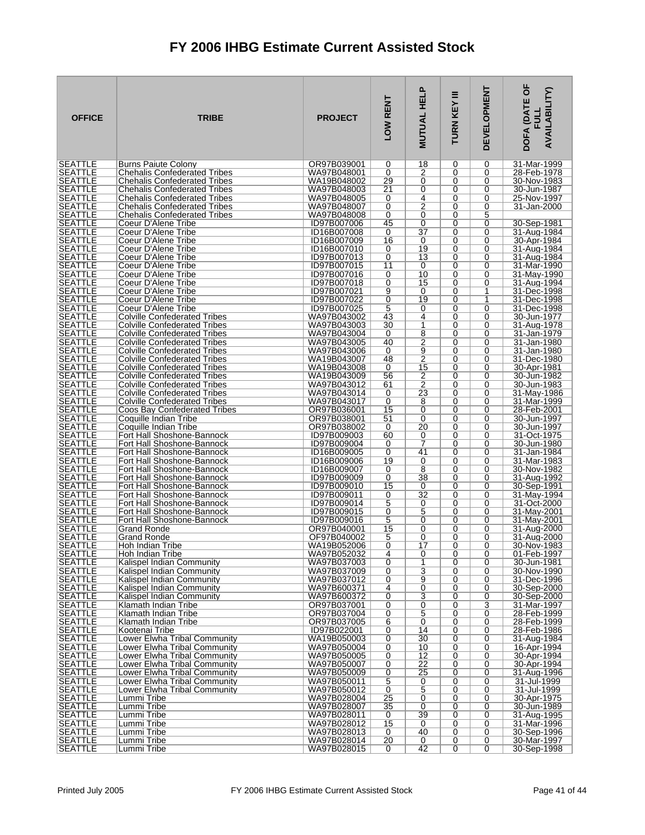| <b>OFFICE</b>                    | <b>TRIBE</b>                                                               | <b>PROJECT</b>             | LOW RENT                   | <b>MUTUAL HELP</b>                | Ξ<br>TURN KEY | <b>DEVELOPMENT</b> | DOFA (DATE OF<br><b>AVAILABILITY)</b><br><b>FULL</b> |
|----------------------------------|----------------------------------------------------------------------------|----------------------------|----------------------------|-----------------------------------|---------------|--------------------|------------------------------------------------------|
| <b>SEATTLE</b><br>SEATTLE        | <b>Burns Paiute Colony</b><br><b>Chehalis Confederated Tribes</b>          | OR97B039001<br>WA97B048001 | 0<br>0                     | 18<br>2                           | 0<br>0        | 0<br>0             | 31-Mar-1999<br>28-Feb-1978                           |
| <b>SEATTLE</b>                   | <b>Chehalis Confederated Tribes</b>                                        | WA19B048002                | 29                         | 0                                 | 0             | 0                  | 30-Nov-1983                                          |
| <b>SEATTLE</b>                   | <b>Chehalis Confederated Tribes</b>                                        | WA97B048003                | 21                         | 0                                 | 0             | 0                  | 30-Jun-1987                                          |
| <b>SEATTLE</b>                   | <b>Chehalis Confederated Tribes</b>                                        | WA97B048005                | 0                          | 4                                 | 0             | 0                  | 25-Nov-1997                                          |
| <b>SEATTLE</b>                   | <b>Chehalis Confederated Tribes</b>                                        | WA97B048007                | 0                          | $\overline{2}$                    | 0             | 0                  | 31-Jan-2000                                          |
| <b>SEATTLE</b><br><b>SEATTLE</b> | <b>Chehalis Confederated Tribes</b><br>Coeur D'Alene Tribe                 | WA97B048008<br>ID97B007006 | 0<br>45                    | 0<br>$\overline{0}$               | 0<br>0        | 5<br>0             | 30-Sep-1981                                          |
| <b>SEATTLE</b>                   | Coeur D'Alene Tribe                                                        | ID16B007008                | 0                          | $\overline{37}$                   | 0             | 0                  | 31-Aug-1984                                          |
| <b>SEATTLE</b>                   | Coeur D'Alene Tribe                                                        | ID16B007009                | 16                         | 0                                 | 0             | 0                  | 30-Apr-1984                                          |
| <b>SEATTLE</b>                   | Coeur D'Alene Tribe                                                        | ID16B007010                | 0                          | 19                                | 0             | 0                  | 31-Aug-1984                                          |
| <b>SEATTLE</b><br><b>SEATTLE</b> | Coeur D'Alene Tribe<br>Coeur D'Alene Tribe                                 | ID97B007013<br>ID97B007015 | 0<br>11                    | 13<br>0                           | 0<br>0        | 0<br>0             | 31-Aug-1984<br>31-Mar-1990                           |
| <b>SEATTLE</b>                   | Coeur D'Alene Tribe                                                        | ID97B007016                | 0                          | 10                                | 0             | 0                  | 31-May-1990                                          |
| <b>SEATTLE</b>                   | Coeur D'Alene Tribe                                                        | ID97B007018                | 0                          | 15                                | 0             | 0                  | 31-Aug-1994                                          |
| <b>SEATTLE</b>                   | Coeur D'Alene Tribe                                                        | ID97B007021                | 9                          | 0                                 | 0             | 1                  | 31-Dec-1998                                          |
| <b>SEATTLE</b><br><b>SEATTLE</b> | Coeur D'Alene Tribe<br>Coeur D'Alene Tribe                                 | ID97B007022<br>ID97B007025 | 0<br>5                     | 19<br>0                           | 0<br>0        | $\mathbf{1}$<br>0  | 31-Dec-1998<br>31-Dec-1998                           |
| <b>SEATTLE</b>                   | <b>Colville Confederated Tribes</b>                                        | WA97B043002                | 43                         | 4                                 | 0             | $\Omega$           | 30-Jun-1977                                          |
| <b>SEATTLE</b>                   | <b>Colville Confederated Tribes</b>                                        | WA97B043003                | 30                         | 1                                 | 0             | 0                  | 31-Aug-1978                                          |
| <b>SEATTLE</b>                   | <b>Colville Confederated Tribes</b>                                        | WA97B043004                | 0                          | 8                                 | 0             | 0                  | 31-Jan-1979                                          |
| <b>SEATTLE</b><br><b>SEATTLE</b> | <b>Colville Confederated Tribes</b><br><b>Colville Confederated Tribes</b> | WA97B043005<br>WA97B043006 | 40<br>0                    | $\overline{2}$<br>$\overline{9}$  | 0<br>0        | 0<br>0             | 31-Jan-1980<br>31-Jan-1980                           |
| <b>SEATTLE</b>                   | <b>Colville Confederated Tribes</b>                                        | WA19B043007                | 48                         | $\overline{2}$                    | 0             | 0                  | 31-Dec-1980                                          |
| <b>SEATTLE</b>                   | <b>Colville Confederated Tribes</b>                                        | WA19B043008                | 0                          | $\overline{15}$                   | 0             | 0                  | 30-Apr-1981                                          |
| <b>SEATTLE</b>                   | <b>Colville Confederated Tribes</b>                                        | WA19B043009                | 56                         | 2                                 | 0             | 0                  | 30-Jun-1982                                          |
| <b>SEATTLE</b><br><b>SEATTLE</b> | <b>Colville Confederated Tribes</b><br><b>Colville Confederated Tribes</b> | WA97B043012<br>WA97B043014 | 61<br>0                    | $\overline{2}$<br>$\overline{23}$ | 0<br>0        | 0<br>0             | 30-Jun-1983<br>31-May-1986                           |
| <b>SEATTLE</b>                   | <b>Colville Confederated Tribes</b>                                        | WA97B043017                | 0                          | 8                                 | 0             | 0                  | 31-Mar-1999                                          |
| <b>SEATTLE</b>                   | Coos Bay Confederated Tribes                                               | OR97B036001                | 15                         | 0                                 | 0             | 0                  | 28-Feb-2001                                          |
| <b>SEATTLE</b>                   | Coquille Indian Tribe                                                      | OR97B038001                | 51                         | 0                                 | 0             | 0                  | 30-Jun-1997                                          |
| <b>SEATTLE</b><br><b>SEATTLE</b> | Coquille Indian Tribe<br>Fort Hall Shoshone-Bannock                        | OR97B038002<br>ID97B009003 | 0<br>60                    | 20<br>0                           | 0<br>0        | 0<br>0             | 30-Jun-1997<br>31-Oct-1975                           |
| <b>SEATTLE</b>                   | Fort Hall Shoshone-Bannock                                                 | ID97B009004                | 0                          | 7                                 | 0             | 0                  | 30-Jun-1980                                          |
| <b>SEATTLE</b>                   | Fort Hall Shoshone-Bannock                                                 | ID16B009005                | 0                          | 41                                | 0             | 0                  | 31-Jan-1984                                          |
| <b>SEATTLE</b>                   | Fort Hall Shoshone-Bannock                                                 | ID16B009006                | 19                         | 0                                 | 0             | 0                  | 31-Mar-1983                                          |
| <b>SEATTLE</b><br><b>SEATTLE</b> | Fort Hall Shoshone-Bannock<br>Fort Hall Shoshone-Bannock                   | ID16B009007<br>ID97B009009 | 0<br>0                     | 8<br>38                           | 0<br>0        | 0<br>0             | 30-Nov-1982<br>31-Aug-1992                           |
| <b>SEATTLE</b>                   | Fort Hall Shoshone-Bannock                                                 | ID97B009010                | 15                         | 0                                 | 0             | 0                  | 30-Sep-1991                                          |
| <b>SEATTLE</b>                   | Fort Hall Shoshone-Bannock                                                 | ID97B009011                | 0                          | $\overline{32}$                   | 0             | 0                  | 31-May-1994                                          |
| <b>SEATTLE</b><br><b>SEATTLE</b> | Fort Hall Shoshone-Bannock                                                 | ID97B009014                | 5                          | 0<br>5                            | 0             | 0                  | 31-Oct-2000                                          |
| <b>SEATTLE</b>                   | Fort Hall Shoshone-Bannock<br>Fort Hall Shoshone-Bannock                   | ID97B009015<br>ID97B009016 | 0<br>5                     | $\overline{0}$                    | 0<br>0        | 0<br>0             | 31-May-2001<br>31-May-2001                           |
| <b>SEATTLE</b>                   | Grand Ronde                                                                | OR97B040001                | 15                         | 0                                 | 0             | 0                  | 31-Aug-2000                                          |
| <b>SEATTLE</b>                   | Grand Ronde                                                                | OF97B040002                | 5                          | 0                                 | 0             | 0                  | 31-Aug-2000                                          |
| <b>SEATTLE</b><br><b>SEATTLE</b> | Hoh Indian Tribe<br>Hoh Indian Tribe                                       | WA19B052006<br>WA97B052032 | $\Omega$<br>$\overline{4}$ | 17<br>0                           | 0<br>0        | $\Omega$<br>0      | 30-Nov-1983<br>01-Feb-1997                           |
| <b>SEATTLE</b>                   | Kalispel Indian Community                                                  | WA97B037003                | 0                          | 1                                 | 0             | 0                  | 30-Jun-1981                                          |
| <b>SEATTLE</b>                   | Kalispel Indian Community                                                  | WA97B037009                | 0                          | $\overline{3}$                    | 0             | 0                  | 30-Nov-1990                                          |
| SEATTLE                          | Kalispel Indian Community                                                  | WA97B037012                | 0                          | 9                                 | 0             | 0                  | 31-Dec-1996                                          |
| <b>SEATTLE</b><br><b>SEATTLE</b> | Kalispel Indian Community<br>Kalispel Indian Community                     | WA97B600371<br>WA97B600372 | 4<br>$\overline{0}$        | $\overline{0}$<br>$\overline{3}$  | 0<br>0        | 0<br>0             | 30-Sep-2000<br>30-Sep-2000                           |
| <b>SEATTLE</b>                   | Klamath Indian Tribe                                                       | OR97B037001                | 0                          | 0                                 | 0             | 3                  | 31-Mar-1997                                          |
| <b>SEATTLE</b>                   | Klamath Indian Tribe                                                       | OR97B037004                | 0                          | $\overline{5}$                    | 0             | 0                  | 28-Feb-1999                                          |
| <b>SEATTLE</b>                   | Klamath Indian Tribe                                                       | OR97B037005                | $6\overline{6}$            | $\overline{0}$                    | 0             | 0                  | 28-Feb-1999                                          |
| <b>SEATTLE</b><br><b>SEATTLE</b> | Kootenai Tribe<br>Lower Elwha Tribal Community                             | ID97B022001<br>WA19B050003 | 0<br>0                     | 14<br>30                          | 0<br>0        | 0<br>0             | 28-Feb-1986<br>31-Aug-1984                           |
| <b>SEATTLE</b>                   | Lower Elwha Tribal Community                                               | WA97B050004                | 0                          | 10                                | 0             | 0                  | 16-Apr-1994                                          |
| SEATTLE                          | Lower Elwha Tribal Community                                               | WA97B050005                | 0                          | 12                                | 0             | 0                  | 30-Apr-1994                                          |
| <b>SEATTLE</b>                   | Lower Elwha Tribal Community                                               | WA97B050007                | 0                          | 22                                | 0             | 0                  | 30-Apr-1994                                          |
| <b>SEATTLE</b><br><b>SEATTLE</b> | Lower Elwha Tribal Community<br>Lower Elwha Tribal Community               | WA97B050009<br>WA97B050011 | 0<br>5                     | 25<br>0                           | 0<br>0        | 0<br>0             | 31-Aug-1996<br>31-Jul-1999                           |
| <b>SEATTLE</b>                   | Lower Elwha Tribal Community                                               | WA97B050012                | 0                          | $\overline{5}$                    | 0             | 0                  | 31-Jul-1999                                          |
| <b>SEATTLE</b>                   | Lummi Tribe                                                                | WA97B028004                | 25                         | $\overline{0}$                    | 0             | 0                  | 30-Apr-1975                                          |
| <b>SEATTLE</b>                   | Lummi Tribe                                                                | WA97B028007                | 35                         | $\overline{0}$<br>39              | 0             | 0                  | 30-Jun-1989                                          |
| <b>SEATTLE</b><br><b>SEATTLE</b> | Lummi Tribe<br>Lummi Tribe                                                 | WA97B028011<br>WA97B028012 | 0<br>15                    | 0                                 | 0<br>0        | 0<br>0             | 31-Aug-1995<br>31-Mar-1996                           |
| <b>SEATTLE</b>                   | Lummi Tribe                                                                | WA97B028013                | 0                          | 40                                | 0             | 0                  | 30-Sep-1996                                          |
| <b>SEATTLE</b>                   | Lummi Tribe                                                                | WA97B028014                | $\overline{20}$            | 0                                 | 0             | 0                  | 30-Mar-1997                                          |
| SEATTLE                          | Lummi Tribe                                                                | WA97B028015                | 0                          | 42                                | 0             | $\overline{0}$     | 30-Sep-1998                                          |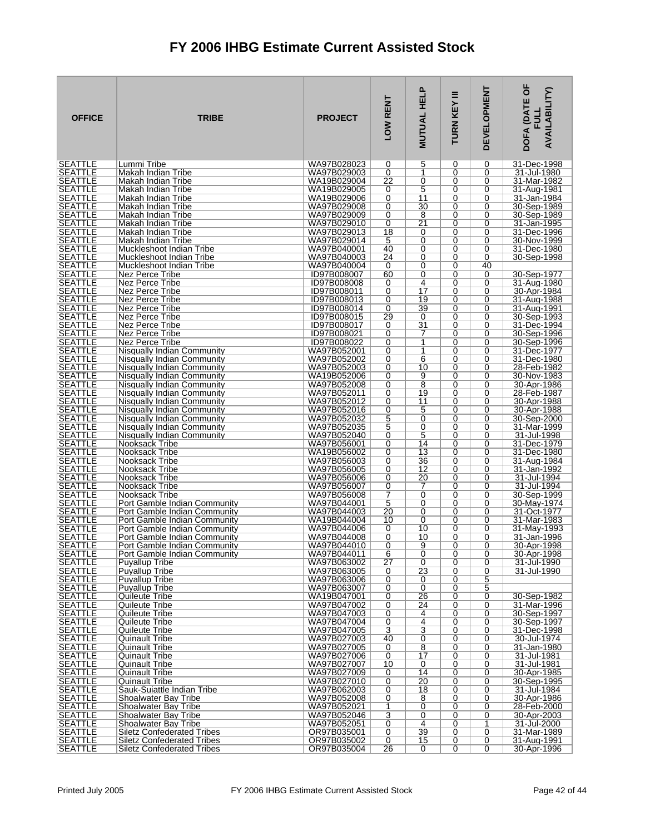| <b>OFFICE</b>                    | <b>TRIBE</b>                                                           | <b>PROJECT</b>             | LOW RENT | <b>MUTUAL HELP</b>                | Ξ<br>TURN KEY | <b>DEVELOPMENT</b> | DOFA (DATE OF<br><b>AVAILABILITY)</b> |
|----------------------------------|------------------------------------------------------------------------|----------------------------|----------|-----------------------------------|---------------|--------------------|---------------------------------------|
| <b>SEATTLE</b><br><b>SEATTLE</b> | Lummi Tribe<br>Makah Indian Tribe                                      | WA97B028023                | 0<br>0   | 5<br>1                            | 0<br>0        | 0<br>0             | 31-Dec-1998<br>31-Jul-1980            |
| <b>SEATTLE</b>                   | Makah Indian Tribe                                                     | WA97B029003<br>WA19B029004 | 22       | 0                                 | 0             | 0                  | 31-Mar-1982                           |
| <b>SEATTLE</b>                   | Makah Indian Tribe                                                     | WA19B029005                | 0        | 5                                 | 0             | 0                  | 31-Aug-1981                           |
| <b>SEATTLE</b>                   | Makah Indian Tribe                                                     | WA19B029006                | 0        | 11                                | 0             | 0                  | 31-Jan-1984                           |
| <b>SEATTLE</b>                   | Makah Indian Tribe                                                     | WA97B029008                | 0        | 30                                | 0             | 0                  | 30-Sep-1989                           |
| <b>SEATTLE</b><br><b>SEATTLE</b> | Makah Indian Tribe<br>Makah Indian Tribe                               | WA97B029009<br>WA97B029010 | 0<br>0   | 8<br>$\overline{21}$              | 0<br>0        | 0<br>0             | 30-Sep-1989<br>31-Jan-1995            |
| <b>SEATTLE</b>                   | Makah Indian Tribe                                                     | WA97B029013                | 18       | 0                                 | 0             | 0                  | 31-Dec-1996                           |
| <b>SEATTLE</b>                   | Makah Indian Tribe                                                     | WA97B029014                | 5        | 0                                 | 0             | 0                  | 30-Nov-1999                           |
| <b>SEATTLE</b>                   | Muckleshoot Indian Tribe                                               | WA97B040001                | 40       | 0                                 | 0             | 0                  | 31-Dec-1980                           |
| <b>SEATTLE</b><br><b>SEATTLE</b> | Muckleshoot Indian Tribe                                               | WA97B040003<br>WA97B040004 | 24<br>0  | 0<br>0                            | 0<br>0        | 0<br>40            | 30-Sep-1998                           |
| <b>SEATTLE</b>                   | Muckleshoot Indian Tribe<br>Nez Perce Tribe                            | ID97B008007                | 60       | 0                                 | 0             | 0                  | 30-Sep-1977                           |
| <b>SEATTLE</b>                   | Nez Perce Tribe                                                        | ID97B008008                | 0        | $\overline{4}$                    | 0             | 0                  | 31-Aug-1980                           |
| <b>SEATTLE</b>                   | Nez Perce Tribe                                                        | ID97B008011                | 0        | 17                                | 0             | 0                  | 30-Apr-1984                           |
| <b>SEATTLE</b>                   | Nez Perce Tribe                                                        | ID97B008013                | 0        | 19                                | 0             | 0                  | 31-Aug-1988                           |
| <b>SEATTLE</b><br><b>SEATTLE</b> | Nez Perce Tribe<br>Nez Perce Tribe                                     | ID97B008014<br>ID97B008015 | 0<br>29  | 39<br>0                           | 0<br>0        | 0<br>0             | 31-Aug-1991<br>30-Sep-1993            |
| <b>SEATTLE</b>                   | Nez Perce Tribe                                                        | ID97B008017                | 0        | $\overline{31}$                   | 0             | 0                  | 31-Dec-1994                           |
| <b>SEATTLE</b>                   | Nez Perce Tribe                                                        | ID97B008021                | 0        | 7                                 | 0             | 0                  | 30-Sep-1996                           |
| <b>SEATTLE</b>                   | Nez Perce Tribe                                                        | ID97B008022                | 0        | 1                                 | 0             | 0                  | 30-Sep-1996                           |
| <b>SEATTLE</b><br><b>SEATTLE</b> | Nisqually Indian Community<br>Nisqually Indian Community               | WA97B052001<br>WA97B052002 | 0<br>0   | 1<br>6                            | 0<br>0        | 0<br>0             | 31-Dec-1977<br>31-Dec-1980            |
| <b>SEATTLE</b>                   | Nisqually Indian Community                                             | WA97B052003                | 0        | 10                                | 0             | 0                  | 28-Feb-1982                           |
| <b>SEATTLE</b>                   | Nisqually Indian Community                                             | WA19B052006                | 0        | 9                                 | 0             | 0                  | 30-Nov-1983                           |
| <b>SEATTLE</b>                   | Nisqually Indian Community                                             | WA97B052008                | 0        | 8                                 | 0             | 0                  | 30-Apr-1986                           |
| <b>SEATTLE</b><br><b>SEATTLE</b> | Nisqually Indian Community<br>Nisqually Indian Community               | WA97B052011<br>WA97B052012 | 0<br>0   | 19<br>11                          | 0<br>0        | 0<br>0             | 28-Feb-1987<br>30-Apr-1988            |
| <b>SEATTLE</b>                   | Nisqually Indian Community                                             | WA97B052016                | 0        | 5                                 | 0             | 0                  | 30-Apr-1988                           |
| <b>SEATTLE</b>                   | Nisqually Indian Community                                             | WA97B052032                | 5        | $\overline{0}$                    | 0             | 0                  | 30-Sep-2000                           |
| <b>SEATTLE</b>                   | Nisqually Indian Community                                             | WA97B052035                | 5        | 0                                 | 0             | 0                  | 31-Mar-1999                           |
| <b>SEATTLE</b><br><b>SEATTLE</b> | Nisqually Indian Community<br>Nooksack Tribe                           | WA97B052040<br>WA97B056001 | 0<br>0   | 5<br>14                           | 0<br>0        | 0<br>0             | 31-Jul-1998<br>31-Dec-1979            |
| <b>SEATTLE</b>                   | Nooksack Tribe                                                         | WA19B056002                | 0        | 13                                | 0             | 0                  | 31-Dec-1980                           |
| <b>SEATTLE</b>                   | Nooksack Tribe                                                         | WA97B056003                | 0        | 36                                | 0             | 0                  | 31-Aug-1984                           |
| <b>SEATTLE</b>                   | Nooksack Tribe                                                         | WA97B056005                | 0        | 12                                | 0             | 0                  | 31-Jan-1992                           |
| <b>SEATTLE</b><br><b>SEATTLE</b> | Nooksack Tribe<br>Nooksack Tribe                                       | WA97B056006<br>WA97B056007 | 0<br>0   | 20<br>7                           | 0<br>0        | 0<br>0             | 31-Jul-1994<br>31-Jul-1994            |
| <b>SEATTLE</b>                   | Nooksack Tribe                                                         | WA97B056008                | 7        | 0                                 | 0             | 0                  | 30-Sep-1999                           |
| <b>SEATTLE</b>                   | Port Gamble Indian Community                                           | WA97B044001                | 5        | 0                                 | 0             | 0                  | 30-May-1974                           |
| <b>SEATTLE</b>                   | Port Gamble Indian Community                                           | WA97B044003                | 20       | 0                                 | 0             | 0                  | 31-Oct-1977                           |
| <b>SEATTLE</b><br><b>SEATTLE</b> | Port Gamble Indian Community<br>Port Gamble Indian Community           | WA19B044004<br>WA97B044006 | 10<br>0  | 0<br>10                           | 0<br>0        | 0<br>0             | 31-Mar-1983<br>31-May-1993            |
| <b>SEATTLE</b>                   | Port Gamble Indian Community                                           | WA97B044008                | 0        | 10                                | 0             | 0                  | 31-Jan-1996                           |
| <b>SEATTLE</b>                   | Port Gamble Indian Community                                           | WA97B044010                | $\Omega$ | 9                                 | 0             | $\Omega$           | 30-Apr-1998                           |
| <b>SEATTLE</b>                   | Port Gamble Indian Community                                           | WA97B044011                | 6        | $\overline{0}$                    | 0             | 0                  | 30-Apr-1998                           |
| <b>SEATTLE</b><br><b>SEATTLE</b> | <b>Puyallup Tribe</b><br><b>Puyallup Tribe</b>                         | WA97B063002<br>WA97B063005 | 27<br>0  | 0<br>$\overline{23}$              | 0<br>0        | 0<br>0             | 31-Jul-1990<br>31-Jul-1990            |
| <b>SEATTLE</b>                   | Puyallup Tribe                                                         | WA97B063006                | 0        | 0                                 | 0             | $\overline{5}$     |                                       |
| <b>SEATTLE</b>                   | <b>Puyallup Tribe</b>                                                  | WA97B063007                | 0        | 0                                 | 0             | 5                  |                                       |
| <b>SEATTLE</b>                   | Quileute Tribe                                                         | WA19B047001                | 0        | 26                                | 0             | 0                  | 30-Sep-1982                           |
| <b>SEATTLE</b><br><b>SEATTLE</b> | Quileute Tribe<br>Quileute Tribe                                       | WA97B047002<br>WA97B047003 | 0<br>0   | $\overline{24}$<br>4              | 0<br>0        | 0<br>0             | 31-Mar-1996<br>30-Sep-1997            |
| <b>SEATTLE</b>                   | Quileute Tribe                                                         | WA97B047004                | 0        | $\overline{4}$                    | 0             | 0                  | 30-Sep-1997                           |
| <b>SEATTLE</b>                   | Quileute Tribe                                                         | WA97B047005                | 3        | $\overline{3}$                    | 0             | 0                  | 31-Dec-1998                           |
| <b>SEATTLE</b>                   | Quinault Tribe                                                         | WA97B027003                | 40       | 0                                 | 0             | 0                  | 30-Jul-1974                           |
| <b>SEATTLE</b><br><b>SEATTLE</b> | Quinault Tribe<br>Quinault Tribe                                       | WA97B027005<br>WA97B027006 | 0<br>0   | $\overline{8}$<br>$\overline{17}$ | 0<br>0        | 0<br>0             | 31-Jan-1980<br>31-Jul-1981            |
| <b>SEATTLE</b>                   | <b>Quinault Tribe</b>                                                  | WA97B027007                | 10       | 0                                 | 0             | 0                  | 31-Jul-1981                           |
| <b>SEATTLE</b>                   | Quinault Tribe                                                         | WA97B027009                | 0        | 14                                | 0             | 0                  | 30-Apr-1985                           |
| <b>SEATTLE</b>                   | Quinault Tribe                                                         | WA97B027010                | 0        | 20                                | 0             | 0                  | 30-Sep-1995                           |
| <b>SEATTLE</b><br><b>SEATTLE</b> | Sauk-Suiattle Indian Tribe<br>Shoalwater Bay Tribe                     | WA97B062003<br>WA97B052008 | 0<br>0   | 18<br>8                           | 0<br>0        | 0<br>0             | 31-Jul-1984<br>30-Apr-1986            |
| <b>SEATTLE</b>                   | <b>Shoalwater Bay Tribe</b>                                            | WA97B052021                | 1        | 0                                 | 0             | 0                  | 28-Feb-2000                           |
| <b>SEATTLE</b>                   | Shoalwater Bay Tribe                                                   | WA97B052046                | 3        | 0                                 | 0             | 0                  | 30-Apr-2003                           |
| <b>SEATTLE</b>                   | Shoalwater Bay Tribe                                                   | WA97B052051                | 0        | $\overline{4}$                    | 0             | 1                  | 31-Jul-2000                           |
| <b>SEATTLE</b><br><b>SEATTLE</b> | <b>Siletz Confederated Tribes</b><br><b>Siletz Confederated Tribes</b> | OR97B035001<br>OR97B035002 | 0<br>0   | 39<br>15                          | 0<br>0        | 0<br>0             | 31-Mar-1989<br>31-Aug-1991            |
| <b>SEATTLE</b>                   | <b>Siletz Confederated Tribes</b>                                      | OR97B035004                | 26       | 0                                 | 0             | 0                  | 30-Apr-1996                           |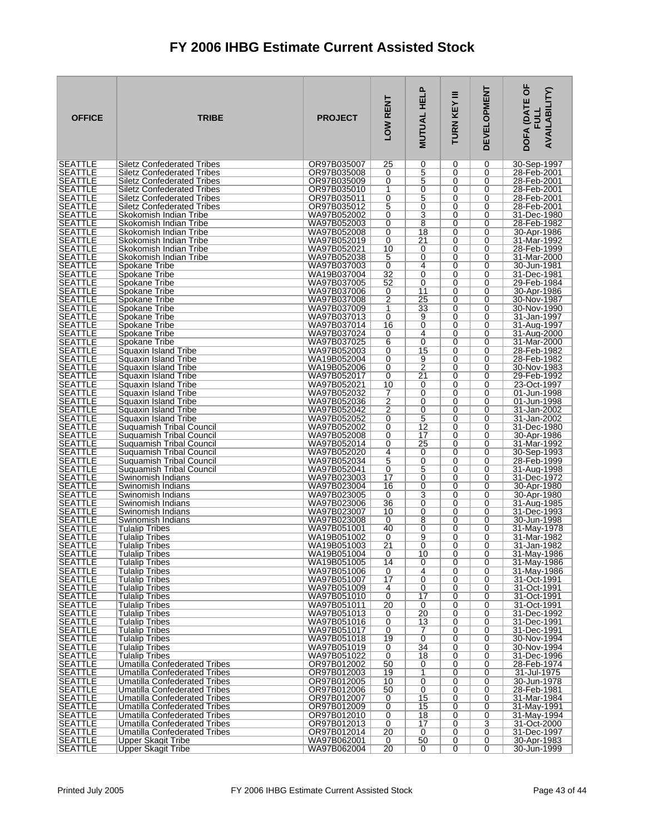| <b>OFFICE</b>                    | <b>TRIBE</b>                                                    | <b>PROJECT</b>             | LOW RENT             | <b>MUTUAL HELP</b>                        | Ξ<br>TURN KEY | <b>DEVELOPMENT</b>  | <b>DOFA (DATE OF</b><br><b>AVAILABILITY)</b><br>FU니 |
|----------------------------------|-----------------------------------------------------------------|----------------------------|----------------------|-------------------------------------------|---------------|---------------------|-----------------------------------------------------|
| <b>SEATTLE</b><br>SEATTLE        | <b>Siletz Confederated Tribes</b>                               | OR97B035007                | 25<br>0              | 0<br>$\overline{5}$                       | 0<br>0        | 0<br>0              | 30-Sep-1997                                         |
| <b>SEATTLE</b>                   | Siletz Confederated Tribes<br><b>Siletz Confederated Tribes</b> | OR97B035008<br>OR97B035009 | 0                    | 5                                         | 0             | 0                   | 28-Feb-2001<br>28-Feb-2001                          |
| <b>SEATTLE</b>                   | <b>Siletz Confederated Tribes</b>                               | OR97B035010                | 1                    | 0                                         | 0             | 0                   | 28-Feb-2001                                         |
| <b>SEATTLE</b>                   | <b>Siletz Confederated Tribes</b>                               | OR97B035011                | 0                    | $\overline{5}$                            | 0             | 0                   | 28-Feb-2001                                         |
| <b>SEATTLE</b>                   | <b>Siletz Confederated Tribes</b>                               | OR97B035012                | 5                    | 0                                         | 0             | 0                   | 28-Feb-2001                                         |
| <b>SEATTLE</b><br><b>SEATTLE</b> | Skokomish Indian Tribe<br>Skokomish Indian Tribe                | WA97B052002<br>WA97B052003 | 0<br>0               | $\overline{\mathbf{3}}$<br>$\overline{8}$ | 0<br>0        | 0<br>0              | 31-Dec-1980<br>28-Feb-1982                          |
| <b>SEATTLE</b>                   | Skokomish Indian Tribe                                          | WA97B052008                | 0                    | 18                                        | 0             | 0                   | 30-Apr-1986                                         |
| <b>SEATTLE</b>                   | Skokomish Indian Tribe                                          | WA97B052019                | 0                    | 21                                        | 0             | 0                   | 31-Mar-1992                                         |
| <b>SEATTLE</b>                   | Skokomish Indian Tribe                                          | WA97B052021                | 10                   | 0                                         | 0             | 0                   | 28-Feb-1999                                         |
| <b>SEATTLE</b><br><b>SEATTLE</b> | Skokomish Indian Tribe<br>Spokane Tribe                         | WA97B052038<br>WA97B037003 | 5<br>0               | 0<br>4                                    | 0<br>0        | 0<br>0              | 31-Mar-2000<br>30-Jun-1981                          |
| <b>SEATTLE</b>                   | Spokane Tribe                                                   | WA19B037004                | 32                   | 0                                         | 0             | 0                   | 31-Dec-1981                                         |
| <b>SEATTLE</b>                   | Spokane Tribe                                                   | WA97B037005                | 52                   | 0                                         | 0             | 0                   | 29-Feb-1984                                         |
| <b>SEATTLE</b>                   | Spokane Tribe                                                   | WA97B037006                | 0                    | 11<br>25                                  | 0             | 0                   | 30-Apr-1986                                         |
| <b>SEATTLE</b><br><b>SEATTLE</b> | Spokane Tribe<br>Spokane Tribe                                  | WA97B037008<br>WA97B037009 | $\overline{2}$<br>1  | 33                                        | 0<br>0        | 0<br>0              | 30-Nov-1987<br>30-Nov-1990                          |
| <b>SEATTLE</b>                   | Spokane Tribe                                                   | WA97B037013                | 0                    | 9                                         | 0             | $\Omega$            | 31-Jan-1997                                         |
| <b>SEATTLE</b>                   | Spokane Tribe                                                   | WA97B037014                | 16                   | $\overline{0}$                            | 0             | 0                   | 31-Aug-1997                                         |
| <b>SEATTLE</b>                   | Spokane Tribe                                                   | WA97B037024<br>WA97B037025 | 0                    | 4<br>$\overline{0}$                       | 0<br>0        | 0<br>0              | 31-Aug-2000                                         |
| <b>SEATTLE</b><br><b>SEATTLE</b> | Spokane Tribe<br>Squaxin Island Tribe                           | WA97B052003                | 6<br>0               | 15                                        | 0             | 0                   | 31-Mar-2000<br>28-Feb-1982                          |
| <b>SEATTLE</b>                   | Squaxin Island Tribe                                            | WA19B052004                | 0                    | 9                                         | 0             | 0                   | 28-Feb-1982                                         |
| <b>SEATTLE</b>                   | Squaxin Island Tribe                                            | WA19B052006                | 0                    | $\frac{1}{2}$                             | 0             | 0                   | 30-Nov-1983                                         |
| <b>SEATTLE</b><br><b>SEATTLE</b> | Squaxin Island Tribe<br>Squaxin Island Tribe                    | WA97B052017<br>WA97B052021 | 0<br>10              | 21<br>0                                   | 0<br>0        | 0<br>0              | 29-Feb-1992<br>23-Oct-1997                          |
| <b>SEATTLE</b>                   | Squaxin Island Tribe                                            | WA97B052032                | 7                    | 0                                         | 0             | 0                   | 01-Jun-1998                                         |
| <b>SEATTLE</b>                   | Squaxin Island Tribe                                            | WA97B052036                | 2                    | 0                                         | 0             | 0                   | 01-Jun-1998                                         |
| <b>SEATTLE</b>                   | Squaxin Island Tribe                                            | WA97B052042                | 2                    | 0                                         | 0             | 0                   | 31-Jan-2002                                         |
| <b>SEATTLE</b><br><b>SEATTLE</b> | Squaxin Island Tribe<br>Suquamish Tribal Council                | WA97B052052<br>WA97B052002 | 0<br>0               | 5<br>12                                   | 0<br>0        | 0<br>0              | 31-Jan-2002<br>31-Dec-1980                          |
| <b>SEATTLE</b>                   | Suquamish Tribal Council                                        | WA97B052008                | 0                    | 17                                        | 0             | 0                   | 30-Apr-1986                                         |
| <b>SEATTLE</b>                   | Suquamish Tribal Council                                        | WA97B052014                | 0                    | 25                                        | 0             | 0                   | 31-Mar-1992                                         |
| <b>SEATTLE</b>                   | Suquamish Tribal Council                                        | WA97B052020                | 4                    | 0                                         | 0             | 0                   | 30-Sep-1993                                         |
| <b>SEATTLE</b><br><b>SEATTLE</b> | Suquamish Tribal Council<br>Suguamish Tribal Council            | WA97B052034<br>WA97B052041 | 5<br>0               | 0<br>5                                    | 0<br>0        | 0<br>0              | 28-Feb-1999<br>31-Aug-1998                          |
| SEATTLE                          | Swinomish Indians                                               | WA97B023003                | 17                   | 0                                         | 0             | 0                   | 31-Dec-1972                                         |
| <b>SEATTLE</b>                   | Swinomish Indians                                               | WA97B023004                | 16                   | 0                                         | 0             | 0                   | 30-Apr-1980                                         |
| <b>SEATTLE</b>                   | Swinomish Indians                                               | WA97B023005                | 0                    | $\overline{\mathbf{3}}$                   | 0             | 0                   | 30-Apr-1980                                         |
| SEATTLE<br><b>SEATTLE</b>        | Swinomish Indians<br>Swinomish Indians                          | WA97B023006<br>WA97B023007 | 36<br>10             | 0<br>0                                    | 0<br>0        | 0<br>0              | 31-Aug-1985<br>31-Dec-1993                          |
| <b>SEATTLE</b>                   | Swinomish Indians                                               | WA97B023008                | 0                    | 8                                         | 0             | 0                   | 30-Jun-1998                                         |
| <b>SEATTLE</b>                   | Tulalip Tribes                                                  | WA97B051001                | 40                   | 0                                         | 0             | 0                   | 31-May-1978                                         |
| <b>SEATTLE</b><br><b>SEATTLE</b> | Tulalip Tribes<br><b>Tulalin Tribes</b>                         | WA19B051002<br>WA19B051003 | 0<br>21              | 9<br>0                                    | 0<br>0        | 0<br>$\Omega$       | 31-Mar-1982<br>31 Jan-1982                          |
| <b>SEATTLE</b>                   | <b>Tulalip Tribes</b>                                           | WA19B051004                | 0                    | 10                                        | 0             | 0                   | 31-May-1986                                         |
| <b>SEATTLE</b>                   | Tulalip Tribes                                                  | WA19B051005                | 14                   | 0                                         | 0             | 0                   | 31-May-1986                                         |
| <b>SEATTLE</b>                   | <b>Tulalip Tribes</b>                                           | WA97B051006                | 0                    | $\overline{4}$                            | 0             | 0                   | 31-May-1986                                         |
| SEATTLE<br><b>SEATTLE</b>        | <b>Tulalip Tribes</b><br><b>Tulalip Tribes</b>                  | WA97B051007<br>WA97B051009 | 17<br>4              | 0<br>0                                    | 0<br>0        | 0<br>0              | 31-Oct-1991<br>31-Oct-1991                          |
| <b>SEATTLE</b>                   | Tulalip Tribes                                                  | WA97B051010                | $\overline{0}$       | $\overline{17}$                           | 0             | 0                   | 31-Oct-1991                                         |
| <b>SEATTLE</b>                   | <b>Tulalip Tribes</b>                                           | WA97B051011                | $\overline{20}$      | 0                                         | 0             | 0                   | 31-Oct-1991                                         |
| <b>SEATTLE</b>                   | <b>Tulalip Tribes</b>                                           | WA97B051013                | 0                    | 20                                        | 0             | 0                   | 31-Dec-1992                                         |
| <b>SEATTLE</b><br><b>SEATTLE</b> | Tulalip Tribes<br><b>Tulalip Tribes</b>                         | WA97B051016<br>WA97B051017 | 0<br>0               | 13<br>7                                   | 0<br>0        | 0<br>0              | 31-Dec-1991<br>31-Dec-1991                          |
| <b>SEATTLE</b>                   | <b>Tulalip Tribes</b>                                           | WA97B051018                | 19                   | 0                                         | 0             | 0                   | 30-Nov-1994                                         |
| <b>SEATTLE</b>                   | <b>Tulalip Tribes</b>                                           | WA97B051019                | 0                    | $\overline{34}$                           | 0             | 0                   | 30-Nov-1994                                         |
| SEATTLE<br><b>SEATTLE</b>        | Tulalip Tribes<br><b>Umatilla Confederated Tribes</b>           | WA97B051022<br>OR97B012002 | 0<br>50              | 18<br>0                                   | 0<br>0        | 0<br>0              | 31-Dec-1996<br>28-Feb-1974                          |
| <b>SEATTLE</b>                   | Umatilla Confederated Tribes                                    | OR97B012003                | 19                   | 1                                         | 0             | 0                   | 31-Jul-1975                                         |
| <b>SEATTLE</b>                   | <b>Umatilla Confederated Tribes</b>                             | OR97B012005                | 10                   | 0                                         | 0             | 0                   | 30-Jun-1978                                         |
| <b>SEATTLE</b>                   | Umatilla Confederated Tribes                                    | OR97B012006                | 50                   | 0                                         | 0             | 0                   | 28-Feb-1981                                         |
| <b>SEATTLE</b><br><b>SEATTLE</b> | Umatilla Confederated Tribes<br>Umatilla Confederated Tribes    | OR97B012007<br>OR97B012009 | 0<br>0               | 15<br>15                                  | 0<br>0        | 0<br>0              | 31-Mar-1984<br>31-May-1991                          |
| <b>SEATTLE</b>                   | Umatilla Confederated Tribes                                    | OR97B012010                | 0                    | 18                                        | 0             | 0                   | 31-May-1994                                         |
| <b>SEATTLE</b>                   | Umatilla Confederated Tribes                                    | OR97B012013                | 0                    | 17                                        | 0             | 3                   | 31-Oct-2000                                         |
| <b>SEATTLE</b>                   | Umatilla Confederated Tribes                                    | OR97B012014                | 20                   | 0                                         | 0             | 0                   | 31-Dec-1997                                         |
| <b>SEATTLE</b><br><b>SEATTLE</b> | Upper Skagit Tribe<br>Upper Skagit Tribe                        | WA97B062001<br>WA97B062004 | 0<br>$\overline{20}$ | 50<br>0                                   | 0<br>0        | 0<br>$\overline{0}$ | 30-Apr-1983<br>30-Jun-1999                          |
|                                  |                                                                 |                            |                      |                                           |               |                     |                                                     |